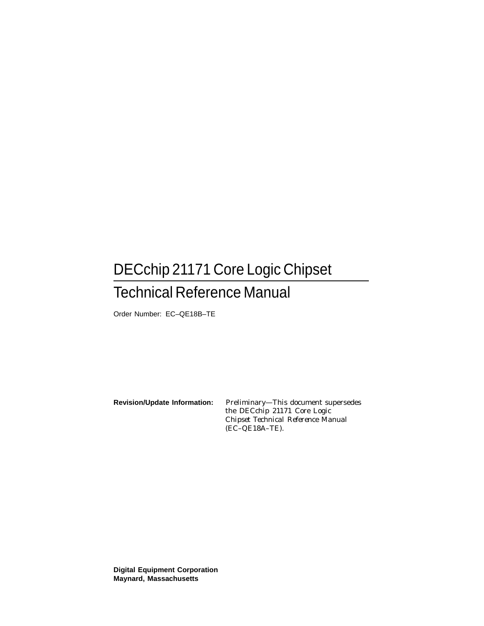# DECchip 21171 Core Logic Chipset

## Technical Reference Manual

Order Number: EC–QE18B–TE

**Revision/Update Information:** Preliminary—This document supersedes the *DECchip 21171 Core Logic Chipset Technical Reference Manual* (EC–QE18A–TE).

**Digital Equipment Corporation Maynard, Massachusetts**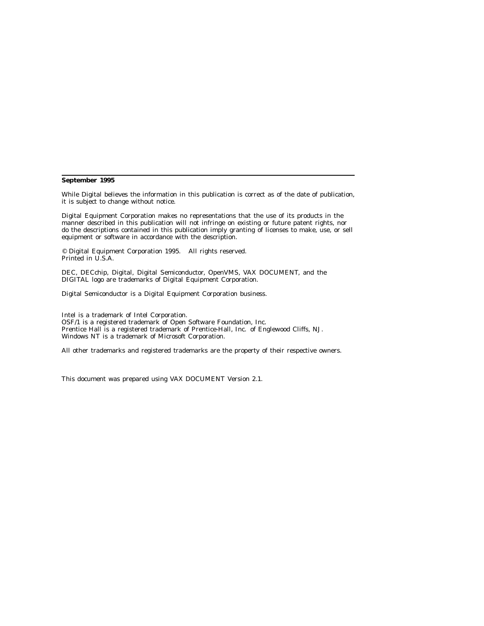#### **September 1995**

While Digital believes the information in this publication is correct as of the date of publication, it is subject to change without notice.

Digital Equipment Corporation makes no representations that the use of its products in the manner described in this publication will not infringe on existing or future patent rights, nor do the descriptions contained in this publication imply granting of licenses to make, use, or sell equipment or software in accordance with the description.

© Digital Equipment Corporation 1995. All rights reserved. Printed in U.S.A.

DEC, DECchip, Digital, Digital Semiconductor, OpenVMS, VAX DOCUMENT, and the DIGITAL logo are trademarks of Digital Equipment Corporation.

Digital Semiconductor is a Digital Equipment Corporation business.

Intel is a trademark of Intel Corporation. OSF/1 is a registered trademark of Open Software Foundation, Inc. Prentice Hall is a registered trademark of Prentice-Hall, Inc. of Englewood Cliffs, NJ. Windows NT is a trademark of Microsoft Corporation.

All other trademarks and registered trademarks are the property of their respective owners.

This document was prepared using VAX DOCUMENT Version 2.1.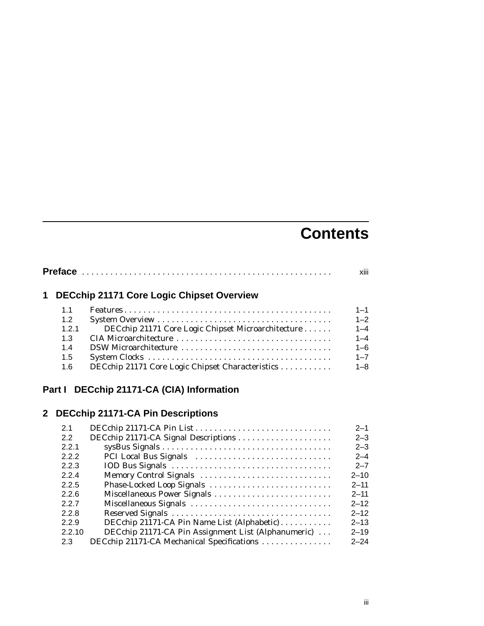# **Contents**

|             |       | xiii                                               |         |
|-------------|-------|----------------------------------------------------|---------|
| $\mathbf 1$ |       | <b>DECchip 21171 Core Logic Chipset Overview</b>   |         |
|             | 1.1   |                                                    | $1 - 1$ |
|             | 1.2   |                                                    | $1 - 2$ |
|             | 1.2.1 | DECchip 21171 Core Logic Chipset Microarchitecture | $1 - 4$ |
|             | 1.3   |                                                    | $1 - 4$ |
|             | 1.4   | DSW Microarchitecture                              | $1 - 6$ |
|             | 1.5   |                                                    | $1 - 7$ |
|             | 1.6   | DECchip 21171 Core Logic Chipset Characteristics   | $1 - 8$ |
|             |       |                                                    |         |

## **Part I DECchip 21171-CA (CIA) Information**

## **2 DECchip 21171-CA Pin Descriptions**

| 2.1    |                                                     | $2 - 1$  |
|--------|-----------------------------------------------------|----------|
| 2.2    | DECchip 21171-CA Signal Descriptions                | $2 - 3$  |
| 2.2.1  |                                                     | $2 - 3$  |
| 2.2.2  | PCI Local Bus Signals                               | $2 - 4$  |
| 2.2.3  |                                                     | $2 - 7$  |
| 2.2.4  | Memory Control Signals                              | $2 - 10$ |
| 2.2.5  | Phase-Locked Loop Signals                           | $2 - 11$ |
| 2.2.6  | Miscellaneous Power Signals                         | $2 - 11$ |
| 2.2.7  | Miscellaneous Signals                               | $2 - 12$ |
| 2.2.8  |                                                     | $2 - 12$ |
| 2.2.9  | DECchip 21171-CA Pin Name List (Alphabetic)         | $2 - 13$ |
| 2.2.10 | DECchip 21171-CA Pin Assignment List (Alphanumeric) | $2 - 19$ |
| 2.3    | DECchip 21171-CA Mechanical Specifications          | $2 - 24$ |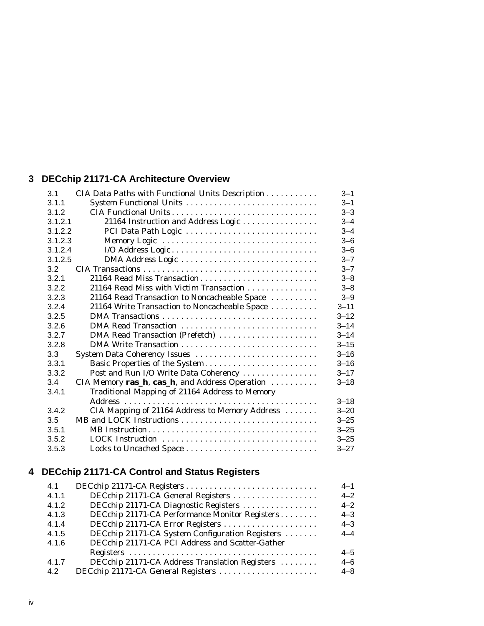## **3 DECchip 21171-CA Architecture Overview**

| 3.1     | CIA Data Paths with Functional Units Description | $3 - 1$  |
|---------|--------------------------------------------------|----------|
| 3.1.1   | System Functional Units                          | $3 - 1$  |
| 3.1.2   |                                                  | $3 - 3$  |
| 3.1.2.1 | 21164 Instruction and Address Logic              | $3 - 4$  |
| 3.1.2.2 | PCI Data Path Logic                              | $3 - 4$  |
| 3.1.2.3 | Memory Logic                                     | $3 - 6$  |
| 3.1.2.4 |                                                  | $3 - 6$  |
| 3.1.2.5 |                                                  | $3 - 7$  |
| 3.2     |                                                  | $3 - 7$  |
| 3.2.1   | 21164 Read Miss Transaction                      | $3 - 8$  |
| 3.2.2   | 21164 Read Miss with Victim Transaction          | $3 - 8$  |
| 3.2.3   | 21164 Read Transaction to Noncacheable Space     | $3 - 9$  |
| 3.2.4   | 21164 Write Transaction to Noncacheable Space    | $3 - 11$ |
| 3.2.5   |                                                  | $3 - 12$ |
| 3.2.6   |                                                  | $3 - 14$ |
| 3.2.7   | DMA Read Transaction (Prefetch)                  | $3 - 14$ |
| 3.2.8   |                                                  | $3 - 15$ |
| 3.3     | System Data Coherency Issues                     | $3 - 16$ |
| 3.3.1   | Basic Properties of the System                   | $3 - 16$ |
| 3.3.2   | Post and Run I/O Write Data Coherency            | $3 - 17$ |
| 3.4     | CIA Memory ras_h, cas_h, and Address Operation   | $3 - 18$ |
| 3.4.1   | Traditional Mapping of 21164 Address to Memory   |          |
|         |                                                  | $3 - 18$ |
| 3.4.2   | CIA Mapping of 21164 Address to Memory Address   | $3 - 20$ |
| 3.5     |                                                  | $3 - 25$ |
| 3.5.1   | MB Instruction                                   | $3 - 25$ |
| 3.5.2   | LOCK Instruction                                 | $3 - 25$ |
| 3.5.3   | Locks to Uncached Space                          | $3 - 27$ |

## **4 DECchip 21171-CA Control and Status Registers**

| 4.1   |                                                 | $4 - 1$ |
|-------|-------------------------------------------------|---------|
| 4.1.1 | DECchip 21171-CA General Registers              | $4 - 2$ |
| 4.1.2 | DECchip 21171-CA Diagnostic Registers           | $4 - 2$ |
| 4.1.3 | DECchip 21171-CA Performance Monitor Registers  | $4 - 3$ |
| 4.1.4 | DECchip 21171-CA Error Registers                | $4 - 3$ |
| 4.1.5 | DECchip 21171-CA System Configuration Registers | $4 - 4$ |
| 4.1.6 | DECchip 21171-CA PCI Address and Scatter-Gather |         |
|       |                                                 | $4 - 5$ |
| 4.1.7 | DECchip 21171-CA Address Translation Registers  | $4 - 6$ |
| 42    | DECchip 21171-CA General Registers              | $4 - 8$ |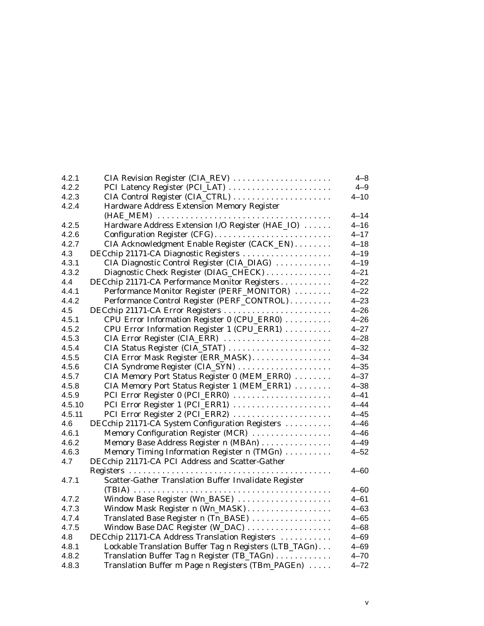| 4.2.1  | CIA Revision Register (CIA_REV)                        | $4 - 8$  |
|--------|--------------------------------------------------------|----------|
| 4.2.2  | PCI Latency Register (PCI_LAT)                         | $4 - 9$  |
| 4.2.3  | CIA Control Register (CIA_CTRL)                        | $4 - 10$ |
| 4.2.4  | Hardware Address Extension Memory Register             |          |
|        |                                                        | 4–14     |
| 4.2.5  | Hardware Address Extension I/O Register (HAE_IO)       | $4 - 16$ |
| 4.2.6  | Configuration Register (CFG)                           | $4 - 17$ |
| 4.2.7  | CIA Acknowledgment Enable Register (CACK_EN)           | $4 - 18$ |
| 4.3    | DECchip 21171-CA Diagnostic Registers                  | $4 - 19$ |
| 4.3.1  | CIA Diagnostic Control Register (CIA_DIAG)             | $4 - 19$ |
| 4.3.2  | Diagnostic Check Register (DIAG_CHECK)                 | $4 - 21$ |
| 4.4    | DECchip 21171-CA Performance Monitor Registers         | $4 - 22$ |
| 4.4.1  | Performance Monitor Register (PERF_MONITOR)            | $4 - 22$ |
| 4.4.2  | Performance Control Register (PERF_CONTROL)            | $4 - 23$ |
| 4.5    | DECchip 21171-CA Error Registers                       | $4 - 26$ |
| 4.5.1  | CPU Error Information Register 0 (CPU_ERR0)            | $4 - 26$ |
| 4.5.2  | CPU Error Information Register 1 (CPU_ERR1)            | $4 - 27$ |
| 4.5.3  | CIA Error Register (CIA_ERR)                           | $4 - 28$ |
| 4.5.4  | CIA Status Register (CIA_STAT)                         | $4 - 32$ |
| 4.5.5  | CIA Error Mask Register (ERR_MASK)                     | $4 - 34$ |
| 4.5.6  | CIA Syndrome Register (CIA_SYN)                        | $4 - 35$ |
| 4.5.7  | CIA Memory Port Status Register 0 (MEM_ERR0)           | $4 - 37$ |
| 4.5.8  | CIA Memory Port Status Register 1 (MEM_ERR1)           | $4 - 38$ |
| 4.5.9  | PCI Error Register 0 (PCI_ERR0)                        | $4 - 41$ |
| 4.5.10 | PCI Error Register 1 (PCI_ERR1)                        | $4 - 44$ |
| 4.5.11 | PCI Error Register 2 (PCI_ERR2)                        | $4 - 45$ |
| 4.6    | DECchip 21171-CA System Configuration Registers        | $4 - 46$ |
| 4.6.1  | Memory Configuration Register (MCR)                    | $4 - 46$ |
| 4.6.2  | Memory Base Address Register n (MBAn)                  | $4 - 49$ |
| 4.6.3  | Memory Timing Information Register n (TMGn)            | $4 - 52$ |
| 4.7    | DECchip 21171-CA PCI Address and Scatter-Gather        |          |
|        |                                                        | $4 - 60$ |
| 4.7.1  | Scatter-Gather Translation Buffer Invalidate Register  |          |
|        |                                                        | 4–60     |
| 4.7.2  | Window Base Register (Wn_BASE)                         | $4 - 61$ |
| 4.7.3  | Window Mask Register n (Wn_MASK)                       | $4 - 63$ |
| 4.7.4  | Translated Base Register n (Tn_BASE)                   | $4 - 65$ |
| 4.7.5  | Window Base DAC Register (W_DAC)                       | $4 - 68$ |
| 4.8    | DECchip 21171-CA Address Translation Registers         | $4 - 69$ |
| 4.8.1  | Lockable Translation Buffer Tag n Registers (LTB_TAGn) | $4 - 69$ |
| 4.8.2  | Translation Buffer Tag n Register (TB_TAGn)            | $4 - 70$ |
| 4.8.3  | Translation Buffer m Page n Registers (TBm_PAGEn)      | $4 - 72$ |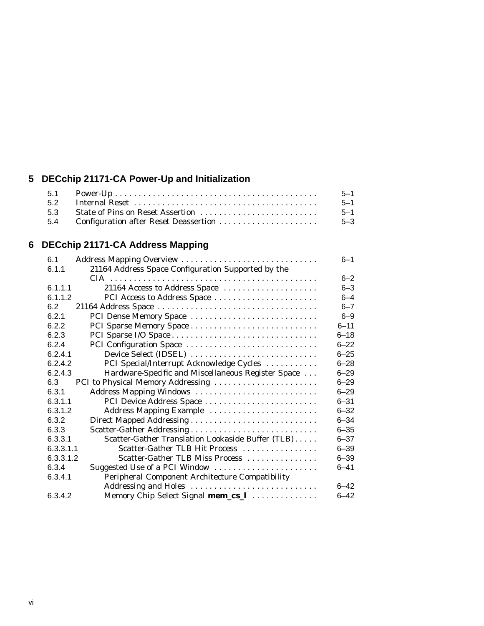## **5 DECchip 21171-CA Power-Up and Initialization**

|     | $5 - 1$  |
|-----|----------|
|     | $5 - 1$  |
|     | $-5 - 1$ |
| 5.4 | 5-3      |

## **6 DECchip 21171-CA Address Mapping**

| 6.1       | Address Mapping Overview                           | 6–1      |
|-----------|----------------------------------------------------|----------|
| 6.1.1     | 21164 Address Space Configuration Supported by the |          |
|           |                                                    | $6 - 2$  |
| 6.1.1.1   | 21164 Access to Address Space                      | $6 - 3$  |
| 6.1.1.2   | PCI Access to Address Space                        | $6 - 4$  |
| 6.2       |                                                    | $6 - 7$  |
| 6.2.1     | PCI Dense Memory Space                             | $6 - 9$  |
| 6.2.2     |                                                    | $6 - 11$ |
| 6.2.3     |                                                    | $6 - 18$ |
| 6.2.4     | PCI Configuration Space                            | $6 - 22$ |
| 6.2.4.1   | Device Select (IDSEL)                              | $6 - 25$ |
| 6.2.4.2   | PCI Special/Interrupt Acknowledge Cycles           | $6 - 28$ |
| 6.2.4.3   | Hardware-Specific and Miscellaneous Register Space | $6 - 29$ |
| 6.3       | PCI to Physical Memory Addressing                  | $6 - 29$ |
| 6.3.1     | Address Mapping Windows                            | $6 - 29$ |
| 6.3.1.1   | PCI Device Address Space                           | $6 - 31$ |
| 6.3.1.2   | Address Mapping Example                            | $6 - 32$ |
| 6.3.2     |                                                    | $6 - 34$ |
| 6.3.3     |                                                    | $6 - 35$ |
| 6.3.3.1   | Scatter-Gather Translation Lookaside Buffer (TLB)  | $6 - 37$ |
| 6.3.3.1.1 | Scatter-Gather TLB Hit Process                     | $6 - 39$ |
| 6.3.3.1.2 | Scatter-Gather TLB Miss Process                    | $6 - 39$ |
| 6.3.4     | Suggested Use of a PCI Window                      | $6 - 41$ |
| 6.3.4.1   | Peripheral Component Architecture Compatibility    |          |
|           | Addressing and Holes                               | $6 - 42$ |
| 6.3.4.2   | Memory Chip Select Signal mem_cs_1                 | $6 - 42$ |
|           |                                                    |          |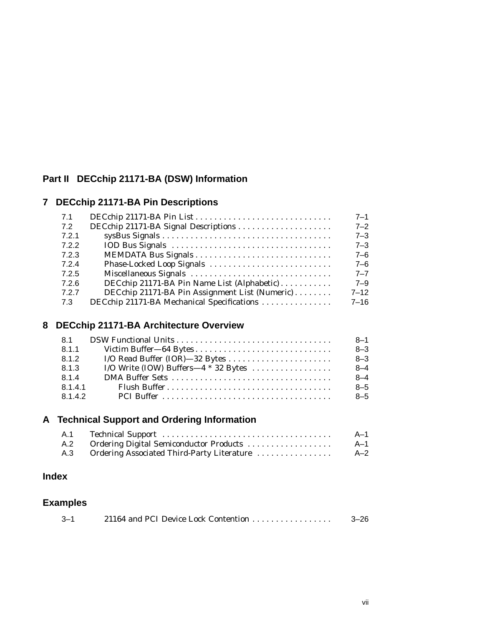## **Part II DECchip 21171-BA (DSW) Information**

## **7 DECchip 21171-BA Pin Descriptions**

| 7.1   |                                                | $7 - 1$  |
|-------|------------------------------------------------|----------|
| 7.2   | DECchip 21171-BA Signal Descriptions           | $7 - 2$  |
| 7.2.1 |                                                | $7 - 3$  |
| 7.2.2 |                                                | $7 - 3$  |
| 7.2.3 |                                                | $7 - 6$  |
| 7.2.4 | Phase-Locked Loop Signals                      | $7 - 6$  |
| 7.2.5 | Miscellaneous Signals                          | $7 - 7$  |
| 7.2.6 | DECchip 21171-BA Pin Name List (Alphabetic)    | $7 - 9$  |
| 7.2.7 | DECchip 21171-BA Pin Assignment List (Numeric) | $7 - 12$ |
| 7.3   | DECchip 21171-BA Mechanical Specifications     | 7–16     |
|       |                                                |          |

## **8 DECchip 21171-BA Architecture Overview**

| 8.1     |                                        | $8 - 1$ |
|---------|----------------------------------------|---------|
| 8.1.1   |                                        | $8 - 3$ |
| 8.1.2   |                                        | $8 - 3$ |
| 8.1.3   | I/O Write (IOW) Buffers—4 $*$ 32 Bytes | $8 - 4$ |
| 8.1.4   |                                        | $8 - 4$ |
| 8.1.4.1 |                                        | $8 - 5$ |
| 8.1.4.2 |                                        | $8 - 5$ |

## **A Technical Support and Ordering Information**

|                                                | A-1 |
|------------------------------------------------|-----|
| A.2 Ordering Digital Semiconductor Products    | A–1 |
| A.3 Ordering Associated Third-Party Literature | A–2 |

## **Index**

## **Examples**

| $3 - 1$ | 21164 and PCI Device Lock Contention | $3 - 26$ |
|---------|--------------------------------------|----------|
|         |                                      |          |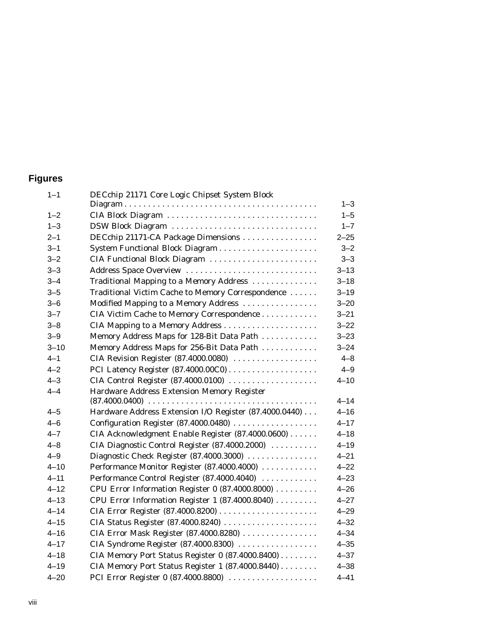## **Figures**

| $1 - 1$  | DECchip 21171 Core Logic Chipset System Block          |          |
|----------|--------------------------------------------------------|----------|
|          |                                                        | $1 - 3$  |
| $1 - 2$  | CIA Block Diagram                                      | $1 - 5$  |
| $1 - 3$  | DSW Block Diagram                                      | $1 - 7$  |
| $2 - 1$  | DECchip 21171-CA Package Dimensions                    | $2 - 25$ |
| $3 - 1$  |                                                        | $3 - 2$  |
| $3 - 2$  | CIA Functional Block Diagram                           | $3 - 3$  |
| $3 - 3$  | Address Space Overview                                 | $3 - 13$ |
| $3 - 4$  | Traditional Mapping to a Memory Address                | $3 - 18$ |
| $3 - 5$  | Traditional Victim Cache to Memory Correspondence      | $3 - 19$ |
| $3 - 6$  | Modified Mapping to a Memory Address                   | $3 - 20$ |
| $3 - 7$  | CIA Victim Cache to Memory Correspondence              | $3 - 21$ |
| $3 - 8$  |                                                        | $3 - 22$ |
| $3 - 9$  | Memory Address Maps for 128-Bit Data Path              | $3 - 23$ |
| $3 - 10$ | Memory Address Maps for 256-Bit Data Path              | $3 - 24$ |
| $4 - 1$  | CIA Revision Register (87.4000.0080)                   | $4 - 8$  |
| $4 - 2$  |                                                        | $4 - 9$  |
| $4 - 3$  | CIA Control Register (87.4000.0100)                    | $4 - 10$ |
| $4 - 4$  | Hardware Address Extension Memory Register             |          |
|          |                                                        | $4 - 14$ |
| 4–5      | Hardware Address Extension I/O Register (87.4000.0440) | $4 - 16$ |
| $4 - 6$  | Configuration Register (87.4000.0480)                  | $4 - 17$ |
| $4 - 7$  | CIA Acknowledgment Enable Register (87.4000.0600)      | $4 - 18$ |
| $4 - 8$  | CIA Diagnostic Control Register (87.4000.2000)         | $4 - 19$ |
| 4-9      | Diagnostic Check Register (87.4000.3000)               | $4 - 21$ |
| $4 - 10$ | Performance Monitor Register (87.4000.4000)            | $4 - 22$ |
| $4 - 11$ | Performance Control Register (87.4000.4040)            | $4 - 23$ |
| $4 - 12$ | CPU Error Information Register 0 (87.4000.8000)        | $4 - 26$ |
| $4 - 13$ | CPU Error Information Register 1 (87.4000.8040)        | $4 - 27$ |
| $4 - 14$ |                                                        | $4 - 29$ |
| $4 - 15$ | CIA Status Register (87.4000.8240)                     | $4 - 32$ |
| $4 - 16$ | CIA Error Mask Register (87.4000.8280)                 | $4 - 34$ |
| $4 - 17$ | CIA Syndrome Register (87.4000.8300)                   | $4 - 35$ |
| $4 - 18$ | CIA Memory Port Status Register 0 (87.4000.8400)       | $4 - 37$ |
| $4 - 19$ | CIA Memory Port Status Register 1 (87.4000.8440)       | $4 - 38$ |
| $4 - 20$ | PCI Error Register 0 (87.4000.8800)                    | $4 - 41$ |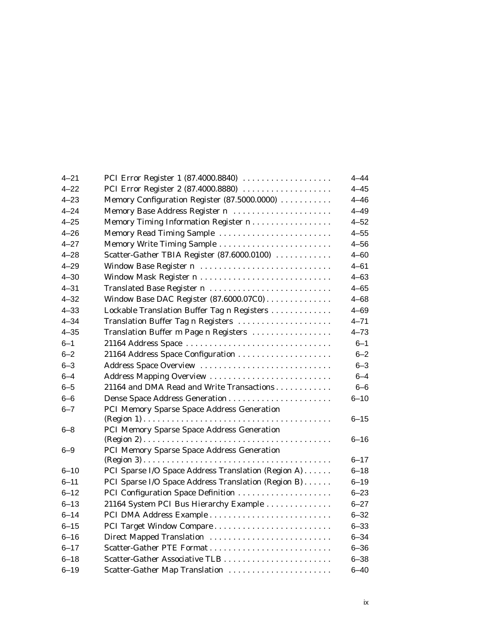| $4 - 21$ | PCI Error Register 1 (87.4000.8840)                 | $4 - 44$ |
|----------|-----------------------------------------------------|----------|
| $4 - 22$ | PCI Error Register 2 (87.4000.8880)                 | $4 - 45$ |
| $4 - 23$ | Memory Configuration Register (87.5000.0000)        | $4 - 46$ |
| $4 - 24$ | Memory Base Address Register n                      | $4 - 49$ |
| $4 - 25$ | Memory Timing Information Register n                | $4 - 52$ |
| $4 - 26$ | Memory Read Timing Sample                           | $4 - 55$ |
| $4 - 27$ |                                                     | $4 - 56$ |
| $4 - 28$ | Scatter-Gather TBIA Register (87.6000.0100)         | $4 - 60$ |
| $4 - 29$ | Window Base Register n                              | $4 - 61$ |
| 4–30     |                                                     | $4 - 63$ |
| $4 - 31$ | Translated Base Register n                          | $4 - 65$ |
| $4 - 32$ | Window Base DAC Register (87.6000.07C0)             | $4 - 68$ |
| $4 - 33$ | Lockable Translation Buffer Tag n Registers         | $4 - 69$ |
| $4 - 34$ | Translation Buffer Tag n Registers                  | $4 - 71$ |
| $4 - 35$ | Translation Buffer m Page n Registers               | $4 - 73$ |
| $6 - 1$  | 21164 Address Space                                 | $6 - 1$  |
| $6 - 2$  | 21164 Address Space Configuration                   | $6 - 2$  |
| $6 - 3$  | Address Space Overview                              | $6 - 3$  |
| $6 - 4$  | Address Mapping Overview                            | $6 - 4$  |
| $6 - 5$  | 21164 and DMA Read and Write Transactions           | $6 - 6$  |
| $6 - 6$  |                                                     | $6 - 10$ |
| $6 - 7$  | PCI Memory Sparse Space Address Generation          |          |
|          |                                                     | $6 - 15$ |
| $6 - 8$  | PCI Memory Sparse Space Address Generation          |          |
|          |                                                     | $6 - 16$ |
| $6 - 9$  | PCI Memory Sparse Space Address Generation          |          |
|          |                                                     | $6 - 17$ |
| $6 - 10$ | PCI Sparse I/O Space Address Translation (Region A) | $6 - 18$ |
| $6 - 11$ | PCI Sparse I/O Space Address Translation (Region B) | $6 - 19$ |
| $6 - 12$ | PCI Configuration Space Definition                  | $6 - 23$ |
| $6 - 13$ | 21164 System PCI Bus Hierarchy Example              | $6 - 27$ |
| $6 - 14$ |                                                     | $6 - 32$ |
| $6 - 15$ | PCI Target Window Compare                           | $6 - 33$ |
| $6 - 16$ | Direct Mapped Translation                           | $6 - 34$ |
| $6 - 17$ |                                                     | $6 - 36$ |
| $6 - 18$ |                                                     | $6 - 38$ |
| $6 - 19$ | Scatter-Gather Map Translation                      | $6 - 40$ |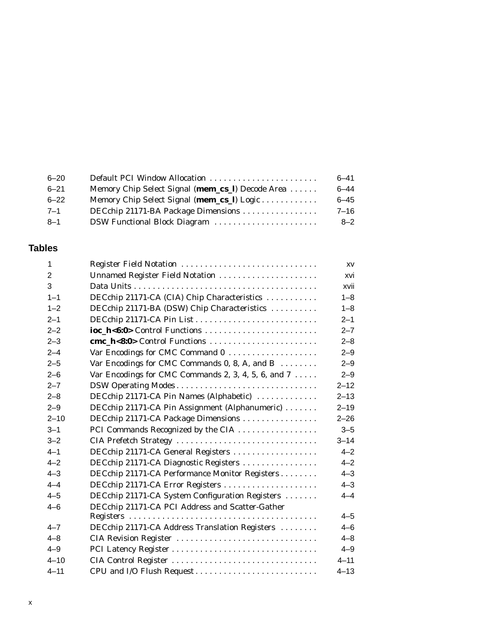| $6 - 20$ | Default PCI Window Allocation                    | $6 - 41$ |
|----------|--------------------------------------------------|----------|
| $6 - 21$ | Memory Chip Select Signal (mem_cs_l) Decode Area | $6 - 44$ |
| $6 - 22$ | Memory Chip Select Signal (mem_cs_l) Logic       | $6 - 45$ |
| 7–1      | DECchip 21171-BA Package Dimensions              | $7 - 16$ |
| -8–1     | DSW Functional Block Diagram                     | $8 - 2$  |
|          |                                                  |          |

## **Tables**

| 1              | Register Field Notation                                      | XV       |
|----------------|--------------------------------------------------------------|----------|
| $\overline{2}$ | Unnamed Register Field Notation                              | xvi      |
| 3              |                                                              | xvii     |
| $1 - 1$        | DECchip 21171-CA (CIA) Chip Characteristics                  | $1 - 8$  |
| $1 - 2$        | DECchip 21171-BA (DSW) Chip Characteristics                  | $1 - 8$  |
| $2 - 1$        |                                                              | $2 - 1$  |
| $2 - 2$        | ioc_h<6:0> Control Functions                                 | $2 - 7$  |
| $2 - 3$        | cmc_h<8:0> Control Functions                                 | $2 - 8$  |
| $2 - 4$        |                                                              | $2 - 9$  |
| $2 - 5$        | Var Encodings for CMC Commands $0, 8, A$ , and $B$           | $2 - 9$  |
| $2 - 6$        | Var Encodings for CMC Commands 2, 3, 4, 5, 6, and $7 \ldots$ | $2 - 9$  |
| $2 - 7$        | DSW Operating Modes                                          | $2 - 12$ |
| $2 - 8$        | DECchip 21171-CA Pin Names (Alphabetic)                      | $2 - 13$ |
| $2 - 9$        | DECchip 21171-CA Pin Assignment (Alphanumeric)               | $2 - 19$ |
| $2 - 10$       | DECchip 21171-CA Package Dimensions                          | $2 - 26$ |
| $3 - 1$        | PCI Commands Recognized by the CIA                           | $3 - 5$  |
| $3 - 2$        | CIA Prefetch Strategy                                        | $3 - 14$ |
| $4 - 1$        | DECchip 21171-CA General Registers                           | $4 - 2$  |
| $4 - 2$        | DECchip 21171-CA Diagnostic Registers                        | $4 - 2$  |
| $4 - 3$        | DECchip 21171-CA Performance Monitor Registers               | $4 - 3$  |
| $4 - 4$        | DECchip 21171-CA Error Registers                             | $4 - 3$  |
| $4 - 5$        | DECchip 21171-CA System Configuration Registers              | $4 - 4$  |
| $4 - 6$        | DECchip 21171-CA PCI Address and Scatter-Gather              |          |
|                |                                                              | $4 - 5$  |
| $4 - 7$        | DECchip 21171-CA Address Translation Registers               | $4 - 6$  |
| $4 - 8$        | CIA Revision Register                                        | $4 - 8$  |
| $4 - 9$        |                                                              | $4 - 9$  |
| $4 - 10$       | CIA Control Register                                         | $4 - 11$ |
| $4 - 11$       | CPU and I/O Flush Request                                    | $4 - 13$ |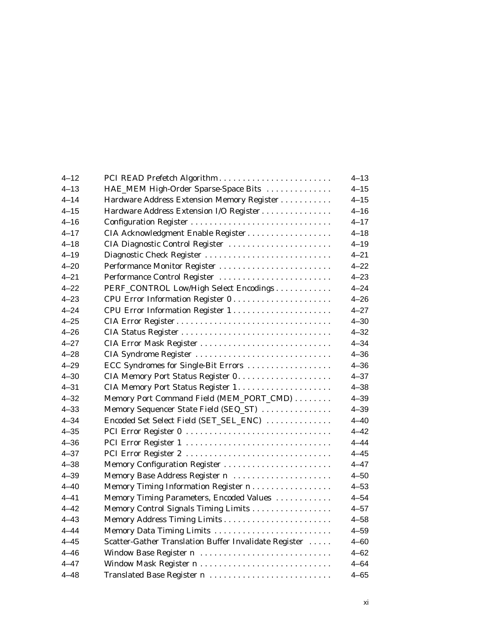| $4 - 12$ | PCI READ Prefetch Algorithm                           | $4 - 13$ |
|----------|-------------------------------------------------------|----------|
| $4 - 13$ | HAE_MEM High-Order Sparse-Space Bits                  | $4 - 15$ |
| $4 - 14$ | Hardware Address Extension Memory Register            | $4 - 15$ |
| $4 - 15$ | Hardware Address Extension I/O Register               | $4 - 16$ |
| $4 - 16$ |                                                       | $4 - 17$ |
| $4 - 17$ | CIA Acknowledgment Enable Register                    | $4 - 18$ |
| $4 - 18$ | CIA Diagnostic Control Register                       | $4 - 19$ |
| $4 - 19$ | Diagnostic Check Register                             | $4 - 21$ |
| $4 - 20$ | Performance Monitor Register                          | $4 - 22$ |
| $4 - 21$ | Performance Control Register                          | $4 - 23$ |
| $4 - 22$ | PERF_CONTROL Low/High Select Encodings                | $4 - 24$ |
| $4 - 23$ | CPU Error Information Register 0                      | $4 - 26$ |
| $4 - 24$ | CPU Error Information Register 1                      | $4 - 27$ |
| $4 - 25$ | CIA Error Register                                    | $4 - 30$ |
| $4 - 26$ |                                                       | $4 - 32$ |
| $4 - 27$ | CIA Error Mask Register                               | $4 - 34$ |
| $4 - 28$ | CIA Syndrome Register                                 | $4 - 36$ |
| $4 - 29$ | ECC Syndromes for Single-Bit Errors                   | $4 - 36$ |
| $4 - 30$ |                                                       | $4 - 37$ |
| $4 - 31$ |                                                       | $4 - 38$ |
| $4 - 32$ | Memory Port Command Field (MEM_PORT_CMD)              | $4 - 39$ |
| $4 - 33$ | Memory Sequencer State Field (SEQ_ST)                 | $4 - 39$ |
| $4 - 34$ | Encoded Set Select Field (SET_SEL_ENC)                | $4 - 40$ |
| $4 - 35$ | PCI Error Register 0                                  | $4 - 42$ |
| $4 - 36$ | PCI Error Register 1                                  | $4 - 44$ |
| $4 - 37$ | PCI Error Register 2                                  | $4 - 45$ |
| $4 - 38$ | Memory Configuration Register                         | $4 - 47$ |
| $4 - 39$ | Memory Base Address Register n                        | $4 - 50$ |
| $4 - 40$ | Memory Timing Information Register n                  | $4 - 53$ |
| $4 - 41$ | Memory Timing Parameters, Encoded Values              | $4 - 54$ |
| $4 - 42$ | Memory Control Signals Timing Limits                  | $4 - 57$ |
| $4 - 43$ |                                                       | $4 - 58$ |
| $4 - 44$ | Memory Data Timing Limits                             | $4 - 59$ |
| $4 - 45$ | Scatter-Gather Translation Buffer Invalidate Register | $4 - 60$ |
| $4 - 46$ | Window Base Register n                                | $4 - 62$ |
| $4 - 47$ |                                                       | $4 - 64$ |
| $4 - 48$ | Translated Base Register n                            | $4 - 65$ |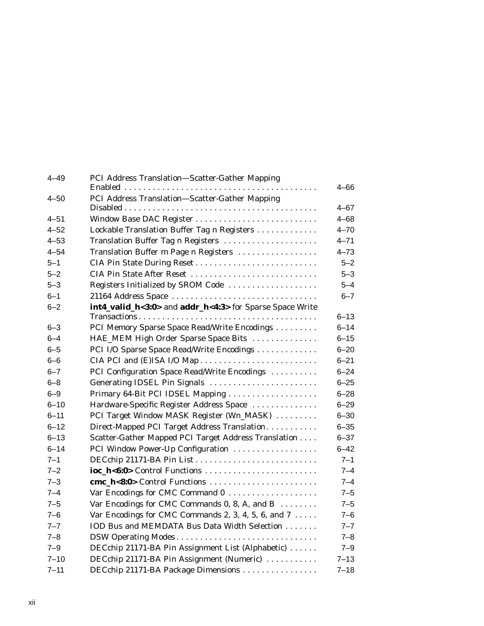| $4 - 49$ | PCI Address Translation-Scatter-Gather Mapping               | $4 - 66$ |  |  |
|----------|--------------------------------------------------------------|----------|--|--|
| $4 - 50$ | PCI Address Translation-Scatter-Gather Mapping               |          |  |  |
|          |                                                              | $4 - 67$ |  |  |
| $4 - 51$ | Window Base DAC Register                                     | $4 - 68$ |  |  |
| $4 - 52$ | Lockable Translation Buffer Tag n Registers                  | $4 - 70$ |  |  |
| $4 - 53$ | Translation Buffer Tag n Registers                           | $4 - 71$ |  |  |
| $4 - 54$ | Translation Buffer m Page n Registers                        | $4 - 73$ |  |  |
| $5 - 1$  | CIA Pin State During Reset                                   | $5 - 2$  |  |  |
| $5 - 2$  | CIA Pin State After Reset                                    | $5 - 3$  |  |  |
| $5 - 3$  | Registers Initialized by SROM Code                           | $5 - 4$  |  |  |
| $6 - 1$  | 21164 Address Space                                          | $6 - 7$  |  |  |
| $6 - 2$  | int4_valid_h<3:0> and addr_h<4:3> for Sparse Space Write     |          |  |  |
|          |                                                              | $6 - 13$ |  |  |
| $6 - 3$  | PCI Memory Sparse Space Read/Write Encodings                 | $6 - 14$ |  |  |
| $6 - 4$  | HAE_MEM High Order Sparse Space Bits                         | $6 - 15$ |  |  |
| $6 - 5$  | PCI I/O Sparse Space Read/Write Encodings                    | $6 - 20$ |  |  |
| $6 - 6$  | CIA PCI and (E)ISA I/O Map                                   | $6 - 21$ |  |  |
| $6 - 7$  | PCI Configuration Space Read/Write Encodings                 | $6 - 24$ |  |  |
| $6 - 8$  | Generating IDSEL Pin Signals                                 | $6 - 25$ |  |  |
| $6 - 9$  | Primary 64-Bit PCI IDSEL Mapping                             | $6 - 28$ |  |  |
| $6 - 10$ | Hardware-Specific Register Address Space                     | $6 - 29$ |  |  |
| $6 - 11$ | PCI Target Window MASK Register (Wn_MASK)                    | $6 - 30$ |  |  |
| $6 - 12$ | Direct-Mapped PCI Target Address Translation                 | $6 - 35$ |  |  |
| $6 - 13$ | Scatter-Gather Mapped PCI Target Address Translation         | $6 - 37$ |  |  |
| $6 - 14$ | PCI Window Power-Up Configuration                            | $6 - 42$ |  |  |
| $7 - 1$  |                                                              | $7 - 1$  |  |  |
| $7 - 2$  |                                                              | $7 - 4$  |  |  |
| $7 - 3$  | cmc_h<8:0> Control Functions                                 | $7 - 4$  |  |  |
| $7 - 4$  | Var Encodings for CMC Command 0                              | $7 - 5$  |  |  |
| $7 - 5$  | Var Encodings for CMC Commands 0, 8, A, and B                |          |  |  |
| $7 - 6$  | Var Encodings for CMC Commands 2, 3, 4, 5, 6, and $7 \ldots$ | $7 - 6$  |  |  |
| $7 - 7$  | IOD Bus and MEMDATA Bus Data Width Selection                 | $7 - 7$  |  |  |
| $7 - 8$  | DSW Operating Modes                                          | $7 - 8$  |  |  |
| $7 - 9$  | DECchip 21171-BA Pin Assignment List (Alphabetic)            | $7 - 9$  |  |  |
| $7 - 10$ | DECchip 21171-BA Pin Assignment (Numeric)                    | $7 - 13$ |  |  |
| $7 - 11$ | DECchip 21171-BA Package Dimensions                          | $7 - 18$ |  |  |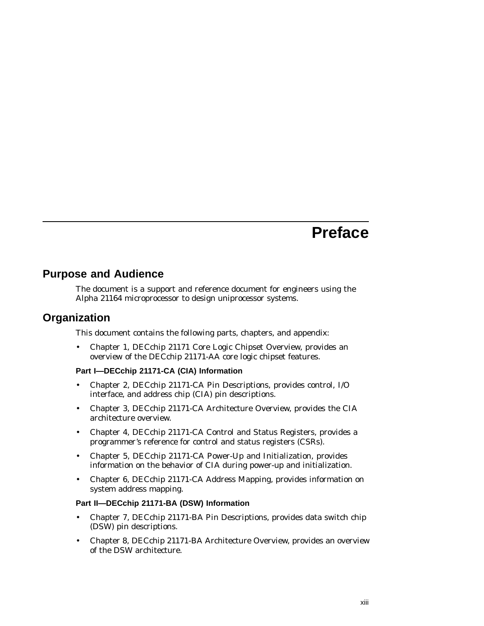## **Preface**

## **Purpose and Audience**

The document is a support and reference document for engineers using the Alpha 21164 microprocessor to design uniprocessor systems.

## **Organization**

This document contains the following parts, chapters, and appendix:

• Chapter 1, DECchip 21171 Core Logic Chipset Overview, provides an overview of the DECchip 21171-AA core logic chipset features.

## **Part I—DECchip 21171-CA (CIA) Information**

- Chapter 2, DECchip 21171-CA Pin Descriptions, provides control, I/O interface, and address chip (CIA) pin descriptions.
- Chapter 3, DECchip 21171-CA Architecture Overview, provides the CIA architecture overview.
- Chapter 4, DECchip 21171-CA Control and Status Registers, provides a programmer's reference for control and status registers (CSRs).
- Chapter 5, DECchip 21171-CA Power-Up and Initialization, provides information on the behavior of CIA during power-up and initialization.
- Chapter 6, DECchip 21171-CA Address Mapping, provides information on system address mapping.

#### **Part II—DECchip 21171-BA (DSW) Information**

- Chapter 7, DECchip 21171-BA Pin Descriptions, provides data switch chip (DSW) pin descriptions.
- Chapter 8, DECchip 21171-BA Architecture Overview, provides an overview of the DSW architecture.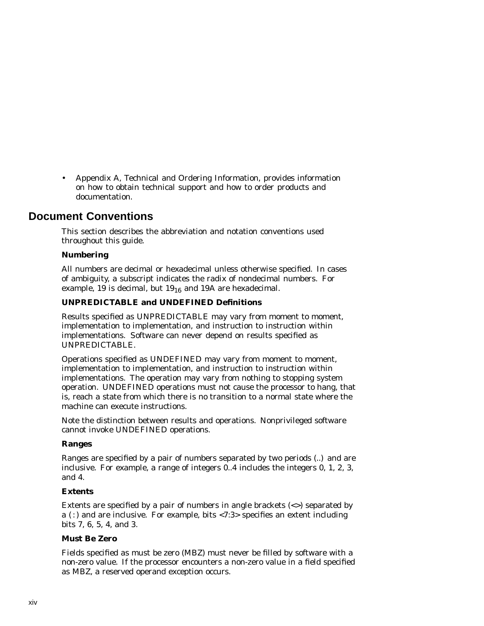• Appendix A, Technical and Ordering Information, provides information on how to obtain technical support and how to order products and documentation.

## **Document Conventions**

This section describes the abbreviation and notation conventions used throughout this guide.

## **Numbering**

All numbers are decimal or hexadecimal unless otherwise specified. In cases of ambiguity, a subscript indicates the radix of nondecimal numbers. For example, 19 is decimal, but  $19_{16}$  and 19A are hexadecimal.

## **UNPREDICTABLE and UNDEFINED Definitions**

Results specified as UNPREDICTABLE may vary from moment to moment, implementation to implementation, and instruction to instruction within implementations. Software can never depend on results specified as UNPREDICTABLE.

Operations specified as UNDEFINED may vary from moment to moment, implementation to implementation, and instruction to instruction within implementations. The operation may vary from nothing to stopping system operation. UNDEFINED operations must not cause the processor to hang, that is, reach a state from which there is no transition to a normal state where the machine can execute instructions.

Note the distinction between results and operations. Nonprivileged software cannot invoke UNDEFINED operations.

#### **Ranges**

Ranges are specified by a pair of numbers separated by two periods (..) and are inclusive. For example, a range of integers 0..4 includes the integers 0, 1, 2, 3, and 4.

#### **Extents**

Extents are specified by a pair of numbers in angle brackets  $(\le)$  separated by a (:) and are inclusive. For example, bits  $\langle 7:3 \rangle$  specifies an extent including bits 7, 6, 5, 4, and 3.

## **Must Be Zero**

Fields specified as must be zero (MBZ) must never be filled by software with a non-zero value. If the processor encounters a non-zero value in a field specified as MBZ, a reserved operand exception occurs.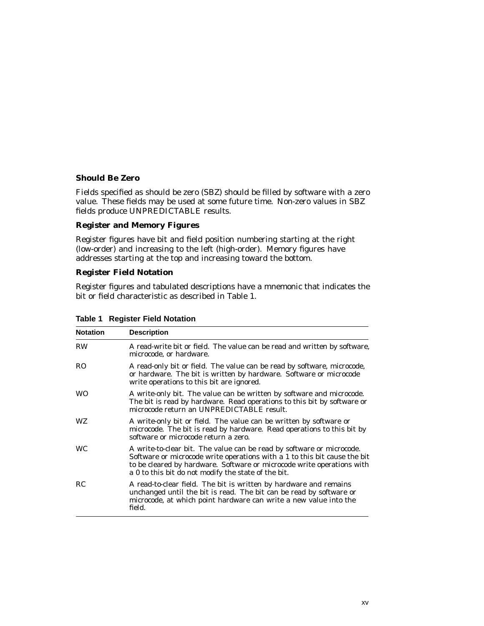## **Should Be Zero**

Fields specified as should be zero (SBZ) should be filled by software with a zero value. These fields may be used at some future time. Non-zero values in SBZ fields produce UNPREDICTABLE results.

#### **Register and Memory Figures**

Register figures have bit and field position numbering starting at the right (low-order) and increasing to the left (high-order). Memory figures have addresses starting at the top and increasing toward the bottom.

#### **Register Field Notation**

Register figures and tabulated descriptions have a mnemonic that indicates the bit or field characteristic as described in Table 1.

| <b>Notation</b> | <b>Description</b>                                                                                                                                                                                                                                                                  |
|-----------------|-------------------------------------------------------------------------------------------------------------------------------------------------------------------------------------------------------------------------------------------------------------------------------------|
| <b>RW</b>       | A read-write bit or field. The value can be read and written by software,<br>microcode, or hardware.                                                                                                                                                                                |
| RO.             | A read-only bit or field. The value can be read by software, microcode,<br>or hardware. The bit is written by hardware. Software or microcode<br>write operations to this bit are ignored.                                                                                          |
| <b>WO</b>       | A write-only bit. The value can be written by software and microcode.<br>The bit is read by hardware. Read operations to this bit by software or<br>microcode return an UNPREDICTABLE result.                                                                                       |
| WZ.             | A write-only bit or field. The value can be written by software or<br>microcode. The bit is read by hardware. Read operations to this bit by<br>software or microcode return a zero.                                                                                                |
| <b>WC</b>       | A write-to-clear bit. The value can be read by software or microcode.<br>Software or microcode write operations with a 1 to this bit cause the bit<br>to be cleared by hardware. Software or microcode write operations with<br>a 0 to this bit do not modify the state of the bit. |
| RC              | A read-to-clear field. The bit is written by hardware and remains<br>unchanged until the bit is read. The bit can be read by software or<br>microcode, at which point hardware can write a new value into the<br>field.                                                             |

## **Table 1 Register Field Notation**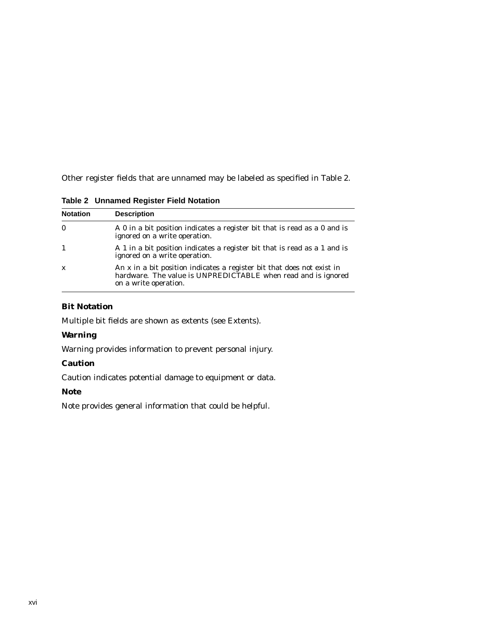Other register fields that are unnamed may be labeled as specified in Table 2.

**Table 2 Unnamed Register Field Notation**

| <b>Notation</b> | <b>Description</b>                                                                                                                                               |
|-----------------|------------------------------------------------------------------------------------------------------------------------------------------------------------------|
| $\bf{0}$        | A 0 in a bit position indicates a register bit that is read as a 0 and is<br>ignored on a write operation.                                                       |
| $\mathbf{1}$    | A 1 in a bit position indicates a register bit that is read as a 1 and is<br>ignored on a write operation.                                                       |
| $\mathbf{x}$    | An x in a bit position indicates a register bit that does not exist in<br>hardware. The value is UNPREDICTABLE when read and is ignored<br>on a write operation. |

## **Bit Notation**

Multiple bit fields are shown as extents (see Extents).

## **Warning**

Warning provides information to prevent personal injury.

## **Caution**

Caution indicates potential damage to equipment or data.

## **Note**

Note provides general information that could be helpful.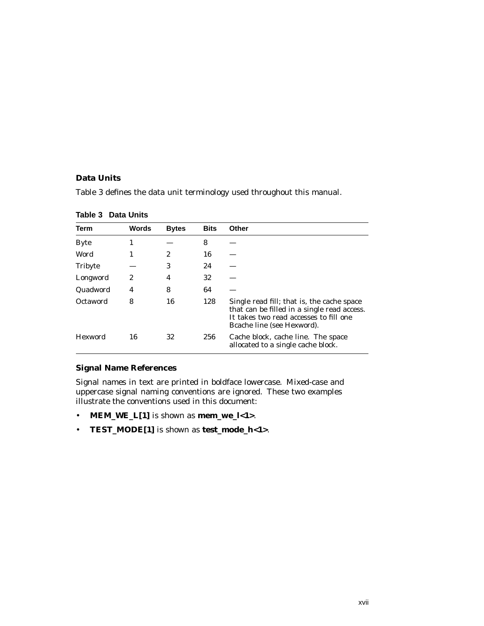## **Data Units**

Table 3 defines the data unit terminology used throughout this manual.

| Term           | Words | <b>Bytes</b> | <b>Bits</b> | Other                                                                                                                                                             |
|----------------|-------|--------------|-------------|-------------------------------------------------------------------------------------------------------------------------------------------------------------------|
| <b>Byte</b>    | 1     |              | 8           |                                                                                                                                                                   |
| Word           |       | 2            | 16          |                                                                                                                                                                   |
| <b>Tribyte</b> |       | 3            | 24          |                                                                                                                                                                   |
| Longword       | 2     | 4            | 32          |                                                                                                                                                                   |
| Quadword       | 4     | 8            | 64          |                                                                                                                                                                   |
| Octaword       | 8     | 16           | 128         | Single read fill; that is, the cache space<br>that can be filled in a single read access.<br>It takes two read accesses to fill one<br>Bcache line (see Hexword). |
| <b>Hexword</b> | 16    | 32           | 256         | Cache block, cache line. The space<br>allocated to a single cache block.                                                                                          |

**Table 3 Data Units**

## **Signal Name References**

Signal names in text are printed in boldface lowercase. Mixed-case and uppercase signal naming conventions are ignored. These two examples illustrate the conventions used in this document:

- **MEM\_WE\_L[1]** is shown as **mem\_we\_l<1>**.
- **TEST\_MODE[1]** is shown as **test\_mode\_h<1>**.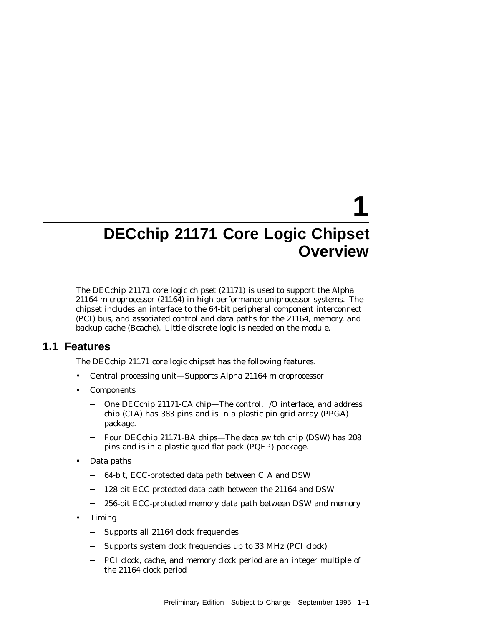# **1**

## **DECchip 21171 Core Logic Chipset Overview**

The DECchip 21171 core logic chipset (21171) is used to support the Alpha 21164 microprocessor (21164) in high-performance uniprocessor systems. The chipset includes an interface to the 64-bit peripheral component interconnect (PCI) bus, and associated control and data paths for the 21164, memory, and backup cache (Bcache). Little discrete logic is needed on the module.

## **1.1 Features**

The DECchip 21171 core logic chipset has the following features.

- Central processing unit—Supports Alpha 21164 microprocessor
- **Components** 
	- One DECchip 21171-CA chip—The control, I/O interface, and address chip (CIA) has 383 pins and is in a plastic pin grid array (PPGA) package.
	- Four DECchip 21171-BA chips—The data switch chip (DSW) has 208 pins and is in a plastic quad flat pack (PQFP) package.
- Data paths
	- 64-bit, ECC-protected data path between CIA and DSW  $\blacksquare$
	- 128-bit ECC-protected data path between the 21164 and DSW
	- $\equiv$ 256-bit ECC-protected memory data path between DSW and memory
- Timing
	- Supports all 21164 clock frequencies  $\equiv$
	- Supports system clock frequencies up to 33 MHz (PCI clock)
	- PCI clock, cache, and memory clock period are an integer multiple of the 21164 clock period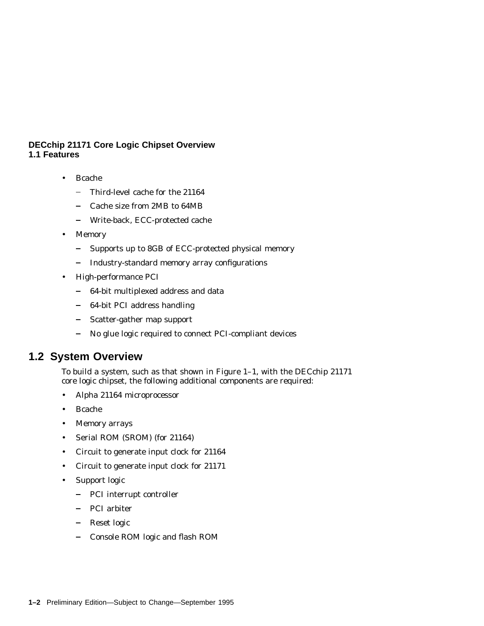## **DECchip 21171 Core Logic Chipset Overview 1.1 Features**

- Bcache
	- $\frac{1}{2}$ Third-level cache for the 21164
	- $\overline{\phantom{0}}$ Cache size from 2MB to 64MB
	- $\frac{1}{2}$ Write-back, ECC-protected cache
- Memory
	- Supports up to 8GB of ECC-protected physical memory  $\equiv$  .
	- Industry-standard memory array configurations
- High-performance PCI
	- 64-bit multiplexed address and data
	- $\frac{1}{2}$ 64-bit PCI address handling
	- Scatter-gather map support  $\frac{1}{2}$
	- $\frac{1}{2}$ No glue logic required to connect PCI-compliant devices

## **1.2 System Overview**

To build a system, such as that shown in Figure 1–1, with the DECchip 21171 core logic chipset, the following additional components are required:

- Alpha 21164 microprocessor
- Bcache
- Memory arrays
- Serial ROM (SROM) (for 21164)
- Circuit to generate input clock for 21164
- Circuit to generate input clock for 21171
- Support logic
	- PCI interrupt controller
	- PCI arbiter
	- $\frac{1}{2}$ Reset logic
	- Console ROM logic and flash ROM  $\frac{1}{2}$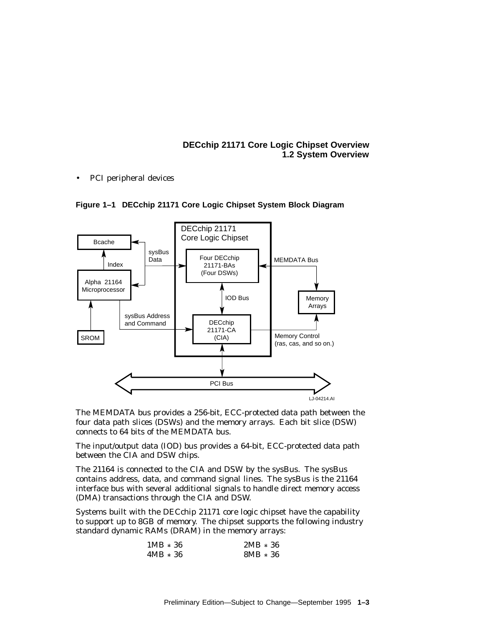## **DECchip 21171 Core Logic Chipset Overview 1.2 System Overview**

• PCI peripheral devices





The MEMDATA bus provides a 256-bit, ECC-protected data path between the four data path slices (DSWs) and the memory arrays. Each bit slice (DSW) connects to 64 bits of the MEMDATA bus.

The input/output data (IOD) bus provides a 64-bit, ECC-protected data path between the CIA and DSW chips.

The 21164 is connected to the CIA and DSW by the sysBus. The sysBus contains address, data, and command signal lines. The sysBus is the 21164 interface bus with several additional signals to handle direct memory access (DMA) transactions through the CIA and DSW.

Systems built with the DECchip 21171 core logic chipset have the capability to support up to 8GB of memory. The chipset supports the following industry standard dynamic RAMs (DRAM) in the memory arrays:

| $1MB * 36$ | $2MB * 36$ |
|------------|------------|
| $4MB * 36$ | $8MB * 36$ |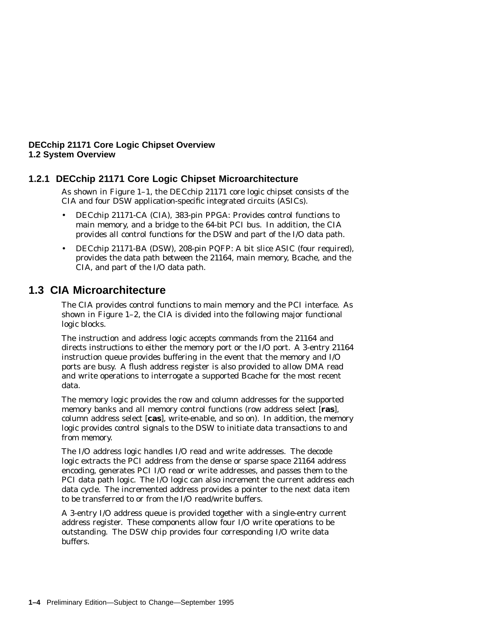## **DECchip 21171 Core Logic Chipset Overview 1.2 System Overview**

## **1.2.1 DECchip 21171 Core Logic Chipset Microarchitecture**

As shown in Figure 1–1, the DECchip 21171 core logic chipset consists of the CIA and four DSW application-specific integrated circuits (ASICs).

- DECchip 21171-CA (CIA), 383-pin PPGA: Provides control functions to main memory, and a bridge to the 64-bit PCI bus. In addition, the CIA provides all control functions for the DSW and part of the I/O data path.
- DECchip 21171-BA (DSW), 208-pin PQFP: A bit slice ASIC (four required), provides the data path between the 21164, main memory, Bcache, and the CIA, and part of the I/O data path.

## **1.3 CIA Microarchitecture**

The CIA provides control functions to main memory and the PCI interface. As shown in Figure 1–2, the CIA is divided into the following major functional logic blocks.

The instruction and address logic accepts commands from the 21164 and directs instructions to either the memory port or the I/O port. A 3-entry 21164 instruction queue provides buffering in the event that the memory and I/O ports are busy. A flush address register is also provided to allow DMA read and write operations to interrogate a supported Bcache for the most recent data.

The memory logic provides the row and column addresses for the supported memory banks and all memory control functions (row address select [**ras**], column address select [**cas**], write-enable, and so on). In addition, the memory logic provides control signals to the DSW to initiate data transactions to and from memory.

The I/O address logic handles I/O read and write addresses. The decode logic extracts the PCI address from the dense or sparse space 21164 address encoding, generates PCI I/O read or write addresses, and passes them to the PCI data path logic. The I/O logic can also increment the current address each data cycle. The incremented address provides a pointer to the next data item to be transferred to or from the I/O read/write buffers.

A 3-entry I/O address queue is provided together with a single-entry current address register. These components allow four I/O write operations to be outstanding. The DSW chip provides four corresponding I/O write data buffers.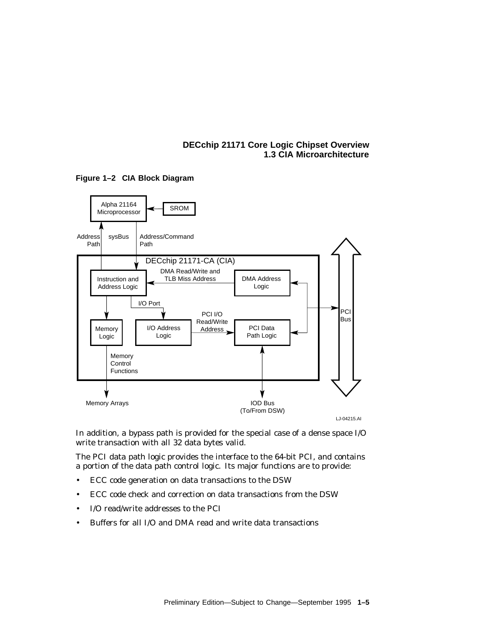## **DECchip 21171 Core Logic Chipset Overview 1.3 CIA Microarchitecture**



**Figure 1–2 CIA Block Diagram**

In addition, a bypass path is provided for the special case of a dense space I/O write transaction with all 32 data bytes valid.

The PCI data path logic provides the interface to the 64-bit PCI, and contains a portion of the data path control logic. Its major functions are to provide:

- ECC code generation on data transactions to the DSW
- ECC code check and correction on data transactions from the DSW
- I/O read/write addresses to the PCI
- Buffers for all I/O and DMA read and write data transactions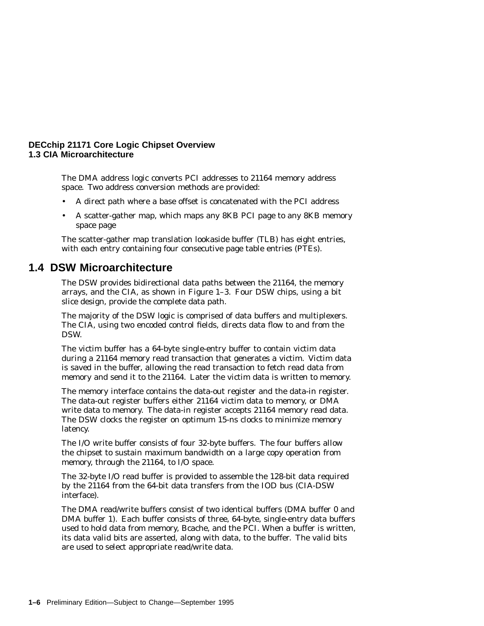## **DECchip 21171 Core Logic Chipset Overview 1.3 CIA Microarchitecture**

The DMA address logic converts PCI addresses to 21164 memory address space. Two address conversion methods are provided:

- A direct path where a base offset is concatenated with the PCI address
- A scatter-gather map, which maps any 8KB PCI page to any 8KB memory space page

The scatter-gather map translation lookaside buffer (TLB) has eight entries, with each entry containing four consecutive page table entries (PTEs).

## **1.4 DSW Microarchitecture**

The DSW provides bidirectional data paths between the 21164, the memory arrays, and the CIA, as shown in Figure 1–3. Four DSW chips, using a bit slice design, provide the complete data path.

The majority of the DSW logic is comprised of data buffers and multiplexers. The CIA, using two encoded control fields, directs data flow to and from the DSW.

The victim buffer has a 64-byte single-entry buffer to contain victim data during a 21164 memory read transaction that generates a victim. Victim data is saved in the buffer, allowing the read transaction to fetch read data from memory and send it to the 21164. Later the victim data is written to memory.

The memory interface contains the data-out register and the data-in register. The data-out register buffers either 21164 victim data to memory, or DMA write data to memory. The data-in register accepts 21164 memory read data. The DSW clocks the register on optimum 15-ns clocks to minimize memory latency.

The I/O write buffer consists of four 32-byte buffers. The four buffers allow the chipset to sustain maximum bandwidth on a large copy operation from memory, through the 21164, to I/O space.

The 32-byte I/O read buffer is provided to assemble the 128-bit data required by the 21164 from the 64-bit data transfers from the IOD bus (CIA-DSW interface).

The DMA read/write buffers consist of two identical buffers (DMA buffer 0 and DMA buffer 1). Each buffer consists of three, 64-byte, single-entry data buffers used to hold data from memory, Bcache, and the PCI. When a buffer is written, its data valid bits are asserted, along with data, to the buffer. The valid bits are used to select appropriate read/write data.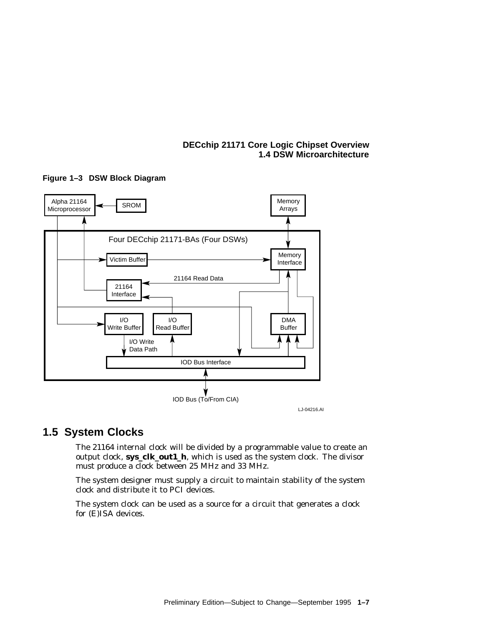## **DECchip 21171 Core Logic Chipset Overview 1.4 DSW Microarchitecture**



**Figure 1–3 DSW Block Diagram**

## **1.5 System Clocks**

The 21164 internal clock will be divided by a programmable value to create an output clock, **sys\_clk\_out1\_h**, which is used as the system clock. The divisor must produce a clock between 25 MHz and 33 MHz.

The system designer must supply a circuit to maintain stability of the system clock and distribute it to PCI devices.

The system clock can be used as a source for a circuit that generates a clock for (E)ISA devices.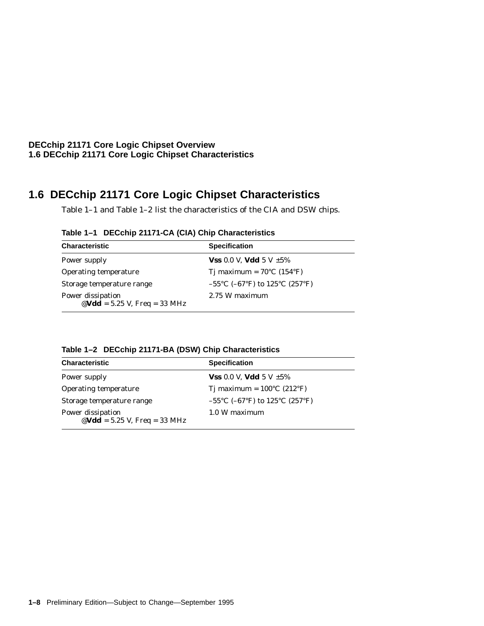**DECchip 21171 Core Logic Chipset Overview 1.6 DECchip 21171 Core Logic Chipset Characteristics**

## **1.6 DECchip 21171 Core Logic Chipset Characteristics**

Table 1–1 and Table 1–2 list the characteristics of the CIA and DSW chips.

| <b>Characteristic</b>                                                                        | <b>Specification</b>                           |
|----------------------------------------------------------------------------------------------|------------------------------------------------|
| Power supply                                                                                 | <b>Vss</b> 0.0 V, <b>Vdd</b> 5 V $\pm 5\%$     |
| Operating temperature                                                                        | Tj maximum = $70^{\circ}$ C (154 $^{\circ}$ F) |
| Storage temperature range                                                                    | $-55^{\circ}$ C (-67°F) to 125°C (257°F)       |
| Power dissipation<br>$\mathbf{\Theta}\mathbf{V}\mathbf{d}\mathbf{d}$ = 5.25 V, Freq = 33 MHz | 2.75 W maximum                                 |

**Table 1–1 DECchip 21171-CA (CIA) Chip Characteristics**

| <b>Characteristic</b>                               | <b>Specification</b>                            |
|-----------------------------------------------------|-------------------------------------------------|
| Power supply                                        | <b>Vss</b> 0.0 V, <b>Vdd</b> 5 V $\pm 5\%$      |
| Operating temperature                               | Tj maximum = $100^{\circ}$ C (212 $^{\circ}$ F) |
| Storage temperature range                           | $-55^{\circ}$ C (-67°F) to 125°C (257°F)        |
| Power dissipation<br>@Vdd = $5.25$ V, Freq = 33 MHz | 1.0 W maximum                                   |

**Table 1–2 DECchip 21171-BA (DSW) Chip Characteristics**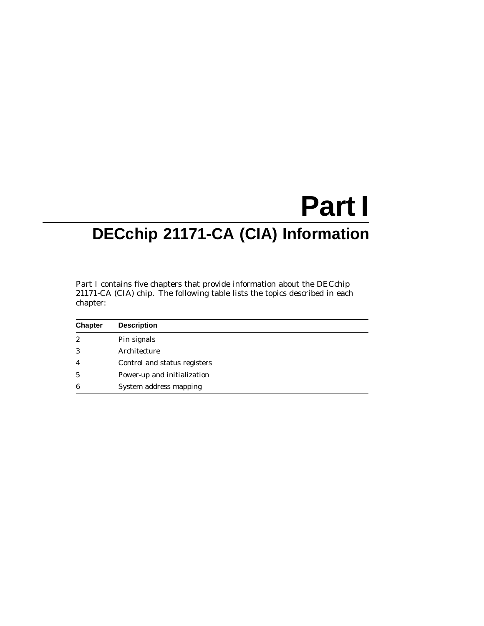# **Part I DECchip 21171-CA (CIA) Information**

Part I contains five chapters that provide information about the DECchip 21171-CA (CIA) chip. The following table lists the topics described in each chapter:

| <b>Chapter</b>   | <b>Description</b>           |
|------------------|------------------------------|
| $\boldsymbol{2}$ | Pin signals                  |
| 3                | Architecture                 |
| $\overline{4}$   | Control and status registers |
| 5                | Power-up and initialization  |
| 6                | System address mapping       |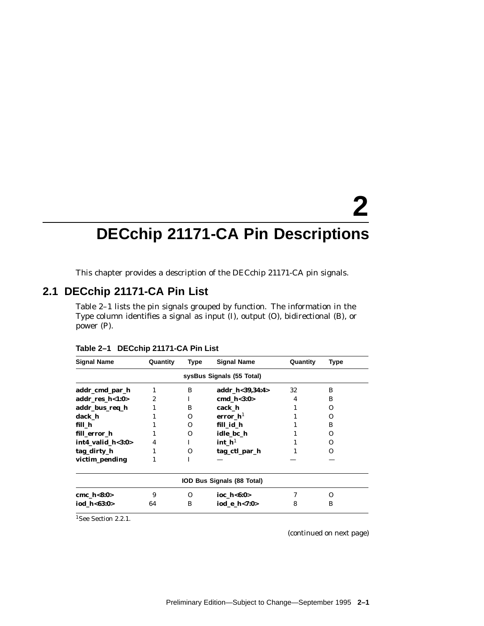# **2**

## **DECchip 21171-CA Pin Descriptions**

This chapter provides a description of the DECchip 21171-CA pin signals.

## **2.1 DECchip 21171-CA Pin List**

Table 2–1 lists the pin signals grouped by function. The information in the Type column identifies a signal as input (I), output (O), bidirectional (B), or power (P).

| <b>Signal Name</b>               | Quantity | Type     | <b>Signal Name</b>         | Quantity | Type              |  |  |  |
|----------------------------------|----------|----------|----------------------------|----------|-------------------|--|--|--|
| sysBus Signals (55 Total)        |          |          |                            |          |                   |  |  |  |
| addr_cmd_par_h                   |          | B        | addr h<39,34:4>            | 32       | B                 |  |  |  |
| addr res $h<1:0>$                | 2        | T        | cmd $h<3:0>$               | 4        | B                 |  |  |  |
| addr_bus_req_h                   |          | B        | cack h                     |          | $\mathbf{\Omega}$ |  |  |  |
| dack h                           |          | 0        | error $h1$                 |          | $\mathbf{\Omega}$ |  |  |  |
| fill h                           |          | 0        | fill id h                  |          | B                 |  |  |  |
| fill error h                     |          | $\Omega$ | idle bc h                  |          | $\mathbf{\Omega}$ |  |  |  |
| $int4$ <sub>_</sub> valid_h<3:0> | 4        | T        | int $h1$                   |          | $\mathbf{\Omega}$ |  |  |  |
| tag_dirty_h                      |          | $\Omega$ | tag_ctl_par_h              |          | $\mathbf{\Omega}$ |  |  |  |
| victim_pending                   | 1        | I        |                            |          |                   |  |  |  |
|                                  |          |          | IOD Bus Signals (88 Total) |          |                   |  |  |  |
| cmc $h<8:0>$                     | 9        | Ω        | ioc $h < 6:0>$             |          | $\mathbf{\Omega}$ |  |  |  |
| iod h<63:0>                      | 64       | B        | iod e h<7:0>               | 8        | B                 |  |  |  |

**Table 2–1 DECchip 21171-CA Pin List**

<sup>1</sup>See Section 2.2.1.

(continued on next page)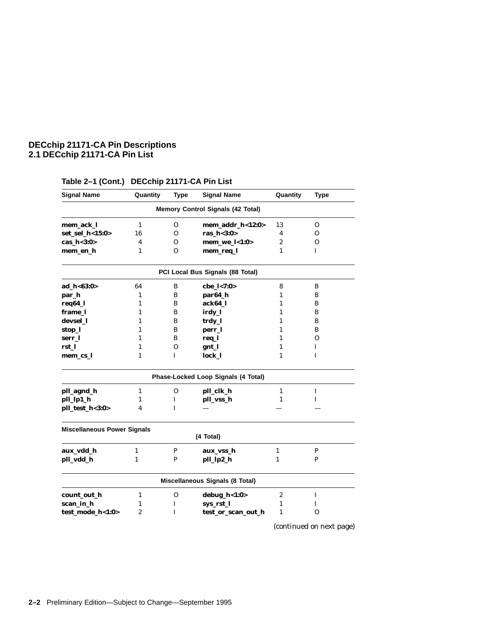## **DECchip 21171-CA Pin Descriptions 2.1 DECchip 21171-CA Pin List**

| <b>Signal Name</b>                 | Quantity       | <b>Type</b>  | <b>Signal Name</b>                       | Quantity         | <b>Type</b>  |
|------------------------------------|----------------|--------------|------------------------------------------|------------------|--------------|
|                                    |                |              | <b>Memory Control Signals (42 Total)</b> |                  |              |
| mem_ack_l                          | $\mathbf{1}$   | $\mathbf{O}$ | mem_addr_h<12:0>                         | 13               | 0            |
| set_sel_h<15:0>                    | 16             | $\mathbf{O}$ | ras $h < 3:0>$                           | 4                | 0            |
| cas_h<3:0>                         | 4              | 0            | $mem_we_l < 1:0>$                        | $\boldsymbol{2}$ | O            |
| mem_en_h                           | $\mathbf{1}$   | $\Omega$     | mem_req_l                                | $\mathbf{1}$     | L            |
|                                    |                |              | PCI Local Bus Signals (88 Total)         |                  |              |
| ad_h<63:0>                         | 64             | B            | cbe_l<7:0>                               | 8                | B            |
| par_h                              | 1              | B            | par64_h                                  | $\mathbf{1}$     | B            |
| req64_l                            | $\mathbf{1}$   | B            | ack64 l                                  | 1                | B            |
| frame 1                            | $\mathbf{1}$   | B            | irdy_l                                   | 1                | B            |
| devsel 1                           | $\mathbf{1}$   | B            | trdy_l                                   | 1                | B            |
| stop_l                             | 1              | B            | perr_l                                   | 1                | B            |
| serr_l                             | 1              | B            | req_l                                    | 1                | 0            |
| rst_l                              | 1              | O            | gnt_l                                    | 1                | L            |
| mem_cs_l                           | 1              | $\mathbf{I}$ | lock_l                                   | $\mathbf{1}$     | L            |
|                                    |                |              | Phase-Locked Loop Signals (4 Total)      |                  |              |
| pll_agnd_h                         | $\mathbf{1}$   | 0            | pll_clk_h                                | $\mathbf{1}$     | Ι            |
| pll_lp1_h                          | $\mathbf{1}$   | I            | pll_vss_h                                | 1                | L            |
| pll_test_h<3:0>                    | 4              | I            |                                          |                  |              |
| <b>Miscellaneous Power Signals</b> |                |              |                                          |                  |              |
|                                    |                |              | (4 Total)                                |                  |              |
| aux_vdd_h                          | $\mathbf{1}$   | $\mathbf{P}$ | aux_vss_h                                | $\mathbf{1}$     | $\mathbf{P}$ |
| pll_vdd_h                          | $\mathbf{1}$   | $\mathbf P$  | pll_lp2_h                                | $\mathbf{1}$     | P            |
|                                    |                |              | Miscellaneous Signals (8 Total)          |                  |              |
| count_out_h                        | $\mathbf{1}$   | 0            | $debug_h<1:0>$                           | $\boldsymbol{2}$ | I            |
| scan_in_h                          | 1              | I            | sys_rst_l                                | 1                | I            |
| test_mode_h<1:0>                   | $\overline{2}$ | T            | test_or_scan_out_h                       | $\mathbf{1}$     | $\Omega$     |
|                                    |                |              |                                          |                  |              |

## **Table 2–1 (Cont.) DECchip 21171-CA Pin List**

(continued on next page)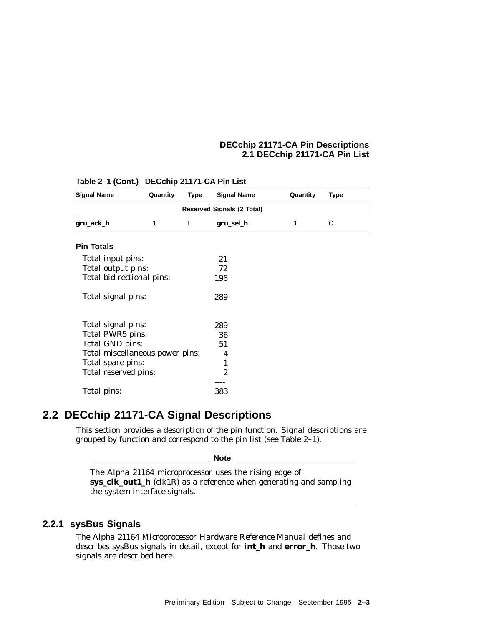## **DECchip 21171-CA Pin Descriptions 2.1 DECchip 21171-CA Pin List**

| <b>Signal Name</b>                | Quantity | <b>Type</b> | <b>Signal Name</b> | Quantity | <b>Type</b> |  |  |  |
|-----------------------------------|----------|-------------|--------------------|----------|-------------|--|--|--|
| <b>Reserved Signals (2 Total)</b> |          |             |                    |          |             |  |  |  |
| gru_ack_h                         | 1        | I           | gru_sel_h          | 1        | $\Omega$    |  |  |  |
| <b>Pin Totals</b>                 |          |             |                    |          |             |  |  |  |
| Total input pins:                 |          |             | 21                 |          |             |  |  |  |
| Total output pins:                |          |             | 72                 |          |             |  |  |  |
| Total bidirectional pins:         |          |             | 196                |          |             |  |  |  |
|                                   |          |             |                    |          |             |  |  |  |
| Total signal pins:                |          |             | 289                |          |             |  |  |  |
| Total signal pins:                |          |             | 289                |          |             |  |  |  |
| Total PWR5 pins:                  |          |             | 36                 |          |             |  |  |  |
| Total GND pins:                   |          |             | 51                 |          |             |  |  |  |
| Total miscellaneous power pins:   |          |             | 4                  |          |             |  |  |  |
| Total spare pins:                 |          |             | 1                  |          |             |  |  |  |
| Total reserved pins:              |          |             | $\overline{c}$     |          |             |  |  |  |
|                                   |          |             |                    |          |             |  |  |  |
| Total pins:                       |          |             | 383                |          |             |  |  |  |

**Table 2–1 (Cont.) DECchip 21171-CA Pin List**

## **2.2 DECchip 21171-CA Signal Descriptions**

This section provides a description of the pin function. Signal descriptions are grouped by function and correspond to the pin list (see Table 2–1).

**Note**

The Alpha 21164 microprocessor uses the rising edge of **sys\_clk\_out1\_h** (clk1R) as a reference when generating and sampling the system interface signals.

## **2.2.1 sysBus Signals**

The *Alpha 21164 Microprocessor Hardware Reference Manual* defines and describes sysBus signals in detail, except for **int\_h** and **error\_h**. Those two signals are described here.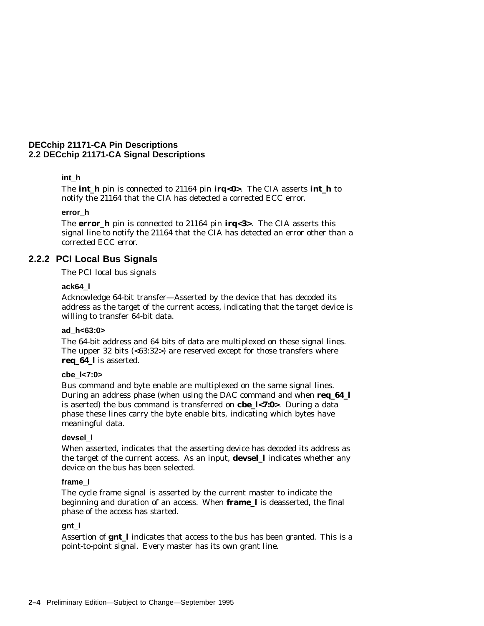## **int\_h**

The **int\_h** pin is connected to 21164 pin **irq<0>**. The CIA asserts **int\_h** to notify the 21164 that the CIA has detected a corrected ECC error.

#### **error\_h**

The **error\_h** pin is connected to 21164 pin **irq<3>**. The CIA asserts this signal line to notify the 21164 that the CIA has detected an error other than a corrected ECC error.

## **2.2.2 PCI Local Bus Signals**

The PCI local bus signals

#### **ack64\_l**

Acknowledge 64-bit transfer—Asserted by the device that has decoded its address as the target of the current access, indicating that the target device is willing to transfer 64-bit data.

#### **ad\_h<63:0>**

The 64-bit address and 64 bits of data are multiplexed on these signal lines. The upper 32 bits  $\left( <\!63:32 \right>$  are reserved except for those transfers where **req\_64\_l** is asserted.

#### **cbe\_l<7:0>**

Bus command and byte enable are multiplexed on the same signal lines. During an address phase (when using the DAC command and when **req\_64\_l** is aserted) the bus command is transferred on **cbe\_l<7:0>**. During a data phase these lines carry the byte enable bits, indicating which bytes have meaningful data.

#### **devsel\_l**

When asserted, indicates that the asserting device has decoded its address as the target of the current access. As an input, **devsel\_l** indicates whether any device on the bus has been selected.

## **frame\_l**

The cycle frame signal is asserted by the current master to indicate the beginning and duration of an access. When **frame\_l** is deasserted, the final phase of the access has started.

### **gnt\_l**

Assertion of **gnt\_l** indicates that access to the bus has been granted. This is a point-to-point signal. Every master has its own grant line.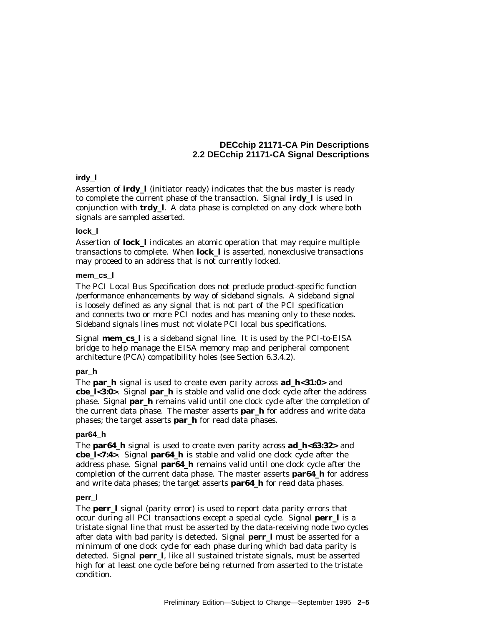## **irdy\_l**

Assertion of **irdy\_l** (initiator ready) indicates that the bus master is ready to complete the current phase of the transaction. Signal **irdy\_l** is used in conjunction with **trdy\_l**. A data phase is completed on any clock where both signals are sampled asserted.

#### **lock\_l**

Assertion of **lock\_l** indicates an atomic operation that may require multiple transactions to complete. When **lock\_l** is asserted, nonexclusive transactions may proceed to an address that is not currently locked.

#### **mem\_cs\_l**

The *PCI Local Bus Specification* does not preclude product-specific function /performance enhancements by way of sideband signals. A sideband signal is loosely defined as any signal that is not part of the PCI specification and connects two or more PCI nodes and has meaning only to these nodes. Sideband signals lines must not violate PCI local bus specifications.

Signal **mem\_cs\_l** is a sideband signal line. It is used by the PCI-to-EISA bridge to help manage the EISA memory map and peripheral component architecture (PCA) compatibility holes (see Section 6.3.4.2).

## **par\_h**

The **par\_h** signal is used to create even parity across **ad\_h<31:0>** and **cbe\_l<3:0>**. Signal **par\_h** is stable and valid one clock cycle after the address phase. Signal **par\_h** remains valid until one clock cycle after the completion of the current data phase. The master asserts **par\_h** for address and write data phases; the target asserts **par\_h** for read data phases.

#### **par64\_h**

The **par64\_h** signal is used to create even parity across **ad\_h<63:32>** and **cbe\_l<7:4>**. Signal **par64\_h** is stable and valid one clock cycle after the address phase. Signal **par64\_h** remains valid until one clock cycle after the completion of the current data phase. The master asserts **par64\_h** for address and write data phases; the target asserts **par64\_h** for read data phases.

#### **perr\_l**

The **perr\_l** signal (parity error) is used to report data parity errors that occur during all PCI transactions except a special cycle. Signal **perr\_l** is a tristate signal line that must be asserted by the data-receiving node two cycles after data with bad parity is detected. Signal **perr\_l** must be asserted for a minimum of one clock cycle for each phase during which bad data parity is detected. Signal **perr\_l**, like all sustained tristate signals, must be asserted high for at least one cycle before being returned from asserted to the tristate condition.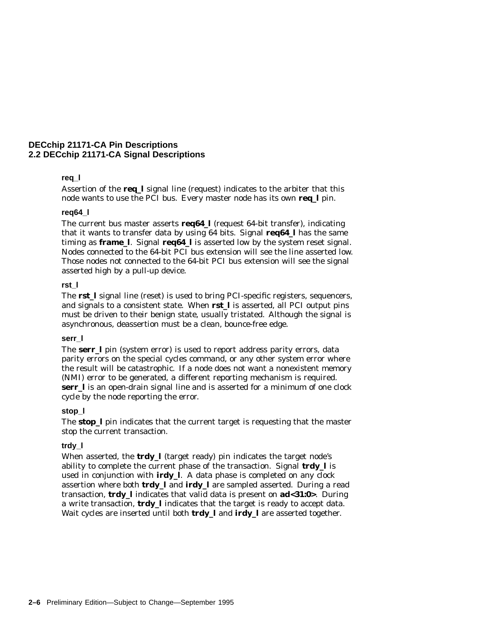#### **req\_l**

Assertion of the **req\_l** signal line (request) indicates to the arbiter that this node wants to use the PCI bus. Every master node has its own **req\_l** pin.

#### **req64\_l**

The current bus master asserts **req64\_l** (request 64-bit transfer), indicating that it wants to transfer data by using 64 bits. Signal **req64\_l** has the same timing as **frame\_l**. Signal **req64\_l** is asserted low by the system reset signal. Nodes connected to the 64-bit PCI bus extension will see the line asserted low. Those nodes not connected to the 64-bit PCI bus extension will see the signal asserted high by a pull-up device.

#### **rst\_l**

The **rst\_l** signal line (reset) is used to bring PCI-specific registers, sequencers, and signals to a consistent state. When **rst\_l** is asserted, all PCI output pins must be driven to their benign state, usually tristated. Although the signal is asynchronous, deassertion must be a clean, bounce-free edge.

#### **serr\_l**

The **serr\_l** pin (system error) is used to report address parity errors, data parity errors on the special cycles command, or any other system error where the result will be catastrophic. If a node does not want a nonexistent memory (NMI) error to be generated, a different reporting mechanism is required. **serr\_l** is an open-drain signal line and is asserted for a minimum of one clock cycle by the node reporting the error.

#### **stop\_l**

The **stop\_l** pin indicates that the current target is requesting that the master stop the current transaction.

#### **trdy\_l**

When asserted, the **trdy\_l** (target ready) pin indicates the target node's ability to complete the current phase of the transaction. Signal **trdy\_l** is used in conjunction with **irdy\_l**. A data phase is completed on any clock assertion where both **trdy\_l** and **irdy\_l** are sampled asserted. During a read transaction, **trdy\_l** indicates that valid data is present on **ad<31:0>**. During a write transaction, **trdy\_l** indicates that the target is ready to accept data. Wait cycles are inserted until both **trdy\_l** and **irdy\_l** are asserted together.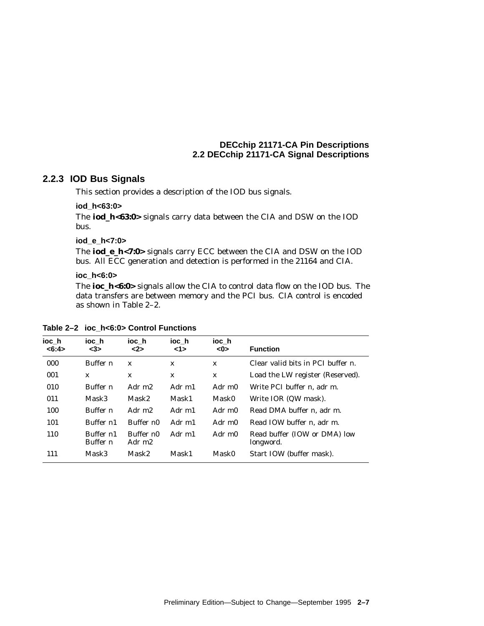## **2.2.3 IOD Bus Signals**

This section provides a description of the IOD bus signals.

### **iod\_h<63:0>**

The **iod\_h<63:0>** signals carry data between the CIA and DSW on the IOD bus.

### **iod\_e\_h<7:0>**

The **iod\_e\_h<7:0>** signals carry ECC between the CIA and DSW on the IOD bus. All ECC generation and detection is performed in the 21164 and CIA.

#### **ioc\_h<6:0>**

The **ioc\_h<6:0>** signals allow the CIA to control data flow on the IOD bus. The data transfers are between memory and the PCI bus. CIA control is encoded as shown in Table 2–2.

| ioc h<br><6:4> | ioc h<br>$3$          | ioc h<br>$2>$                   | ioc h<br><1> | ioc h<br><0>       | <b>Function</b>                           |
|----------------|-----------------------|---------------------------------|--------------|--------------------|-------------------------------------------|
| 000            | Buffer <i>n</i>       | $\mathbf{x}$                    | $\mathbf{x}$ | X                  | Clear valid bits in PCI buffer <i>n</i> . |
| 001            | X                     | X                               | X            | X                  | Load the LW register (Reserved).          |
| 010            | Buffer n              | Adr m <sub>2</sub>              | Adr m1       | Adr m <sub>0</sub> | Write PCI buffer <i>n</i> . adr m.        |
| 011            | Mask3                 | Mask2                           | Mask1        | Mask0              | Write IOR (QW mask).                      |
| 100            | Buffer n              | Adr m <sub>2</sub>              | Adr m1       | Adr m0             | Read DMA buffer <i>n</i> . adr m.         |
| 101            | Buffer n1             | Buffer $n0$                     | Adr m1       | Adr m0             | Read IOW buffer <i>n</i> . adr m.         |
| 110            | Buffer n1<br>Buffer n | Buffer n0<br>Adr m <sub>2</sub> | Adr m1       | Adr m0             | Read buffer (IOW or DMA) low<br>longword. |
| 111            | Mask3                 | Mask2                           | Mask1        | Mask0              | Start IOW (buffer mask).                  |

#### **Table 2–2 ioc\_h<6:0> Control Functions**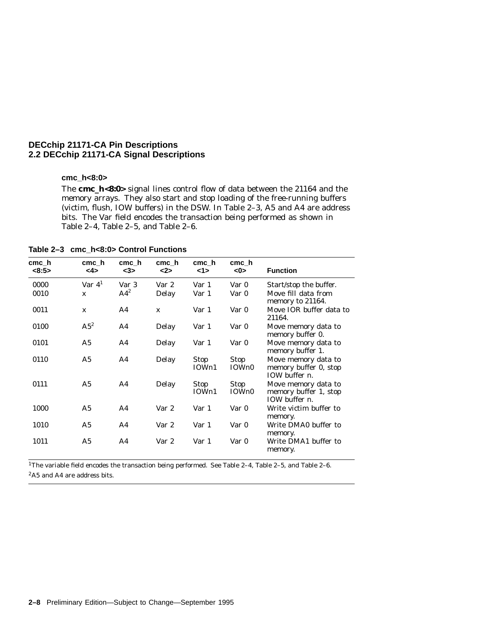## **cmc\_h<8:0>**

The **cmc\_h<8:0>** signal lines control flow of data between the 21164 and the memory arrays. They also start and stop loading of the free-running buffers (victim, flush, IOW buffers) in the DSW. In Table 2–3, A5 and A4 are address bits. The Var field encodes the transaction being performed as shown in Table 2–4, Table 2–5, and Table 2–6.

**Table 2–3 cmc\_h<8:0> Control Functions**

| cmc h<br><8:5> | cmc h<br><4>   | cmc h<br>$3$    | cmc h<br>$2$ | cmc h<br><1>         | cmc h<br><0>         | <b>Function</b>                                                       |
|----------------|----------------|-----------------|--------------|----------------------|----------------------|-----------------------------------------------------------------------|
| 0000           | Var $41$       | Var 3           | Var 2        | Var 1                | Var 0                | Start/stop the buffer.                                                |
| 0010           | $\mathbf x$    | AA <sup>2</sup> | Delay        | Var 1                | Var 0                | Move fill data from<br>memory to 21164.                               |
| 0011           | $\mathbf{x}$   | A4              | $\mathbf{x}$ | Var 1                | Var 0                | Move IOR buffer data to<br>21164.                                     |
| 0100           | $A5^2$         | A4              | Delay        | Var 1                | Var 0                | Move memory data to<br>memory buffer 0.                               |
| 0101           | A <sub>5</sub> | A4              | Delay        | Var 1                | Var 0                | Move memory data to<br>memory buffer 1.                               |
| 0110           | A <sub>5</sub> | A4              | Delay        | <b>Stop</b><br>IOWn1 | Stop<br>IOWn0        | Move memory data to<br>memory buffer 0, stop<br>IOW buffer $n$ .      |
| 0111           | A <sub>5</sub> | A4              | Delay        | <b>Stop</b><br>IOWn1 | <b>Stop</b><br>IOWn0 | Move memory data to<br>memory buffer 1, stop<br>IOW buffer <i>n</i> . |
| 1000           | A <sub>5</sub> | A4              | Var 2        | Var 1                | Var 0                | Write victim buffer to<br>memory.                                     |
| 1010           | A5             | A <sub>4</sub>  | Var 2        | Var 1                | Var 0                | Write DMA0 buffer to<br>memory.                                       |
| 1011           | A <sub>5</sub> | A4              | Var 2        | Var 1                | Var 0                | Write DMA1 buffer to<br>memory.                                       |

1The variable field encodes the transaction being performed. See Table 2–4, Table 2–5, and Table 2–6.

2A5 and A4 are address bits.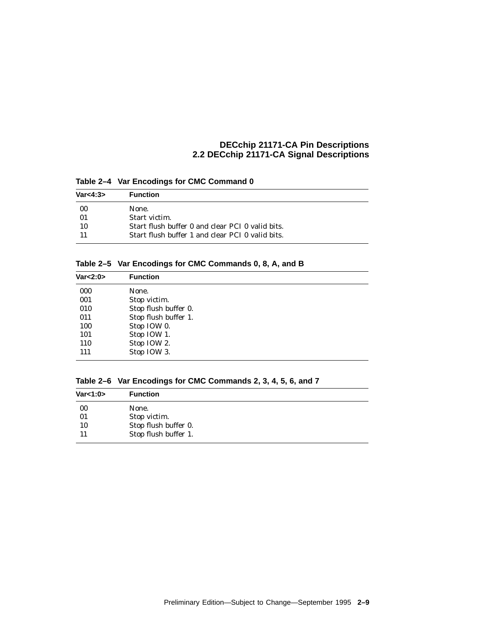**Table 2–4 Var Encodings for CMC Command 0**

| Var<4:3> | <b>Function</b>                                  |
|----------|--------------------------------------------------|
| -00      | None.                                            |
| 01       | Start victim.                                    |
| 10       | Start flush buffer 0 and clear PCI 0 valid bits. |
|          | Start flush buffer 1 and clear PCI 0 valid bits. |

**Table 2–5 Var Encodings for CMC Commands 0, 8, A, and B**

| Var < 2:0 | <b>Function</b>      |
|-----------|----------------------|
| 000       | None.                |
| 001       | Stop victim.         |
| 010       | Stop flush buffer 0. |
| 011       | Stop flush buffer 1. |
| 100       | Stop IOW 0.          |
| 101       | Stop IOW 1.          |
| 110       | Stop IOW 2.          |
| 111       | Stop IOW 3.          |

**Table 2–6 Var Encodings for CMC Commands 2, 3, 4, 5, 6, and 7**

| Var<1:0> | <b>Function</b>      |
|----------|----------------------|
| 00       | None.                |
| 01       | Stop victim.         |
| 10       | Stop flush buffer 0. |
| 11       | Stop flush buffer 1. |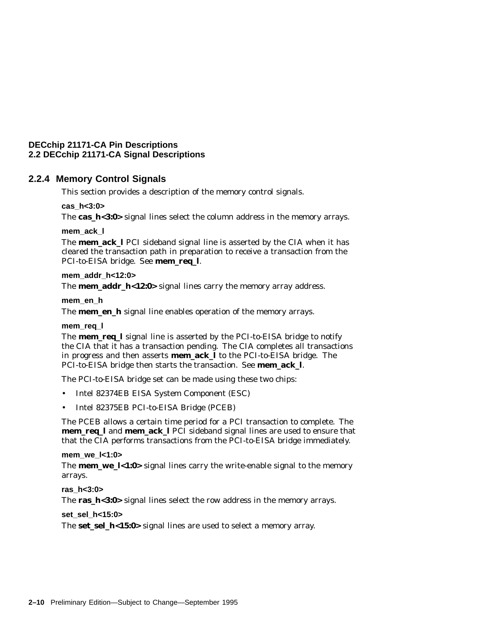### **2.2.4 Memory Control Signals**

This section provides a description of the memory control signals.

### **cas\_h<3:0>**

The **cas\_h<3:0>** signal lines select the column address in the memory arrays.

### **mem\_ack\_l**

The **mem ack I** PCI sideband signal line is asserted by the CIA when it has cleared the transaction path in preparation to receive a transaction from the PCI-to-EISA bridge. See **mem\_req\_l**.

### **mem\_addr\_h<12:0>**

The **mem\_addr\_h<12:0>** signal lines carry the memory array address.

### **mem\_en\_h**

The **mem\_en\_h** signal line enables operation of the memory arrays.

### **mem\_req\_l**

The **mem\_req\_l** signal line is asserted by the PCI-to-EISA bridge to notify the CIA that it has a transaction pending. The CIA completes all transactions in progress and then asserts **mem\_ack\_l** to the PCI-to-EISA bridge. The PCI-to-EISA bridge then starts the transaction. See **mem\_ack\_l**.

The PCI-to-EISA bridge set can be made using these two chips:

- Intel 82374EB EISA System Component (ESC)
- Intel 82375EB PCI-to-EISA Bridge (PCEB)

The PCEB allows a certain time period for a PCI transaction to complete. The **mem\_req\_l** and **mem\_ack\_l** PCI sideband signal lines are used to ensure that that the CIA performs transactions from the PCI-to-EISA bridge immediately.

### **mem\_we\_l<1:0>**

The **mem\_we\_l<1:0>** signal lines carry the write-enable signal to the memory arrays.

### **ras\_h<3:0>**

The **ras\_h<3:0>** signal lines select the row address in the memory arrays.

### **set\_sel\_h<15:0>**

The **set\_sel\_h<15:0>** signal lines are used to select a memory array.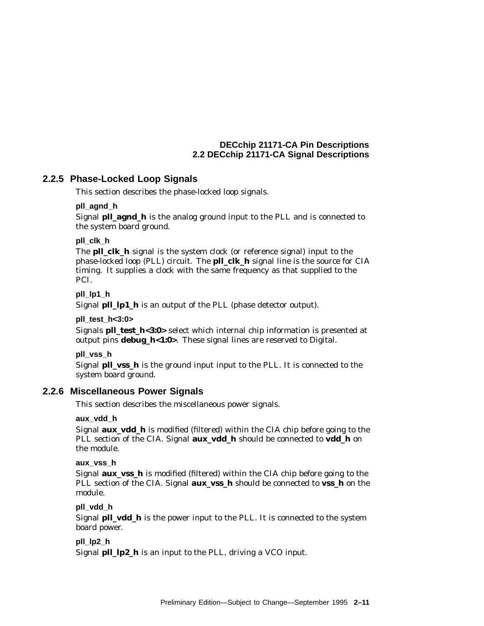### **2.2.5 Phase-Locked Loop Signals**

This section describes the phase-locked loop signals.

### **pll\_agnd\_h**

Signal **pll\_agnd\_h** is the analog ground input to the PLL and is connected to the system board ground.

### **pll\_clk\_h**

The **pll\_clk\_h** signal is the system clock (or reference signal) input to the phase-locked loop (PLL) circuit. The **pll\_clk\_h** signal line is the source for CIA timing. It supplies a clock with the same frequency as that supplied to the PCI.

### **pll\_lp1\_h**

Signal **pll\_lp1\_h** is an output of the PLL (phase detector output).

### **pll\_test\_h<3:0>**

Signals **pll\_test\_h<3:0>** select which internal chip information is presented at output pins **debug\_h<1:0>**. These signal lines are reserved to Digital.

### **pll\_vss\_h**

Signal **pll\_vss\_h** is the ground input input to the PLL. It is connected to the system board ground.

### **2.2.6 Miscellaneous Power Signals**

This section describes the miscellaneous power signals.

### **aux\_vdd\_h**

Signal **aux\_vdd\_h** is modified (filtered) within the CIA chip before going to the PLL section of the CIA. Signal **aux\_vdd\_h** should be connected to **vdd\_h** on the module.

### **aux\_vss\_h**

Signal **aux\_vss\_h** is modified (filtered) within the CIA chip before going to the PLL section of the CIA. Signal **aux\_vss\_h** should be connected to **vss\_h** on the module.

### **pll\_vdd\_h**

Signal **pll\_vdd\_h** is the power input to the PLL. It is connected to the system board power.

### **pll\_lp2\_h**

Signal **pll\_lp2\_h** is an input to the PLL, driving a VCO input.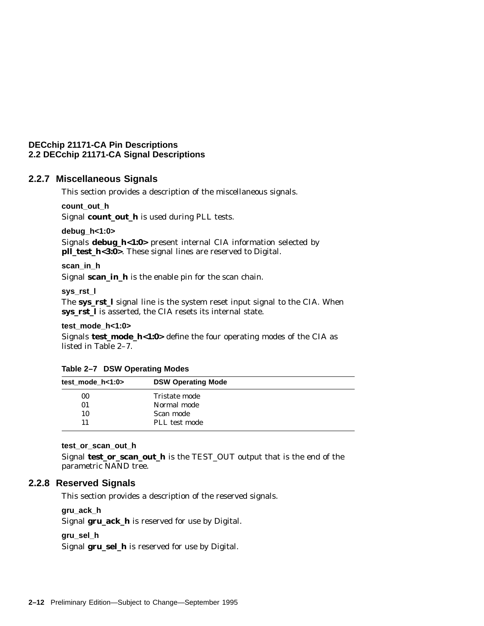### **2.2.7 Miscellaneous Signals**

This section provides a description of the miscellaneous signals.

**count\_out\_h**

Signal **count\_out\_h** is used during PLL tests.

**debug\_h<1:0>**

Signals **debug\_h<1:0>** present internal CIA information selected by **pll\_test\_h<3:0>**. These signal lines are reserved to Digital.

**scan\_in\_h**

Signal **scan\_in\_h** is the enable pin for the scan chain.

**sys\_rst\_l**

The **sys\_rst\_l** signal line is the system reset input signal to the CIA. When **sys\_rst\_l** is asserted, the CIA resets its internal state.

**test\_mode\_h<1:0>**

Signals **test\_mode\_h<1:0>** define the four operating modes of the CIA as listed in Table 2–7.

| test mode $h<1:0>$ |                           |
|--------------------|---------------------------|
|                    | <b>DSW Operating Mode</b> |
| 00                 | Tristate mode             |
| 01                 | Normal mode               |
| 10                 | Scan mode                 |
| 11                 | PLL test mode             |

**Table 2–7 DSW Operating Modes**

### **test\_or\_scan\_out\_h**

Signal **test\_or\_scan\_out\_h** is the TEST\_OUT output that is the end of the parametric NAND tree.

### **2.2.8 Reserved Signals**

This section provides a description of the reserved signals.

**gru\_ack\_h**

Signal **gru\_ack\_h** is reserved for use by Digital.

### **gru\_sel\_h**

Signal **gru\_sel\_h** is reserved for use by Digital.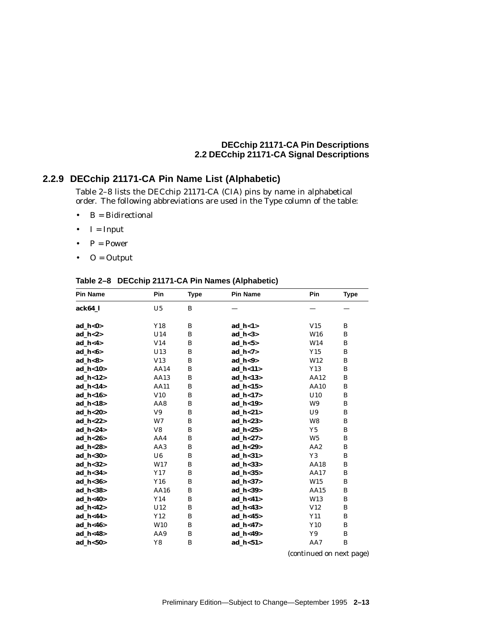## **2.2.9 DECchip 21171-CA Pin Name List (Alphabetic)**

Table 2–8 lists the DECchip 21171-CA (CIA) pins by name in alphabetical order. The following abbreviations are used in the Type column of the table:

- $\bullet$  B = Bidirectional
- $\bullet$  I = Input
- $P = Power$
- $\bullet$  O = Output

|                |     |             |                 | <b>Type</b> |
|----------------|-----|-------------|-----------------|-------------|
| U <sub>5</sub> | B   |             |                 |             |
|                |     |             |                 |             |
| Y18            | B   | $ad_h < 1>$ | V15             | B           |
| U14            | B   | ad $h < 3$  | W16             | B           |
| V14            | B   | $ad_h < 5>$ | W14             | B           |
| U13            | B   | $ad_h < 7>$ | Y15             | B           |
| V13            | B   | ad $h < 9$  | W12             | B           |
| AA14           | B   | ad $h < 11$ | Y13             | B           |
| AA13           | B   | $ad_h < 13$ | AA12            | B           |
| <b>AA11</b>    | B   | ad_h<15 $>$ | AA10            | B           |
| V10            | B   | ad $h < 17$ | U10             | B           |
| AA8            | B   | ad $h < 19$ | W9              | B           |
| V9             | B   | ad_h<21>    | U9              | B           |
| W7             | B   | ad_h<23>    | W8              | B           |
| V8             | B   | ad $h < 25$ | Y5              | B           |
| AA4            | B   | ad $h < 27$ | W <sub>5</sub>  | B           |
| AA3            | B   | ad_h<29>    | AA <sub>2</sub> | B           |
| U6             | B   | ad $h < 31$ | Y3              | B           |
| W17            | B   | ad_h<33>    | AA18            | B           |
| Y17            | B   | ad $h < 35$ | AA17            | B           |
| Y16            | B   | ad_h<37>    | W15             | B           |
| AA16           | B   | ad $h 39$   | AA15            | B           |
| Y14            | B   | ad_h<41>    | W13             | B           |
| U12            | B   | ad $h < 43$ | V12             | B           |
| Y12            | B   | ad_h<45>    | Y11             | B           |
| W10            | B   | ad $h < 47$ | Y10             | B           |
| AA9            | B   | ad_h<49>    | Y9              | B           |
| Y8             | B   | ad $h < 51$ | AA7             | B           |
|                | Pin | <b>Type</b> | <b>Pin Name</b> | Pin         |

**Table 2–8 DECchip 21171-CA Pin Names (Alphabetic)**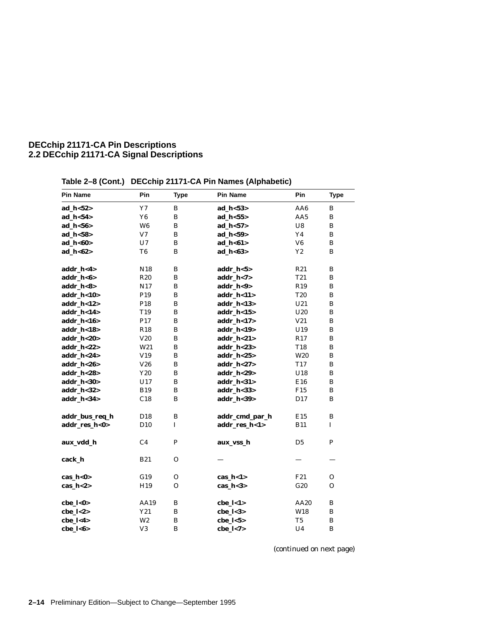| <b>Pin Name</b> | Pin             | <b>Type</b>  | <b>Pin Name</b> | Pin             | <b>Type</b>  |
|-----------------|-----------------|--------------|-----------------|-----------------|--------------|
| ad_h<52>        | $\rm Y7$        | $\, {\bf B}$ | ad_h<53>        | AA6             | B            |
| ad_h<54>        | Y <sub>6</sub>  | B            | $ad_h < 55$     | AA5             | B            |
| ad_h<56>        | W <sub>6</sub>  | $\, {\bf B}$ | ad_h<57>        | U8              | B            |
| ad_h<58>        | V <sub>7</sub>  | $\bf{B}$     | ad $h < 59$     | Y <sub>4</sub>  | B            |
| ad_h<60>        | U7              | $\, {\bf B}$ | ad_h<61>        | V <sub>6</sub>  | B            |
| ad_h<62>        | T <sub>6</sub>  | $\bf{B}$     | ad_h<63>        | $\mathbf{Y2}$   | B            |
| addr_h<4>       | N <sub>18</sub> | $\, {\bf B}$ | addr_h<5>       | R21             | B            |
| addr_h<6>       | <b>R20</b>      | B            | $addr_h < 7>$   | T <sub>21</sub> | B            |
| addr_h<8>       | N17             | $\, {\bf B}$ | addr_h<9>       | R <sub>19</sub> | B            |
| addr_h<10>      | P <sub>19</sub> | B            | addr_h<11>      | <b>T20</b>      | B            |
| addr_h<12>      | P <sub>18</sub> | B            | addr_h<13>      | U21             | B            |
| addr_h<14>      | T19             | $\bf{B}$     | addr_h<15>      | U20             | B            |
| addr_h<16>      | P17             | B            | addr $h < 17$   | V21             | B            |
| addr_h<18>      | R <sub>18</sub> | $\, {\bf B}$ | addr_h<19>      | U19             | B            |
| addr_h<20>      | V20             | B            | addr_h<21>      | R17             | B            |
| addr_h<22>      | W21             | $\, {\bf B}$ | addr_h<23>      | T18             | B            |
| addr_h<24>      | V19             | $\, {\bf B}$ | addr_h<25>      | W <sub>20</sub> | B            |
| addr_h<26>      | V26             | B            | $addr_h <27>$   | T <sub>17</sub> | B            |
| addr_h<28>      | Y20             | $\bf{B}$     | addr_h<29>      | U18             | B            |
| addr_h<30>      | U17             | B            | addr_h<31>      | E16             | B            |
| addr_h<32>      | <b>B19</b>      | $\, {\bf B}$ | addr_h<33>      | F15             | B            |
| addr_h<34>      | C18             | B            | addr_h<39>      | D17             | B            |
| addr_bus_req_h  | D18             | $\, {\bf B}$ | addr_cmd_par_h  | E15             | B            |
| addr_res_h<0>   | D10             | $\bf I$      | addr_res_h<1>   | <b>B11</b>      | I            |
| aux_vdd_h       | C <sub>4</sub>  | $\mathbf P$  | aux_vss_h       | D <sub>5</sub>  | $\mathbf P$  |
| cack_h          | <b>B21</b>      | $\Omega$     |                 |                 |              |
| cas_h<0>        | G19             | $\mathbf{O}$ | $cas_h < 1$     | F <sub>21</sub> | $\mathbf{O}$ |
| $cas_h <2>$     | H19             | 0            | cas_ $h<3>$     | G20             | 0            |
| cbe_l<0>        | AA19            | B            | $che_l < 1>$    | AA20            | B            |
| $che_l <2>$     | Y21             | $\, {\bf B}$ | $che_l <3>$     | W18             | $\, {\bf B}$ |
| cbe_l<4>        | W <sub>2</sub>  | $\bf{B}$     | $che_l < 5>$    | T <sub>5</sub>  | B            |
| cbe_l<6>        | V3              | $\, {\bf B}$ | cbe_l<7>        | U <sub>4</sub>  | B            |

**Table 2–8 (Cont.) DECchip 21171-CA Pin Names (Alphabetic)**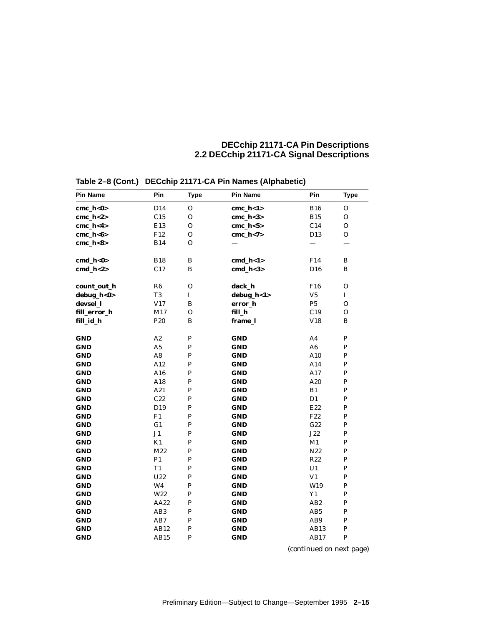| <b>Pin Name</b> | Pin             | <b>Type</b>  | Pin Name     | Pin             | Type         |
|-----------------|-----------------|--------------|--------------|-----------------|--------------|
| $cmc_h<0>$      | D <sub>14</sub> | 0            | $cmc_h < 1>$ | <b>B16</b>      | $\mathbf{O}$ |
| $cmc_h <2>$     | C15             | 0            | $cmc_h <3>$  | <b>B15</b>      | О            |
| $cmc_h<4>$      | E13             | $\mathbf{O}$ | $cmc_h < 5$  | C14             | O            |
| $cmc_h<6>$      | F12             | 0            | $cmc_h < 7$  | D <sub>13</sub> | О            |
| $cmc_h <8>$     | <b>B14</b>      | 0            |              |                 |              |
| $cmd_h<0>$      | <b>B18</b>      | $\bf{B}$     | $cmd_l<1>$   | F14             | B            |
| $cmd_l<2>$      | C17             | B            | $cmd_l<3>$   | D <sub>16</sub> | B            |
| count_out_h     | R6              | $\mathbf O$  | dack_h       | F <sub>16</sub> | $\mathbf O$  |
| debug_h<0>      | T <sub>3</sub>  | $\mathbf I$  | debug_h<1>   | V5              | I            |
| devsel_l        | V17             | B            | error_h      | P <sub>5</sub>  | $\mathbf{O}$ |
| fill_error_h    | M17             | $\mathbf{O}$ | fill_h       | C19             | $\mathbf{O}$ |
| fill_id_h       | P <sub>20</sub> | $\bf{B}$     | frame_l      | V18             | B            |
| <b>GND</b>      | A2              | ${\bf P}$    | <b>GND</b>   | A <sub>4</sub>  | ${\bf P}$    |
| <b>GND</b>      | A5              | $\mathbf P$  | <b>GND</b>   | A <sub>6</sub>  | ${\bf P}$    |
| <b>GND</b>      | $\mathbf{A8}$   | $\mathbf{P}$ | <b>GND</b>   | A10             | $\, {\bf P}$ |
| <b>GND</b>      | A12             | $\mathbf{P}$ | <b>GND</b>   | A14             | $\, {\bf P}$ |
| <b>GND</b>      | A16             | $\mathbf{P}$ | <b>GND</b>   | A17             | $\, {\bf P}$ |
| <b>GND</b>      | A18             | $\mathbf{P}$ | <b>GND</b>   | A20             | ${\bf P}$    |
| <b>GND</b>      | A21             | $\mathbf{P}$ | <b>GND</b>   | B1              | ${\bf P}$    |
| GND             | C22             | $\mathbf{P}$ | <b>GND</b>   | D1              | ${\bf P}$    |
| <b>GND</b>      | D19             | $\mathbf{P}$ | <b>GND</b>   | E22             | ${\bf P}$    |
| <b>GND</b>      | F1              | $\mathbf{P}$ | <b>GND</b>   | F <sub>22</sub> | ${\bf P}$    |
| <b>GND</b>      | G1              | $\mathbf{P}$ | <b>GND</b>   | G22             | $\, {\bf P}$ |
| <b>GND</b>      | J1              | $\mathbf{P}$ | <b>GND</b>   | J22             | ${\bf P}$    |
| <b>GND</b>      | K1              | $\mathbf{P}$ | <b>GND</b>   | M1              | ${\bf P}$    |
| <b>GND</b>      | M22             | $\mathbf{P}$ | <b>GND</b>   | N22             | $\, {\bf P}$ |
| <b>GND</b>      | P1              | $\mathbf{P}$ | <b>GND</b>   | R22             | ${\bf P}$    |
| <b>GND</b>      | T1              | $\mathbf{P}$ | <b>GND</b>   | U1              | ${\bf P}$    |
| <b>GND</b>      | U22             | $\mathbf{P}$ | <b>GND</b>   | V1              | $\, {\bf P}$ |
| <b>GND</b>      | W <sub>4</sub>  | $\mathbf{P}$ | <b>GND</b>   | W19             | P            |
| <b>GND</b>      | W22             | $\mathbf{P}$ | <b>GND</b>   | Y1              | ${\bf P}$    |
| GND             | AA22            | $\mathbf{P}$ | <b>GND</b>   | AB2             | $\, {\bf P}$ |
| GND             | AB <sub>3</sub> | $\mathbf{P}$ | <b>GND</b>   | AB <sub>5</sub> | $\, {\bf P}$ |
| <b>GND</b>      | AB7             | $\mathbf{P}$ | <b>GND</b>   | AB9             | $\, {\bf P}$ |
| <b>GND</b>      | AB12            | $\mathbf{P}$ | <b>GND</b>   | AB13            | P            |
| <b>GND</b>      | AB15            | P            | <b>GND</b>   | AB17            | P            |

**Table 2–8 (Cont.) DECchip 21171-CA Pin Names (Alphabetic)**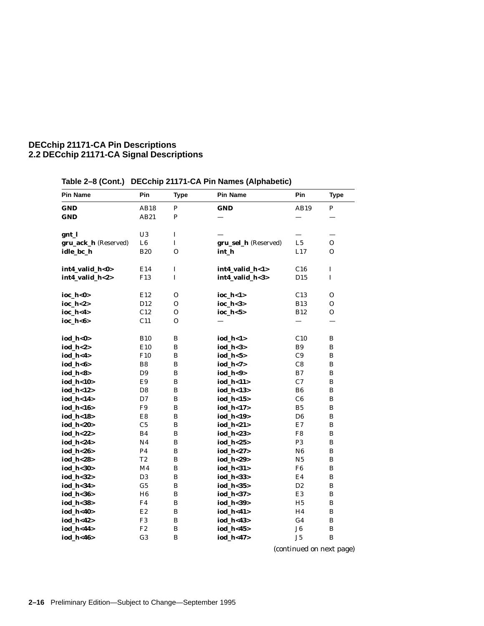| <b>Pin Name</b>      | Pin             | <b>Type</b>  | <b>Pin Name</b>      | Pin            | <b>Type</b> |
|----------------------|-----------------|--------------|----------------------|----------------|-------------|
| <b>GND</b>           | AB18            | P            | <b>GND</b>           | AB19           | P           |
| <b>GND</b>           | AB21            | ${\bf P}$    |                      |                |             |
|                      |                 |              |                      |                |             |
| gnt_l                | U3              | I            |                      |                |             |
| gru_ack_h (Reserved) | L <sub>6</sub>  | $\bf I$      | gru_sel_h (Reserved) | L <sub>5</sub> | О           |
| idle_bc_h            | <b>B20</b>      | $\Omega$     | int h                | L17            | 0           |
|                      |                 |              |                      |                |             |
| int4_valid_h<0>      | E14             | $\bf I$      | int4_valid_h<1>      | C16            | $\bf I$     |
| int4_valid_h<2>      | F <sub>13</sub> | $\mathbf I$  | int4_valid_h<3>      | D15            | $\bf I$     |
|                      |                 |              |                      |                |             |
| ioc_h<0>             | E12             | O            | ioc_h<1>             | C13            | 0           |
| $ioc_h < 2>$         | D <sub>12</sub> | O            | $\rm ioc\_h<3>$      | <b>B13</b>     | 0           |
| ioc_h<4>             | C12             | O            | ioc_h<5>             | <b>B12</b>     | 0           |
| ioc_h<6>             | C11             | O            |                      |                |             |
| iod_h<0>             | <b>B10</b>      | B            | $iod_h < 1>$         | C10            | В           |
| iod_h<2>             | E10             | B            | $iod_h <3>$          | B <sub>9</sub> | В           |
| iod_h<4>             | F <sub>10</sub> | B            | iod_h<5>             | C9             | В           |
| iod_h<6>             | B8              | B            | iod_h<7>             | C8             | В           |
| iod_h<8>             | D <sub>9</sub>  | B            | iod_h<9>             | B7             | B           |
| iod_h<10>            | E9              | $\bf{B}$     | iod_h<11>            | C7             | $\bf{B}$    |
| iod_h<12>            | D <sub>8</sub>  | $\, {\bf B}$ | iod_h<13>            | B <sub>6</sub> | $\bf{B}$    |
| iod_h<14>            | D7              | $\bf{B}$     | iod_h<15>            | C6             | В           |
| iod_h<16>            | F9              | B            | iod_h<17>            | B <sub>5</sub> | В           |
| iod_h<18>            | E8              | B            | iod_h<19>            | D6             | В           |
| iod_h<20>            | C <sub>5</sub>  | B            | iod h<21>            | E7             | B           |
| iod_h<22>            | <b>B4</b>       | B            | iod_h<23>            | F8             | B           |
| iod_h<24>            | N <sub>4</sub>  | $\bf{B}$     | iod_h<25>            | P <sub>3</sub> | $\bf{B}$    |
| iod_h<26>            | P4              | $\bf{B}$     | iod_h<27>            | N <sub>6</sub> | В           |
| iod_h<28>            | T2              | B            | iod_h<29>            | N <sub>5</sub> | В           |
| iod_h<30>            | M <sub>4</sub>  | B            | iod_h<31>            | F <sub>6</sub> | В           |
| iod_h<32>            | D <sub>3</sub>  | B            | iod_h<33>            | E4             | B           |
| iod_h<34>            | G <sub>5</sub>  | B            | iod_h<35>            | D <sub>2</sub> | B           |
| iod_h<36>            | H <sub>6</sub>  | B            | iod_h<37>            | E3             | $\bf{B}$    |
| iod_h<38>            | F4              | $\bf{B}$     | iod_h<39>            | H <sub>5</sub> | В           |
| iod_h<40>            | E2              | B            | iod_h<41>            | H4             | В           |
| iod_h<42>            | F <sub>3</sub>  | B            | iod_h<43>            | G <sub>4</sub> | В           |
| iod_h<44>            | F2              | B            | iod_h<45>            | J <sub>6</sub> | В           |
| iod_h<46>            | G <sub>3</sub>  | B            | iod_h<47>            | J5             | B           |

# **Table 2–8 (Cont.) DECchip 21171-CA Pin Names (Alphabetic)**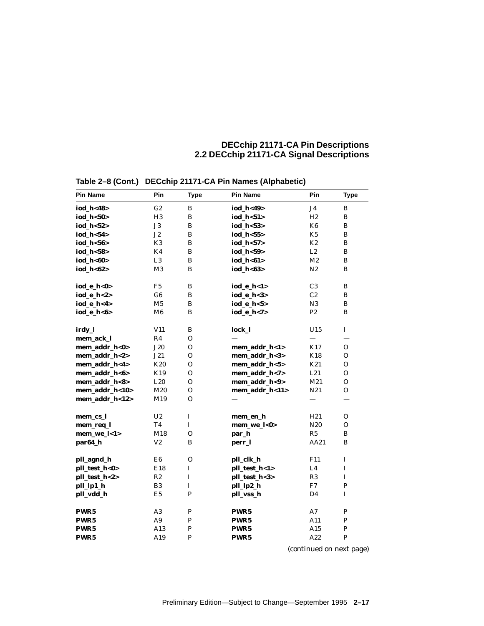| <b>Pin Name</b>  | Pin            | <b>Type</b>    | <b>Pin Name</b>  | Pin             | <b>Type</b>  |
|------------------|----------------|----------------|------------------|-----------------|--------------|
| iod h<48>        | G2             | B              | iod h<49>        | J4              | B            |
| iod_h<50>        | H3             | B              | iod $h < 51$     | H2              | B            |
| iod_h<52>        | J3             | B              | iod_h<53>        | K6              | $\bf{B}$     |
| iod $h 54$       | J2             | B              | iod $h 55$       | K5              | В            |
| iod_h<56>        | K <sub>3</sub> | B              | iod $h 57$       | K2              | B            |
| iod_h<58>        | K4             | B              | iod_h<59>        | L2              | B            |
| iod_h<60>        | L3             | B              | iod_h<61>        | M <sub>2</sub>  | B            |
| iod_h<62>        | M3             | B              | iod_h<63>        | N2              | B            |
| iod_e_h<0>       | F <sub>5</sub> | B              | iod_e_h<1>       | C <sub>3</sub>  | В            |
| iod_e_h<2>       | G6             | B              | iod_e_h<3>       | C2              | В            |
| iod_e_h<4>       | M <sub>5</sub> | B              | iod_e_h<5>       | N3              | В            |
| iod e h<6>       | M6             | B              | iod_e_h<7>       | P <sub>2</sub>  | B            |
| irdy_l           | V11            | B              | lock_l           | U15             | $\bf I$      |
| mem_ack_l        | R4             | $\Omega$       |                  |                 |              |
| mem_addr_h<0>    | J20            | $\mathbf{O}$   | mem_addr_h<1>    | K17             | $\mathbf{O}$ |
| mem_addr_h<2>    | J21            | $\Omega$       | mem_addr_h<3>    | <b>K18</b>      | $\Omega$     |
| mem_addr_h<4>    | K20            | $\overline{O}$ | mem_addr_h<5>    | K21             | $\mathbf{O}$ |
| mem_addr_h<6>    | K19            | $\Omega$       | mem_addr_h<7>    | L21             | $\mathbf{O}$ |
| mem_addr_h<8>    | L20            | $\Omega$       | mem_addr_h<9>    | M21             | $\mathbf{O}$ |
| mem_addr_h<10>   | M20            | 0              | mem_addr_h<11>   | N21             | 0            |
| mem_addr_h<12>   | M19            | $\mathbf{O}$   |                  |                 |              |
| mem_cs_l         | U <sub>2</sub> | $\bf I$        | mem_en_h         | H21             | 0            |
| mem_req_l        | T4             | L              | mem_we_l<0>      | N <sub>20</sub> | O            |
| mem_we_l<1>      | M18            | $\Omega$       | par_h            | R5              | B            |
| par64_h          | V <sub>2</sub> | B              | perr_l           | AA21            | B            |
| pll_agnd_h       | E6             | $\mathbf{O}$   | pll_clk_h        | F11             | $\mathbf I$  |
| pll_test_h<0>    | E18            | $\mathbf I$    | pll_test_h<1>    | L4              | $\mathbf I$  |
| pll_test_h<2>    | R2             | I              | pll_test_h<3>    | R <sub>3</sub>  | $\bf I$      |
| pll_lp1_h        | B <sub>3</sub> | $\mathbf I$    | pll_lp2_h        | F7              | P            |
| pll_vdd_h        | E <sub>5</sub> | $\mathbf{P}$   | pll_vss_h        | D <sub>4</sub>  | I            |
| PWR <sub>5</sub> | A <sub>3</sub> | P              | PWR <sub>5</sub> | Α7              | P            |
| PWR <sub>5</sub> | A <sub>9</sub> | $\mathbf{P}$   | PWR <sub>5</sub> | A11             | ${\bf P}$    |
| PWR <sub>5</sub> | A13            | P              | PWR <sub>5</sub> | A15             | ${\bf P}$    |
| PWR <sub>5</sub> | A19            | P              | PWR <sub>5</sub> | A22             | P            |

**Table 2–8 (Cont.) DECchip 21171-CA Pin Names (Alphabetic)**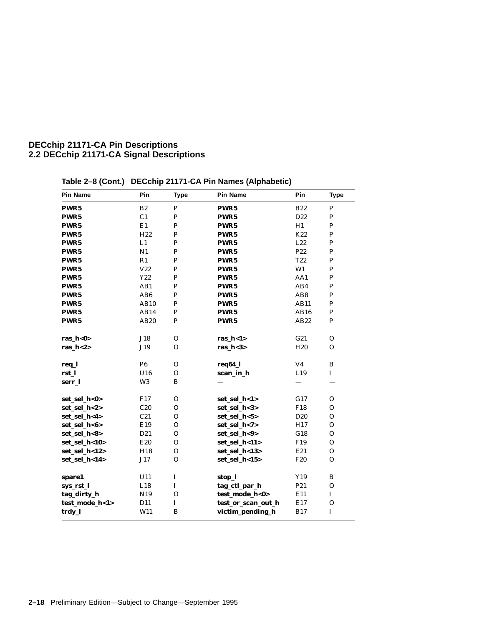| Pin Name       | Pin             | <b>Type</b>  | <b>Pin Name</b>    | Pin             | <b>Type</b>  |
|----------------|-----------------|--------------|--------------------|-----------------|--------------|
| PWR5           | B <sub>2</sub>  | $\mathbf P$  | PWR5               | <b>B22</b>      | P            |
| PWR5           | C <sub>1</sub>  | ${\bf P}$    | PWR <sub>5</sub>   | D22             | ${\bf P}$    |
| PWR5           | E1              | ${\bf P}$    | PWR5               | H1              | ${\bf P}$    |
| <b>PWR5</b>    | H <sub>22</sub> | ${\bf P}$    | PWR5               | K22             | ${\bf P}$    |
| PWR5           | L1              | ${\bf P}$    | PWR5               | L22             | ${\bf P}$    |
| PWR5           | N1              | ${\bf P}$    | PWR5               | P22             | ${\bf P}$    |
| PWR5           | R1              | $\mathbf P$  | PWR <sub>5</sub>   | T <sub>22</sub> | $\mathbf P$  |
| PWR5           | V22             | $\mathbf P$  | PWR <sub>5</sub>   | W1              | $\mathbf P$  |
| PWR5           | Y22             | $\mathbf P$  | PWR <sub>5</sub>   | AA1             | $\mathbf P$  |
| PWR5           | AB1             | $\mathbf{P}$ | PWR5               | AB4             | $\mathbf P$  |
| PWR5           | AB <sub>6</sub> | ${\bf P}$    | PWR <sub>5</sub>   | AB8             | ${\bf P}$    |
| PWR5           | <b>AB10</b>     | ${\bf P}$    | PWR <sub>5</sub>   | AB11            | ${\bf P}$    |
| PWR5           | AB14            | ${\bf P}$    | PWR5               | AB16            | ${\bf P}$    |
| PWR5           | AB20            | ${\bf P}$    | PWR <sub>5</sub>   | AB22            | $\mathbf P$  |
|                |                 |              |                    |                 |              |
| ras_h<0>       | J18             | $\mathbf{O}$ | ras_ $h$ < $1$ >   | G21             | $\Omega$     |
| ras_h<2>       | J19             | $\Omega$     | ras $h < 3$        | H <sub>20</sub> | $\Omega$     |
|                |                 |              |                    |                 |              |
| req_l          | P <sub>6</sub>  | $\mathbf{O}$ | req64_l            | V <sub>4</sub>  | B            |
| rst_l          | U16             | $\mathbf{O}$ | scan_in_h          | L19             | $\bf I$      |
| serr_l         | W <sub>3</sub>  | $\, {\bf B}$ |                    |                 |              |
| set_sel_h<0>   | F17             | $\mathbf{O}$ | set_sel_h<1>       | G17             | $\mathbf{O}$ |
| set_sel_h<2>   | C20             | $\mathbf{O}$ | set_sel_h<3>       | F18             | $\mathbf{O}$ |
| set_sel_h<4>   | C21             | $\Omega$     | set_sel_h<5>       | D <sub>20</sub> | O            |
| set_sel_h<6>   | E19             | $\Omega$     | set_sel_h<7>       | H17             | $\mathbf{O}$ |
| set_sel_h<8>   | D21             | $\mathbf{O}$ | set_sel_h<9>       | G18             | $\mathbf{O}$ |
| set_sel_h<10>  | E20             | $\mathbf{O}$ | set_sel_h<11>      | F19             | $\mathbf{O}$ |
| set_sel_h<12>  | H18             | $\mathbf{O}$ | set_sel_h<13>      | E21             | $\mathbf{O}$ |
| set_sel_h<14>  | J17             | $\Omega$     | set_sel_h<15>      | F <sub>20</sub> | $\Omega$     |
|                |                 |              |                    |                 |              |
| spare1         | U11             | $\bf I$      | stop_l             | Y19             | B            |
| sys_rst_l      | L18             | $\mathbf I$  | tag_ctl_par_h      | P <sub>21</sub> | $\mathbf{O}$ |
| tag_dirty_h    | N19             | $\mathbf{O}$ | test_mode_h<0>     | E11             | $\mathbf{I}$ |
| test_mode_h<1> | D11             | $\bf I$      | test_or_scan_out_h | E17             | $\mathbf O$  |
| trdy_l         | W11             | B            | victim_pending_h   | <b>B17</b>      | $\mathbf I$  |
|                |                 |              |                    |                 |              |

**Table 2–8 (Cont.) DECchip 21171-CA Pin Names (Alphabetic)**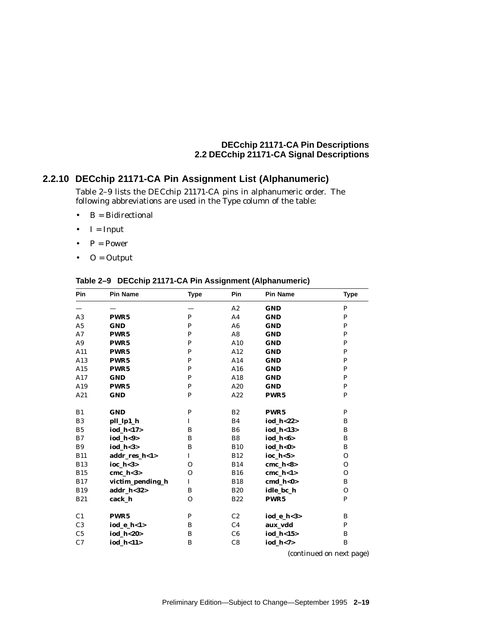### **2.2.10 DECchip 21171-CA Pin Assignment List (Alphanumeric)**

Table 2–9 lists the DECchip 21171-CA pins in alphanumeric order. The following abbreviations are used in the Type column of the table:

- $\bullet$  B = Bidirectional
- $I = Input$
- $P = Power$
- $\bullet$  O = Output

### **Pin Pin Name Type Pin Pin Name Type** — — — A2 **GND** P A3 **PWR5** P A4 **GND** P A5 **GND** P A6 **GND** P A7 **PWR5** P A8 **GND** P A9 **PWR5** P A10 **GND** P A11 **PWR5** P A12 **GND** P A13 **PWR5** P A14 **GND** P A15 **PWR5** P A16 **GND** P A17 **GND** P A18 **GND** P A19 **PWR5** P A20 **GND** P A21 **GND** P A22 **PWR5** P B1 **GND** P B2 **PWR5** P B3 **pll\_lp1\_h** I B4 **iod\_h<22>** B B5 **iod\_h<17>** B B6 **iod\_h<13>** B B7 **iod h<9>** B B8 **iod h<6>** B B9 **iod\_h<3>** B B10 **iod\_h<0>** B B11 **addr\_res\_h<1>** I B12 **ioc\_h<5>** O B13 **ioc\_h<3>** O B14 **cmc\_h<8>** O B15 **cmc\_h<3>** O B16 **cmc\_h<1>** O B17 **victim\_pending\_h** I B18 **cmd\_h<0>** B B19 **addr\_h<32>** B B20 **idle\_bc\_h** O B21 **cack\_h** O B22 **PWR5** P C1 **PWR5** P C2 **iod\_e\_h**<3> B<br>
C3 **iod\_e\_h**<1> B C4 **aux vdd** P C3 **iod\_e\_h<1>** B C4 **aux\_vdd** C5 **iod\_h<20>** B C6 **iod\_h<15>** B C7 **iod\_h<11>** B C8 **iod\_h<7>** B

#### **Table 2–9 DECchip 21171-CA Pin Assignment (Alphanumeric)**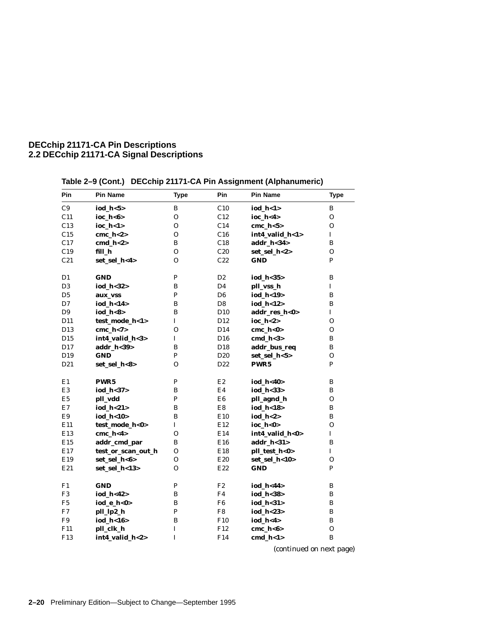| Pin             | <b>Pin Name</b>    | <b>Type</b>  | Pin             | <b>Pin Name</b>        | <b>Type</b>  |
|-----------------|--------------------|--------------|-----------------|------------------------|--------------|
| C9              | iod_h<5>           | B            | C10             | $iod_h < 1>$           | B            |
| C11             | ioc_h<6>           | $\Omega$     | C12             | ioc $h < 4$            | $\mathbf O$  |
| C13             | ioc_h<1>           | $\mathbf{O}$ | C14             | cmc $h < 5$            | $\mathbf{O}$ |
| C15             | cmc $h<2>$         | $\mathbf{O}$ | C16             | int4_valid_h<1>        | $\mathbf I$  |
| C17             | $cmd_l<2>$         | B            | C18             | addr_h<34>             | B            |
| C19             | fill_h             | $\mathbf{O}$ | C20             | set_sel_h<2>           | $\mathbf{O}$ |
| C21             | set_sel_h<4>       | $\Omega$     | C22             | <b>GND</b>             | P            |
| D <sub>1</sub>  | <b>GND</b>         | $\, {\bf P}$ | D <sub>2</sub>  | iod_h<35>              | B            |
| D <sub>3</sub>  | iod_h<32>          | B            | D4              | pll_vss_h              | $\bf I$      |
| D5              | aux_vss            | ${\bf P}$    | D <sub>6</sub>  | iod_h<19>              | B            |
| D7              | iod_h<14>          | B            | D8              | iod $h<12$             | B            |
| D <sub>9</sub>  | iod $h < 8$        | B            | D <sub>10</sub> | addr_res_h<0>          | $\bf I$      |
| D11             | test_mode_h<1>     | $\mathbf I$  | D <sub>12</sub> | $\mathbf{loc}\_{h<2>}$ | $\Omega$     |
| D <sub>13</sub> | cmc $h < 7>$       | $\Omega$     | D14             | $cmc_h <0>$            | $\Omega$     |
| D15             | int4_valid_h<3>    | $\bf I$      | D16             | $cmd_l<3>$             | $\bf{B}$     |
| D17             | addr h<39>         | B            | D18             | addr_bus_req           | B            |
| D19             | <b>GND</b>         | P            | D <sub>20</sub> | set_sel_h<5>           | $\mathbf{O}$ |
| D21             | set_sel_h<8>       | $\Omega$     | D22             | PWR5                   | P            |
| E1              | PWR <sub>5</sub>   | ${\bf P}$    | E2              | iod_h<40>              | B            |
| E <sub>3</sub>  | iod_h<37>          | $\, {\bf B}$ | E4              | iod_h<33>              | B            |
| E5              | pll_vdd            | $\mathbf P$  | E6              | pll_agnd_h             | 0            |
| E7              | iod_h<21>          | B            | E8              | iod_h<18>              | B            |
| E9              | iod_h<10>          | B            | E10             | iod_h<2>               | B            |
| E11             | test_mode_h<0>     | $\mathbf I$  | E12             | ioc $h<0>$             | $\mathbf{O}$ |
| E13             | cmc $h < 4$        | $\Omega$     | E14             | int4_valid_h<0>        | $\mathbf I$  |
| E15             | addr_cmd_par       | B            | E16             | addr_h<31>             | B            |
| E17             | test_or_scan_out_h | $\mathbf{O}$ | E18             | pll_test_h<0>          | $\mathbf I$  |
| E19             | set_sel_h<6>       | $\Omega$     | E20             | set_sel_h<10>          | $\Omega$     |
| E21             | set_sel_h<13>      | $\Omega$     | E22             | <b>GND</b>             | P            |
| F1              | <b>GND</b>         | ${\bf P}$    | F2              | iod_h<44>              | B            |
| F <sub>3</sub>  | iod_h<42>          | $\, {\bf B}$ | F4              | iod_h<38>              | B            |
| F5              | iod_e_h<0>         | B            | F6              | iod_h<31>              | B            |
| F7              | pll_lp2_h          | $\mathbf P$  | F8              | iod_h<23>              | B            |
| F9              | iod_h<16>          | $\, {\bf B}$ | F10             | iod_h<4>               | $\, {\bf B}$ |
| F11             | pll_clk_h          | $\bf I$      | F12             | $cmc_h<6>$             | $\mathbf O$  |
| F13             | int4_valid_h<2>    | $\mathbf I$  | F14             | $cmd_l<1>$             | $\, {\bf B}$ |

**Table 2–9 (Cont.) DECchip 21171-CA Pin Assignment (Alphanumeric)**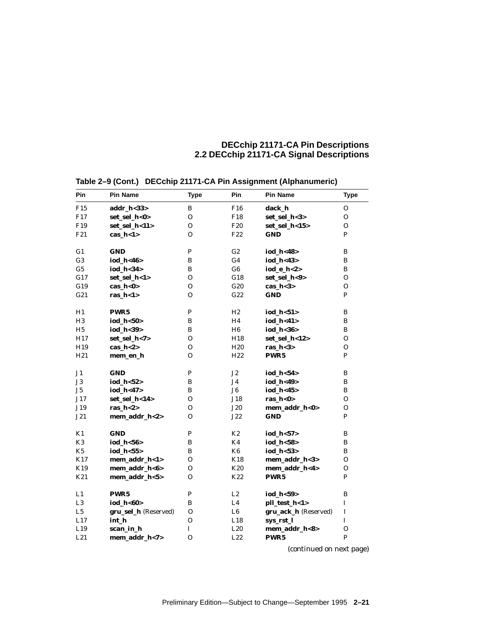| Pin             | Pin Name             | <b>Type</b>    | Pin             | <b>Pin Name</b>      | <b>Type</b>    |
|-----------------|----------------------|----------------|-----------------|----------------------|----------------|
| F <sub>15</sub> | addr_h<33>           | B              | F <sub>16</sub> | dack_h               | 0              |
| F17             | set_sel_h<0>         | $\Omega$       | F18             | set_sel_h<3>         | $\mathbf{O}$   |
| F <sub>19</sub> | set_sel_h<11>        | $\overline{O}$ | F <sub>20</sub> | set_sel_h<15>        | $\mathbf{O}$   |
| F21             | cas $h < 1$          | $\Omega$       | F <sub>22</sub> | <b>GND</b>           | P              |
|                 |                      |                |                 |                      |                |
| G <sub>1</sub>  | <b>GND</b>           | P              | G2              | iod h<48>            | B              |
| G <sub>3</sub>  | iod_h<46>            | B              | G4              | iod_h<43>            | B              |
| G <sub>5</sub>  | iod_h<34>            | B              | G6              | iod_e_h<2>           | B              |
| G17             | set_sel_h<1>         | $\Omega$       | G18             | set_sel_h<9>         | $\mathbf{O}$   |
| G19             | $cas_h <0>$          | $\Omega$       | G20             | $cas_h <3>$          | $\Omega$       |
| G21             | ras $h < 1$          | 0              | G22             | <b>GND</b>           | P              |
|                 |                      |                |                 |                      |                |
| H1              | PWR5                 | P              | H2              | iod $h < 51$         | B              |
| H <sub>3</sub>  | iod $h 50$           | B              | H4              | iod_h<41>            | B              |
| H <sub>5</sub>  | iod_h<39>            | B              | H6              | iod_h<36>            | B              |
| H17             | set_sel_h<7>         | 0              | H18             | set_sel_h<12>        | 0              |
| H <sub>19</sub> | cas $h < 2>$         | 0              | H <sub>20</sub> | ras_ $h<3>$          | 0              |
| H21             | mem_en_h             | 0              | H <sub>22</sub> | PWR5                 | P              |
|                 |                      |                |                 |                      |                |
| J1              | <b>GND</b>           | P              | J2              | iod $h 54$           | B              |
| $_{\rm J3}$     | iod $h 52$           | B              | J4              | iod h<49>            | B              |
| J5              | iod h<47>            | B              | J <sub>6</sub>  | iod_h<45>            | B              |
| J17             | set sel h<14>        | $\Omega$       | J18             | ras $h<0>$           | $\Omega$       |
| J19             | ras_ $h<2>$          | 0              | <b>J20</b>      | mem_addr_h<0>        | $\mathbf{O}$   |
| J21             | mem_addr_h<2>        | 0              | J22             | <b>GND</b>           | P              |
|                 |                      |                |                 |                      |                |
| K1              | <b>GND</b>           | P              | K2              | iod_h<57>            | B              |
| K <sub>3</sub>  | iod $h < 56$         | B              | K4              | iod $h < 58$         | B              |
| K <sub>5</sub>  | iod $h 55$           | B              | K <sub>6</sub>  | iod $h 53$           | B              |
| K17             | mem_addr_h<1>        | $\Omega$       | K18             | mem_addr_h<3>        | $\Omega$       |
| K19             | mem_addr_h<6>        | $\Omega$       | K20             | mem_addr_h<4>        | $\overline{O}$ |
| K21             | mem_addr_h<5>        | 0              | K22             | PWR <sub>5</sub>     | P              |
|                 |                      |                |                 |                      |                |
| L1              | PWR <sub>5</sub>     | P              | L2              | iod_h<59>            | B              |
| L3              | iod $h < 60$         | B              | L4              | pll_test_h<1>        | $\bf I$        |
| L5              | gru_sel_h (Reserved) | $\mathbf{O}$   | L <sub>6</sub>  | gru_ack_h (Reserved) | $\mathbf I$    |
| L17             | int h                | $\Omega$       | L18             | sys_rst_l            | $\mathbf I$    |
| L19             | scan_in_h            | L              | L20             | mem_addr_h<8>        | $\mathbf O$    |
| L21             | mem_addr_h<7>        | $\Omega$       | L22             | PWR <sub>5</sub>     | P              |
|                 |                      |                |                 |                      |                |

**Table 2–9 (Cont.) DECchip 21171-CA Pin Assignment (Alphanumeric)**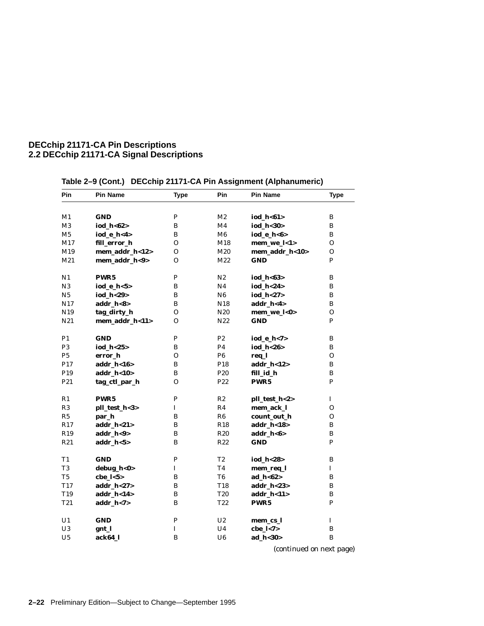| Pin             | <b>Pin Name</b>  | <b>Type</b>  | <b>Pin</b>      | <b>Pin Name</b>  | Type        |
|-----------------|------------------|--------------|-----------------|------------------|-------------|
|                 |                  |              |                 |                  |             |
| M1              | <b>GND</b>       | P            | M <sub>2</sub>  | iod_h<61>        | B           |
| M3              | iod_h<62>        | В            | M4              | iod_h<30>        | B           |
| M5              | iod_e_h<4>       | В            | M6              | iod_e_h<6>       | B           |
| M17             | fill_error_h     | О            | M18             | mem_we_l<1>      | O           |
| M19             | mem_addr_h<12>   | $\Omega$     | M20             | mem_addr_h<10>   | O           |
| M21             | mem_addr_h<9>    | Ω            | M22             | <b>GND</b>       | P           |
| N1              | PWR <sub>5</sub> | P            | N <sub>2</sub>  | iod_h<63>        | B           |
| N3              | iod_e_h<5>       | В            | N4              | iod h<24>        | B           |
| N5              | iod h<29>        | B            | N6              | iod h<27>        | B           |
| N17             | addr_h<8>        | В            | N <sub>18</sub> | addr_h<4>        | B           |
| N <sub>19</sub> | tag_dirty_h      | O            | N <sub>20</sub> | mem_we_l<0>      | $\Omega$    |
| N <sub>21</sub> | mem_addr_h<11>   | O            | N <sub>22</sub> | <b>GND</b>       | P           |
| P1              | <b>GND</b>       | P            | P <sub>2</sub>  | iod_e_h<7>       | B           |
| P <sub>3</sub>  | iod $h < 25$     | B            | P4              | iod h<26>        | B           |
| P5              | error h          | $\Omega$     | P6              | req_l            | O           |
| P <sub>17</sub> | addr_h<16>       | B            | P <sub>18</sub> | addr_h<12>       | B           |
| P <sub>19</sub> | addr_h<10>       | B            | P <sub>20</sub> | fill_id_h        | B           |
| P <sub>21</sub> | tag_ctl_par_h    | 0            | P <sub>22</sub> | PWR5             | P           |
| R1              | PWR5             | P            | R2              | pll_test_h<2>    | I           |
| R3              | pll_test_h<3>    | $\mathbf I$  | R4              | mem_ack_l        | 0           |
| R5              | par_h            | B            | R6              | count_out_h      | O           |
| R <sub>17</sub> | $addr_h <21>$    | B            | R <sub>18</sub> | addr_h<18>       | B           |
| <b>R</b> 19     | addr_h<9>        | В            | <b>R20</b>      | addr_h<6>        | B           |
| R <sub>21</sub> | $addr_h < 5>$    | B            | R <sub>22</sub> | <b>GND</b>       | P           |
| T1              | <b>GND</b>       | $\, {\bf P}$ | T <sub>2</sub>  | iod_h<28>        | B           |
| T <sub>3</sub>  | debug_h<0>       | $\mathbf I$  | T4              | mem_req_l        | I           |
| T5              | $che_l < 5>$     | B            | T6              | ad $h < 62$      | B           |
| T17             | addr_h<27>       | B            | T <sub>18</sub> | addr_h<23>       | B           |
| <b>T19</b>      | addr_h<14>       | B            | <b>T20</b>      | addr_h<11>       | B           |
| <b>T21</b>      | addr $h < 7$     | B            | T <sub>22</sub> | PWR <sub>5</sub> | P           |
| U <sub>1</sub>  | <b>GND</b>       | ${\bf P}$    | U <sub>2</sub>  | mem_cs_l         | $\mathbf I$ |
| U <sub>3</sub>  | gnt_l            | I            | U4              | cbe $1 < 7$      | B           |
| U5              | ack64 l          | B            | U6              | ad h<30>         | B           |

# **Table 2–9 (Cont.) DECchip 21171-CA Pin Assignment (Alphanumeric)**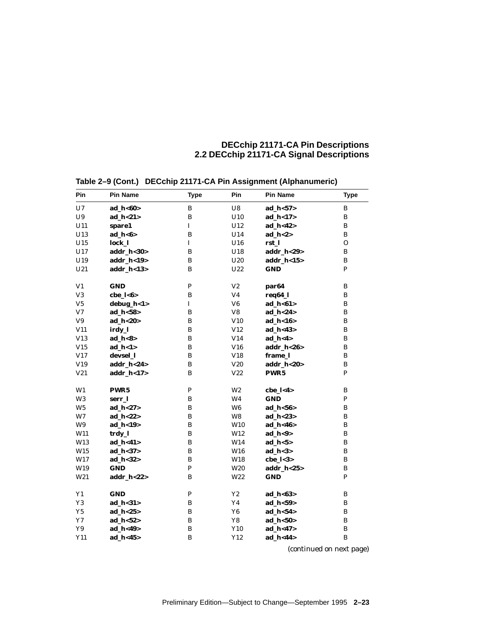| Pin            | <b>Pin Name</b> | <b>Type</b>  | Pin             | <b>Pin Name</b>   | <b>Type</b>  |
|----------------|-----------------|--------------|-----------------|-------------------|--------------|
| U7             | ad_h<60>        | B            | U8              | $ad_h < 57$       | B            |
| ${\bf U}9$     | ad_h<21>        | $\bf{B}$     | U10             | ad_h<17>          | B            |
| U11            | spare1          | $\mathbf I$  | U12             | ad_h<42>          | B            |
| U13            | $ad_h < 6$      | B            | U14             | ad $h < 2>$       | B            |
| U15            | lock 1          | $\mathbf I$  | U16             | rst_l             | $\mathbf{O}$ |
| U17            | addr_h<30>      | $\, {\bf B}$ | U18             | addr_h<29>        | B            |
| U19            | addr_h<19>      | B            | U20             | $addr_h < 15$     | B            |
| U21            | addr_h<13>      | B            | U22             | <b>GND</b>        | $\mathbf{P}$ |
| V1             | <b>GND</b>      | $\mathbf{P}$ | V <sub>2</sub>  | par <sub>64</sub> | $\, {\bf B}$ |
| V3             | cbe $1 < 6$     | B            | V <sub>4</sub>  | req64_l           | B            |
| ${\rm V5}$     | debug_h<1>      | I            | V <sub>6</sub>  | ad_h<61>          | B            |
| V <sub>7</sub> | ad_h<58>        | $\bf{B}$     | V8              | ad_h<24>          | B            |
| ${\bf V9}$     | ad_h<20>        | B            | V10             | $ad_h < 16$       | B            |
| V11            | irdy_l          | B            | V12             | $ad_h < 43$       | B            |
| V13            | $ad_h < 8>$     | B            | V14             | $ad_h < 4>$       | B            |
| V15            | $ad_h < 1>$     | $\bf{B}$     | V16             | addr_h<26>        | B            |
| V17            | devsel 1        | B            | V18             | frame 1           | B            |
| V19            | addr_h<24>      | $\bf{B}$     | V20             | addr_h<20>        | $\, {\bf B}$ |
| V21            | addr_h<17>      | $\bf{B}$     | V22             | PWR5              | $\mathbf{P}$ |
| W1             | PWR5            | P            | W <sub>2</sub>  | $che_l < 4>$      | B            |
| W <sub>3</sub> | serr 1          | B            | W <sub>4</sub>  | <b>GND</b>        | $\mathbf{P}$ |
| W <sub>5</sub> | ad $h < 27$     | B            | W <sub>6</sub>  | ad $h < 56$       | B            |
| W7             | ad $h < 22$     | $\bf{B}$     | W8              | ad $h < 23$       | B            |
| W9             | ad_h<19>        | $\, {\bf B}$ | W10             | ad_h<46>          | $\, {\bf B}$ |
| W11            | trdy_l          | $\bf{B}$     | W12             | $ad_h < 9>$       | B            |
| W13            | ad_h<41>        | B            | W14             | $ad_h < 5>$       | B            |
| W15            | ad_h<37>        | B            | W16             | $ad_h <3>$        | B            |
| W17            | ad_h<32>        | $\bf{B}$     | W18             | $che_l <3>$       | B            |
| W19            | <b>GND</b>      | $\mathbf{P}$ | W <sub>20</sub> | addr_h<25>        | B            |
| W21            | addr_h<22>      | B            | W22             | <b>GND</b>        | $\mathbf{P}$ |
| Y1             | <b>GND</b>      | $\mathbf{P}$ | Y2              | ad_h<63>          | B            |
| Y3             | ad $h < 31$     | B            | Y <sub>4</sub>  | ad $h < 59$       | B            |
| Y <sub>5</sub> | ad_h<25>        | B            | Y <sub>6</sub>  | ad_h<54>          | B            |
| Y7             | ad $h < 52$     | $\bf{B}$     | Y8              | ad $h < 50$       | $\, {\bf B}$ |
| Y9             | ad $h < 49$     | $\bf{B}$     | Y10             | ad $h < 47$       | B            |
| Y11            | ad $h < 45$     | $\bf{B}$     | Y12             | ad $h < 44$       | B            |
|                |                 |              |                 |                   |              |

**Table 2–9 (Cont.) DECchip 21171-CA Pin Assignment (Alphanumeric)**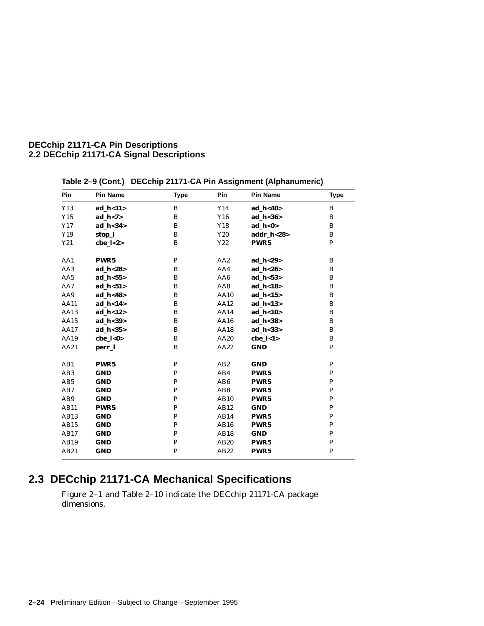| Pin             | <b>Pin Name</b>  | <b>Type</b>  | Pin             | <b>Pin Name</b>  | <b>Type</b>  |
|-----------------|------------------|--------------|-----------------|------------------|--------------|
| Y13             | $ad_h < 11$      | B            | Y14             | ad_h<40>         | B            |
| Y15             | ad $h < 7$       | B            | Y16             | ad $h < 36$      | B            |
| Y17             | $ad_h <34>$      | B            | Y18             | ad $h < 0$       | B            |
| Y19             | stop_l           | B            | Y20             | addr_h<28>       | B            |
| Y21             | $che_l <2>$      | B            | Y22             | PWR5             | P            |
| AA1             | PWR5             | $\mathbf{P}$ | AA <sub>2</sub> | ad_h<29>         | B            |
| AA3             | ad $h < 28$      | B            | AA4             | ad $h < 26$      | B            |
| AA5             | ad $h < 55$      | B            | AA6             | ad $h < 53$      | B            |
| AA7             | ad $h < 51$      | B            | AA8             | ad $h < 18$      | B            |
| AA9             | ad $h < 48$      | B            | <b>AA10</b>     | ad $h < 15$      | B            |
| <b>AA11</b>     | ad_h<14>         | B            | AA12            | ad_h<13>         | B            |
| AA13            | ad $h < 12$      | B            | AA14            | ad $h < 10$      | B            |
| AA15            | ad_h<39>         | B            | AA16            | ad_h<38>         | B            |
| AA17            | $ad_h <35>$      | B            | AA18            | ad_h<33>         | B            |
| AA19            | cbe_l<0>         | B            | AA20            | $che_l < 1>$     | B            |
| AA21            | perr_l           | B            | AA22            | <b>GND</b>       | P            |
| AB1             | PWR <sub>5</sub> | P            | AB2             | <b>GND</b>       | P            |
| AB <sub>3</sub> | <b>GND</b>       | $\mathbf{P}$ | AB4             | PWR5             | P            |
| AB5             | <b>GND</b>       | P            | AB <sub>6</sub> | PWR5             | P            |
| AB7             | <b>GND</b>       | P            | AB <sub>8</sub> | PWR <sub>5</sub> | $\mathbf{P}$ |
| AB9             | <b>GND</b>       | $\mathbf{P}$ | AB10            | PWR <sub>5</sub> | $\mathbf{P}$ |
| AB11            | PWR5             | $\mathbf{P}$ | AB12            | <b>GND</b>       | $\mathbf{P}$ |
| AB13            | <b>GND</b>       | $\mathbf{P}$ | AB14            | PWR5             | $\mathbf{P}$ |
| AB15            | <b>GND</b>       | P            | <b>AB16</b>     | PWR5             | P            |
| AB17            | <b>GND</b>       | $\mathbf{P}$ | <b>AB18</b>     | <b>GND</b>       | $\mathbf{P}$ |
| AB19            | <b>GND</b>       | $\mathbf P$  | AB20            | PWR5             | $\, {\bf P}$ |
| AB21            | <b>GND</b>       | $\mathbf{P}$ | AB22            | PWR <sub>5</sub> | $\mathbf{P}$ |

**Table 2–9 (Cont.) DECchip 21171-CA Pin Assignment (Alphanumeric)**

# **2.3 DECchip 21171-CA Mechanical Specifications**

Figure 2–1 and Table 2–10 indicate the DECchip 21171-CA package dimensions.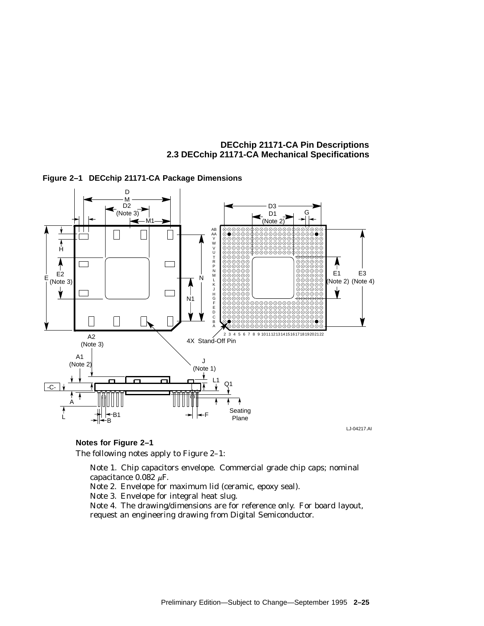**DECchip 21171-CA Pin Descriptions 2.3 DECchip 21171-CA Mechanical Specifications**



### **Figure 2–1 DECchip 21171-CA Package Dimensions**

LJ-04217.AI

**Notes for Figure 2–1**

The following notes apply to Figure 2–1:

Note 1. Chip capacitors envelope. Commercial grade chip caps; nominal capacitance 0.082  $\mu$ F.

Note 2. Envelope for maximum lid (ceramic, epoxy seal).

Note 3. Envelope for integral heat slug.

Note 4. The drawing/dimensions are for reference only. For board layout, request an engineering drawing from Digital Semiconductor.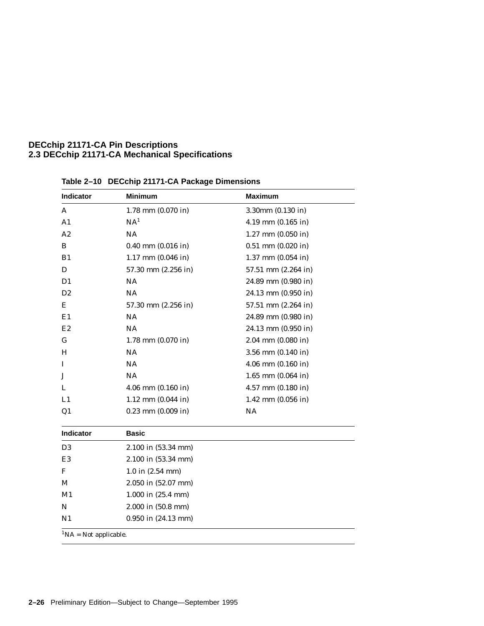### **DECchip 21171-CA Pin Descriptions 2.3 DECchip 21171-CA Mechanical Specifications**

| Indicator      | <b>Minimum</b>         | <b>Maximum</b>         |
|----------------|------------------------|------------------------|
| A              | $1.78$ mm $(0.070$ in) | 3.30mm (0.130 in)      |
| A1             | NA <sup>1</sup>        | $4.19$ mm $(0.165$ in) |
| A2             | <b>NA</b>              | $1.27$ mm $(0.050$ in) |
| B              | $0.40$ mm $(0.016$ in) | $0.51$ mm $(0.020$ in) |
| B <sub>1</sub> | $1.17$ mm $(0.046$ in) | $1.37$ mm $(0.054$ in) |
| D              | 57.30 mm (2.256 in)    | 57.51 mm (2.264 in)    |
| D <sub>1</sub> | NA                     | 24.89 mm (0.980 in)    |
| D <sub>2</sub> | NA                     | 24.13 mm (0.950 in)    |
| Е              | 57.30 mm (2.256 in)    | 57.51 mm (2.264 in)    |
| E1             | NA                     | 24.89 mm (0.980 in)    |
| E <sub>2</sub> | NA                     | 24.13 mm (0.950 in)    |
| G              | $1.78$ mm $(0.070$ in) | $2.04$ mm $(0.080$ in) |
| H              | NA                     | $3.56$ mm $(0.140$ in) |
| I              | NA                     | $4.06$ mm $(0.160$ in) |
| J              | NA                     | $1.65$ mm $(0.064$ in) |
| L              | $4.06$ mm $(0.160$ in) | $4.57$ mm $(0.180$ in) |
| L1             | $1.12$ mm $(0.044$ in) | $1.42$ mm $(0.056$ in) |
| Q1             | $0.23$ mm $(0.009$ in) | NA                     |
| Indicator      | <b>Basic</b>           |                        |
| D3             | 2.100 in (53.34 mm)    |                        |
| E3             | 2.100 in (53.34 mm)    |                        |
| F              | $1.0$ in $(2.54$ mm)   |                        |
| М              | 2.050 in (52.07 mm)    |                        |
| M1             | $1.000$ in $(25.4$ mm) |                        |
|                | 2.000 in (50.8 mm)     |                        |
| N              |                        |                        |

**Table 2–10 DECchip 21171-CA Package Dimensions**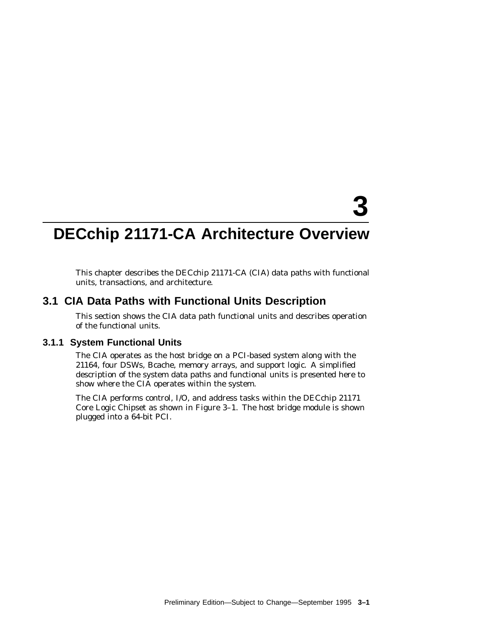# **3**

# **DECchip 21171-CA Architecture Overview**

This chapter describes the DECchip 21171-CA (CIA) data paths with functional units, transactions, and architecture.

# **3.1 CIA Data Paths with Functional Units Description**

This section shows the CIA data path functional units and describes operation of the functional units.

### **3.1.1 System Functional Units**

The CIA operates as the host bridge on a PCI-based system along with the 21164, four DSWs, Bcache, memory arrays, and support logic. A simplified description of the system data paths and functional units is presented here to show where the CIA operates within the system.

The CIA performs control, I/O, and address tasks within the DECchip 21171 Core Logic Chipset as shown in Figure 3–1. The host bridge module is shown plugged into a 64-bit PCI.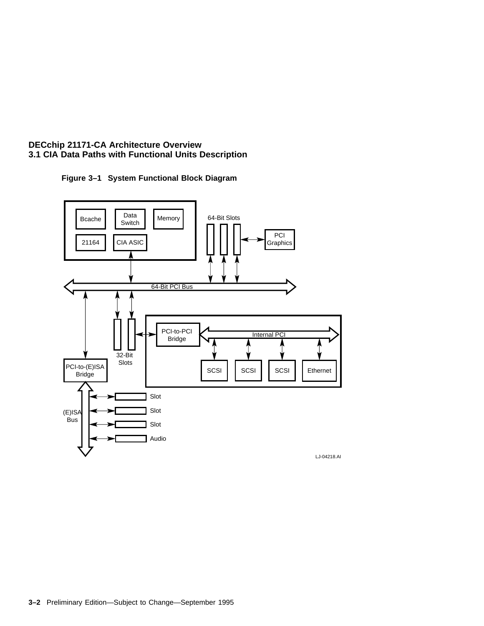

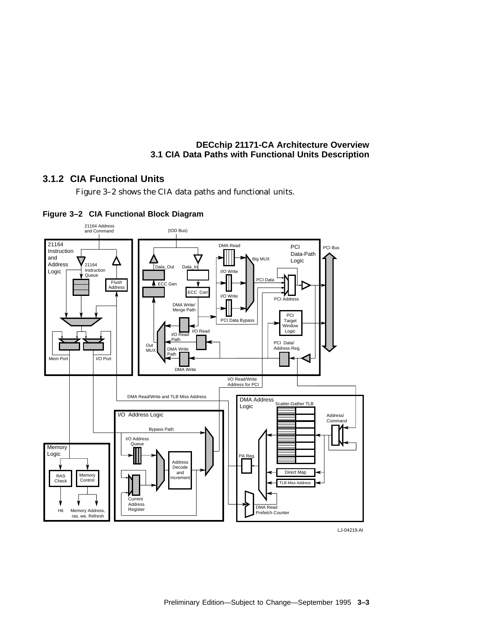# **3.1.2 CIA Functional Units**

Figure 3–2 shows the CIA data paths and functional units.





LJ-04219.AI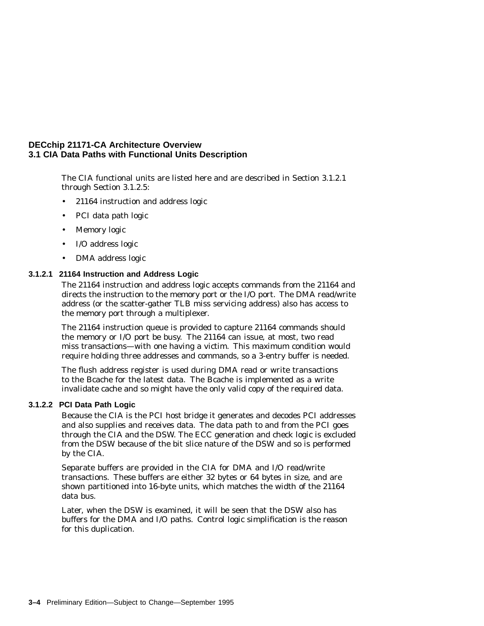The CIA functional units are listed here and are described in Section 3.1.2.1 through Section 3.1.2.5:

- 21164 instruction and address logic
- PCI data path logic
- Memory logic
- I/O address logic
- DMA address logic

### **3.1.2.1 21164 Instruction and Address Logic**

The 21164 instruction and address logic accepts commands from the 21164 and directs the instruction to the memory port or the I/O port. The DMA read/write address (or the scatter-gather TLB miss servicing address) also has access to the memory port through a multiplexer.

The 21164 instruction queue is provided to capture 21164 commands should the memory or I/O port be busy. The 21164 can issue, at most, two read miss transactions—with one having a victim. This maximum condition would require holding three addresses and commands, so a 3-entry buffer is needed.

The flush address register is used during DMA read or write transactions to the Bcache for the latest data. The Bcache is implemented as a write invalidate cache and so might have the only valid copy of the required data.

### **3.1.2.2 PCI Data Path Logic**

Because the CIA is the PCI host bridge it generates and decodes PCI addresses and also supplies and receives data. The data path to and from the PCI goes through the CIA and the DSW. The ECC generation and check logic is excluded from the DSW because of the bit slice nature of the DSW and so is performed by the CIA.

Separate buffers are provided in the CIA for DMA and I/O read/write transactions. These buffers are either 32 bytes or 64 bytes in size, and are shown partitioned into 16-byte units, which matches the width of the 21164 data bus.

Later, when the DSW is examined, it will be seen that the DSW also has buffers for the DMA and I/O paths. Control logic simplification is the reason for this duplication.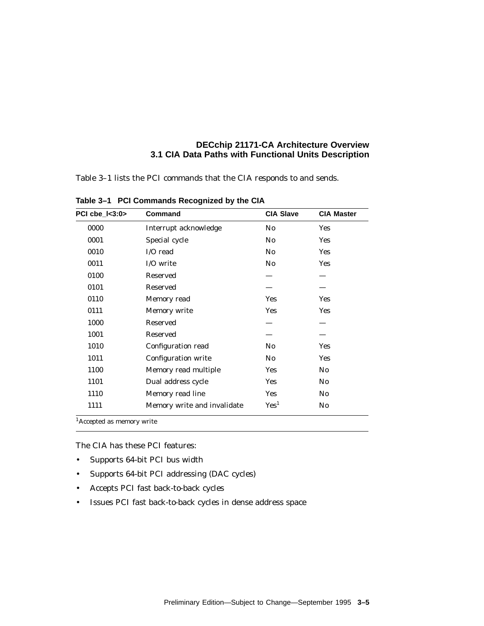Table 3–1 lists the PCI commands that the CIA responds to and sends.

| PCI cbe_l<3:0> | Command                     | <b>CIA Slave</b> |                |
|----------------|-----------------------------|------------------|----------------|
| 0000           | Interrupt acknowledge       |                  | <b>Yes</b>     |
| 0001           | Special cycle               | No.              | <b>Yes</b>     |
| 0010           | I/O read                    | N <sub>0</sub>   | <b>Yes</b>     |
| 0011           | I/O write                   | No.              | <b>Yes</b>     |
| 0100           | Reserved                    |                  |                |
| 0101           | Reserved                    |                  |                |
| 0110           | Memory read                 | <b>Yes</b>       | Yes            |
| 0111           | Memory write                | <b>Yes</b>       | Yes            |
| 1000           | Reserved                    |                  |                |
| 1001           | Reserved                    |                  |                |
| 1010           | Configuration read          | No.              | Yes            |
| 1011           | <b>Configuration write</b>  | No               | Yes            |
| 1100           | Memory read multiple        | <b>Yes</b>       | No             |
| 1101           | Dual address cycle          | <b>Yes</b>       | N <sub>0</sub> |
| 1110           | Memory read line            | <b>Yes</b>       | No.            |
| 1111           | Memory write and invalidate | Yes <sup>1</sup> | No.            |

**Table 3–1 PCI Commands Recognized by the CIA**

1Accepted as memory write

The CIA has these PCI features:

- Supports 64-bit PCI bus width
- Supports 64-bit PCI addressing (DAC cycles)
- Accepts PCI fast back-to-back cycles
- Issues PCI fast back-to-back cycles in dense address space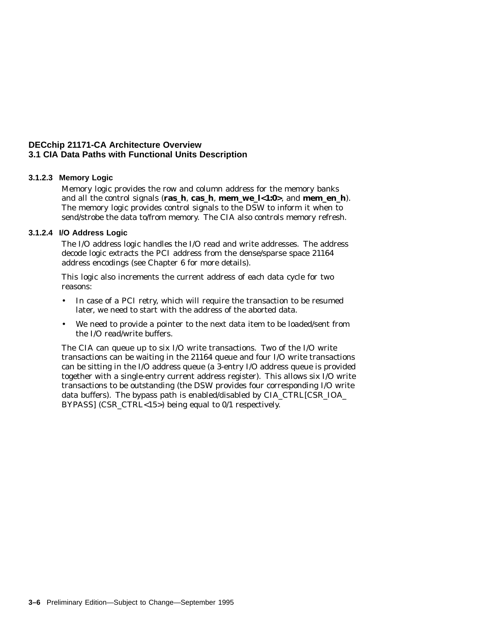### **3.1.2.3 Memory Logic**

Memory logic provides the row and column address for the memory banks and all the control signals (**ras\_h**, **cas\_h**, **mem\_we\_l<1:0>**, and **mem\_en\_h**). The memory logic provides control signals to the DSW to inform it when to send/strobe the data to/from memory. The CIA also controls memory refresh.

### **3.1.2.4 I/O Address Logic**

The I/O address logic handles the I/O read and write addresses. The address decode logic extracts the PCI address from the dense/sparse space 21164 address encodings (see Chapter 6 for more details).

This logic also increments the current address of each data cycle for two reasons:

- In case of a PCI retry, which will require the transaction to be resumed later, we need to start with the address of the aborted data.
- We need to provide a pointer to the next data item to be loaded/sent from the I/O read/write buffers.

The CIA can queue up to six I/O write transactions. Two of the I/O write transactions can be waiting in the 21164 queue and four I/O write transactions can be sitting in the I/O address queue (a 3-entry I/O address queue is provided together with a single-entry current address register). This allows six I/O write transactions to be outstanding (the DSW provides four corresponding I/O write data buffers). The bypass path is enabled/disabled by CIA\_CTRL[CSR\_IOA\_ BYPASS] (CSR\_CTRL<15>) being equal to 0/1 respectively.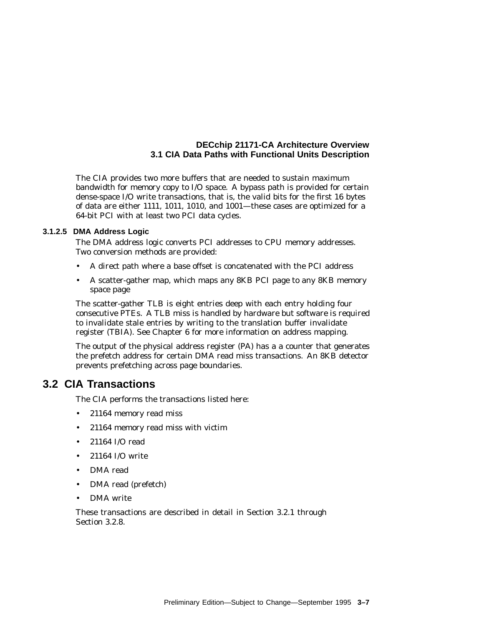The CIA provides two more buffers that are needed to sustain maximum bandwidth for memory copy to I/O space. A bypass path is provided for certain dense-space I/O write transactions, that is, the valid bits for the first 16 bytes of data are either 1111, 1011, 1010, and 1001—these cases are optimized for a 64-bit PCI with at least two PCI data cycles.

### **3.1.2.5 DMA Address Logic**

The DMA address logic converts PCI addresses to CPU memory addresses. Two conversion methods are provided:

- A direct path where a base offset is concatenated with the PCI address
- A scatter-gather map, which maps any 8KB PCI page to any 8KB memory space page

The scatter-gather TLB is eight entries deep with each entry holding four consecutive PTEs. A TLB miss is handled by hardware but software is required to invalidate stale entries by writing to the translation buffer invalidate register (TBIA). See Chapter 6 for more information on address mapping.

The output of the physical address register (PA) has a a counter that generates the prefetch address for certain DMA read miss transactions. An 8KB detector prevents prefetching across page boundaries.

# **3.2 CIA Transactions**

The CIA performs the transactions listed here:

- 21164 memory read miss
- 21164 memory read miss with victim
- 21164 I/O read
- 21164 I/O write
- DMA read
- DMA read (prefetch)
- DMA write

These transactions are described in detail in Section 3.2.1 through Section 3.2.8.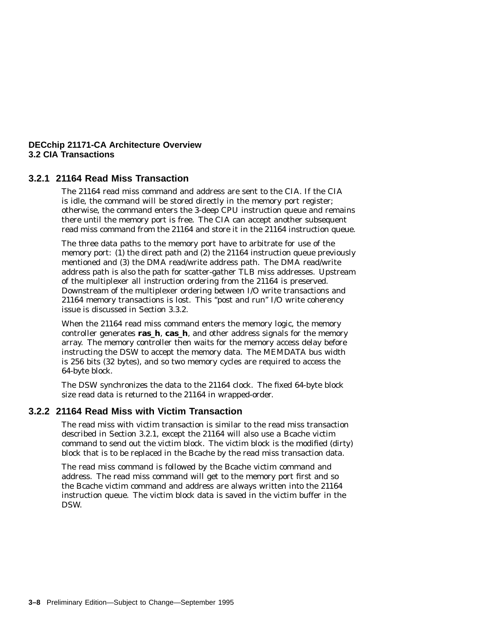### **3.2.1 21164 Read Miss Transaction**

The 21164 read miss command and address are sent to the CIA. If the CIA is idle, the command will be stored directly in the memory port register; otherwise, the command enters the 3-deep CPU instruction queue and remains there until the memory port is free. The CIA can accept another subsequent read miss command from the 21164 and store it in the 21164 instruction queue.

The three data paths to the memory port have to arbitrate for use of the memory port: (1) the direct path and (2) the 21164 instruction queue previously mentioned and (3) the DMA read/write address path. The DMA read/write address path is also the path for scatter-gather TLB miss addresses. Upstream of the multiplexer all instruction ordering from the 21164 is preserved. Downstream of the multiplexer ordering between I/O write transactions and 21164 memory transactions is lost. This ''post and run'' I/O write coherency issue is discussed in Section 3.3.2.

When the 21164 read miss command enters the memory logic, the memory controller generates **ras\_h**, **cas\_h**, and other address signals for the memory array. The memory controller then waits for the memory access delay before instructing the DSW to accept the memory data. The MEMDATA bus width is 256 bits (32 bytes), and so two memory cycles are required to access the 64-byte block.

The DSW synchronizes the data to the 21164 clock. The fixed 64-byte block size read data is returned to the 21164 in wrapped-order.

### **3.2.2 21164 Read Miss with Victim Transaction**

The read miss with victim transaction is similar to the read miss transaction described in Section 3.2.1, except the 21164 will also use a Bcache victim command to send out the victim block. The victim block is the modified (dirty) block that is to be replaced in the Bcache by the read miss transaction data.

The read miss command is followed by the Bcache victim command and address. The read miss command will get to the memory port first and so the Bcache victim command and address are always written into the 21164 instruction queue. The victim block data is saved in the victim buffer in the DSW.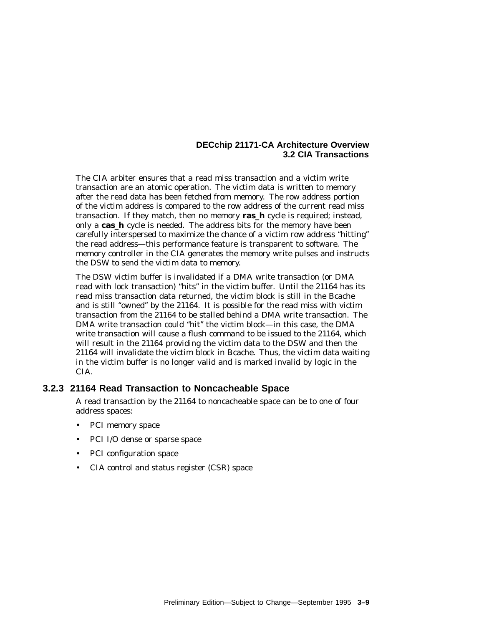The CIA arbiter ensures that a read miss transaction and a victim write transaction are an atomic operation. The victim data is written to memory after the read data has been fetched from memory. The row address portion of the victim address is compared to the row address of the current read miss transaction. If they match, then no memory **ras\_h** cycle is required; instead, only a **cas\_h** cycle is needed. The address bits for the memory have been carefully interspersed to maximize the chance of a victim row address ''hitting'' the read address—this performance feature is transparent to software. The memory controller in the CIA generates the memory write pulses and instructs the DSW to send the victim data to memory.

The DSW victim buffer is invalidated if a DMA write transaction (or DMA read with lock transaction) ''hits'' in the victim buffer. Until the 21164 has its read miss transaction data returned, the victim block is still in the Bcache and is still ''owned'' by the 21164. It is possible for the read miss with victim transaction from the 21164 to be stalled behind a DMA write transaction. The DMA write transaction could ''hit'' the victim block—in this case, the DMA write transaction will cause a flush command to be issued to the 21164, which will result in the 21164 providing the victim data to the DSW and then the 21164 will invalidate the victim block in Bcache. Thus, the victim data waiting in the victim buffer is no longer valid and is marked invalid by logic in the CIA.

### **3.2.3 21164 Read Transaction to Noncacheable Space**

A read transaction by the 21164 to noncacheable space can be to one of four address spaces:

- PCI memory space
- PCI I/O dense or sparse space
- PCI configuration space
- CIA control and status register (CSR) space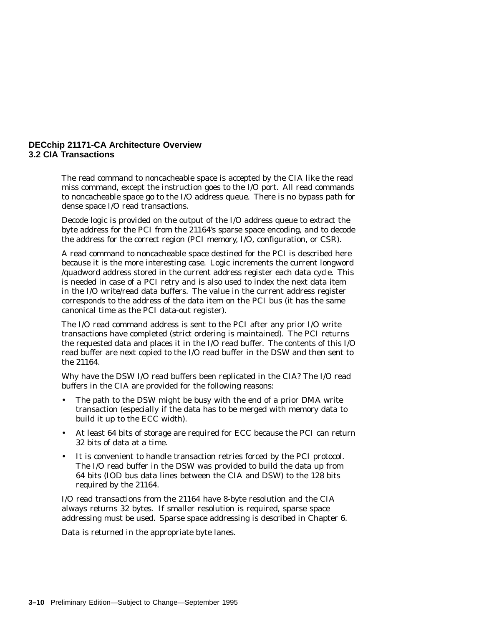The read command to noncacheable space is accepted by the CIA like the read miss command, except the instruction goes to the I/O port. All read commands to noncacheable space go to the I/O address queue. There is no bypass path for dense space I/O read transactions.

Decode logic is provided on the output of the I/O address queue to extract the byte address for the PCI from the 21164's sparse space encoding, and to decode the address for the correct region (PCI memory, I/O, configuration, or CSR).

A read command to noncacheable space destined for the PCI is described here because it is the more interesting case. Logic increments the current longword /quadword address stored in the current address register each data cycle. This is needed in case of a PCI retry and is also used to index the next data item in the I/O write/read data buffers. The value in the current address register corresponds to the address of the data item on the PCI bus (it has the same canonical time as the PCI data-out register).

The I/O read command address is sent to the PCI after any prior I/O write transactions have completed (strict ordering is maintained). The PCI returns the requested data and places it in the I/O read buffer. The contents of this I/O read buffer are next copied to the I/O read buffer in the DSW and then sent to the 21164.

Why have the DSW I/O read buffers been replicated in the CIA? The I/O read buffers in the CIA are provided for the following reasons:

- The path to the DSW might be busy with the end of a prior DMA write transaction (especially if the data has to be merged with memory data to build it up to the ECC width).
- At least 64 bits of storage are required for ECC because the PCI can return 32 bits of data at a time.
- It is convenient to handle transaction retries forced by the PCI protocol. The I/O read buffer in the DSW was provided to build the data up from 64 bits (IOD bus data lines between the CIA and DSW) to the 128 bits required by the 21164.

I/O read transactions from the 21164 have 8-byte resolution and the CIA always returns 32 bytes. If smaller resolution is required, sparse space addressing must be used. Sparse space addressing is described in Chapter 6.

Data is returned in the appropriate byte lanes.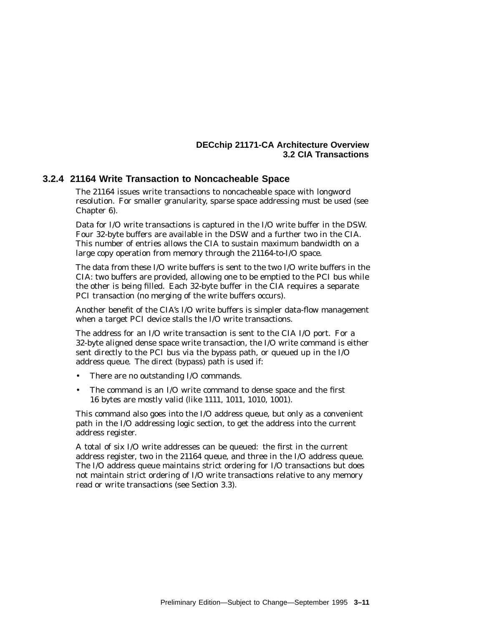### **3.2.4 21164 Write Transaction to Noncacheable Space**

The 21164 issues write transactions to noncacheable space with longword resolution. For smaller granularity, sparse space addressing must be used (see Chapter 6).

Data for I/O write transactions is captured in the I/O write buffer in the DSW. Four 32-byte buffers are available in the DSW and a further two in the CIA. This number of entries allows the CIA to sustain maximum bandwidth on a large copy operation from memory through the 21164-to-I/O space.

The data from these I/O write buffers is sent to the two I/O write buffers in the CIA: two buffers are provided, allowing one to be emptied to the PCI bus while the other is being filled. Each 32-byte buffer in the CIA requires a separate PCI transaction (no merging of the write buffers occurs).

Another benefit of the CIA's I/O write buffers is simpler data-flow management when a target PCI device stalls the I/O write transactions.

The address for an I/O write transaction is sent to the CIA I/O port. For a 32-byte aligned dense space write transaction, the I/O write command is either sent directly to the PCI bus via the bypass path, or queued up in the I/O address queue. The direct (bypass) path is used if:

- There are no outstanding I/O commands.
- The command is an I/O write command to dense space and the first 16 bytes are mostly valid (like 1111, 1011, 1010, 1001).

This command also goes into the I/O address queue, but only as a convenient path in the I/O addressing logic section, to get the address into the current address register.

A total of six I/O write addresses can be queued: the first in the current address register, two in the 21164 queue, and three in the I/O address queue. The I/O address queue maintains strict ordering for I/O transactions but does not maintain strict ordering of I/O write transactions relative to any memory read or write transactions (see Section 3.3).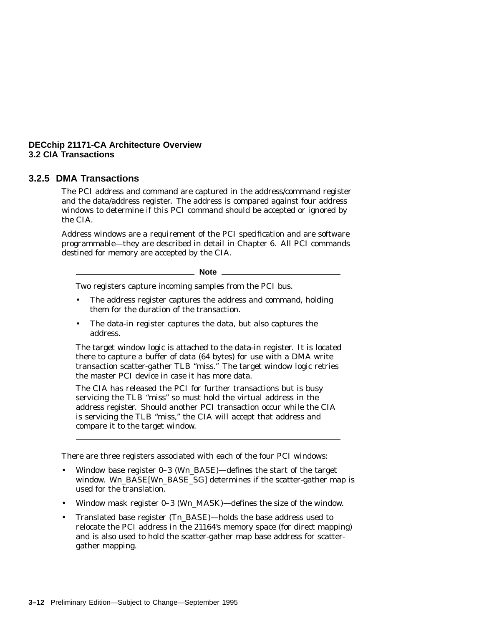### **3.2.5 DMA Transactions**

The PCI address and command are captured in the address/command register and the data/address register. The address is compared against four address windows to determine if this PCI command should be accepted or ignored by the CIA.

Address windows are a requirement of the PCI specification and are software programmable—they are described in detail in Chapter 6. All PCI commands destined for memory are accepted by the CIA.

**Note**

Two registers capture incoming samples from the PCI bus.

- The address register captures the address and command, holding them for the duration of the transaction.
- The data-in register captures the data, but also captures the address.

The target window logic is attached to the data-in register. It is located there to capture a buffer of data (64 bytes) for use with a DMA write transaction scatter-gather TLB ''miss.'' The target window logic retries the master PCI device in case it has more data.

The CIA has released the PCI for further transactions but is busy servicing the TLB ''miss'' so must hold the virtual address in the address register. Should another PCI transaction occur while the CIA is servicing the TLB ''miss,'' the CIA will accept that address and compare it to the target window.

There are three registers associated with each of the four PCI windows:

- Window base register 0–3 (W*n*\_BASE)—defines the start of the target window. Wn BASE[Wn BASE\_SG] determines if the scatter-gather map is used for the translation.
- Window mask register 0–3 (W*n*\_MASK)—defines the size of the window.
- Translated base register (T*n*\_BASE)—holds the base address used to relocate the PCI address in the 21164's memory space (for direct mapping) and is also used to hold the scatter-gather map base address for scattergather mapping.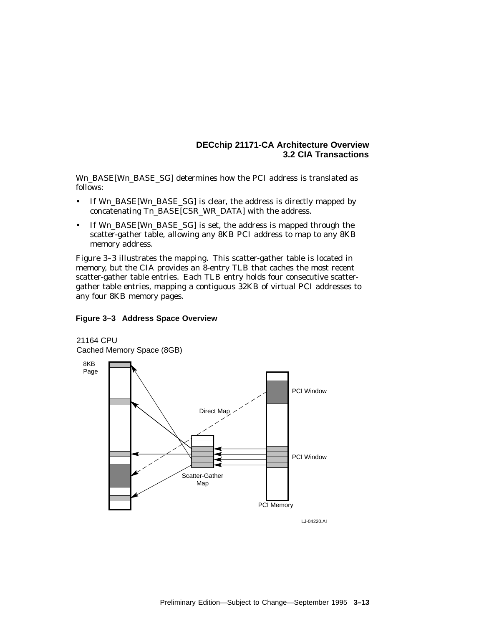W*n*\_BASE[W*n*\_BASE\_SG] determines how the PCI address is translated as follows:

- If W*n*\_BASE[W*n*\_BASE\_SG] is clear, the address is directly mapped by concatenating T*n*\_BASE[CSR\_WR\_DATA] with the address.
- If W*n*\_BASE[W*n*\_BASE\_SG] is set, the address is mapped through the scatter-gather table, allowing any 8KB PCI address to map to any 8KB memory address.

Figure 3–3 illustrates the mapping. This scatter-gather table is located in memory, but the CIA provides an 8-entry TLB that caches the most recent scatter-gather table entries. Each TLB entry holds four consecutive scattergather table entries, mapping a contiguous 32KB of virtual PCI addresses to any four 8KB memory pages.

### **Figure 3–3 Address Space Overview**



LJ-04220.AI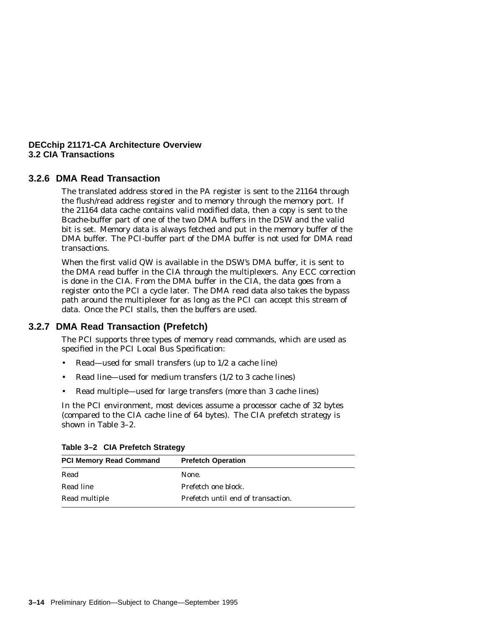### **3.2.6 DMA Read Transaction**

The translated address stored in the PA register is sent to the 21164 through the flush/read address register and to memory through the memory port. If the 21164 data cache contains valid modified data, then a copy is sent to the Bcache-buffer part of one of the two DMA buffers in the DSW and the valid bit is set. Memory data is always fetched and put in the memory buffer of the DMA buffer. The PCI-buffer part of the DMA buffer is not used for DMA read transactions.

When the first valid QW is available in the DSW's DMA buffer, it is sent to the DMA read buffer in the CIA through the multiplexers. Any ECC correction is done in the CIA. From the DMA buffer in the CIA, the data goes from a register onto the PCI a cycle later. The DMA read data also takes the bypass path around the multiplexer for as long as the PCI can accept this stream of data. Once the PCI stalls, then the buffers are used.

### **3.2.7 DMA Read Transaction (Prefetch)**

The PCI supports three types of memory read commands, which are used as specified in the *PCI Local Bus Specification*:

- Read—used for small transfers (up to 1/2 a cache line)
- Read line—used for medium transfers (1/2 to 3 cache lines)
- Read multiple—used for large transfers (more than 3 cache lines)

In the PCI environment, most devices assume a processor cache of 32 bytes (compared to the CIA cache line of 64 bytes). The CIA prefetch strategy is shown in Table 3–2.

| <b>PCI Memory Read Command</b> | <b>Prefetch Operation</b>          |  |  |
|--------------------------------|------------------------------------|--|--|
| Read                           | None.                              |  |  |
| Read line                      | Prefetch one block.                |  |  |
| Read multiple                  | Prefetch until end of transaction. |  |  |

|  | Table 3-2 CIA Prefetch Strategy |  |
|--|---------------------------------|--|
|--|---------------------------------|--|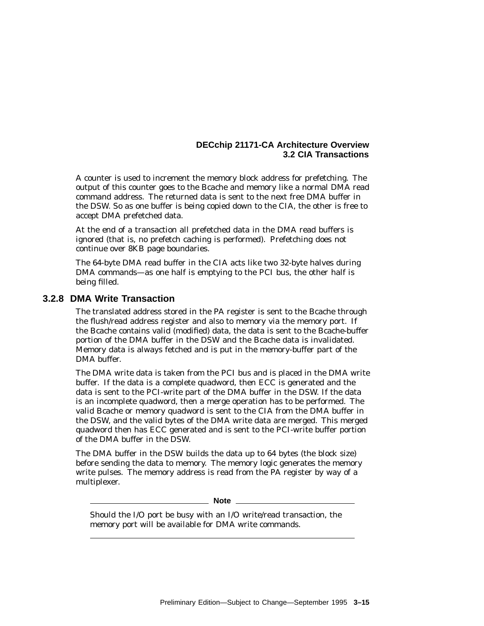A counter is used to increment the memory block address for prefetching. The output of this counter goes to the Bcache and memory like a normal DMA read command address. The returned data is sent to the next free DMA buffer in the DSW. So as one buffer is being copied down to the CIA, the other is free to accept DMA prefetched data.

At the end of a transaction all prefetched data in the DMA read buffers is ignored (that is, no prefetch caching is performed). Prefetching does not continue over 8KB page boundaries.

The 64-byte DMA read buffer in the CIA acts like two 32-byte halves during DMA commands—as one half is emptying to the PCI bus, the other half is being filled.

### **3.2.8 DMA Write Transaction**

The translated address stored in the PA register is sent to the Bcache through the flush/read address register and also to memory via the memory port. If the Bcache contains valid (modified) data, the data is sent to the Bcache-buffer portion of the DMA buffer in the DSW and the Bcache data is invalidated. Memory data is always fetched and is put in the memory-buffer part of the DMA buffer.

The DMA write data is taken from the PCI bus and is placed in the DMA write buffer. If the data is a complete quadword, then ECC is generated and the data is sent to the PCI-write part of the DMA buffer in the DSW. If the data is an incomplete quadword, then a merge operation has to be performed. The valid Bcache or memory quadword is sent to the CIA from the DMA buffer in the DSW, and the valid bytes of the DMA write data are merged. This merged quadword then has ECC generated and is sent to the PCI-write buffer portion of the DMA buffer in the DSW.

The DMA buffer in the DSW builds the data up to 64 bytes (the block size) before sending the data to memory. The memory logic generates the memory write pulses. The memory address is read from the PA register by way of a multiplexer.

**Note**

Should the I/O port be busy with an I/O write/read transaction, the memory port will be available for DMA write commands.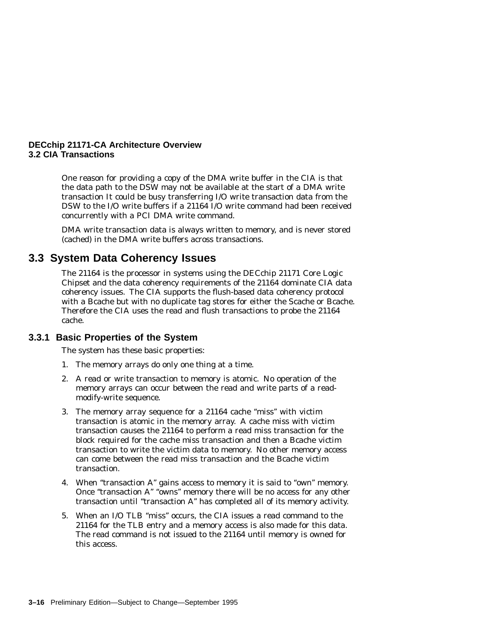One reason for providing a copy of the DMA write buffer in the CIA is that the data path to the DSW may not be available at the start of a DMA write transaction It could be busy transferring I/O write transaction data from the DSW to the I/O write buffers if a 21164 I/O write command had been received concurrently with a PCI DMA write command.

DMA write transaction data is always written to memory, and is never stored (cached) in the DMA write buffers across transactions.

# **3.3 System Data Coherency Issues**

The 21164 is the processor in systems using the DECchip 21171 Core Logic Chipset and the data coherency requirements of the 21164 dominate CIA data coherency issues. The CIA supports the flush-based data coherency protocol with a Bcache but with no duplicate tag stores for either the Scache or Bcache. Therefore the CIA uses the read and flush transactions to probe the 21164 cache.

### **3.3.1 Basic Properties of the System**

The system has these basic properties:

- 1. The memory arrays do only one thing at a time.
- 2. A read or write transaction to memory is atomic. No operation of the memory arrays can occur between the read and write parts of a readmodify-write sequence.
- 3. The memory array sequence for a 21164 cache ''miss'' with victim transaction is atomic in the memory array. A cache miss with victim transaction causes the 21164 to perform a read miss transaction for the block required for the cache miss transaction and then a Bcache victim transaction to write the victim data to memory. No other memory access can come between the read miss transaction and the Bcache victim transaction.
- 4. When "transaction A" gains access to memory it is said to "own" memory. Once "transaction A" "owns" memory there will be no access for any other transaction until ''transaction A'' has completed all of its memory activity.
- 5. When an I/O TLB ''miss'' occurs, the CIA issues a read command to the 21164 for the TLB entry and a memory access is also made for this data. The read command is not issued to the 21164 until memory is owned for this access.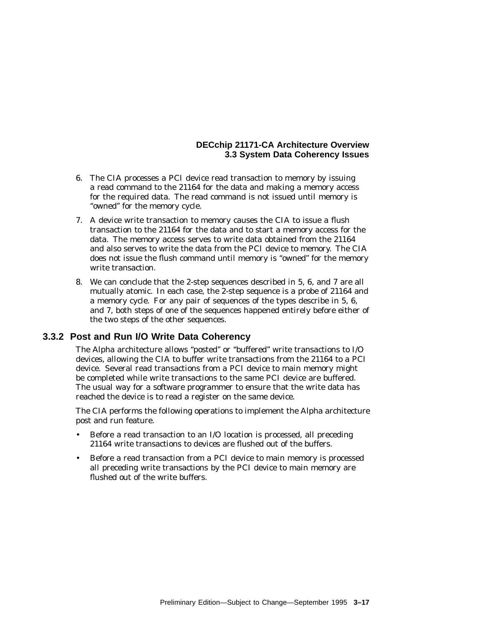### **DECchip 21171-CA Architecture Overview 3.3 System Data Coherency Issues**

- 6. The CIA processes a PCI device read transaction to memory by issuing a read command to the 21164 for the data and making a memory access for the required data. The read command is not issued until memory is "owned" for the memory cycle.
- 7. A device write transaction to memory causes the CIA to issue a flush transaction to the 21164 for the data and to start a memory access for the data. The memory access serves to write data obtained from the 21164 and also serves to write the data from the PCI device to memory. The CIA does not issue the flush command until memory is ''owned'' for the memory write transaction.
- 8. We can conclude that the 2-step sequences described in 5, 6, and 7 are all mutually atomic. In each case, the 2-step sequence is a probe of 21164 and a memory cycle. For any pair of sequences of the types describe in 5, 6, and 7, both steps of one of the sequences happened entirely before either of the two steps of the other sequences.

### **3.3.2 Post and Run I/O Write Data Coherency**

The Alpha architecture allows ''posted'' or ''buffered'' write transactions to I/O devices, allowing the CIA to buffer write transactions from the 21164 to a PCI device. Several read transactions from a PCI device to main memory might be completed while write transactions to the same PCI device are buffered. The usual way for a software programmer to ensure that the write data has reached the device is to read a register on the same device.

The CIA performs the following operations to implement the Alpha architecture post and run feature.

- Before a read transaction to an I/O location is processed, all preceding 21164 write transactions to devices are flushed out of the buffers.
- Before a read transaction from a PCI device to main memory is processed all preceding write transactions by the PCI device to main memory are flushed out of the write buffers.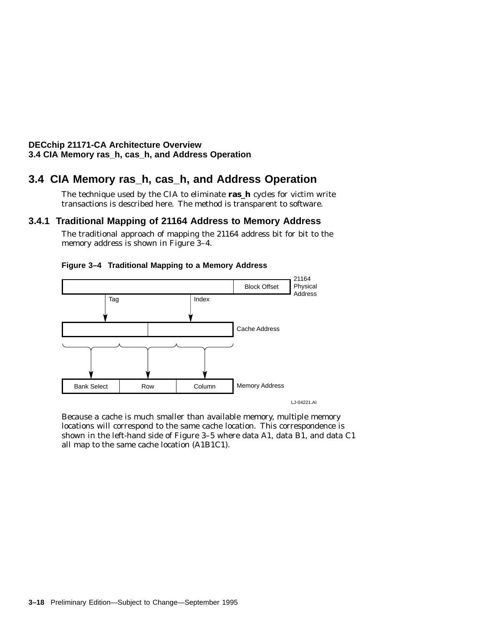### **DECchip 21171-CA Architecture Overview 3.4 CIA Memory ras\_h, cas\_h, and Address Operation**

# **3.4 CIA Memory ras\_h, cas\_h, and Address Operation**

The technique used by the CIA to eliminate **ras\_h** cycles for victim write transactions is described here. The method is transparent to software.

## **3.4.1 Traditional Mapping of 21164 Address to Memory Address**

The traditional approach of mapping the 21164 address bit for bit to the memory address is shown in Figure 3-4.



### **Figure 3–4 Traditional Mapping to a Memory Address**

Because a cache is much smaller than available memory, multiple memory locations will correspond to the same cache location. This correspondence is shown in the left-hand side of Figure 3–5 where data A1, data B1, and data C1 all map to the same cache location (A1B1C1).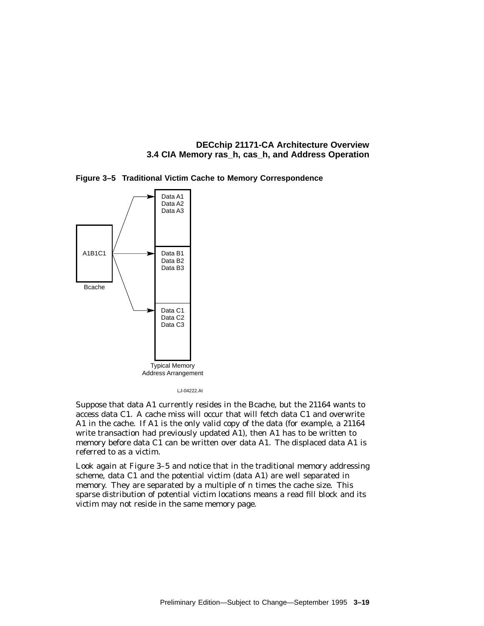





LJ-04222.AI

Suppose that data A1 currently resides in the Bcache, but the 21164 wants to access data C1. A cache miss will occur that will fetch data C1 and overwrite A1 in the cache. If A1 is the only valid copy of the data (for example, a 21164 write transaction had previously updated A1), then A1 has to be written to memory before data C1 can be written over data A1. The displaced data A1 is referred to as a victim.

Look again at Figure 3–5 and notice that in the traditional memory addressing scheme, data C1 and the potential victim (data A1) are well separated in memory. They are separated by a multiple of *n* times the cache size. This sparse distribution of potential victim locations means a read fill block and its victim may not reside in the same memory page.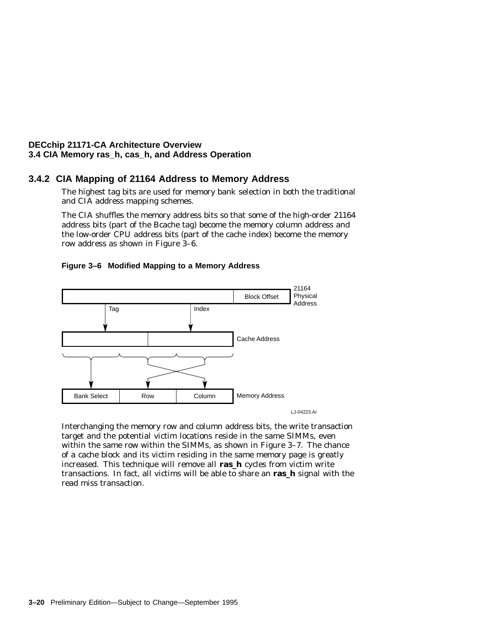#### **3.4.2 CIA Mapping of 21164 Address to Memory Address**

The highest tag bits are used for memory bank selection in both the traditional and CIA address mapping schemes.

The CIA shuffles the memory address bits so that some of the high-order 21164 address bits (part of the Bcache tag) become the memory column address and the low-order CPU address bits (part of the cache index) become the memory row address as shown in Figure 3–6.



#### **Figure 3–6 Modified Mapping to a Memory Address**

Interchanging the memory row and column address bits, the write transaction target and the potential victim locations reside in the same SIMMs, even within the same row within the SIMMs, as shown in Figure 3–7. The chance of a cache block and its victim residing in the same memory page is greatly increased. This technique will remove all **ras\_h** cycles from victim write transactions. In fact, all victims will be able to share an **ras\_h** signal with the read miss transaction.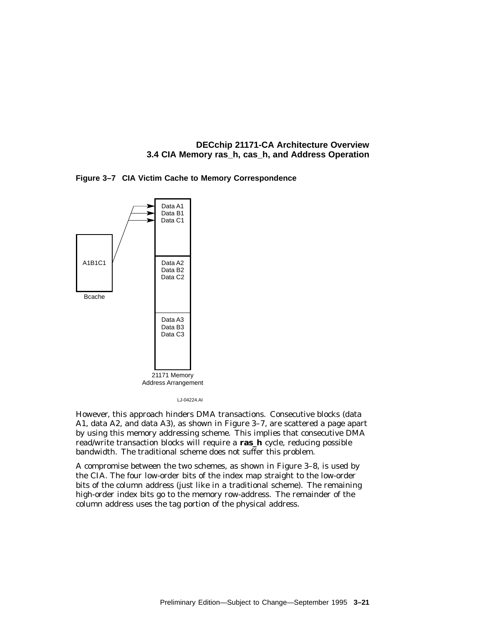



LJ-04224.AI

However, this approach hinders DMA transactions. Consecutive blocks (data A1, data A2, and data A3), as shown in Figure 3–7, are scattered a page apart by using this memory addressing scheme. This implies that consecutive DMA read/write transaction blocks will require a **ras\_h** cycle, reducing possible bandwidth. The traditional scheme does not suffer this problem.

A compromise between the two schemes, as shown in Figure 3–8, is used by the CIA. The four low-order bits of the index map straight to the low-order bits of the column address (just like in a traditional scheme). The remaining high-order index bits go to the memory row-address. The remainder of the column address uses the tag portion of the physical address.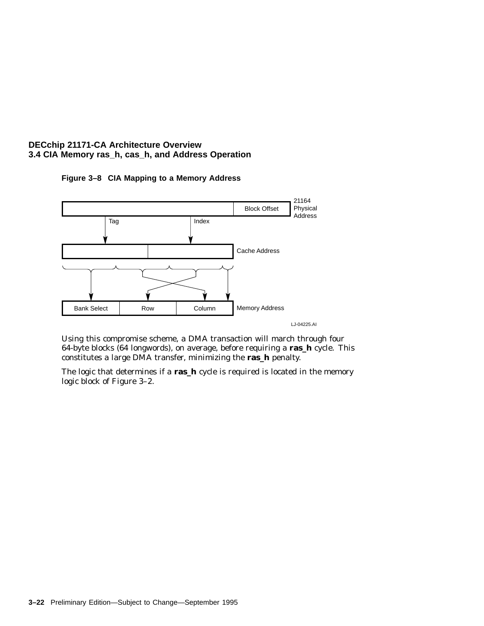

**Figure 3–8 CIA Mapping to a Memory Address**

LJ-04225.AI

Using this compromise scheme, a DMA transaction will march through four 64-byte blocks (64 longwords), on average, before requiring a **ras\_h** cycle. This constitutes a large DMA transfer, minimizing the **ras\_h** penalty.

The logic that determines if a **ras\_h** cycle is required is located in the memory logic block of Figure 3–2.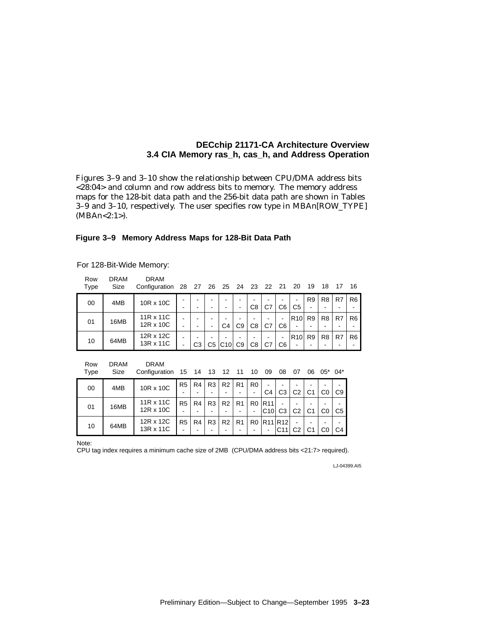Figures 3–9 and 3–10 show the relationship between CPU/DMA address bits <28:04> and column and row address bits to memory. The memory address maps for the 128-bit data path and the 256-bit data path are shown in Tables 3–9 and 3–10, respectively. The user specifies row type in MBA*n*[ROW\_TYPE] (MBA*n*<2:1>).

#### **Figure 3–9 Memory Address Maps for 128-Bit Data Path**

| Row<br><b>Type</b> | <b>DRAM</b><br>Size | <b>DRAM</b><br>Configuration 28 27 |        |                |                | 26 25 24 23 22 21 |                     |    |    |                                | - 20                                        | 19                  | 18             | -17 | 16             |
|--------------------|---------------------|------------------------------------|--------|----------------|----------------|-------------------|---------------------|----|----|--------------------------------|---------------------------------------------|---------------------|----------------|-----|----------------|
| 00                 | 4MB                 | 10R x 10C                          | -      | -              |                |                   | ۰                   | C8 | C7 | C <sub>6</sub>                 | $\blacksquare$<br>C <sub>5</sub>            | R <sub>9</sub><br>- | R <sub>8</sub> | R7  | R <sub>6</sub> |
| 01                 | 16MB                | 11R x 11C<br>12R x 10C             | ٠<br>٠ | -<br>-         | -              | C <sub>4</sub>    | C <sub>9</sub>      | C8 | C7 | $\overline{\phantom{a}}$<br>C6 | R <sub>10</sub><br>$\blacksquare$           | R <sub>9</sub>      | R <sub>8</sub> | R7  | R <sub>6</sub> |
| 10                 | 64MB                | 12R x 12C<br>13R x 11C             | ٠<br>۰ | C <sub>3</sub> | C <sub>5</sub> | C10               | -<br>C <sub>9</sub> | C8 | C7 | $\overline{\phantom{0}}$<br>C6 | R <sub>10</sub><br>$\overline{\phantom{0}}$ | R <sub>9</sub>      | R <sub>8</sub> | R7  | R <sub>6</sub> |

#### For 128-Bit-Wide Memory:

| Row<br>Type | <b>DRAM</b><br>Size | <b>DRAM</b><br>Configuration 15 14 13 12 11 |                |    |                |    |                | 10             | 09                               | 08                                             | 07             | 06 | $05^*$ 04* |                |
|-------------|---------------------|---------------------------------------------|----------------|----|----------------|----|----------------|----------------|----------------------------------|------------------------------------------------|----------------|----|------------|----------------|
| 00          | 4MB                 | 10R x 10C                                   | R <sub>5</sub> | R4 | R3             | R2 | R <sub>1</sub> | R <sub>0</sub> | ٠                                |                                                |                |    |            |                |
|             |                     |                                             |                |    |                |    |                |                | C4                               | C <sub>3</sub>                                 | C <sub>2</sub> | C1 | C0         | C <sub>9</sub> |
|             | 16MB                | 11R x 11C                                   | R <sub>5</sub> | R4 | R3             | R2 | R <sub>1</sub> |                | R <sub>0</sub>   R <sub>11</sub> |                                                |                |    |            |                |
| 01          |                     | 12R x 10C                                   |                |    |                |    |                | ۰              | C10                              | C <sub>3</sub>                                 | C2             | C1 | C0         | C <sub>5</sub> |
|             |                     | 12R x 12C                                   | R <sub>5</sub> | R4 | R <sub>3</sub> | R2 | R1             |                |                                  | R <sub>0</sub> R <sub>11</sub> R <sub>12</sub> |                |    |            |                |
| 10          | 64MB                | 13R x 11C                                   |                |    |                |    |                |                | ۰                                | C <sub>11</sub>                                | C2             |    |            | C4             |

Note:

CPU tag index requires a minimum cache size of 2MB (CPU/DMA address bits <21:7> required).

LJ-04399.AI5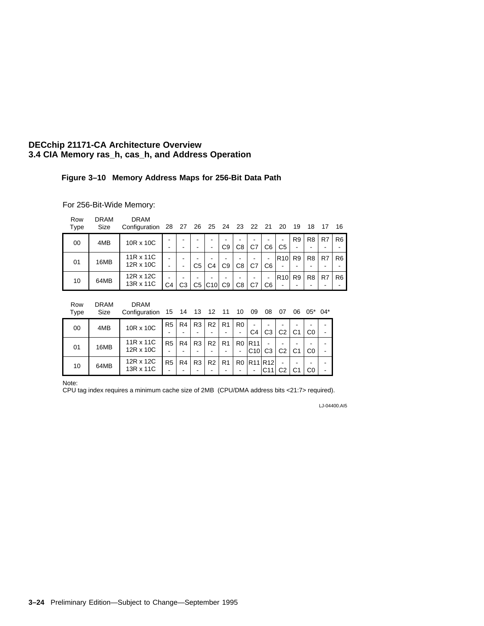#### **Figure 3–10 Memory Address Maps for 256-Bit Data Path**

For 256-Bit-Wide Memory:

| Row<br>Type | <b>DRAM</b><br>Size | <b>DRAM</b><br>Configuration 28 27 26 25 24 23 22 21 |           |    |                          |     |                |                                |                          |                | -20                              | 19             | 18             | 17             | 16             |                |
|-------------|---------------------|------------------------------------------------------|-----------|----|--------------------------|-----|----------------|--------------------------------|--------------------------|----------------|----------------------------------|----------------|----------------|----------------|----------------|----------------|
| 00          | 4MB                 | 10R x 10C                                            | -         |    | $\overline{\phantom{0}}$ |     | C9             | $\overline{\phantom{0}}$<br>C8 | $\,$<br>C7               | C6             | $\blacksquare$<br>C <sub>5</sub> | R <sub>9</sub> | R <sub>8</sub> | R7             | R <sub>6</sub> |                |
|             |                     |                                                      |           |    |                          |     |                |                                |                          |                |                                  |                |                |                |                |                |
| 01          | 16MB                | 11R x 11C                                            |           |    |                          |     |                | $\overline{\phantom{0}}$       | $\,$                     | ۰              | R10                              | R <sub>9</sub> | R <sub>8</sub> | R7             | R <sub>6</sub> |                |
|             |                     | $12R \times 10C$                                     |           | -  | C <sub>5</sub>           | C4  | C <sub>9</sub> | C8                             | C7                       | C <sub>6</sub> |                                  |                |                |                |                |                |
| 10          | 64MB                |                                                      | 12R x 12C |    |                          |     |                |                                | $\overline{\phantom{0}}$ | $\,$           | ۰                                | R10            | R <sub>9</sub> | R <sub>8</sub> | R7             | R <sub>6</sub> |
|             |                     | 13R x 11C                                            | C4        | CЗ | C5                       | C10 | C <sub>9</sub> | C8                             | C7                       | C6             |                                  |                |                |                |                |                |

| Row | DRAM | <b>DRAM</b> |
|-----|------|-------------|
|     |      |             |

| Type | Size | Configuration 15 14 13 12 11 10 09 08 07 06 05* 04*                                                                                       |  |            |   |                                                                                                                        |  |          |  |
|------|------|-------------------------------------------------------------------------------------------------------------------------------------------|--|------------|---|------------------------------------------------------------------------------------------------------------------------|--|----------|--|
| - 00 | 4MB  | 10R x 10C                                                                                                                                 |  |            | . | $\lceil R5 \rceil R4 \rceil R3 \rceil R2 \rceil R1 \rceil R0 \rceil - \rceil - \rceil - \rceil$<br>$ CA C3 C2 C1 C0$ . |  |          |  |
| 01   | 16MB | 11R x 11C   R5   R4   R3   R2   R1   R0   R11   -   -<br>$12R \times 10C$   $\vert \vert \vert \vert \vert \vert \vert \vert \vert \vert$ |  | $\sim$ $-$ |   | -   -  C10  C3   C2   C1                                                                                               |  | $ CO $ - |  |

- R3 -

- R2 -

- R1 -

- R0 -

 $|C10|$ R11 R12 -

C3

C2 - C2

C1 - C1

C0 - C0

- - -

C11

- R5 -

- R4 -

12R x 12C

10 64MB  $\begin{array}{|c|c|c|c|c|c|}\n12R \times 12C & 13R \times 11C\n\end{array}$ 

Note: CPU tag index requires a minimum cache size of 2MB (CPU/DMA address bits <21:7> required).

LJ-04400.AI5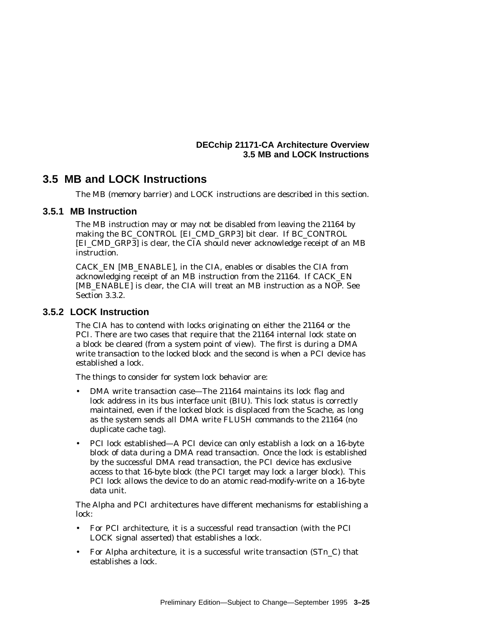#### **DECchip 21171-CA Architecture Overview 3.5 MB and LOCK Instructions**

## **3.5 MB and LOCK Instructions**

The MB (memory barrier) and LOCK instructions are described in this section.

#### **3.5.1 MB Instruction**

The MB instruction may or may not be disabled from leaving the 21164 by making the BC\_CONTROL [EI\_CMD\_GRP3] bit clear. If BC\_CONTROL [EI\_CMD\_GRP3] is clear, the CIA should never acknowledge receipt of an MB instruction.

CACK\_EN [MB\_ENABLE], in the CIA, enables or disables the CIA from acknowledging receipt of an MB instruction from the 21164. If CACK\_EN [MB\_ENABLE] is clear, the CIA will treat an MB instruction as a NOP. See Section 3.3.2.

#### **3.5.2 LOCK Instruction**

The CIA has to contend with locks originating on either the 21164 or the PCI. There are two cases that require that the 21164 internal lock state on a block be cleared (from a system point of view). The first is during a DMA write transaction to the locked block and the second is when a PCI device has established a lock.

The things to consider for system lock behavior are:

- DMA write transaction case—The 21164 maintains its lock flag and lock address in its bus interface unit (BIU). This lock status is correctly maintained, even if the locked block is displaced from the Scache, as long as the system sends all DMA write FLUSH commands to the 21164 (no duplicate cache tag).
- PCI lock established—A PCI device can only establish a lock on a 16-byte block of data during a DMA read transaction. Once the lock is established by the successful DMA read transaction, the PCI device has exclusive access to that 16-byte block (the PCI target may lock a larger block). This PCI lock allows the device to do an atomic read-modify-write on a 16-byte data unit.

The Alpha and PCI architectures have different mechanisms for establishing a lock:

- For PCI architecture, it is a successful read transaction (with the PCI LOCK signal asserted) that establishes a lock.
- For Alpha architecture, it is a successful write transaction (ST*n*\_C) that establishes a lock.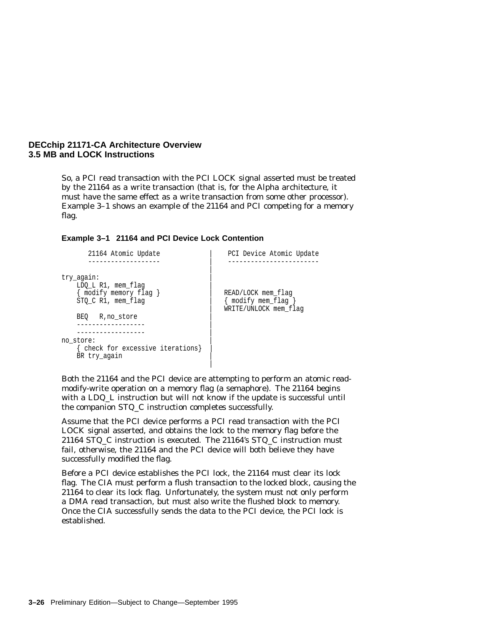#### **DECchip 21171-CA Architecture Overview 3.5 MB and LOCK Instructions**

So, a PCI read transaction with the PCI LOCK signal asserted must be treated by the 21164 as a write transaction (that is, for the Alpha architecture, it must have the same effect as a write transaction from some other processor). Example 3–1 shows an example of the 21164 and PCI competing for a memory flag.

#### **Example 3–1 21164 and PCI Device Lock Contention**

| 21164 Atomic Update                                                              | PCI Device Atomic Update                                         |
|----------------------------------------------------------------------------------|------------------------------------------------------------------|
| try_again:<br>LDO L R1, mem flag<br>{ modify memory flag }<br>STO C R1, mem flag | READ/LOCK mem flag<br>modify mem flag  <br>WRITE/UNLOCK mem flag |
| BEO.<br>R,no store<br>no store:                                                  |                                                                  |
| check for excessive iterations}<br>BR try again                                  |                                                                  |

Both the 21164 and the PCI device are attempting to perform an atomic readmodify-write operation on a memory flag (a semaphore). The 21164 begins with a LDQ\_L instruction but will not know if the update is successful until the companion STQ\_C instruction completes successfully.

Assume that the PCI device performs a PCI read transaction with the PCI LOCK signal asserted, and obtains the lock to the memory flag before the 21164 STQ\_C instruction is executed. The 21164's STQ\_C instruction must fail, otherwise, the 21164 and the PCI device will both believe they have successfully modified the flag.

Before a PCI device establishes the PCI lock, the 21164 must clear its lock flag. The CIA must perform a flush transaction to the locked block, causing the 21164 to clear its lock flag. Unfortunately, the system must not only perform a DMA read transaction, but must also write the flushed block to memory. Once the CIA successfully sends the data to the PCI device, the PCI lock is established.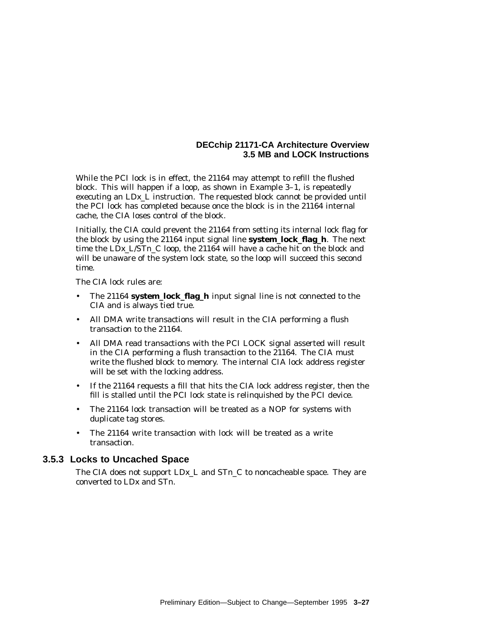#### **DECchip 21171-CA Architecture Overview 3.5 MB and LOCK Instructions**

While the PCI lock is in effect, the 21164 may attempt to refill the flushed block. This will happen if a loop, as shown in Example 3–1, is repeatedly executing an LD*x*\_L instruction. The requested block cannot be provided until the PCI lock has completed because once the block is in the 21164 internal cache, the CIA loses control of the block.

Initially, the CIA could prevent the 21164 from setting its internal lock flag for the block by using the 21164 input signal line **system\_lock\_flag\_h**. The next time the LD*x*\_L/ST*n*\_C loop, the 21164 will have a cache hit on the block and will be unaware of the system lock state, so the loop will succeed this second time.

The CIA lock rules are:

- The 21164 **system\_lock\_flag\_h** input signal line is not connected to the CIA and is always tied true.
- All DMA write transactions will result in the CIA performing a flush transaction to the 21164.
- All DMA read transactions with the PCI LOCK signal asserted will result in the CIA performing a flush transaction to the 21164. The CIA must write the flushed block to memory. The internal CIA lock address register will be set with the locking address.
- If the 21164 requests a fill that hits the CIA lock address register, then the fill is stalled until the PCI lock state is relinquished by the PCI device.
- The 21164 lock transaction will be treated as a NOP for systems with duplicate tag stores.
- The 21164 write transaction with lock will be treated as a write transaction.

#### **3.5.3 Locks to Uncached Space**

The CIA does not support LD*x*\_L and ST*n*\_C to noncacheable space. They are converted to LD*x* and ST*n*.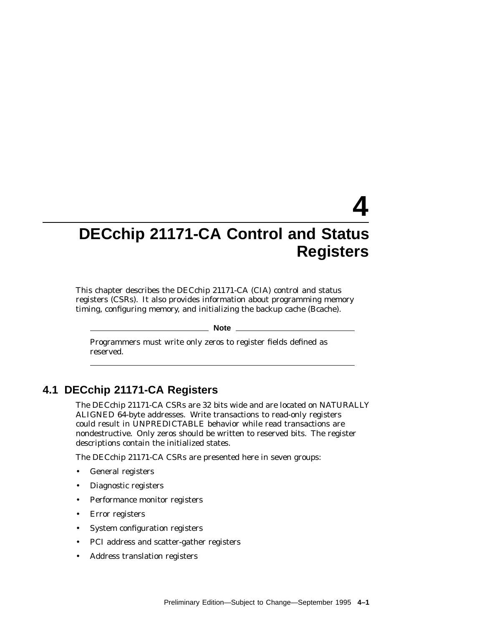# **4**

## **DECchip 21171-CA Control and Status Registers**

This chapter describes the DECchip 21171-CA (CIA) control and status registers (CSRs). It also provides information about programming memory timing, configuring memory, and initializing the backup cache (Bcache).

**Note**

Programmers must write only zeros to register fields defined as reserved.

## **4.1 DECchip 21171-CA Registers**

The DECchip 21171-CA CSRs are 32 bits wide and are located on NATURALLY ALIGNED 64-byte addresses. Write transactions to read-only registers could result in UNPREDICTABLE behavior while read transactions are nondestructive. Only zeros should be written to reserved bits. The register descriptions contain the initialized states.

The DECchip 21171-CA CSRs are presented here in seven groups:

- General registers
- Diagnostic registers
- Performance monitor registers
- Error registers
- System configuration registers
- PCI address and scatter-gather registers
- Address translation registers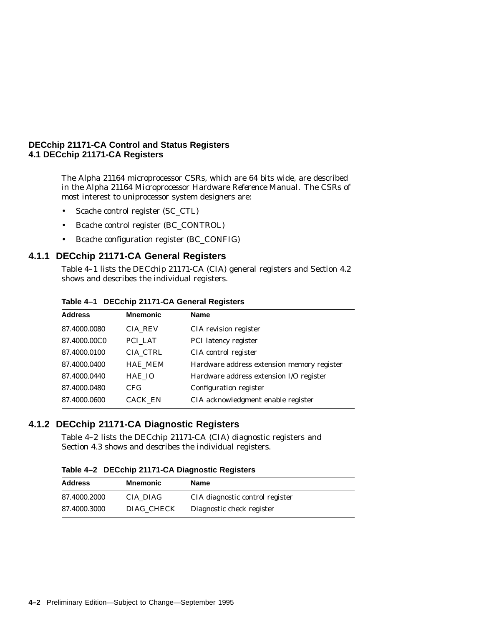The Alpha 21164 microprocessor CSRs, which are 64 bits wide, are described in the *Alpha 21164 Microprocessor Hardware Reference Manual*. The CSRs of most interest to uniprocessor system designers are:

- Scache control register (SC\_CTL)
- Bcache control register (BC\_CONTROL)
- Bcache configuration register (BC\_CONFIG)

#### **4.1.1 DECchip 21171-CA General Registers**

Table 4–1 lists the DECchip 21171-CA (CIA) general registers and Section 4.2 shows and describes the individual registers.

| Table 4-1 DECchip 21171-CA General Registers |  |  |  |  |  |
|----------------------------------------------|--|--|--|--|--|
|----------------------------------------------|--|--|--|--|--|

| <b>Address</b> | <b>Mnemonic</b> | <b>Name</b>                                |
|----------------|-----------------|--------------------------------------------|
| 87.4000.0080   | <b>CIA REV</b>  | CIA revision register                      |
| 87.4000.00C0   | PCI LAT         | PCI latency register                       |
| 87.4000.0100   | CIA CTRL        | CIA control register                       |
| 87.4000.0400   | <b>HAE MEM</b>  | Hardware address extension memory register |
| 87.4000.0440   | HAE IO          | Hardware address extension I/O register    |
| 87.4000.0480   | CFG.            | Configuration register                     |
| 87.4000.0600   | <b>CACK EN</b>  | CIA acknowledgment enable register         |

#### **4.1.2 DECchip 21171-CA Diagnostic Registers**

Table 4–2 lists the DECchip 21171-CA (CIA) diagnostic registers and Section 4.3 shows and describes the individual registers.

**Table 4–2 DECchip 21171-CA Diagnostic Registers**

| <b>Address</b> | <b>Mnemonic</b> | Name                            |
|----------------|-----------------|---------------------------------|
| 87.4000.2000   | CIA DIAG        | CIA diagnostic control register |
| 87.4000.3000   | DIAG CHECK      | Diagnostic check register       |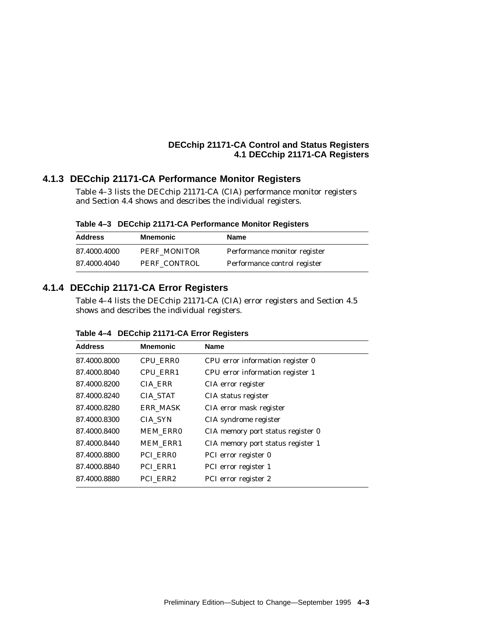#### **4.1.3 DECchip 21171-CA Performance Monitor Registers**

Table 4–3 lists the DECchip 21171-CA (CIA) performance monitor registers and Section 4.4 shows and describes the individual registers.

**Table 4–3 DECchip 21171-CA Performance Monitor Registers**

| <b>Address</b> | Mnemonic     | Name                         |
|----------------|--------------|------------------------------|
| 87.4000.4000   | PERF MONITOR | Performance monitor register |
| 87.4000.4040   | PERF CONTROL | Performance control register |

## **4.1.4 DECchip 21171-CA Error Registers**

Table 4–4 lists the DECchip 21171-CA (CIA) error registers and Section 4.5 shows and describes the individual registers.

| <b>Address</b> | <b>Mnemonic</b> | <b>Name</b>                       |
|----------------|-----------------|-----------------------------------|
| 87.4000.8000   | <b>CPU ERR0</b> | CPU error information register 0  |
| 87.4000.8040   | <b>CPU ERR1</b> | CPU error information register 1  |
| 87.4000.8200   | <b>CIA_ERR</b>  | CIA error register                |
| 87.4000.8240   | <b>CIA STAT</b> | CIA status register               |
| 87.4000.8280   | <b>ERR MASK</b> | CIA error mask register           |
| 87.4000.8300   | CIA SYN         | CIA syndrome register             |
| 87.4000.8400   | <b>MEM ERRO</b> | CIA memory port status register 0 |
| 87.4000.8440   | <b>MEM ERR1</b> | CIA memory port status register 1 |
| 87.4000.8800   | PCI ERRO        | PCI error register 0              |
| 87.4000.8840   | PCI_ERR1        | PCI error register 1              |
| 87.4000.8880   | PCI ERR2        | PCI error register 2              |

**Table 4–4 DECchip 21171-CA Error Registers**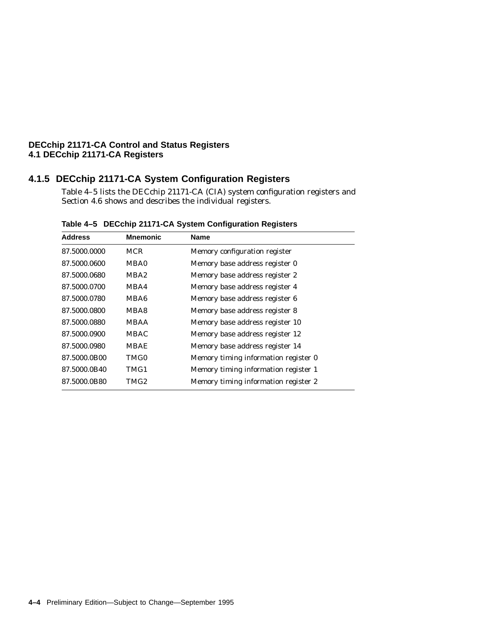## **4.1.5 DECchip 21171-CA System Configuration Registers**

Table 4–5 lists the DECchip 21171-CA (CIA) system configuration registers and Section 4.6 shows and describes the individual registers.

| <b>Mnemonic</b> | <b>Name</b>                          |
|-----------------|--------------------------------------|
| MCR             | Memory configuration register        |
| MBA0            | Memory base address register 0       |
| MBA2            | Memory base address register 2       |
| MBA4            | Memory base address register 4       |
| MBA6            | Memory base address register 6       |
| MBA8            | Memory base address register 8       |
| <b>MBAA</b>     | Memory base address register 10      |
| MBAC            | Memory base address register 12      |
| <b>MBAE</b>     | Memory base address register 14      |
| TMG0            | Memory timing information register 0 |
| TMG1            | Memory timing information register 1 |
| TMG2            | Memory timing information register 2 |
|                 |                                      |

**Table 4–5 DECchip 21171-CA System Configuration Registers**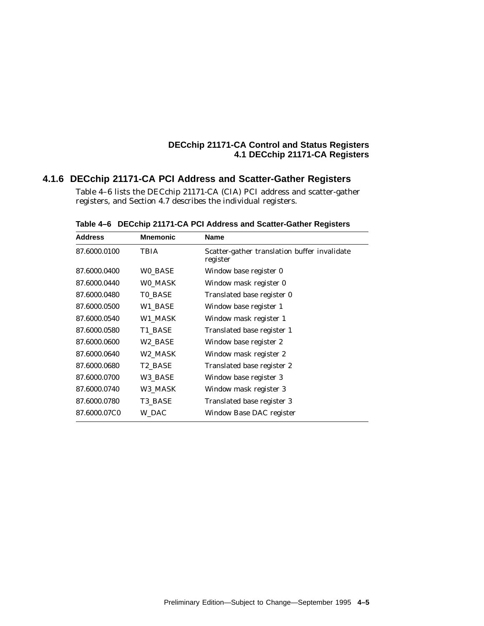#### **4.1.6 DECchip 21171-CA PCI Address and Scatter-Gather Registers**

Table 4–6 lists the DECchip 21171-CA (CIA) PCI address and scatter-gather registers, and Section 4.7 describes the individual registers.

| <b>Address</b> | <b>Mnemonic</b> | Name                                                     |
|----------------|-----------------|----------------------------------------------------------|
| 87.6000.0100   | TBIA            | Scatter-gather translation buffer invalidate<br>register |
| 87.6000.0400   | WO_BASE         | Window base register 0                                   |
| 87.6000.0440   | WO MASK         | Window mask register 0                                   |
| 87.6000.0480   | TO_BASE         | Translated base register 0                               |
| 87.6000.0500   | W1_BASE         | Window base register 1                                   |
| 87.6000.0540   | W1 MASK         | Window mask register 1                                   |
| 87.6000.0580   | T1 BASE         | Translated base register 1                               |
| 87.6000.0600   | W2_BASE         | Window base register 2                                   |
| 87.6000.0640   | W2_MASK         | Window mask register 2                                   |
| 87.6000.0680   | T2_BASE         | Translated base register 2                               |
| 87.6000.0700   | W3_BASE         | Window base register 3                                   |
| 87.6000.0740   | W3_MASK         | Window mask register 3                                   |
| 87.6000.0780   | T3 BASE         | Translated base register 3                               |
| 87.6000.07C0   | W_DAC           | Window Base DAC register                                 |

**Table 4–6 DECchip 21171-CA PCI Address and Scatter-Gather Registers**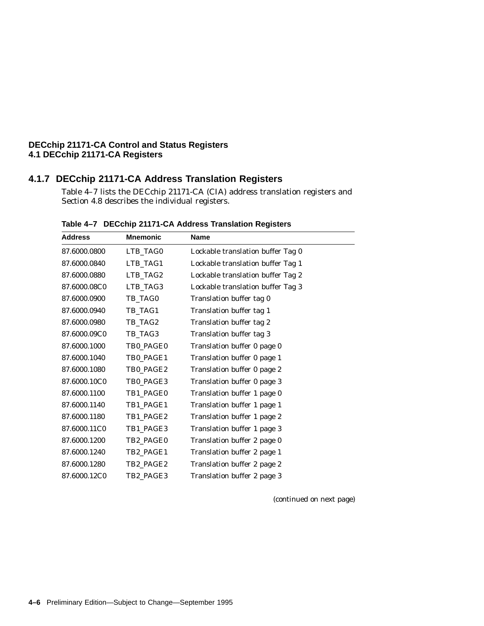## **4.1.7 DECchip 21171-CA Address Translation Registers**

Table 4–7 lists the DECchip 21171-CA (CIA) address translation registers and Section 4.8 describes the individual registers.

| <b>Address</b> | <b>Mnemonic</b> | Name                              |
|----------------|-----------------|-----------------------------------|
| 87.6000.0800   | LTB_TAG0        | Lockable translation buffer Tag 0 |
| 87.6000.0840   | LTB_TAG1        | Lockable translation buffer Tag 1 |
| 87.6000.0880   | LTB_TAG2        | Lockable translation buffer Tag 2 |
| 87.6000.08C0   | LTB_TAG3        | Lockable translation buffer Tag 3 |
| 87.6000.0900   | TB TAG0         | Translation buffer tag 0          |
| 87.6000.0940   | TB_TAG1         | Translation buffer tag 1          |
| 87.6000.0980   | TB_TAG2         | Translation buffer tag 2          |
| 87.6000.09C0   | TB_TAG3         | Translation buffer tag 3          |
| 87.6000.1000   | TB0_PAGE0       | Translation buffer 0 page 0       |
| 87.6000.1040   | TB0 PAGE1       | Translation buffer 0 page 1       |
| 87.6000.1080   | TB0_PAGE2       | Translation buffer 0 page 2       |
| 87.6000.10C0   | TB0_PAGE3       | Translation buffer 0 page 3       |
| 87.6000.1100   | TB1_PAGE0       | Translation buffer 1 page 0       |
| 87.6000.1140   | TB1_PAGE1       | Translation buffer 1 page 1       |
| 87.6000.1180   | TB1_PAGE2       | Translation buffer 1 page 2       |
| 87.6000.11C0   | TB1_PAGE3       | Translation buffer 1 page 3       |
| 87.6000.1200   | TB2 PAGE0       | Translation buffer 2 page 0       |
| 87.6000.1240   | TB2_PAGE1       | Translation buffer 2 page 1       |
| 87.6000.1280   | TB2_PAGE2       | Translation buffer 2 page 2       |
| 87.6000.12C0   | TB2_PAGE3       | Translation buffer 2 page 3       |

**Table 4–7 DECchip 21171-CA Address Translation Registers**

(continued on next page)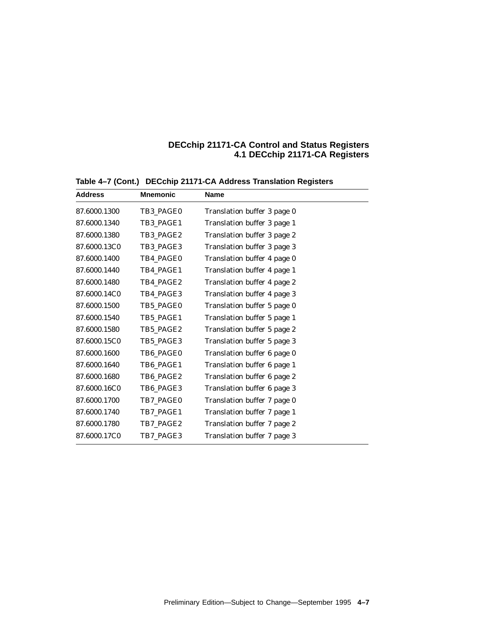| <b>Address</b> | <b>Mnemonic</b> | <b>Name</b>                 |
|----------------|-----------------|-----------------------------|
| 87.6000.1300   | TB3 PAGE0       | Translation buffer 3 page 0 |
| 87.6000.1340   | TB3 PAGE1       | Translation buffer 3 page 1 |
| 87.6000.1380   | TB3 PAGE2       | Translation buffer 3 page 2 |
| 87.6000.13C0   | TB3_PAGE3       | Translation buffer 3 page 3 |
| 87.6000.1400   | TB4 PAGE0       | Translation buffer 4 page 0 |
| 87.6000.1440   | TB4 PAGE1       | Translation buffer 4 page 1 |
| 87.6000.1480   | TB4_PAGE2       | Translation buffer 4 page 2 |
| 87.6000.14C0   | TB4_PAGE3       | Translation buffer 4 page 3 |
| 87.6000.1500   | TB5 PAGE0       | Translation buffer 5 page 0 |
| 87.6000.1540   | TB5 PAGE1       | Translation buffer 5 page 1 |
| 87.6000.1580   | TB5_PAGE2       | Translation buffer 5 page 2 |
| 87.6000.15C0   | TB5 PAGE3       | Translation buffer 5 page 3 |
| 87.6000.1600   | TB6 PAGE0       | Translation buffer 6 page 0 |
| 87.6000.1640   | TB6 PAGE1       | Translation buffer 6 page 1 |
| 87.6000.1680   | TB6_PAGE2       | Translation buffer 6 page 2 |
| 87.6000.16C0   | TB6 PAGE3       | Translation buffer 6 page 3 |
| 87.6000.1700   | TB7 PAGE0       | Translation buffer 7 page 0 |
| 87.6000.1740   | TB7_PAGE1       | Translation buffer 7 page 1 |
| 87.6000.1780   | TB7_PAGE2       | Translation buffer 7 page 2 |
| 87.6000.17C0   | TB7 PAGE3       | Translation buffer 7 page 3 |

**Table 4–7 (Cont.) DECchip 21171-CA Address Translation Registers**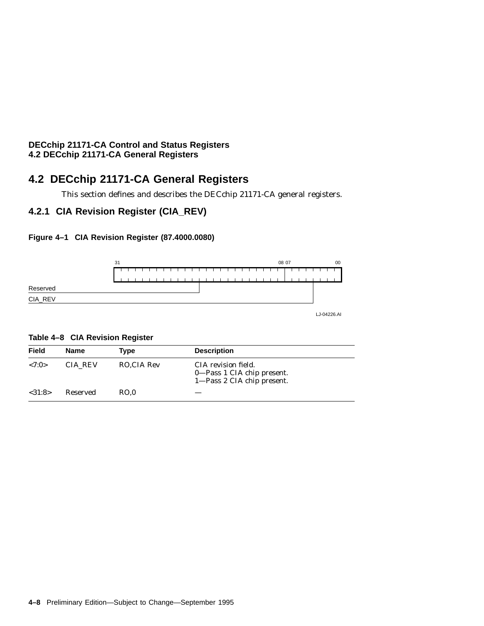## **4.2 DECchip 21171-CA General Registers**

This section defines and describes the DECchip 21171-CA general registers.

## **4.2.1 CIA Revision Register (CIA\_REV)**

#### **Figure 4–1 CIA Revision Register (87.4000.0080)**



LJ-04226.AI

#### **Table 4–8 CIA Revision Register**

| Field   | Name     | Type       | <b>Description</b>                                                              |
|---------|----------|------------|---------------------------------------------------------------------------------|
| < 7:0>  | CIA REV  | RO.CIA Rev | CIA revision field.<br>0—Pass 1 CIA chip present.<br>1—Pass 2 CIA chip present. |
| < 31:8> | Reserved | RO.0       |                                                                                 |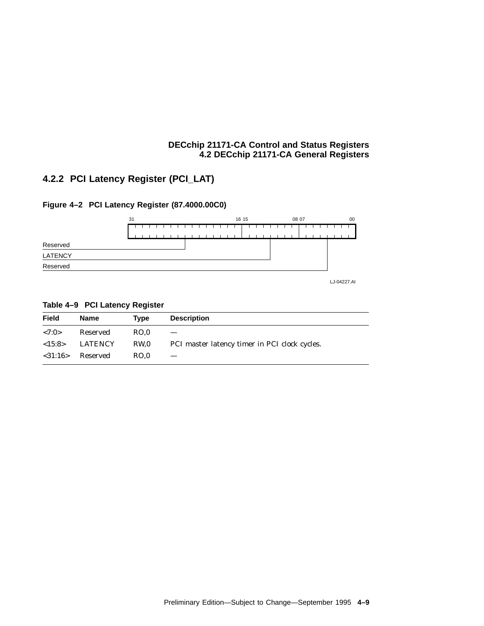## **4.2.2 PCI Latency Register (PCI\_LAT)**

**Figure 4–2 PCI Latency Register (87.4000.00C0)**



## LJ-04227.AI LATENCY Reserved Reserved

| <b>Field</b> | Name     | Type            | <b>Description</b>                            |
|--------------|----------|-----------------|-----------------------------------------------|
| < 7:0>       | Reserved | RO.0            |                                               |
| <15:8>       | LATENCY  | RW <sub>0</sub> | PCI master latency timer in PCI clock cycles. |
| $<$ 31:16>   | Reserved | RO.0            |                                               |

#### **Table 4–9 PCI Latency Register**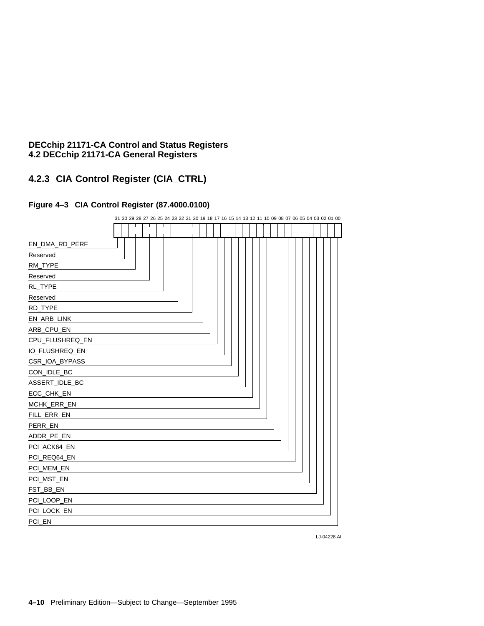## **4.2.3 CIA Control Register (CIA\_CTRL)**

#### **Figure 4–3 CIA Control Register (87.4000.0100)**

|                 |  |  |  | 31 30 29 28 27 26 25 24 23 22 21 20 19 18 17 16 15 14 13 12 11 10 09 08 07 06 05 04 03 02 01 00 |  |  |  |  |  |  |  |  |  |  |  |  |  |  |
|-----------------|--|--|--|-------------------------------------------------------------------------------------------------|--|--|--|--|--|--|--|--|--|--|--|--|--|--|
|                 |  |  |  |                                                                                                 |  |  |  |  |  |  |  |  |  |  |  |  |  |  |
| EN_DMA_RD_PERF  |  |  |  |                                                                                                 |  |  |  |  |  |  |  |  |  |  |  |  |  |  |
| Reserved        |  |  |  |                                                                                                 |  |  |  |  |  |  |  |  |  |  |  |  |  |  |
| RM_TYPE         |  |  |  |                                                                                                 |  |  |  |  |  |  |  |  |  |  |  |  |  |  |
| Reserved        |  |  |  |                                                                                                 |  |  |  |  |  |  |  |  |  |  |  |  |  |  |
| RL_TYPE         |  |  |  |                                                                                                 |  |  |  |  |  |  |  |  |  |  |  |  |  |  |
| Reserved        |  |  |  |                                                                                                 |  |  |  |  |  |  |  |  |  |  |  |  |  |  |
| RD_TYPE         |  |  |  |                                                                                                 |  |  |  |  |  |  |  |  |  |  |  |  |  |  |
| EN_ARB_LINK     |  |  |  |                                                                                                 |  |  |  |  |  |  |  |  |  |  |  |  |  |  |
| ARB_CPU_EN      |  |  |  |                                                                                                 |  |  |  |  |  |  |  |  |  |  |  |  |  |  |
| CPU_FLUSHREQ_EN |  |  |  |                                                                                                 |  |  |  |  |  |  |  |  |  |  |  |  |  |  |
| IO_FLUSHREQ_EN  |  |  |  |                                                                                                 |  |  |  |  |  |  |  |  |  |  |  |  |  |  |
| CSR_IOA_BYPASS  |  |  |  |                                                                                                 |  |  |  |  |  |  |  |  |  |  |  |  |  |  |
| CON_IDLE_BC     |  |  |  |                                                                                                 |  |  |  |  |  |  |  |  |  |  |  |  |  |  |
| ASSERT_IDLE_BC  |  |  |  |                                                                                                 |  |  |  |  |  |  |  |  |  |  |  |  |  |  |
| ECC_CHK_EN      |  |  |  |                                                                                                 |  |  |  |  |  |  |  |  |  |  |  |  |  |  |
| MCHK_ERR_EN     |  |  |  |                                                                                                 |  |  |  |  |  |  |  |  |  |  |  |  |  |  |
| FILL_ERR_EN     |  |  |  |                                                                                                 |  |  |  |  |  |  |  |  |  |  |  |  |  |  |
| PERR_EN         |  |  |  |                                                                                                 |  |  |  |  |  |  |  |  |  |  |  |  |  |  |
| ADDR_PE_EN      |  |  |  |                                                                                                 |  |  |  |  |  |  |  |  |  |  |  |  |  |  |
| PCI_ACK64_EN    |  |  |  |                                                                                                 |  |  |  |  |  |  |  |  |  |  |  |  |  |  |
| PCI_REQ64_EN    |  |  |  |                                                                                                 |  |  |  |  |  |  |  |  |  |  |  |  |  |  |
| PCI_MEM_EN      |  |  |  |                                                                                                 |  |  |  |  |  |  |  |  |  |  |  |  |  |  |
| PCI_MST_EN      |  |  |  |                                                                                                 |  |  |  |  |  |  |  |  |  |  |  |  |  |  |
| FST_BB_EN       |  |  |  |                                                                                                 |  |  |  |  |  |  |  |  |  |  |  |  |  |  |
| PCI_LOOP_EN     |  |  |  |                                                                                                 |  |  |  |  |  |  |  |  |  |  |  |  |  |  |
| PCI_LOCK_EN     |  |  |  |                                                                                                 |  |  |  |  |  |  |  |  |  |  |  |  |  |  |
| PCI_EN          |  |  |  |                                                                                                 |  |  |  |  |  |  |  |  |  |  |  |  |  |  |

LJ-04228.AI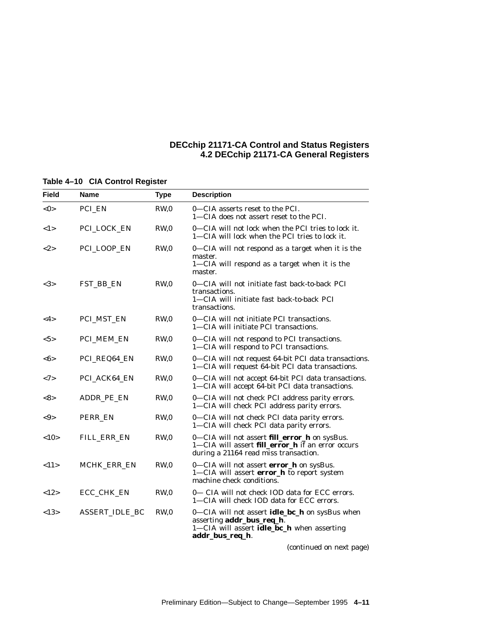| Field         | Name                  | <b>Type</b>     | <b>Description</b>                                                                                                                                  |
|---------------|-----------------------|-----------------|-----------------------------------------------------------------------------------------------------------------------------------------------------|
| $<$ 0 $>$     | PCI_EN                | RW,0            | 0—CIA asserts reset to the PCI.<br>1—CIA does not assert reset to the PCI.                                                                          |
| <1>           | PCI_LOCK_EN           | RW,0            | 0-CIA will not lock when the PCI tries to lock it.<br>1—CIA will lock when the PCI tries to lock it.                                                |
| $<\!\!2\!\!>$ | PCI_LOOP_EN           | RW <sub>0</sub> | 0-CIA will not respond as a target when it is the<br>master.<br>1-CIA will respond as a target when it is the<br>master.                            |
| <3>           | FST_BB_EN             | RW,0            | 0-CIA will not initiate fast back-to-back PCI<br>transactions.<br>1-CIA will initiate fast back-to-back PCI<br>transactions.                        |
| $<$ 4 $>$     | PCI_MST_EN            | RW,0            | 0-CIA will not initiate PCI transactions.<br>1-CIA will initiate PCI transactions.                                                                  |
| $5>$          | PCI_MEM_EN            | RW <sub>0</sub> | 0-CIA will not respond to PCI transactions.<br>1-CIA will respond to PCI transactions.                                                              |
| <6>           | PCI_REQ64_EN          | RW <sub>0</sub> | 0-CIA will not request 64-bit PCI data transactions.<br>1-CIA will request 64-bit PCI data transactions.                                            |
| <7>           | PCI_ACK64_EN          | RW,0            | 0-CIA will not accept 64-bit PCI data transactions.<br>1-CIA will accept 64-bit PCI data transactions.                                              |
| <8>           | ADDR_PE_EN            | RW,0            | 0-CIA will not check PCI address parity errors.<br>1-CIA will check PCI address parity errors.                                                      |
| $< \!\theta$  | PERR EN               | RW,0            | 0-CIA will not check PCI data parity errors.<br>1-CIA will check PCI data parity errors.                                                            |
| <10           | FILL_ERR_EN           | RW,0            | 0—CIA will not assert <b>fill_error_h</b> on sysBus.<br>1-CIA will assert fill_error_h if an error occurs<br>during a 21164 read miss transaction.  |
| <11>          | MCHK_ERR_EN           | RW <sub>0</sub> | 0-CIA will not assert error_h on sysBus.<br>1-CIA will assert error_h to report system<br>machine check conditions.                                 |
| <12>          | ECC_CHK_EN            | RW,0            | 0— CIA will not check IOD data for ECC errors.<br>1-CIA will check IOD data for ECC errors.                                                         |
| <13>          | <b>ASSERT IDLE BC</b> | RW,0            | 0-CIA will not assert <b>idle_bc_h</b> on sysBus when<br>asserting addr_bus_req_h.<br>1-CIA will assert idle_bc_h when asserting<br>addr_bus_req_h. |

#### **Table 4–10 CIA Control Register**

(continued on next page)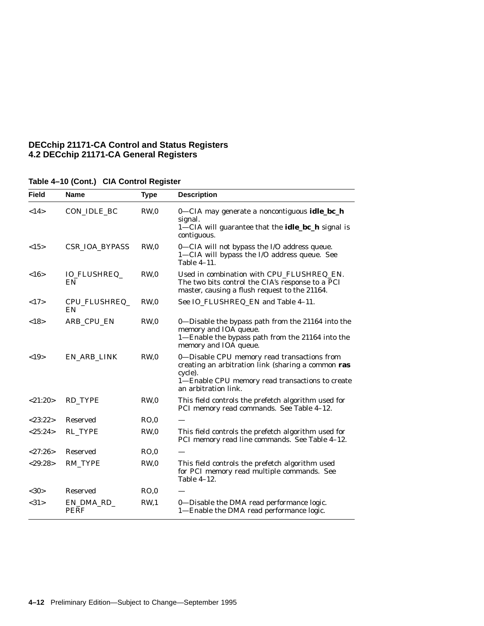| <b>Field</b> | Name                      | <b>Type</b>     | <b>Description</b>                                                                                                                                                                      |
|--------------|---------------------------|-----------------|-----------------------------------------------------------------------------------------------------------------------------------------------------------------------------------------|
| <14>         | CON_IDLE_BC               | RW,0            | $0$ —CIA may generate a noncontiguous <b>idle_bc_h</b><br>signal.<br>1-CIA will guarantee that the <b>idle_bc_h</b> signal is<br>contiguous.                                            |
| <15>         | <b>CSR_IOA_BYPASS</b>     | RW,0            | 0-CIA will not bypass the I/O address queue.<br>1-CIA will bypass the I/O address queue. See<br>Table 4-11.                                                                             |
| <16>         | <b>IO_FLUSHREQ_</b><br>EN | RW,0            | Used in combination with CPU_FLUSHREQ_EN.<br>The two bits control the CIA's response to a PCI<br>master, causing a flush request to the 21164.                                          |
| <17>         | CPU_FLUSHREQ_<br>EN       | RW,0            | See IO_FLUSHREQ_EN and Table 4-11.                                                                                                                                                      |
| <18>         | ARB_CPU_EN                | RW,0            | 0-Disable the bypass path from the 21164 into the<br>memory and IOA queue.<br>1-Enable the bypass path from the 21164 into the<br>memory and IOA queue.                                 |
| <19>         | EN_ARB_LINK               | RW,0            | 0-Disable CPU memory read transactions from<br>creating an arbitration link (sharing a common ras<br>cycle).<br>1-Enable CPU memory read transactions to create<br>an arbitration link. |
| <21:20>      | RD_TYPE                   | RW,0            | This field controls the prefetch algorithm used for<br>PCI memory read commands. See Table 4-12.                                                                                        |
| < 23:22>     | <b>Reserved</b>           | RO,0            |                                                                                                                                                                                         |
| <25:24>      | <b>RL_TYPE</b>            | RW,0            | This field controls the prefetch algorithm used for<br>PCI memory read line commands. See Table 4-12.                                                                                   |
| <27:26>      | <b>Reserved</b>           | RO.0            |                                                                                                                                                                                         |
| < 29:28      | RM_TYPE                   | RW <sub>0</sub> | This field controls the prefetch algorithm used<br>for PCI memory read multiple commands. See<br>Table $4-12$ .                                                                         |
| <30>         | <b>Reserved</b>           | RO.0            |                                                                                                                                                                                         |
| <31>         | EN_DMA_RD_<br><b>PERF</b> | RW <sub>1</sub> | 0-Disable the DMA read performance logic.<br>1-Enable the DMA read performance logic.                                                                                                   |

| Table 4-10 (Cont.) CIA Control Register |  |  |
|-----------------------------------------|--|--|
|                                         |  |  |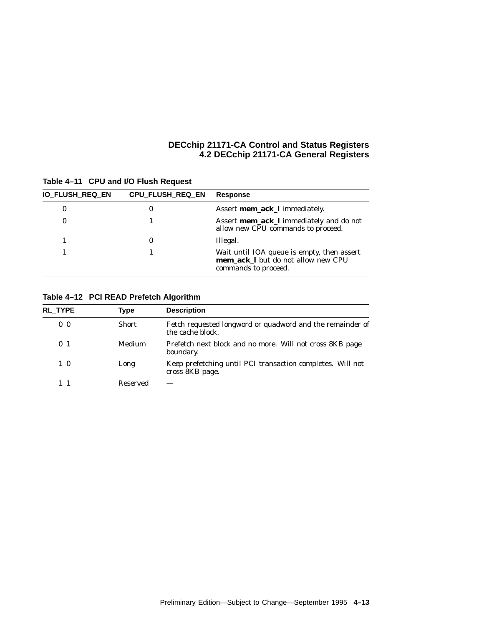| IO_FLUSH_REQ_EN | <b>CPU FLUSH REQ EN</b> | <b>Response</b>                                                                                                 |
|-----------------|-------------------------|-----------------------------------------------------------------------------------------------------------------|
| 0               | 0                       | Assert mem_ack_I immediately.                                                                                   |
| 0               |                         | Assert <b>mem_ack_I</b> immediately and do not<br>allow new CPU commands to proceed.                            |
|                 | 0                       | Illegal.                                                                                                        |
|                 |                         | Wait until IOA queue is empty, then assert<br><b>mem ack I</b> but do not allow new CPU<br>commands to proceed. |

#### **Table 4–11 CPU and I/O Flush Request**

#### **Table 4–12 PCI READ Prefetch Algorithm**

| <b>RL TYPE</b> | Type          | <b>Description</b>                                                            |
|----------------|---------------|-------------------------------------------------------------------------------|
| 0 <sub>0</sub> | <b>Short</b>  | Fetch requested longword or quadword and the remainder of<br>the cache block. |
| 0 <sub>1</sub> | <b>Medium</b> | Prefetch next block and no more. Will not cross 8KB page<br>boundary.         |
| 10             | Long          | Keep prefetching until PCI transaction completes. Will not<br>cross 8KB page. |
| 11             | Reserved      |                                                                               |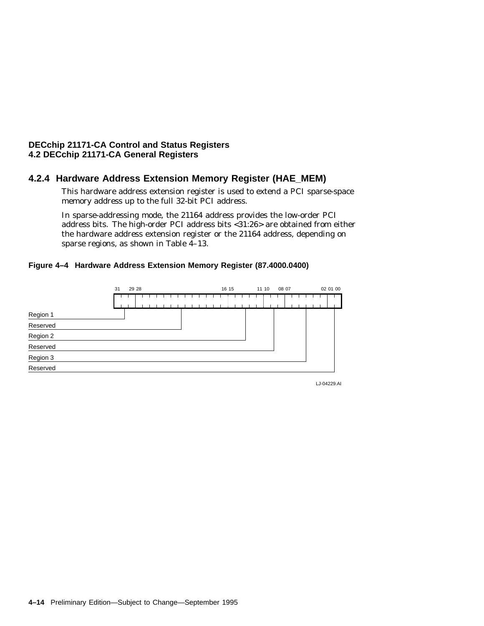#### **4.2.4 Hardware Address Extension Memory Register (HAE\_MEM)**

This hardware address extension register is used to extend a PCI sparse-space memory address up to the full 32-bit PCI address.

In sparse-addressing mode, the 21164 address provides the low-order PCI address bits. The high-order PCI address bits <31:26> are obtained from either the hardware address extension register or the 21164 address, depending on sparse regions, as shown in Table 4-13.

#### **Figure 4–4 Hardware Address Extension Memory Register (87.4000.0400)**



LJ-04229.AI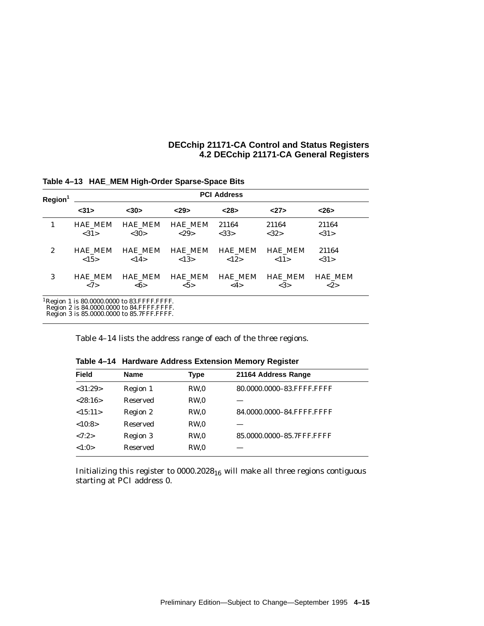| Region <sup>1</sup> | <b>PCI Address</b> |                                                                                                                                                  |                |                |                |                |  |  |  |  |  |  |  |
|---------------------|--------------------|--------------------------------------------------------------------------------------------------------------------------------------------------|----------------|----------------|----------------|----------------|--|--|--|--|--|--|--|
|                     | $31$               | $30$                                                                                                                                             | 29             | < 28           | 27             | <26            |  |  |  |  |  |  |  |
| 1                   | <b>HAE MEM</b>     | <b>HAE MEM</b>                                                                                                                                   | <b>HAE MEM</b> | 21164          | 21164          | 21164          |  |  |  |  |  |  |  |
|                     | <31>               | <30>                                                                                                                                             | <29>           | <33>           | <32>           | <31>           |  |  |  |  |  |  |  |
| $\boldsymbol{2}$    | <b>HAE MEM</b>     | <b>HAE MEM</b>                                                                                                                                   | <b>HAE MEM</b> | <b>HAE MEM</b> | <b>HAE MEM</b> | 21164          |  |  |  |  |  |  |  |
|                     | <15>               | <14>                                                                                                                                             | < 13>          | <12>           | <11>           | <31>           |  |  |  |  |  |  |  |
| 3                   | <b>HAE MEM</b>     | <b>HAE MEM</b>                                                                                                                                   | <b>HAE MEM</b> | <b>HAE MEM</b> | <b>HAE MEM</b> | <b>HAE MEM</b> |  |  |  |  |  |  |  |
|                     | <7>                | $<\!\!6\!\!>$                                                                                                                                    | $5>$           | <4>            | <3>            | <2>            |  |  |  |  |  |  |  |
|                     |                    | <sup>1</sup> Region 1 is 80.0000.0000 to 83.FFFF.FFFF.<br>Region 2 is 84.0000.0000 to 84.FFFF.FFFF.<br>Region 3 is 85,0000,0000 to 85.7FFF.FFFF. |                |                |                |                |  |  |  |  |  |  |  |

**Table 4–13 HAE\_MEM High-Order Sparse-Space Bits**

Table 4–14 lists the address range of each of the three regions.

| <b>Field</b> | <b>Name</b>     | <b>Type</b>     | 21164 Address Range       |  |
|--------------|-----------------|-----------------|---------------------------|--|
| < 31:29      | Region 1        | RW <sub>0</sub> | 80.0000.0000-83.FFFF.FFFF |  |
| < 28:16>     | Reserved        | RW <sub>0</sub> |                           |  |
| <15:11>      | Region 2        | RW <sub>0</sub> | 84.0000.0000-84.FFFF.FFFF |  |
| <10:8>       | <b>Reserved</b> | RW <sub>0</sub> |                           |  |
| <7:2>        | Region 3        | RW.0            | 85.0000.0000-85.7FFF.FFFF |  |
| <1:0>        | <b>Reserved</b> | RW <sub>0</sub> |                           |  |
|              |                 |                 |                           |  |

**Table 4–14 Hardware Address Extension Memory Register**

Initializing this register to  $0000.2028_{16}$  will make all three regions contiguous starting at PCI address 0.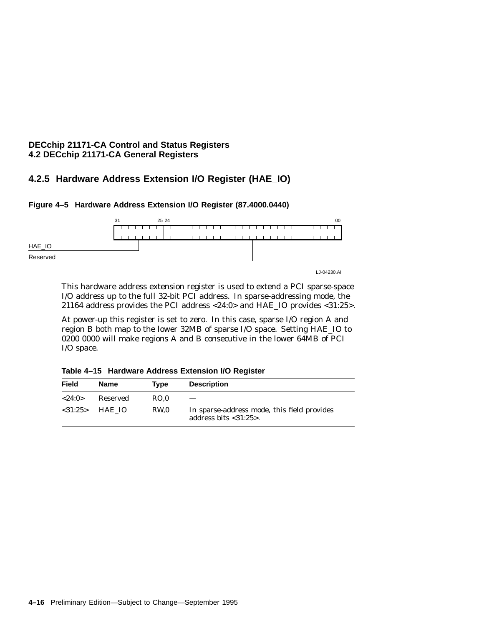## **4.2.5 Hardware Address Extension I/O Register (HAE\_IO)**



**Figure 4–5 Hardware Address Extension I/O Register (87.4000.0440)**

This hardware address extension register is used to extend a PCI sparse-space I/O address up to the full 32-bit PCI address. In sparse-addressing mode, the 21164 address provides the PCI address <24:0> and HAE\_IO provides <31:25>.

At power-up this register is set to zero. In this case, sparse I/O region A and region B both map to the lower 32MB of sparse I/O space. Setting HAE\_IO to 0200 0000 will make regions A and B consecutive in the lower 64MB of PCI I/O space.

**Table 4–15 Hardware Address Extension I/O Register**

| <b>Field</b> | Name             | Tvpe | <b>Description</b>                                                          |
|--------------|------------------|------|-----------------------------------------------------------------------------|
| < 24:0>      | Reserved         | RO.0 |                                                                             |
|              | $< 31:25$ HAE IO | RW.0 | In sparse-address mode, this field provides<br>address bits $<$ 31:25 $>$ . |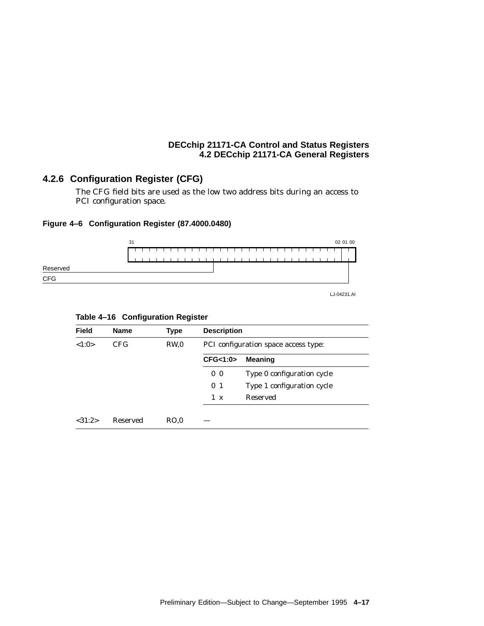## **4.2.6 Configuration Register (CFG)**

The CFG field bits are used as the low two address bits during an access to PCI configuration space.

#### **Figure 4–6 Configuration Register (87.4000.0480)**



LJ-04231.AI

#### **Table 4–16 Configuration Register**

| <b>Name</b>     | <b>Type</b>     | <b>Description</b><br>PCI configuration space access type: |                            |  |  |  |
|-----------------|-----------------|------------------------------------------------------------|----------------------------|--|--|--|
| CFG.            | RW <sub>0</sub> |                                                            |                            |  |  |  |
|                 |                 | CFG<1:0>                                                   | <b>Meaning</b>             |  |  |  |
|                 |                 | 0 <sub>0</sub>                                             | Type 0 configuration cycle |  |  |  |
|                 |                 | 0 <sub>1</sub>                                             | Type 1 configuration cycle |  |  |  |
|                 |                 | 1<br>$\mathbf{x}$                                          | <b>Reserved</b>            |  |  |  |
|                 |                 |                                                            |                            |  |  |  |
| <b>Reserved</b> | RO.0            |                                                            |                            |  |  |  |
|                 |                 |                                                            |                            |  |  |  |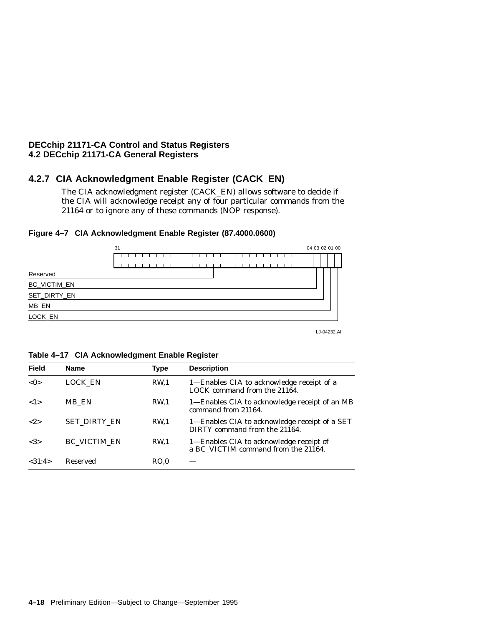#### **4.2.7 CIA Acknowledgment Enable Register (CACK\_EN)**

The CIA acknowledgment register (CACK\_EN) allows software to decide if the CIA will acknowledge receipt any of four particular commands from the 21164 or to ignore any of these commands (NOP response).





LJ-04232.AI

**Table 4–17 CIA Acknowledgment Enable Register**

| <b>Field</b>        | <b>Name</b>         | Type            | <b>Description</b>                                                             |
|---------------------|---------------------|-----------------|--------------------------------------------------------------------------------|
| < 0>                | LOCK EN             | RW.1            | 1—Enables CIA to acknowledge receipt of a<br>LOCK command from the 21164.      |
| $\langle 1 \rangle$ | MB EN               | RW <sub>1</sub> | 1—Enables CIA to acknowledge receipt of an MB<br>command from 21164.           |
| ${2}$               | <b>SET DIRTY EN</b> | <b>RW.1</b>     | 1—Enables CIA to acknowledge receipt of a SET<br>DIRTY command from the 21164. |
| <3>                 | <b>BC VICTIM EN</b> | <b>RW.1</b>     | 1—Enables CIA to acknowledge receipt of<br>a BC VICTIM command from the 21164. |
| <31:4>              | <b>Reserved</b>     | RO.0            |                                                                                |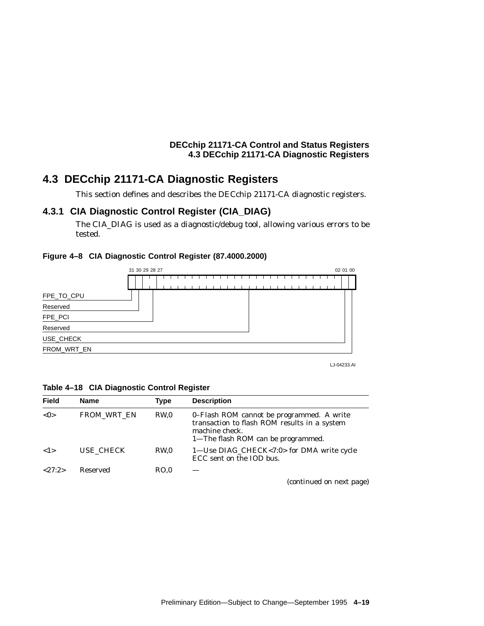## **4.3 DECchip 21171-CA Diagnostic Registers**

This section defines and describes the DECchip 21171-CA diagnostic registers.

#### **4.3.1 CIA Diagnostic Control Register (CIA\_DIAG)**

The CIA\_DIAG is used as a diagnostic/debug tool, allowing various errors to be tested.

#### **Figure 4–8 CIA Diagnostic Control Register (87.4000.2000)**



LJ-04233.AI

| <b>Field</b> | Name | <b>Type</b> | <b>Description</b> |  |
|--------------|------|-------------|--------------------|--|
|              |      |             |                    |  |

**Table 4–18 CIA Diagnostic Control Register**

| ו וסוט | Nalic              | <b>IVNG</b>     | DESCRIPTION                                                                                                                                       |
|--------|--------------------|-----------------|---------------------------------------------------------------------------------------------------------------------------------------------------|
| < 0>   | <b>FROM WRT EN</b> | RW <sub>0</sub> | 0–Flash ROM cannot be programmed. A write<br>transaction to flash ROM results in a system<br>machine check.<br>1—The flash ROM can be programmed. |
| 1>     | USE CHECK          | RW <sub>0</sub> | 1—Use DIAG_CHECK<7:0> for DMA write cycle<br>ECC sent on the IOD bus.                                                                             |
| <27:2> | Reserved           | RO.0            |                                                                                                                                                   |
|        |                    |                 | (continued on next page)                                                                                                                          |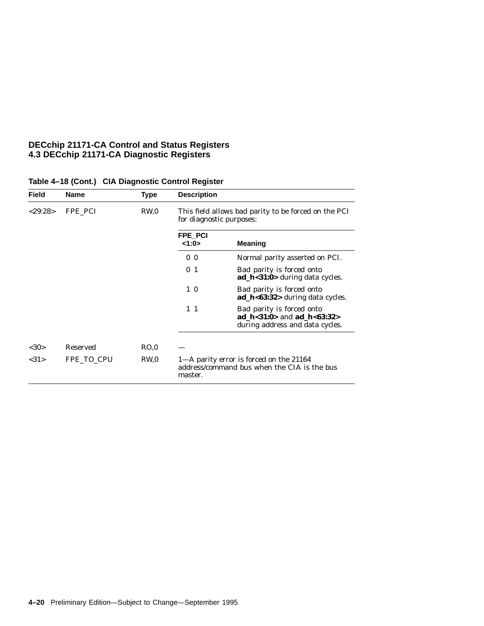| Field   | <b>Name</b>     | <b>Type</b>     | <b>Description</b>       |                                                                                                    |
|---------|-----------------|-----------------|--------------------------|----------------------------------------------------------------------------------------------------|
| < 29:28 | FPE PCI         | RW <sub>0</sub> | for diagnostic purposes: | This field allows bad parity to be forced on the PCI                                               |
|         |                 |                 | FPE PCI<br>1:0>          | <b>Meaning</b>                                                                                     |
|         |                 |                 | 0 <sub>0</sub>           | Normal parity asserted on PCI.                                                                     |
|         |                 |                 | 0 <sub>1</sub>           | Bad parity is forced onto<br>$ad_h < 31:0 >$ during data cycles.                                   |
|         |                 |                 | $1\,0$                   | Bad parity is forced onto<br>$ad_h$ h<63:32> during data cycles.                                   |
|         |                 |                 | $1\quad1$                | Bad parity is forced onto<br>ad $h < 31:0>$ and ad $h < 63:32>$<br>during address and data cycles. |
| <30>    | <b>Reserved</b> | RO.0            |                          |                                                                                                    |
| <31>    | FPE TO CPU      | RW <sub>0</sub> | master.                  | 1-A parity error is forced on the 21164<br>address/command bus when the CIA is the bus             |

#### **Table 4–18 (Cont.) CIA Diagnostic Control Register**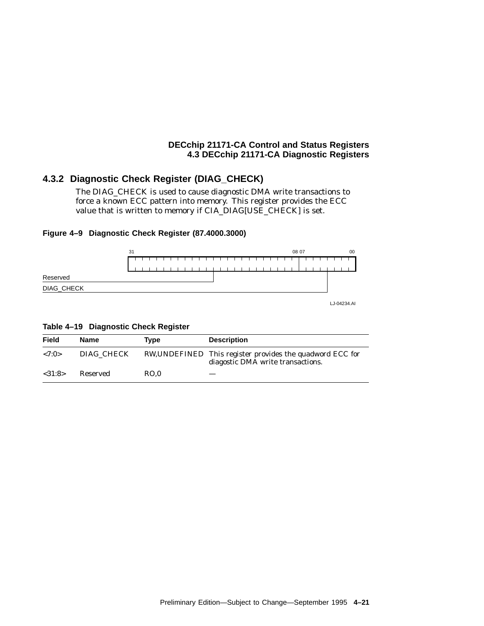## **4.3.2 Diagnostic Check Register (DIAG\_CHECK)**

The DIAG\_CHECK is used to cause diagnostic DMA write transactions to force a known ECC pattern into memory. This register provides the ECC value that is written to memory if CIA\_DIAG[USE\_CHECK] is set.

#### **Figure 4–9 Diagnostic Check Register (87.4000.3000)**



**Table 4–19 Diagnostic Check Register**

| Field     | Name       | Tvpe | <b>Description</b>                                                                             |
|-----------|------------|------|------------------------------------------------------------------------------------------------|
| ${<}7:0>$ | DIAG CHECK |      | RW, UNDEFINED This register provides the quadword ECC for<br>diagostic DMA write transactions. |
| < 31:8>   | Reserved   | RO.0 |                                                                                                |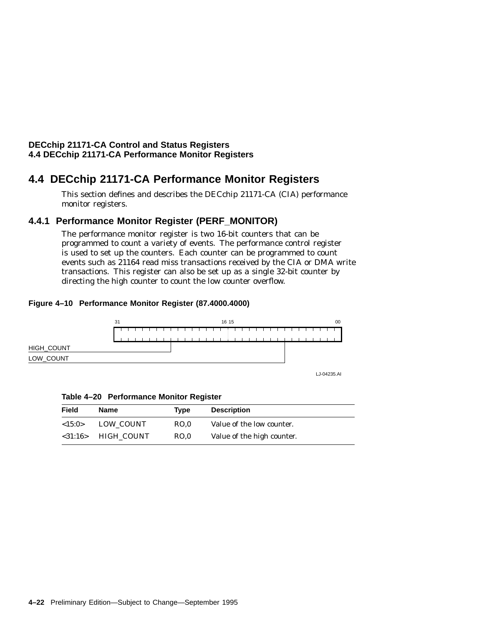## **4.4 DECchip 21171-CA Performance Monitor Registers**

This section defines and describes the DECchip 21171-CA (CIA) performance monitor registers.

## **4.4.1 Performance Monitor Register (PERF\_MONITOR)**

The performance monitor register is two 16-bit counters that can be programmed to count a variety of events. The performance control register is used to set up the counters. Each counter can be programmed to count events such as 21164 read miss transactions received by the CIA or DMA write transactions. This register can also be set up as a single 32-bit counter by directing the high counter to count the low counter overflow.

#### **Figure 4–10 Performance Monitor Register (87.4000.4000)**



**Table 4–20 Performance Monitor Register**

| <b>Field</b> | Name                               | Tvpe | <b>Description</b>         |  |
|--------------|------------------------------------|------|----------------------------|--|
| ${<}15:0>$   | LOW COUNT                          | RO.0 | Value of the low counter.  |  |
|              | $\langle 31:16 \rangle$ HIGH COUNT | RO.0 | Value of the high counter. |  |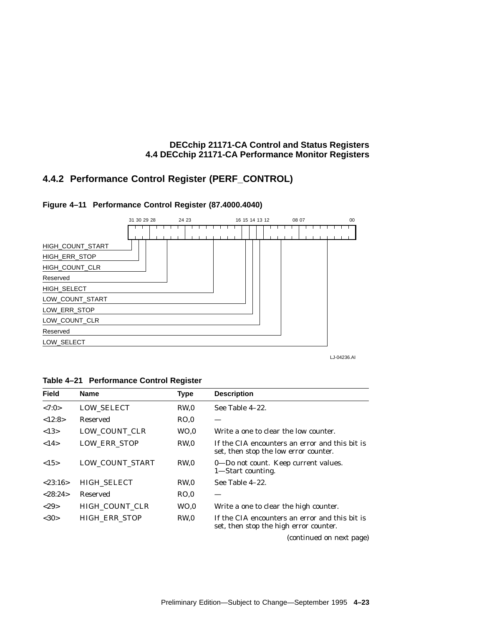## **4.4.2 Performance Control Register (PERF\_CONTROL)**





LJ-04236.AI

**Table 4–21 Performance Control Register**

| <b>Field</b> | <b>Name</b>          | <b>Type</b>     | <b>Description</b>                                                                       |
|--------------|----------------------|-----------------|------------------------------------------------------------------------------------------|
| <7:0>        | <b>LOW SELECT</b>    | RW <sub>0</sub> | See Table 4-22.                                                                          |
| <12:8>       | Reserved             | RO.0            |                                                                                          |
| <13>         | LOW_COUNT_CLR        | WO.0            | Write a one to clear the low counter.                                                    |
| <14>         | <b>LOW ERR STOP</b>  | RW.0            | If the CIA encounters an error and this bit is<br>set, then stop the low error counter.  |
| <15>         | LOW_COUNT_START      | RW.0            | 0—Do not count. Keep current values.<br>1—Start counting.                                |
| < 23:16>     | <b>HIGH SELECT</b>   | RW <sub>0</sub> | See Table 4-22.                                                                          |
| < 28:24>     | Reserved             | RO.0            |                                                                                          |
| <29          | HIGH COUNT CLR       | WO.0            | Write a one to clear the high counter.                                                   |
| <30>         | <b>HIGH ERR STOP</b> | RW <sub>0</sub> | If the CIA encounters an error and this bit is<br>set, then stop the high error counter. |

(continued on next page)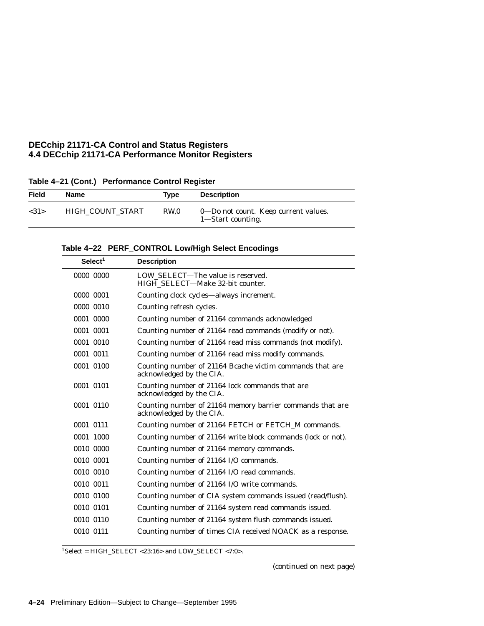| Field | <b>Name</b>      | Type | <b>Description</b>                                        |
|-------|------------------|------|-----------------------------------------------------------|
| <31>  | HIGH COUNT START | RW.0 | 0—Do not count. Keep current values.<br>1—Start counting. |

|  |  | Table 4-22 PERF_CONTROL Low/High Select Encodings |  |  |  |
|--|--|---------------------------------------------------|--|--|--|
|--|--|---------------------------------------------------|--|--|--|

| Select <sup>1</sup> | <b>Description</b>                                                                    |
|---------------------|---------------------------------------------------------------------------------------|
| 0000 0000           | LOW_SELECT-The value is reserved.<br>HIGH SELECT-Make 32-bit counter.                 |
| 0000 0001           | Counting clock cycles-always increment.                                               |
| 0000 0010           | Counting refresh cycles.                                                              |
| 0001 0000           | Counting number of 21164 commands acknowledged                                        |
| 0001 0001           | Counting number of 21164 read commands (modify or not).                               |
| 0001 0010           | Counting number of 21164 read miss commands (not modify).                             |
| 0001 0011           | Counting number of 21164 read miss modify commands.                                   |
| 0001 0100           | Counting number of 21164 Bcache victim commands that are<br>acknowledged by the CIA.  |
| 0001 0101           | Counting number of 21164 lock commands that are<br>acknowledged by the CIA.           |
| 0001 0110           | Counting number of 21164 memory barrier commands that are<br>acknowledged by the CIA. |
| 0001 0111           | Counting number of 21164 FETCH or FETCH_M commands.                                   |
| 0001 1000           | Counting number of 21164 write block commands (lock or not).                          |
| 0010 0000           | Counting number of 21164 memory commands.                                             |
| 0010 0001           | Counting number of 21164 I/O commands.                                                |
| 0010 0010           | Counting number of 21164 I/O read commands.                                           |
| 0010 0011           | Counting number of 21164 I/O write commands.                                          |
| 0010 0100           | Counting number of CIA system commands issued (read/flush).                           |
| 0010 0101           | Counting number of 21164 system read commands issued.                                 |
| 0010 0110           | Counting number of 21164 system flush commands issued.                                |
| 0010 0111           | Counting number of times CIA received NOACK as a response.                            |
|                     |                                                                                       |

 $\overline{{}^{1}$ Select = HIGH\_SELECT <23:16> and LOW\_SELECT <7:0>.

(continued on next page)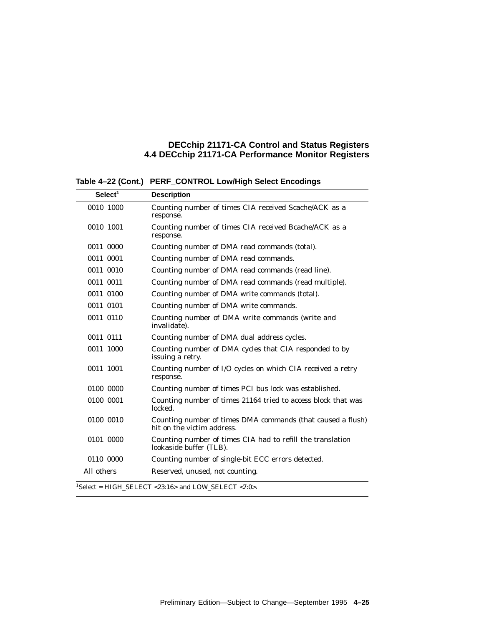**Table 4–22 (Cont.) PERF\_CONTROL Low/High Select Encodings**

| Select <sup>1</sup> | <b>Description</b>                                                                        |
|---------------------|-------------------------------------------------------------------------------------------|
| 0010 1000           | Counting number of times CIA received Scache/ACK as a<br>response.                        |
| 0010 1001           | Counting number of times CIA received Bcache/ACK as a<br>response.                        |
| 0011 0000           | Counting number of DMA read commands (total).                                             |
| 0011 0001           | Counting number of DMA read commands.                                                     |
| 0011 0010           | Counting number of DMA read commands (read line).                                         |
| 0011 0011           | Counting number of DMA read commands (read multiple).                                     |
| 0011 0100           | Counting number of DMA write commands (total).                                            |
| 0011 0101           | Counting number of DMA write commands.                                                    |
| 0011 0110           | Counting number of DMA write commands (write and<br>invalidate).                          |
| 0011 0111           | Counting number of DMA dual address cycles.                                               |
| 0011 1000           | Counting number of DMA cycles that CIA responded to by<br>issuing a retry.                |
| 0011 1001           | Counting number of I/O cycles on which CIA received a retry<br>response.                  |
| 0100 0000           | Counting number of times PCI bus lock was established.                                    |
| 0100 0001           | Counting number of times 21164 tried to access block that was<br>locked.                  |
| 0100 0010           | Counting number of times DMA commands (that caused a flush)<br>hit on the victim address. |
| 0101 0000           | Counting number of times CIA had to refill the translation<br>lookaside buffer (TLB).     |
| 0110 0000           | Counting number of single-bit ECC errors detected.                                        |
| All others          | Reserved, unused, not counting.                                                           |
|                     | $1$ Select = HIGH_SELECT <23:16> and LOW_SELECT <7:0>.                                    |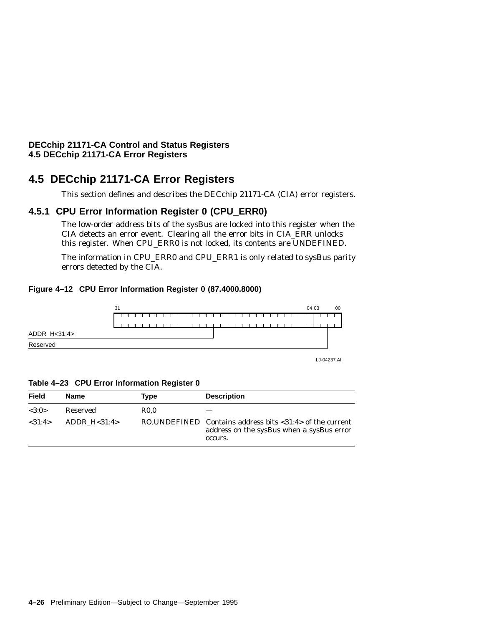## **4.5 DECchip 21171-CA Error Registers**

This section defines and describes the DECchip 21171-CA (CIA) error registers.

## **4.5.1 CPU Error Information Register 0 (CPU\_ERR0)**

The low-order address bits of the sysBus are locked into this register when the CIA detects an error event. Clearing all the error bits in CIA\_ERR unlocks this register. When CPU\_ERR0 is not locked, its contents are UNDEFINED.

The information in CPU\_ERR0 and CPU\_ERR1 is only related to sysBus parity errors detected by the CIA.

#### **Figure 4–12 CPU Error Information Register 0 (87.4000.8000)**



**Table 4–23 CPU Error Information Register 0**

| Field  | Name          | Tvpe        | <b>Description</b>                                                                                                                |
|--------|---------------|-------------|-----------------------------------------------------------------------------------------------------------------------------------|
| <3:0>  | Reserved      | <b>R0.0</b> |                                                                                                                                   |
| <31:4> | ADDR $H31:4>$ |             | RO, UNDEFINED Contains address bits $\langle 31:4 \rangle$ of the current<br>address on the sysBus when a sysBus error<br>occurs. |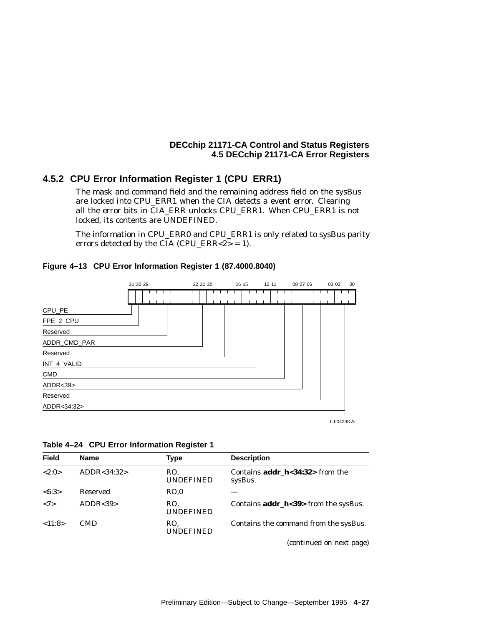## **4.5.2 CPU Error Information Register 1 (CPU\_ERR1)**

The mask and command field and the remaining address field on the sysBus are locked into CPU\_ERR1 when the CIA detects a event error. Clearing all the error bits in CIA\_ERR unlocks CPU\_ERR1. When CPU\_ERR1 is not locked, its contents are UNDEFINED.

The information in CPU\_ERR0 and CPU\_ERR1 is only related to sysBus parity errors detected by the CIA (CPU\_ERR<2> = 1).

### **Figure 4–13 CPU Error Information Register 1 (87.4000.8040)**



**Table 4–24 CPU Error Information Register 1**

| <b>Field</b> | <b>Name</b>   | Type                    | <b>Description</b>                                     |
|--------------|---------------|-------------------------|--------------------------------------------------------|
| <2:0>        | ADDR < 34:32> | RO.<br><b>UNDEFINED</b> | Contains $\text{addr } h < 34:32>$ from the<br>sysBus. |
| <6:3>        | Reserved      | RO.0                    |                                                        |
| <7>          | ADDR < 39     | RO.<br><b>UNDEFINED</b> | Contains $addr_h < 39$ from the sysBus.                |
| < 11:8>      | <b>CMD</b>    | RO.<br><b>UNDEFINED</b> | Contains the command from the sysBus.                  |
|              |               |                         | (continued on next page)                               |

Preliminary Edition—Subject to Change—September 1995 **4–27**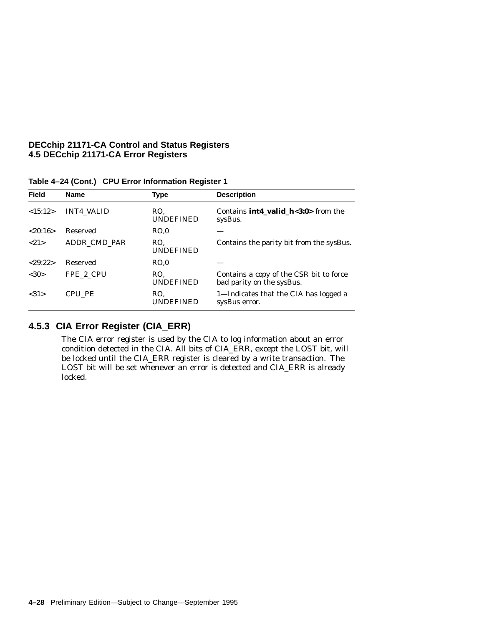| <b>Field</b> | <b>Name</b>       | <b>Type</b>             | <b>Description</b>                                                   |
|--------------|-------------------|-------------------------|----------------------------------------------------------------------|
| <15:12>      | <b>INT4 VALID</b> | RO.<br><b>UNDEFINED</b> | Contains $int4\_valid\_h<3:0>$ from the<br>sysBus.                   |
| < 20:16>     | Reserved          | RO.0                    |                                                                      |
| ${21}$       | ADDR CMD PAR      | RO.<br><b>UNDEFINED</b> | Contains the parity bit from the sysBus.                             |
| < 29:22>     | <b>Reserved</b>   | RO.0                    |                                                                      |
| <30>         | FPE 2 CPU         | RO.<br><b>UNDEFINED</b> | Contains a copy of the CSR bit to force<br>bad parity on the sysBus. |
| <31>         | CPU PE            | RO.<br><b>UNDEFINED</b> | 1—Indicates that the CIA has logged a<br>sysBus error.               |
|              |                   |                         |                                                                      |

**Table 4–24 (Cont.) CPU Error Information Register 1**

# **4.5.3 CIA Error Register (CIA\_ERR)**

The CIA error register is used by the CIA to log information about an error condition detected in the CIA. All bits of CIA\_ERR, except the LOST bit, will be locked until the CIA\_ERR register is cleared by a write transaction. The LOST bit will be set whenever an error is detected and CIA\_ERR is already locked.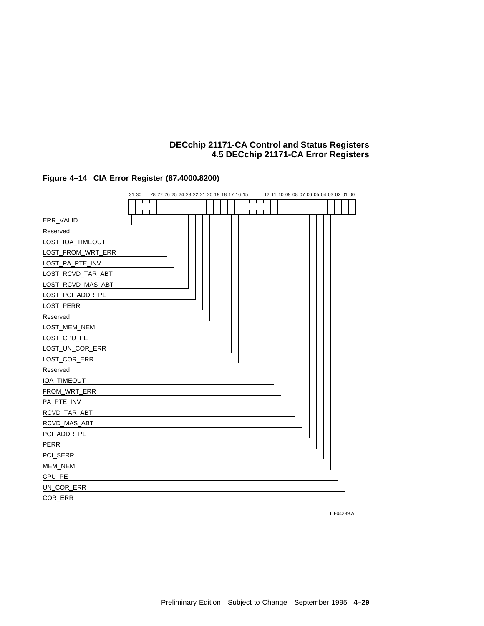



LJ-04239.AI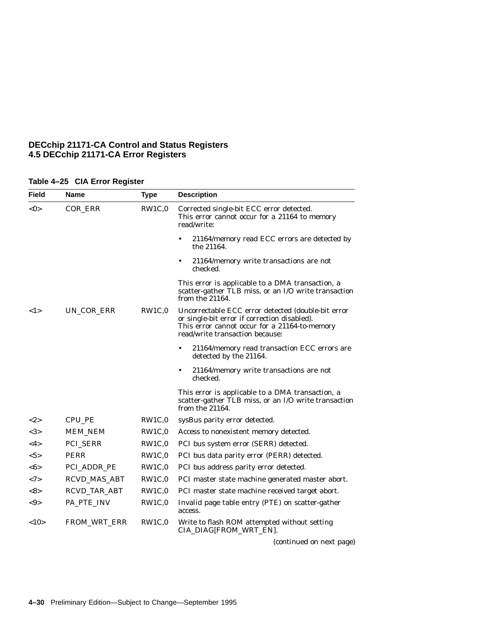| Table 4-25 CIA Error Register |
|-------------------------------|
|                               |

| Field                  | Name                | <b>Type</b> | <b>Description</b>                                                                                                                                                                     |
|------------------------|---------------------|-------------|----------------------------------------------------------------------------------------------------------------------------------------------------------------------------------------|
| <0>                    | COR_ERR             | RW1C,0      | Corrected single-bit ECC error detected.<br>This error cannot occur for a 21164 to memory<br>read/write:                                                                               |
|                        |                     |             | 21164/memory read ECC errors are detected by<br>$\bullet$<br>the 21164.                                                                                                                |
|                        |                     |             | 21164/memory write transactions are not<br>$\bullet$<br>checked.                                                                                                                       |
|                        |                     |             | This error is applicable to a DMA transaction, a<br>scatter-gather TLB miss, or an I/O write transaction<br>from the 21164.                                                            |
| 1>                     | UN_COR_ERR          | RW1C,0      | Uncorrectable ECC error detected (double-bit error<br>or single-bit error if correction disabled).<br>This error cannot occur for a 21164-to-memory<br>read/write transaction because: |
|                        |                     |             | 21164/memory read transaction ECC errors are<br>$\bullet$<br>detected by the 21164.                                                                                                    |
|                        |                     |             | 21164/memory write transactions are not<br>٠<br>checked.                                                                                                                               |
|                        |                     |             | This error is applicable to a DMA transaction, a<br>scatter-gather TLB miss, or an I/O write transaction<br>from the 21164.                                                            |
| <2>                    | CPU_PE              | RW1C,0      | sysBus parity error detected.                                                                                                                                                          |
| <3>                    | <b>MEM_NEM</b>      | RW1C,0      | Access to nonexistent memory detected.                                                                                                                                                 |
| $<$ 4>                 | PCI_SERR            | RW1C,0      | PCI bus system error (SERR) detected.                                                                                                                                                  |
| $5>$                   | PERR                | RW1C,0      | PCI bus data parity error (PERR) detected.                                                                                                                                             |
| $<\!\!6\!\!>$          | PCI_ADDR_PE         | RW1C,0      | PCI bus address parity error detected.                                                                                                                                                 |
| <7>                    | <b>RCVD_MAS_ABT</b> | RW1C,0      | PCI master state machine generated master abort.                                                                                                                                       |
| $<\!\!8\!\!>$          | RCVD_TAR_ABT        | RW1C,0      | PCI master state machine received target abort.                                                                                                                                        |
| $< \hspace{-0.5mm}9 >$ | PA_PTE_INV          | RW1C,0      | Invalid page table entry (PTE) on scatter-gather<br>access.                                                                                                                            |
| <10                    | <b>FROM_WRT_ERR</b> | RW1C.0      | Write to flash ROM attempted without setting<br>CIA_DIAG[FROM_WRT_EN].                                                                                                                 |
|                        |                     |             | (continued on next page)                                                                                                                                                               |

**4–30** Preliminary Edition—Subject to Change—September 1995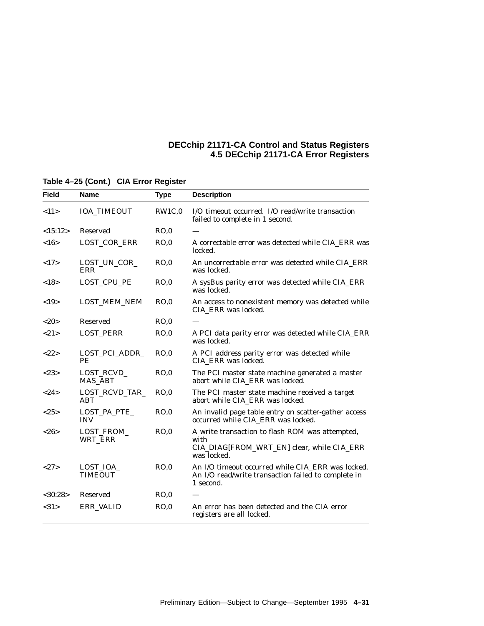| Field         | <b>Name</b>                  | <b>Type</b> | <b>Description</b>                                                                                                    |
|---------------|------------------------------|-------------|-----------------------------------------------------------------------------------------------------------------------|
| <11>          | <b>IOA_TIMEOUT</b>           | RW1C,0      | I/O timeout occurred. I/O read/write transaction<br>failed to complete in 1 second.                                   |
| <15:12>       | <b>Reserved</b>              | RO,0        |                                                                                                                       |
| <16>          | LOST_COR_ERR                 | RO.0        | A correctable error was detected while CIA_ERR was<br>locked.                                                         |
| <17>          | LOST_UN_COR_<br>ERR          | RO.0        | An uncorrectable error was detected while CIA ERR<br>was locked.                                                      |
| <18>          | LOST_CPU_PE                  | RO.0        | A sysBus parity error was detected while CIA_ERR<br>was locked.                                                       |
| ${<}19>$      | LOST_MEM_NEM                 | RO.0        | An access to nonexistent memory was detected while<br>CIA ERR was locked.                                             |
| <20           | <b>Reserved</b>              | RO.0        |                                                                                                                       |
| <21>          | <b>LOST_PERR</b>             | RO,0        | A PCI data parity error was detected while CIA_ERR<br>was locked.                                                     |
| <22>          | LOST_PCI_ADDR_<br>PE         | RO.0        | A PCI address parity error was detected while<br>CIA_ERR was locked.                                                  |
| <23>          | LOST_RCVD_<br><b>MAS_ABT</b> | RO.0        | The PCI master state machine generated a master<br>abort while CIA_ERR was locked.                                    |
| <24>          | LOST RCVD TAR<br><b>ABT</b>  | RO.0        | The PCI master state machine received a target<br>abort while CIA_ERR was locked.                                     |
| <25>          | LOST_PA_PTE_<br><b>INV</b>   | RO.0        | An invalid page table entry on scatter-gather access<br>occurred while CIA_ERR was locked.                            |
| <26           | LOST_FROM_<br>WRT_ERR        | RO,0        | A write transaction to flash ROM was attempted,<br>with<br>CIA_DIAG[FROM_WRT_EN] clear, while CIA_ERR<br>was locked.  |
| <27>          | LOST_IOA_<br><b>TIMEOUT</b>  | RO,0        | An I/O timeout occurred while CIA_ERR was locked.<br>An I/O read/write transaction failed to complete in<br>1 second. |
| $<$ 30:28 $>$ | <b>Reserved</b>              | RO,0        |                                                                                                                       |
| <31>          | ERR_VALID                    | RO.0        | An error has been detected and the CIA error<br>registers are all locked.                                             |

## **Table 4–25 (Cont.) CIA Error Register**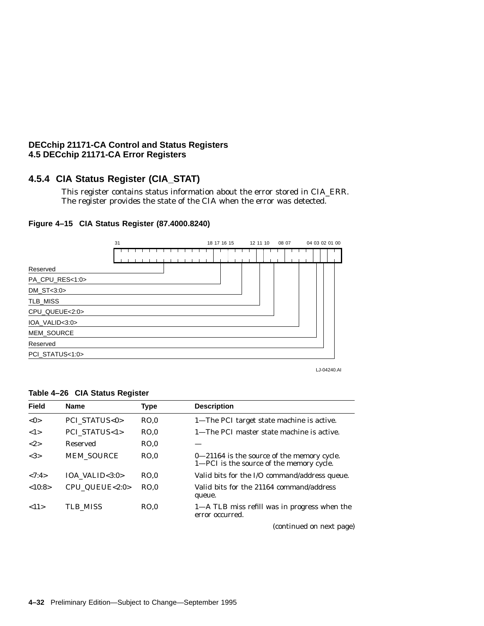# **4.5.4 CIA Status Register (CIA\_STAT)**

This register contains status information about the error stored in CIA\_ERR. The register provides the state of the CIA when the error was detected.



# **Figure 4–15 CIA Status Register (87.4000.8240)**

LJ-04240.AI

#### **Table 4–26 CIA Status Register**

| Field  | <b>Name</b>                | <b>Type</b> | <b>Description</b>                                                                         |
|--------|----------------------------|-------------|--------------------------------------------------------------------------------------------|
| <0>    | <b>PCI STATUS&lt;0&gt;</b> | RO.0        | 1-The PCI target state machine is active.                                                  |
| 1>     | PCI STATUS<1>              | RO.0        | 1—The PCI master state machine is active.                                                  |
| <2>    | Reserved                   | RO.0        |                                                                                            |
| <3>    | <b>MEM SOURCE</b>          | RO.0        | $0 - 21164$ is the source of the memory cycle.<br>1—PCI is the source of the memory cycle. |
| < 7:4> | IOA VALID $<$ 3:0 $>$      | RO.0        | Valid bits for the I/O command/address queue.                                              |
| <10:8> | CPU QUEUE<2:0>             | RO.0        | Valid bits for the 21164 command/address<br>queue.                                         |
| <11>   | TLB MISS                   | RO.0        | 1—A TLB miss refill was in progress when the<br>error occurred.                            |
|        |                            |             | (continued on next page)                                                                   |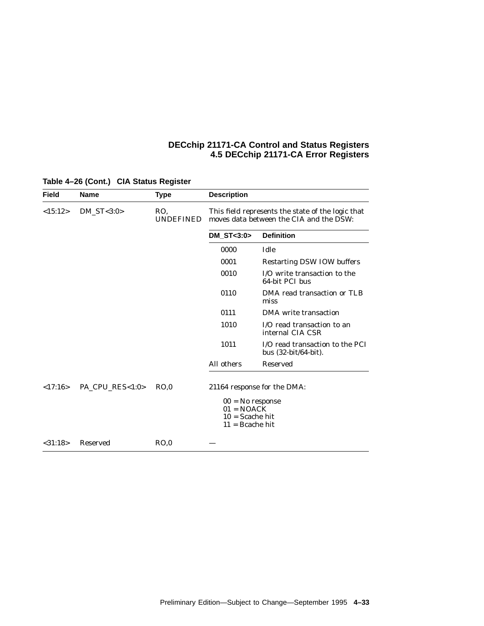| <b>Field</b> | <b>Name</b>     | <b>Type</b>             | <b>Description</b>                                                           |                                                                                              |
|--------------|-----------------|-------------------------|------------------------------------------------------------------------------|----------------------------------------------------------------------------------------------|
| <15:12>      | $DM\_ST < 3:0>$ | RO.<br><b>UNDEFINED</b> |                                                                              | This field represents the state of the logic that<br>moves data between the CIA and the DSW: |
|              |                 |                         | DM $ST < 3:0>$                                                               | <b>Definition</b>                                                                            |
|              |                 |                         | 0000                                                                         | Idle                                                                                         |
|              |                 |                         | 0001                                                                         | <b>Restarting DSW IOW buffers</b>                                                            |
|              |                 |                         | 0010                                                                         | I/O write transaction to the<br>64-bit PCI bus                                               |
|              |                 |                         | 0110                                                                         | DMA read transaction or TLB<br>miss                                                          |
|              |                 |                         | 0111                                                                         | DMA write transaction                                                                        |
|              |                 |                         | 1010                                                                         | I/O read transaction to an<br>internal CIA CSR                                               |
|              |                 |                         | 1011                                                                         | I/O read transaction to the PCI<br>bus (32-bit/64-bit).                                      |
|              |                 |                         | All others                                                                   | <b>Reserved</b>                                                                              |
| <17:16>      | PA_CPU_RES<1:0> | RO.0                    | $00 = No$ response<br>$01 = NOACK$<br>$10 =$ Scache hit<br>$11 =$ Bcache hit | 21164 response for the DMA:                                                                  |
| < 31:18>     | <b>Reserved</b> | RO.0                    |                                                                              |                                                                                              |

# **Table 4–26 (Cont.) CIA Status Register**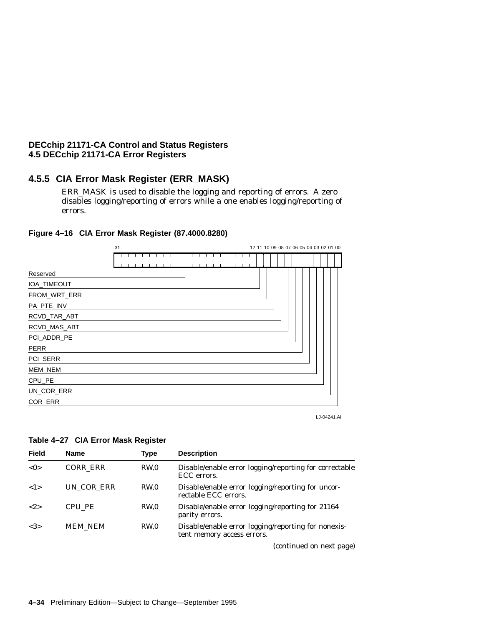# **4.5.5 CIA Error Mask Register (ERR\_MASK)**

ERR\_MASK is used to disable the logging and reporting of errors. A zero disables logging/reporting of errors while a one enables logging/reporting of errors.



**Figure 4–16 CIA Error Mask Register (87.4000.8280)**

LJ-04241.AI

| Table 4-27 CIA Error Mask Register |  |  |  |  |
|------------------------------------|--|--|--|--|
|------------------------------------|--|--|--|--|

| <b>Field</b> | <b>Name</b>     | Type            | <b>Description</b>                                                                |
|--------------|-----------------|-----------------|-----------------------------------------------------------------------------------|
| < 0>         | <b>CORR ERR</b> | RW <sub>0</sub> | Disable/enable error logging/reporting for correctable<br>ECC errors.             |
| 1>           | UN COR ERR      | RW.0            | Disable/enable error logging/reporting for uncor-<br>rectable ECC errors.         |
| ${2}$        | CPU PE          | RW.0            | Disable/enable error logging/reporting for 21164<br>parity errors.                |
| <3>          | MEM_NEM         | RW.0            | Disable/enable error logging/reporting for nonexis-<br>tent memory access errors. |
|              |                 |                 |                                                                                   |

(continued on next page)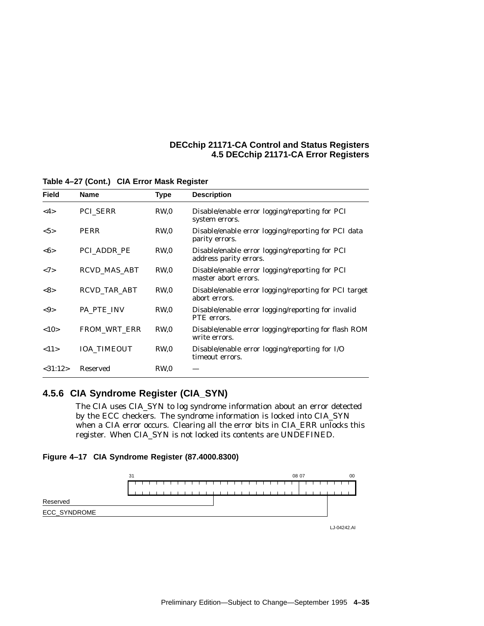| <b>Field</b>           | <b>Name</b>         | Type            | <b>Description</b>                                                       |
|------------------------|---------------------|-----------------|--------------------------------------------------------------------------|
| $<$ 4>                 | PCI_SERR            | RW <sub>0</sub> | Disable/enable error logging/reporting for PCI<br>system errors.         |
| $5>$                   | <b>PERR</b>         | RW <sub>0</sub> | Disable/enable error logging/reporting for PCI data<br>parity errors.    |
| <0>                    | PCI ADDR PE         | RW <sub>0</sub> | Disable/enable error logging/reporting for PCI<br>address parity errors. |
| <7>                    | <b>RCVD MAS ABT</b> | RW <sub>0</sub> | Disable/enable error logging/reporting for PCI<br>master abort errors.   |
| <8>                    | <b>RCVD TAR ABT</b> | RW <sub>0</sub> | Disable/enable error logging/reporting for PCI target<br>abort errors.   |
| $< \hspace{-0.5mm}9 >$ | PA PTE INV          | RW <sub>0</sub> | Disable/enable error logging/reporting for invalid<br>PTE errors.        |
| <10>                   | FROM_WRT_ERR        | RW <sub>0</sub> | Disable/enable error logging/reporting for flash ROM<br>write errors.    |
| <11>                   | <b>IOA TIMEOUT</b>  | RW <sub>0</sub> | Disable/enable error logging/reporting for I/O<br>timeout errors.        |
| <31:12>                | <b>Reserved</b>     | RW <sub>0</sub> |                                                                          |

**Table 4–27 (Cont.) CIA Error Mask Register**

# **4.5.6 CIA Syndrome Register (CIA\_SYN)**

The CIA uses CIA\_SYN to log syndrome information about an error detected by the ECC checkers. The syndrome information is locked into CIA\_SYN when a CIA error occurs. Clearing all the error bits in CIA\_ERR unlocks this register. When CIA\_SYN is not locked its contents are UNDEFINED.

### **Figure 4–17 CIA Syndrome Register (87.4000.8300)**



LJ-04242.AI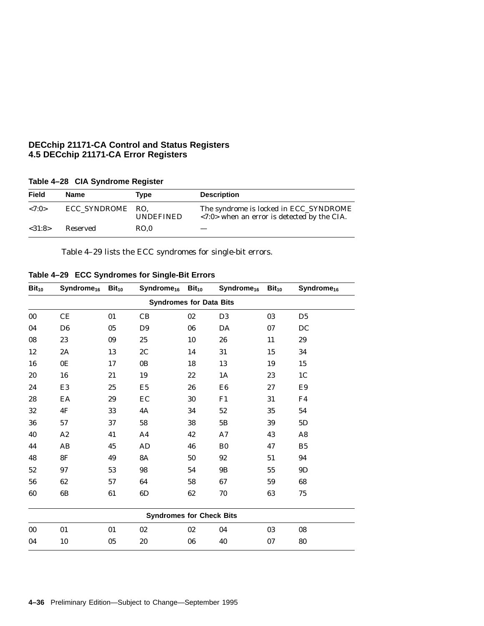|         | $1800 - 2000$    |                  |                                                                                                       |
|---------|------------------|------------------|-------------------------------------------------------------------------------------------------------|
| Field   | Name             | Type             | <b>Description</b>                                                                                    |
| < 7:0>  | ECC SYNDROME RO. | <b>UNDEFINED</b> | The syndrome is locked in ECC_SYNDROME<br>$\langle 7:0 \rangle$ when an error is detected by the CIA. |
| < 31:8> | Reserved         | RO.0             |                                                                                                       |

**Table 4–28 CIA Syndrome Register**

Table 4–29 lists the ECC syndromes for single-bit errors.

**Table 4–29 ECC Syndromes for Single-Bit Errors**

| $Bit_{10}$ | Syndrome <sub>16</sub> | $Bit_{10}$ | $Syndrome_{16}$ Bit <sub>10</sub> |        | Syndrome <sub>16</sub> Bit <sub>10</sub> |    | Syndrome <sub>16</sub> |
|------------|------------------------|------------|-----------------------------------|--------|------------------------------------------|----|------------------------|
|            |                        |            | <b>Syndromes for Data Bits</b>    |        |                                          |    |                        |
| 00         | CE                     | 01         | CB                                | 02     | D <sub>3</sub>                           | 03 | D <sub>5</sub>         |
| 04         | D <sub>6</sub>         | $05\,$     | D <sub>9</sub>                    | 06     | DA                                       | 07 | DC                     |
| 08         | 23                     | 09         | 25                                | 10     | 26                                       | 11 | 29                     |
| $12\,$     | 2A                     | 13         | 2C                                | 14     | 31                                       | 15 | 34                     |
| 16         | 0E                     | 17         | 0B                                | 18     | 13                                       | 19 | 15                     |
| $20\,$     | 16                     | 21         | 19                                | $22\,$ | 1A                                       | 23 | 1 <sup>C</sup>         |
| 24         | E3                     | 25         | E <sub>5</sub>                    | 26     | E <sub>6</sub>                           | 27 | E9                     |
| 28         | EA                     | 29         | EC                                | 30     | F1                                       | 31 | F4                     |
| 32         | 4F                     | 33         | 4A                                | 34     | 52                                       | 35 | 54                     |
| ${\bf 36}$ | $57\,$                 | 37         | 58                                | 38     | 5B                                       | 39 | $5\mathrm{D}$          |
| 40         | A2                     | 41         | A <sub>4</sub>                    | 42     | A7                                       | 43 | A8                     |
| 44         | AB                     | 45         | AD                                | 46     | B <sub>0</sub>                           | 47 | B <sub>5</sub>         |
| 48         | 8F                     | 49         | <b>8A</b>                         | 50     | 92                                       | 51 | 94                     |
| 52         | 97                     | 53         | 98                                | 54     | 9B                                       | 55 | 9D                     |
| 56         | 62                     | 57         | 64                                | 58     | 67                                       | 59 | 68                     |
| 60         | 6B                     | 61         | 6D                                | 62     | 70                                       | 63 | 75                     |
|            |                        |            | <b>Syndromes for Check Bits</b>   |        |                                          |    |                        |
| 00         | 01                     | 01         | 02                                | 02     | 04                                       | 03 | 08                     |
| 04         | 10                     | 05         | 20                                | 06     | 40                                       | 07 | 80                     |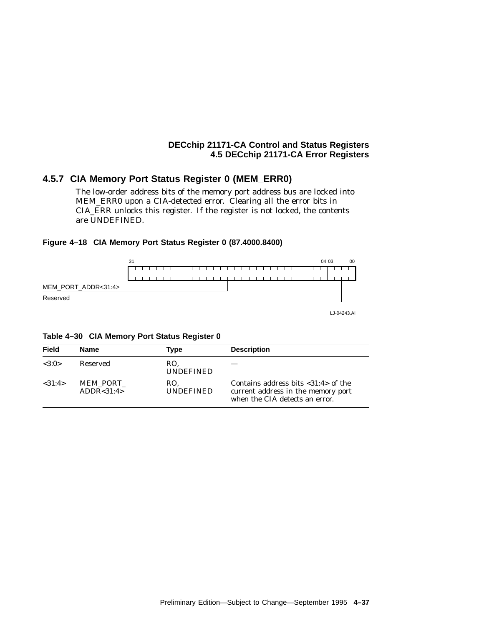## **4.5.7 CIA Memory Port Status Register 0 (MEM\_ERR0)**

The low-order address bits of the memory port address bus are locked into MEM\_ERR0 upon a CIA-detected error. Clearing all the error bits in CIA\_ERR unlocks this register. If the register is not locked, the contents are UNDEFINED.

## **Figure 4–18 CIA Memory Port Status Register 0 (87.4000.8400)**



LJ-04243.AI

**Table 4–30 CIA Memory Port Status Register 0**

| <b>Field</b> | <b>Name</b>              | Type                    | <b>Description</b>                                                                                                          |
|--------------|--------------------------|-------------------------|-----------------------------------------------------------------------------------------------------------------------------|
| <3:0>        | Reserved                 | RO.<br><b>UNDEFINED</b> |                                                                                                                             |
| <31:4>       | MEM PORT<br>ADDR < 31:4> | RO.<br><b>UNDEFINED</b> | Contains address bits $\langle 31:4 \rangle$ of the<br>current address in the memory port<br>when the CIA detects an error. |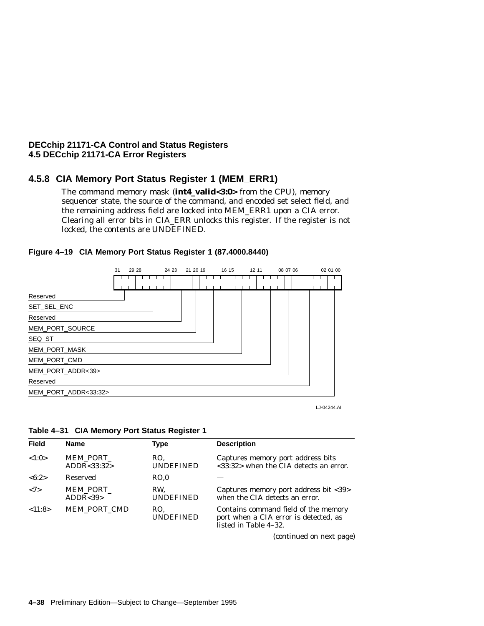## **4.5.8 CIA Memory Port Status Register 1 (MEM\_ERR1)**

The command memory mask (**int4\_valid<3:0>** from the CPU), memory sequencer state, the source of the command, and encoded set select field, and the remaining address field are locked into MEM\_ERR1 upon a CIA error. Clearing all error bits in CIA\_ERR unlocks this register. If the register is not locked, the contents are UNDEFINED.



### **Figure 4–19 CIA Memory Port Status Register 1 (87.4000.8440)**

LJ-04244.AI

| Table 4-31 CIA Memory Port Status Register 1 |
|----------------------------------------------|
|----------------------------------------------|

| <b>Field</b>        | <b>Name</b>             | Type                    | <b>Description</b>                                                                                     |
|---------------------|-------------------------|-------------------------|--------------------------------------------------------------------------------------------------------|
| <1:0>               | MEM PORT<br>ADDR<33:32> | RO.<br><b>UNDEFINED</b> | Captures memory port address bits<br><33:32> when the CIA detects an error.                            |
| <6:2>               | Reserved                | RO.0                    |                                                                                                        |
| $\langle 7 \rangle$ | MEM PORT<br>ADDR < 39   | RW.<br><b>UNDEFINED</b> | Captures memory port address bit <39><br>when the CIA detects an error.                                |
| <11:8>              | <b>MEM PORT CMD</b>     | RO.<br><b>UNDEFINED</b> | Contains command field of the memory<br>port when a CIA error is detected, as<br>listed in Table 4-32. |

(continued on next page)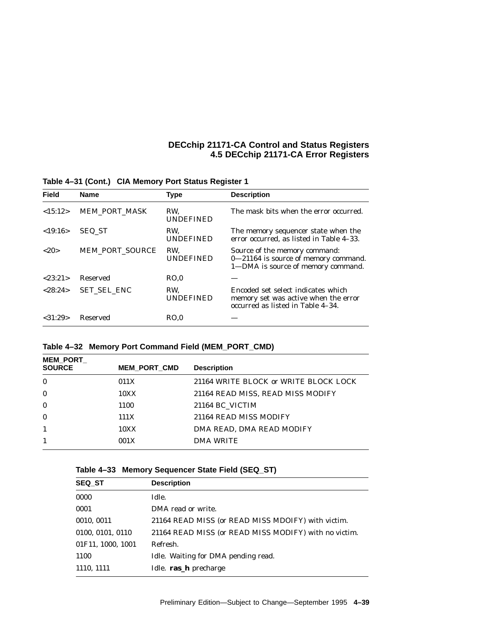| <b>Field</b> | <b>Name</b>        | <b>Type</b>             | <b>Description</b>                                                                                              |
|--------------|--------------------|-------------------------|-----------------------------------------------------------------------------------------------------------------|
| <15:12>      | MEM_PORT_MASK      | RW.<br><b>UNDEFINED</b> | The mask bits when the error occurred.                                                                          |
| <19:16>      | SEQ ST             | RW.<br><b>UNDEFINED</b> | The memory sequencer state when the<br>error occurred, as listed in Table 4-33.                                 |
| <20>         | MEM PORT SOURCE    | RW.<br><b>UNDEFINED</b> | Source of the memory command:<br>0-21164 is source of memory command.<br>1-DMA is source of memory command.     |
| < 23:21>     | Reserved           | RO.0                    |                                                                                                                 |
| < 28:24>     | <b>SET SEL ENC</b> | RW.<br><b>UNDEFINED</b> | Encoded set select indicates which<br>memory set was active when the error<br>occurred as listed in Table 4-34. |
| < 31:29      | Reserved           | RO.0                    |                                                                                                                 |

**Table 4–31 (Cont.) CIA Memory Port Status Register 1**

# **Table 4–32 Memory Port Command Field (MEM\_PORT\_CMD)**

| <b>MEM PORT</b> |                     |                                       |
|-----------------|---------------------|---------------------------------------|
| <b>SOURCE</b>   | <b>MEM PORT CMD</b> | <b>Description</b>                    |
| $\bf{0}$        | 011X                | 21164 WRITE BLOCK or WRITE BLOCK LOCK |
| $\mathbf{0}$    | 10XX                | 21164 READ MISS, READ MISS MODIFY     |
| $\mathbf{0}$    | 1100                | 21164 BC VICTIM                       |
| $\mathbf{0}$    | 111X                | 21164 READ MISS MODIFY                |
| $\mathbf{1}$    | 10XX                | DMA READ, DMA READ MODIFY             |
| 1               | 001X                | <b>DMA WRITE</b>                      |

|  |  |  | Table 4–33   Memory Sequencer State Field (SEQ_ST) |  |  |
|--|--|--|----------------------------------------------------|--|--|
|--|--|--|----------------------------------------------------|--|--|

| <b>SEQ ST</b>     | <b>Description</b>                                    |
|-------------------|-------------------------------------------------------|
| 0000              | Idle.                                                 |
| 0001              | DMA read or write.                                    |
| 0010, 0011        | 21164 READ MISS (or READ MISS MDOIFY) with victim.    |
| 0100, 0101, 0110  | 21164 READ MISS (or READ MISS MODIFY) with no victim. |
| 01F11, 1000, 1001 | Refresh.                                              |
| 1100              | Idle. Waiting for DMA pending read.                   |
| 1110, 1111        | Idle. ras_h precharge                                 |
|                   |                                                       |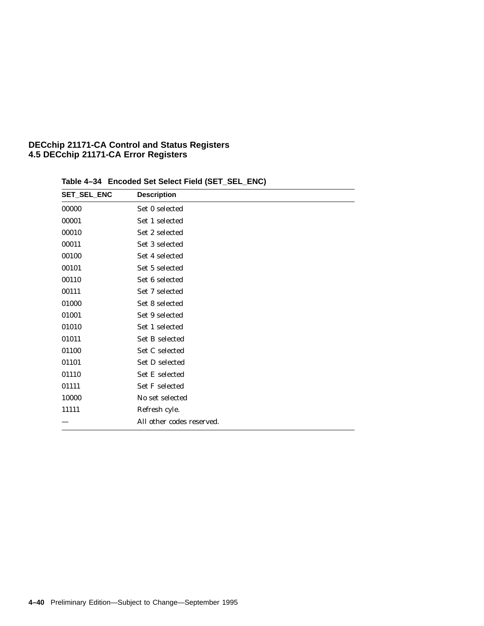| <b>SET_SEL_ENC</b> | <b>Description</b>        |
|--------------------|---------------------------|
| 00000              | Set 0 selected            |
| 00001              | Set 1 selected            |
| 00010              | Set 2 selected            |
| 00011              | Set 3 selected            |
| 00100              | Set 4 selected            |
| 00101              | Set 5 selected            |
| 00110              | Set 6 selected            |
| 00111              | Set 7 selected            |
| 01000              | Set 8 selected            |
| 01001              | Set 9 selected            |
| 01010              | Set 1 selected            |
| 01011              | <b>Set B selected</b>     |
| 01100              | Set C selected            |
| 01101              | Set D selected            |
| 01110              | <b>Set E selected</b>     |
| 01111              | <b>Set F selected</b>     |
| 10000              | No set selected           |
| 11111              | Refresh cyle.             |
|                    | All other codes reserved. |

**Table 4–34 Encoded Set Select Field (SET\_SEL\_ENC)**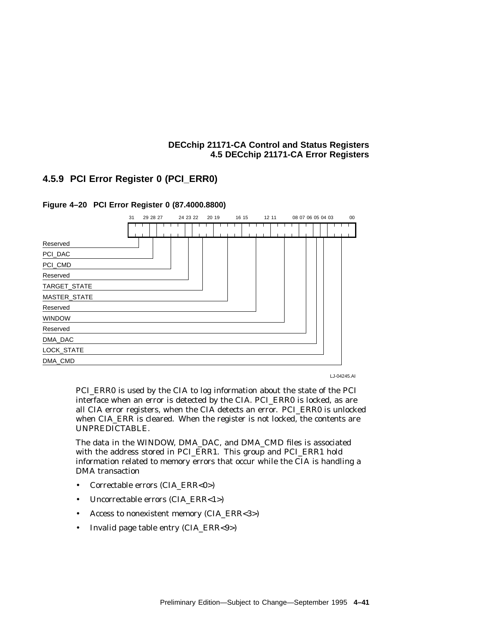# **4.5.9 PCI Error Register 0 (PCI\_ERR0)**



**Figure 4–20 PCI Error Register 0 (87.4000.8800)**

LJ-04245.AI

PCI\_ERR0 is used by the CIA to log information about the state of the PCI interface when an error is detected by the CIA. PCI\_ERR0 is locked, as are all CIA error registers, when the CIA detects an error. PCI\_ERR0 is unlocked when CIA\_ERR is cleared. When the register is not locked, the contents are UNPREDICTABLE.

The data in the WINDOW, DMA\_DAC, and DMA\_CMD files is associated with the address stored in PCI\_ERR1. This group and PCI\_ERR1 hold information related to memory errors that occur while the CIA is handling a DMA transaction

- Correctable errors (CIA\_ERR<0>)
- Uncorrectable errors (CIA\_ERR<1>)
- Access to nonexistent memory (CIA\_ERR<3>)
- Invalid page table entry (CIA\_ERR<9>)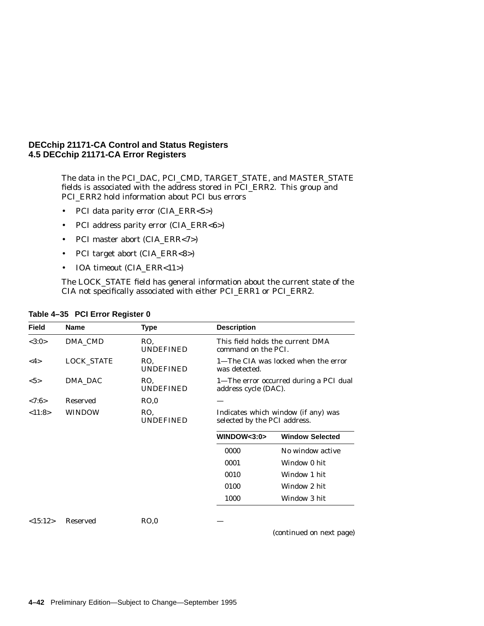The data in the PCI\_DAC, PCI\_CMD, TARGET\_STATE, and MASTER\_STATE fields is associated with the address stored in PCI\_ERR2. This group and PCI\_ERR2 hold information about PCI bus errors

- PCI data parity error (CIA\_ERR<5>)
- PCI address parity error (CIA\_ERR<6>)
- PCI master abort (CIA\_ERR<7>)
- PCI target abort (CIA\_ERR<8>)
- IOA timeout (CIA\_ERR<11>)

The LOCK\_STATE field has general information about the current state of the CIA not specifically associated with either PCI\_ERR1 or PCI\_ERR2.

| <b>Field</b> | <b>Name</b>       | Type                    | <b>Description</b>                                                  |                                        |
|--------------|-------------------|-------------------------|---------------------------------------------------------------------|----------------------------------------|
| <3:0>        | DMA CMD           | RO.<br><b>UNDEFINED</b> | command on the PCI.                                                 | This field holds the current DMA       |
| <4>          | <b>LOCK_STATE</b> | RO.<br><b>UNDEFINED</b> | 1—The CIA was locked when the error<br>was detected.                |                                        |
| $5>$         | DMA DAC           | RO.<br><b>UNDEFINED</b> | address cycle (DAC).                                                | 1—The error occurred during a PCI dual |
| <7:6>        | <b>Reserved</b>   | RO.0                    |                                                                     |                                        |
| <11:8>       | <b>WINDOW</b>     | RO.<br><b>UNDEFINED</b> | Indicates which window (if any) was<br>selected by the PCI address. |                                        |
|              |                   |                         | WINDOW<3:0>                                                         | <b>Window Selected</b>                 |
|              |                   |                         | 0000                                                                | No window active                       |
|              |                   |                         | 0001                                                                | Window 0 hit                           |
|              |                   |                         | 0010                                                                | Window 1 hit                           |
|              |                   |                         | 0100                                                                | Window 2 hit                           |
|              |                   |                         | 1000                                                                | Window 3 hit                           |
| <15:12>      | <b>Reserved</b>   | RO.0                    |                                                                     |                                        |

(continued on next page)

**Table 4–35 PCI Error Register 0**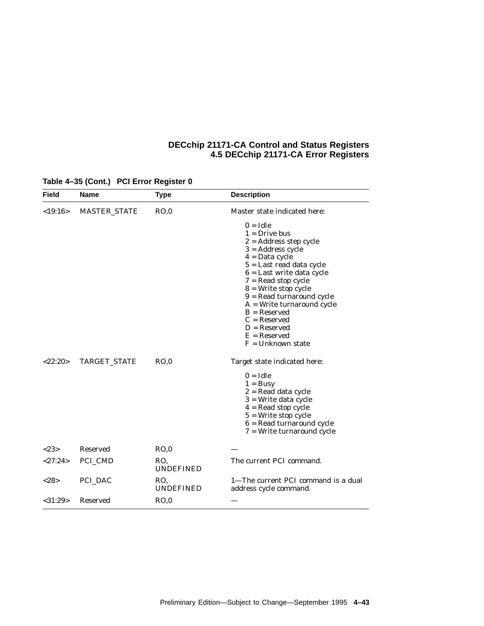| <b>Field</b>  | <b>Name</b>         | <b>Type</b>             | <b>Description</b>                                                                                                                                                                                                                                                                                                                                                                 |
|---------------|---------------------|-------------------------|------------------------------------------------------------------------------------------------------------------------------------------------------------------------------------------------------------------------------------------------------------------------------------------------------------------------------------------------------------------------------------|
| <19:16>       | <b>MASTER STATE</b> | RO,0                    | Master state indicated here:                                                                                                                                                                                                                                                                                                                                                       |
|               |                     |                         | $0 = Idle$<br>$1 = Drive$ bus<br>$2$ = Address step cycle<br>$3 =$ Address cycle<br>$4 = Data cycle$<br>$5 =$ Last read data cycle<br>$6$ = Last write data cycle<br>$7 =$ Read stop cycle<br>$8$ = Write stop cycle<br>$9 = Read$ turnaround cycle<br>$A = Write$ turnaround cycle<br>$B =$ Reserved<br>$C =$ Reserved<br>$D =$ Reserved<br>$E =$ Reserved<br>$F =$ Unknown state |
| <22:20>       | <b>TARGET_STATE</b> | RO.0                    | Target state indicated here:<br>$0 = Idle$<br>$1 = \text{Busy}$<br>2 = Read data cycle<br>$3$ = Write data cycle<br>$4 =$ Read stop cycle<br>$5$ = Write stop cycle<br>$6$ = Read turnaround cycle<br>$7$ = Write turnaround cycle                                                                                                                                                 |
| < 2.3         | <b>Reserved</b>     | RO.0                    |                                                                                                                                                                                                                                                                                                                                                                                    |
| <27:24>       | PCI_CMD             | RO.<br><b>UNDEFINED</b> | The current PCI command.                                                                                                                                                                                                                                                                                                                                                           |
| <28>          | PCI_DAC             | RO.<br><b>UNDEFINED</b> | 1-The current PCI command is a dual<br>address cycle command.                                                                                                                                                                                                                                                                                                                      |
| $<$ 31:29 $>$ | <b>Reserved</b>     | RO,0                    |                                                                                                                                                                                                                                                                                                                                                                                    |

# **Table 4–35 (Cont.) PCI Error Register 0**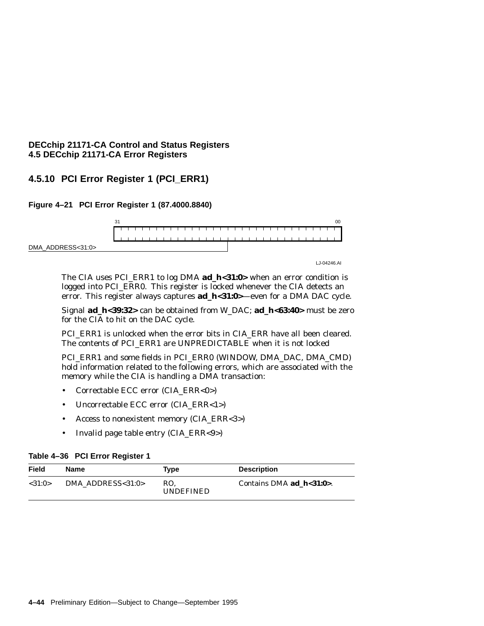# **4.5.10 PCI Error Register 1 (PCI\_ERR1)**

## **Figure 4–21 PCI Error Register 1 (87.4000.8840)**



The CIA uses PCI\_ERR1 to log DMA **ad\_h<31:0>** when an error condition is logged into PCI\_ERR0. This register is locked whenever the CIA detects an error. This register always captures **ad\_h<31:0>**—even for a DMA DAC cycle.

Signal **ad\_h<39:32>** can be obtained from W\_DAC; **ad\_h<63:40>** must be zero for the CIA to hit on the DAC cycle.

PCI\_ERR1 is unlocked when the error bits in CIA\_ERR have all been cleared. The contents of PCI\_ERR1 are UNPREDICTABLE when it is not locked

PCI\_ERR1 and some fields in PCI\_ERR0 (WINDOW, DMA\_DAC, DMA\_CMD) hold information related to the following errors, which are associated with the memory while the CIA is handling a DMA transaction:

- Correctable ECC error (CIA\_ERR<0>)
- Uncorrectable ECC error (CIA\_ERR<1>)
- Access to nonexistent memory (CIA\_ERR<3>)
- Invalid page table entry (CIA\_ERR<9>)

### **Table 4–36 PCI Error Register 1**

| Field  | Name                     | Type                    | <b>Description</b>            |
|--------|--------------------------|-------------------------|-------------------------------|
| <31:0> | DMA ADDRESS $<$ 31:0 $>$ | RO.<br><b>UNDEFINED</b> | Contains DMA $ad$ $h<31:0>$ . |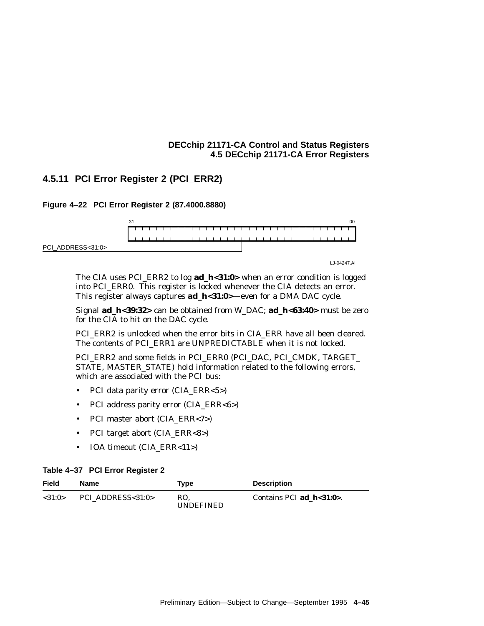# **4.5.11 PCI Error Register 2 (PCI\_ERR2)**

**Figure 4–22 PCI Error Register 2 (87.4000.8880)**



LJ-04247.AI

The CIA uses PCI\_ERR2 to log **ad\_h<31:0>** when an error condition is logged into PCI\_ERR0. This register is locked whenever the CIA detects an error. This register always captures **ad\_h<31:0>**—even for a DMA DAC cycle.

Signal **ad\_h<39:32>** can be obtained from W\_DAC; **ad\_h<63:40>** must be zero for the CIA to hit on the DAC cycle.

PCI\_ERR2 is unlocked when the error bits in CIA\_ERR have all been cleared. The contents of PCI\_ERR1 are UNPREDICTABLE when it is not locked.

PCI\_ERR2 and some fields in PCI\_ERR0 (PCI\_DAC, PCI\_CMDK, TARGET\_ STATE, MASTER\_STATE) hold information related to the following errors, which are associated with the PCI bus:

- PCI data parity error (CIA\_ERR<5>)
- PCI address parity error (CIA\_ERR<6>)
- PCI master abort (CIA\_ERR<7>)
- PCI target abort (CIA\_ERR<8>)
- IOA timeout (CIA\_ERR<11>)

## **Table 4–37 PCI Error Register 2**

| Field  | Name              | Type                    | <b>Description</b>            |
|--------|-------------------|-------------------------|-------------------------------|
| <31:0> | PCI ADDRESS<31:0> | RO.<br><b>UNDEFINED</b> | Contains PCI $ad$ $h<31:0>$ . |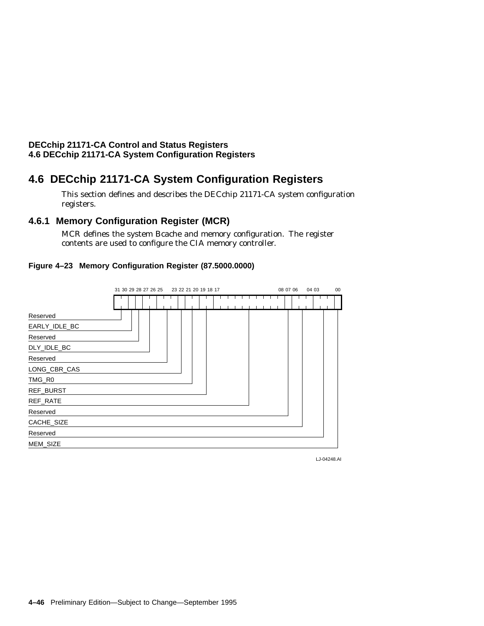# **4.6 DECchip 21171-CA System Configuration Registers**

This section defines and describes the DECchip 21171-CA system configuration registers.

# **4.6.1 Memory Configuration Register (MCR)**

MCR defines the system Bcache and memory configuration. The register contents are used to configure the CIA memory controller.

## **Figure 4–23 Memory Configuration Register (87.5000.0000)**



LJ-04248.AI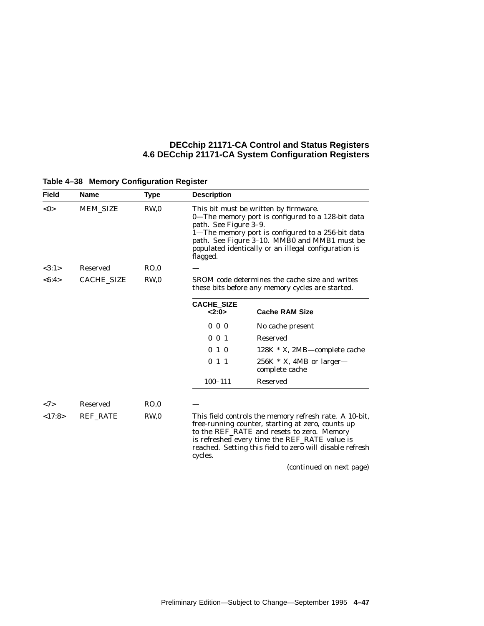| <b>Field</b> | <b>Name</b>     | <b>Type</b>     | <b>Description</b>                                                                                                                                                                                                                                                                           |                                                                                                                                                                                                                                                                        |  |
|--------------|-----------------|-----------------|----------------------------------------------------------------------------------------------------------------------------------------------------------------------------------------------------------------------------------------------------------------------------------------------|------------------------------------------------------------------------------------------------------------------------------------------------------------------------------------------------------------------------------------------------------------------------|--|
| $<$ 0 $>$    | <b>MEM_SIZE</b> | RW,0            | This bit must be written by firmware.<br>0–The memory port is configured to a 128-bit data<br>path. See Figure 3-9.<br>1-The memory port is configured to a 256-bit data<br>path. See Figure 3-10. MMB0 and MMB1 must be<br>populated identically or an illegal configuration is<br>flagged. |                                                                                                                                                                                                                                                                        |  |
| <3:1>        | <b>Reserved</b> | RO,0            |                                                                                                                                                                                                                                                                                              |                                                                                                                                                                                                                                                                        |  |
| < 6:4>       | CACHE_SIZE      | RW <sub>0</sub> | SROM code determines the cache size and writes<br>these bits before any memory cycles are started.                                                                                                                                                                                           |                                                                                                                                                                                                                                                                        |  |
|              |                 |                 | <b>CACHE_SIZE</b><br>2:0>                                                                                                                                                                                                                                                                    | <b>Cache RAM Size</b>                                                                                                                                                                                                                                                  |  |
|              |                 |                 | $0\,0\,0$                                                                                                                                                                                                                                                                                    | No cache present                                                                                                                                                                                                                                                       |  |
|              |                 |                 | $0 \t0 \t1$                                                                                                                                                                                                                                                                                  | <b>Reserved</b>                                                                                                                                                                                                                                                        |  |
|              |                 |                 | 010                                                                                                                                                                                                                                                                                          | $128K$ * X, 2MB—complete cache                                                                                                                                                                                                                                         |  |
|              |                 |                 | 011                                                                                                                                                                                                                                                                                          | $256K$ * X, 4MB or larger—<br>complete cache                                                                                                                                                                                                                           |  |
|              |                 |                 | $100 - 111$                                                                                                                                                                                                                                                                                  | <b>Reserved</b>                                                                                                                                                                                                                                                        |  |
| <7>          | <b>Reserved</b> | RO,0            |                                                                                                                                                                                                                                                                                              |                                                                                                                                                                                                                                                                        |  |
| <17:8>       | <b>REF RATE</b> | RW <sub>0</sub> | cycles.                                                                                                                                                                                                                                                                                      | This field controls the memory refresh rate. A 10-bit,<br>free-running counter, starting at zero, counts up<br>to the REF_RATE and resets to zero. Memory<br>is refreshed every time the REF_RATE value is<br>reached. Setting this field to zero will disable refresh |  |
|              |                 |                 |                                                                                                                                                                                                                                                                                              | (continued on next page)                                                                                                                                                                                                                                               |  |

# **Table 4–38 Memory Configuration Register**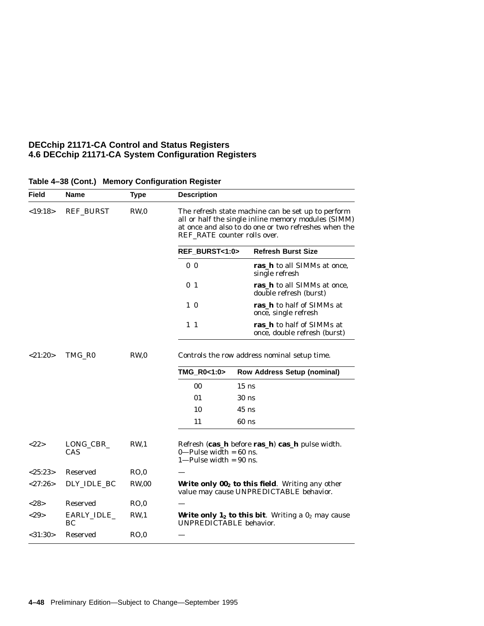| Field         | Name              | <b>Type</b>     | <b>Description</b>                                                                                                                                                                                |                                                                                              |
|---------------|-------------------|-----------------|---------------------------------------------------------------------------------------------------------------------------------------------------------------------------------------------------|----------------------------------------------------------------------------------------------|
| $<$ 19:18>    | <b>REF_BURST</b>  | RW,0            | The refresh state machine can be set up to perform<br>all or half the single inline memory modules (SIMM)<br>at once and also to do one or two refreshes when the<br>REF_RATE counter rolls over. |                                                                                              |
|               |                   |                 | REF_BURST<1:0>                                                                                                                                                                                    | <b>Refresh Burst Size</b>                                                                    |
|               |                   |                 | 0 <sub>0</sub>                                                                                                                                                                                    | ras_h to all SIMMs at once,<br>single refresh                                                |
|               |                   |                 | 0 <sub>1</sub>                                                                                                                                                                                    | ras_h to all SIMMs at once,<br>double refresh (burst)                                        |
|               |                   |                 | $1\quad0$                                                                                                                                                                                         | ras_h to half of SIMMs at<br>once, single refresh                                            |
|               |                   |                 | $1\,1$                                                                                                                                                                                            | ras_h to half of SIMMs at<br>once, double refresh (burst)                                    |
| <21:20>       | TMG_R0            | RW <sub>0</sub> | Controls the row address nominal setup time.                                                                                                                                                      |                                                                                              |
|               |                   |                 | TMG_R0<1:0>                                                                                                                                                                                       | <b>Row Address Setup (nominal)</b>                                                           |
|               |                   |                 | 00                                                                                                                                                                                                | $15$ ns                                                                                      |
|               |                   |                 | 01                                                                                                                                                                                                | 30 <sub>ns</sub>                                                                             |
|               |                   |                 | 10                                                                                                                                                                                                | $45$ ns                                                                                      |
|               |                   |                 | 11                                                                                                                                                                                                | $60$ ns                                                                                      |
| <22>          | LONG_CBR_<br>CAS  | RW <sub>1</sub> | $0$ —Pulse width = 60 ns.<br>$1-Pulse width = 90$ ns.                                                                                                                                             | Refresh (cas_h before ras_h) cas_h pulse width.                                              |
| <25:23>       | Reserved          | RO,0            |                                                                                                                                                                                                   |                                                                                              |
| <27:26>       | DLY IDLE BC       | <b>RW.00</b>    |                                                                                                                                                                                                   | Write only $002$ to this field. Writing any other<br>value may cause UNPREDICTABLE behavior. |
| <28>          | Reserved          | RO,0            |                                                                                                                                                                                                   |                                                                                              |
| <29           | EARLY_IDLE_<br>BС | RW <sub>1</sub> | UNPREDICTABLE behavior.                                                                                                                                                                           | <b>Write only 1<sub>2</sub> to this bit</b> . Writing a $02$ may cause                       |
| $<$ 31:30 $>$ | Reserved          | RO.0            |                                                                                                                                                                                                   |                                                                                              |

### **Table 4–38 (Cont.) Memory Configuration Register**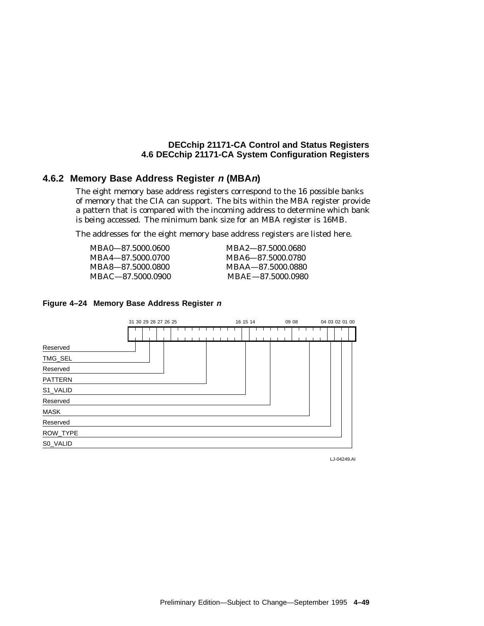## **4.6.2 Memory Base Address Register <sup>n</sup> (MBAn)**

The eight memory base address registers correspond to the 16 possible banks of memory that the CIA can support. The bits within the MBA register provide a pattern that is compared with the incoming address to determine which bank is being accessed. The minimum bank size for an MBA register is 16MB.

The addresses for the eight memory base address registers are listed here.

| MBA2-87.5000.0680 |
|-------------------|
| MBA6-87.5000.0780 |
| MBAA—87.5000.0880 |
| MBAE-87.5000.0980 |
|                   |





LJ-04249.AI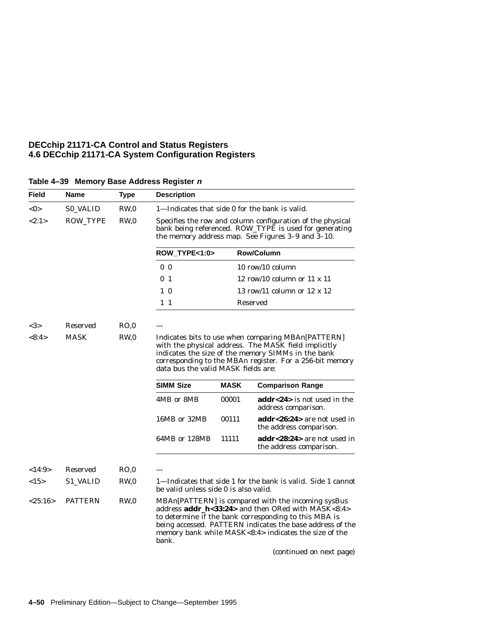| Field     | Name            | <b>Type</b>     | <b>Description</b>                                                                                                                                                                                                                                                  |             |                                                                                                                                                                                                                                                                                         |  |  |
|-----------|-----------------|-----------------|---------------------------------------------------------------------------------------------------------------------------------------------------------------------------------------------------------------------------------------------------------------------|-------------|-----------------------------------------------------------------------------------------------------------------------------------------------------------------------------------------------------------------------------------------------------------------------------------------|--|--|
| $<$ 0 $>$ | <b>S0_VALID</b> | RW,0            | 1—Indicates that side 0 for the bank is valid.                                                                                                                                                                                                                      |             |                                                                                                                                                                                                                                                                                         |  |  |
| <2:1>     | ROW_TYPE        | RW,0            |                                                                                                                                                                                                                                                                     |             | Specifies the row and column configuration of the physical<br>bank being referenced. ROW_TYPE is used for generating<br>the memory address map. See Figures 3-9 and 3-10.                                                                                                               |  |  |
|           |                 |                 | ROW_TYPE<1:0>                                                                                                                                                                                                                                                       |             | <b>Row/Column</b>                                                                                                                                                                                                                                                                       |  |  |
|           |                 |                 | 0 <sub>0</sub>                                                                                                                                                                                                                                                      |             | $10$ row/ $10$ column                                                                                                                                                                                                                                                                   |  |  |
|           |                 |                 | 0 <sub>1</sub>                                                                                                                                                                                                                                                      |             | 12 row/10 column or $11 \times 11$                                                                                                                                                                                                                                                      |  |  |
|           |                 |                 | $1\quad0$                                                                                                                                                                                                                                                           |             | 13 row/11 column or $12 \times 12$                                                                                                                                                                                                                                                      |  |  |
|           |                 |                 | $1\quad1$                                                                                                                                                                                                                                                           |             | Reserved                                                                                                                                                                                                                                                                                |  |  |
| <3>       | <b>Reserved</b> | RO.0            |                                                                                                                                                                                                                                                                     |             |                                                                                                                                                                                                                                                                                         |  |  |
| <8:4>     | <b>MASK</b>     | RW,0            | Indicates bits to use when comparing MBAn[PATTERN]<br>with the physical address. The MASK field implicitly<br>indicates the size of the memory SIMMs in the bank<br>corresponding to the MBAn register. For a 256-bit memory<br>data bus the valid MASK fields are: |             |                                                                                                                                                                                                                                                                                         |  |  |
|           |                 |                 | <b>SIMM Size</b>                                                                                                                                                                                                                                                    | <b>MASK</b> | <b>Comparison Range</b>                                                                                                                                                                                                                                                                 |  |  |
|           |                 |                 | 4MB or 8MB                                                                                                                                                                                                                                                          | 00001       | addr<24> is not used in the<br>address comparison.                                                                                                                                                                                                                                      |  |  |
|           |                 |                 | 16MB or 32MB                                                                                                                                                                                                                                                        | 00111       | addr<26:24> are not used in<br>the address comparison.                                                                                                                                                                                                                                  |  |  |
|           |                 |                 | 64MB or 128MB                                                                                                                                                                                                                                                       | 11111       | addr<28:24> are not used in<br>the address comparison.                                                                                                                                                                                                                                  |  |  |
| <14:9>    | <b>Reserved</b> | RO,0            |                                                                                                                                                                                                                                                                     |             |                                                                                                                                                                                                                                                                                         |  |  |
| <15>      | <b>S1 VALID</b> | RW <sub>0</sub> | be valid unless side 0 is also valid.                                                                                                                                                                                                                               |             | 1—Indicates that side 1 for the bank is valid. Side 1 cannot                                                                                                                                                                                                                            |  |  |
| < 25:16>  | <b>PATTERN</b>  | RW <sub>0</sub> | bank.                                                                                                                                                                                                                                                               |             | MBAn[PATTERN] is compared with the incoming sysBus<br>address addr_h<33:24> and then ORed with MASK<8:4><br>to determine if the bank corresponding to this MBA is<br>being accessed. PATTERN indicates the base address of the<br>memory bank while MASK<8:4> indicates the size of the |  |  |
|           |                 |                 |                                                                                                                                                                                                                                                                     |             | (continued on next page)                                                                                                                                                                                                                                                                |  |  |

# **Table 4–39 Memory Base Address Register <sup>n</sup>**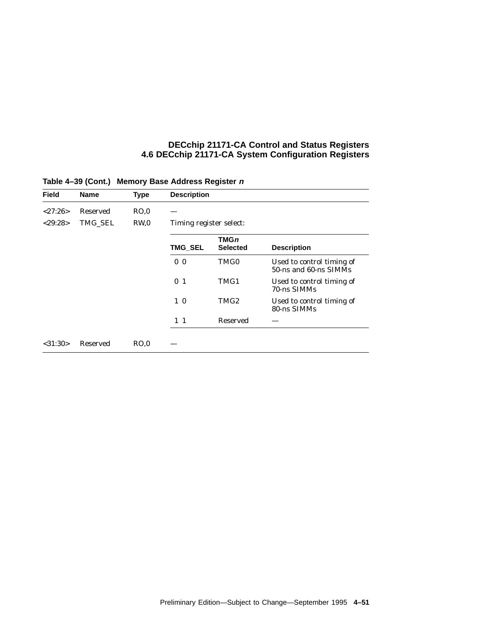| <b>Field</b>  | <b>Name</b>     | <b>Type</b>     | <b>Description</b>      |                                |                                                    |
|---------------|-----------------|-----------------|-------------------------|--------------------------------|----------------------------------------------------|
| $<$ 27:26 $>$ | <b>Reserved</b> | RO.0            |                         |                                |                                                    |
| $<$ 29:28>    | TMG SEL         | RW <sub>0</sub> | Timing register select: |                                |                                                    |
|               |                 |                 | <b>TMG_SEL</b>          | <b>TMGn</b><br><b>Selected</b> | <b>Description</b>                                 |
|               |                 |                 | 0 <sub>0</sub>          | TMG0                           | Used to control timing of<br>50-ns and 60-ns SIMMs |
|               |                 |                 | 0 <sub>1</sub>          | TMG1                           | Used to control timing of<br>70-ns SIMMs           |
|               |                 |                 | $1\quad0$               | TMG <sub>2</sub>               | Used to control timing of<br>80-ns SIMMs           |
|               |                 |                 | $1\quad1$               | Reserved                       |                                                    |

# **Table 4–39 (Cont.) Memory Base Address Register <sup>n</sup>**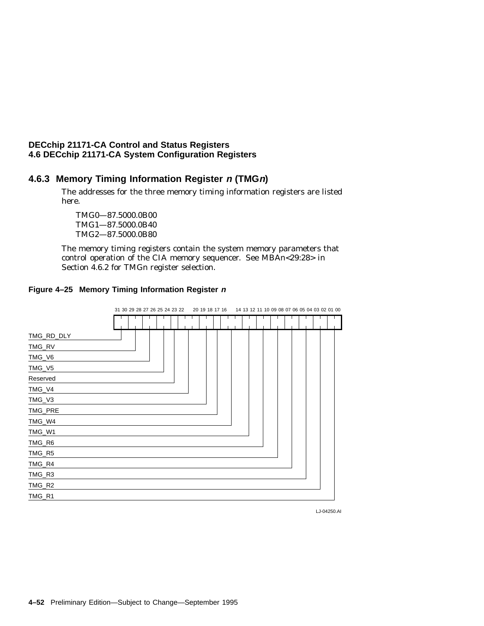# **4.6.3 Memory Timing Information Register <sup>n</sup> (TMGn)**

The addresses for the three memory timing information registers are listed here.

TMG0—87.5000.0B00 TMG1—87.5000.0B40 TMG2—87.5000.0B80

The memory timing registers contain the system memory parameters that control operation of the CIA memory sequencer. See MBA*n*<29:28> in Section 4.6.2 for TMG*n* register selection.



## **Figure 4–25 Memory Timing Information Register <sup>n</sup>**

LJ-04250.AI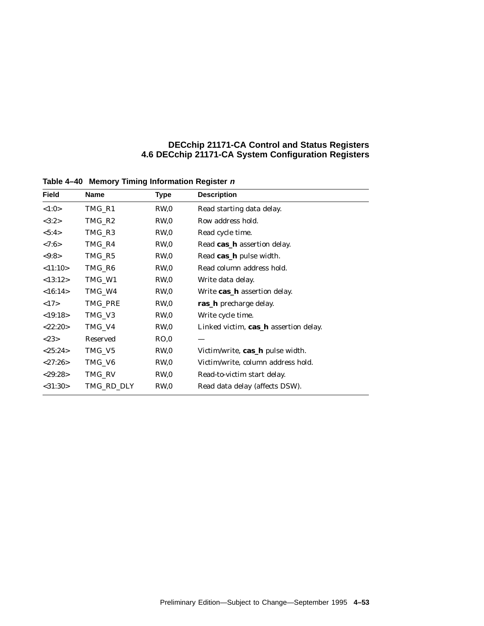| <b>Field</b>  | Name       | Type            | <b>Description</b>                    |
|---------------|------------|-----------------|---------------------------------------|
| < 1:0>        | TMG_R1     | RW,0            | Read starting data delay.             |
| <3:2>         | TMG_R2     | RW,0            | Row address hold.                     |
| < 5:4>        | TMG_R3     | RW,0            | Read cycle time.                      |
| < 7:6 >       | TMG_R4     | RW,0            | Read cas_h assertion delay.           |
| < 9:8 >       | TMG_R5     | RW,0            | Read cas_h pulse width.               |
| < 11:10>      | TMG_R6     | RW,0            | Read column address hold.             |
| <13:12>       | TMG_W1     | RW,0            | Write data delay.                     |
| <16:14>       | TMG_W4     | RW <sub>0</sub> | Write cas_h assertion delay.          |
| <17>          | TMG_PRE    | RW,0            | <b>ras_h</b> precharge delay.         |
| <19:18>       | TMG_V3     | RW,0            | Write cycle time.                     |
| $<$ 22:20 $>$ | TMG_V4     | RW,0            | Linked victim, cas_h assertion delay. |
| <23>          | Reserved   | RO,0            |                                       |
| <25:24>       | TMG_V5     | RW,0            | Victim/write, cas_h pulse width.      |
| $<$ 27:26 $>$ | TMG_V6     | RW,0            | Victim/write, column address hold.    |
| $<$ 29:28>    | TMG_RV     | RW,0            | Read-to-victim start delay.           |
| $<$ 31:30 $>$ | TMG_RD_DLY | RW,0            | Read data delay (affects DSW).        |

**Table 4–40 Memory Timing Information Register <sup>n</sup>**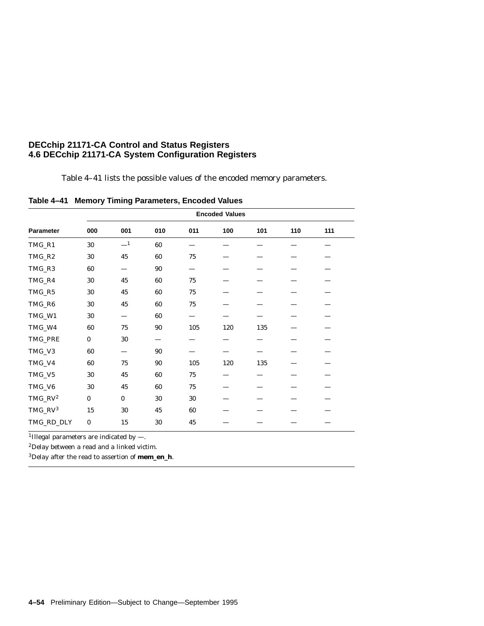Table 4–41 lists the possible values of the encoded memory parameters.

| Table 4-41 Memory Timing Parameters, Encoded Values |  |  |  |  |
|-----------------------------------------------------|--|--|--|--|
|-----------------------------------------------------|--|--|--|--|

|                 | <b>Encoded Values</b> |          |     |        |     |     |     |     |  |
|-----------------|-----------------------|----------|-----|--------|-----|-----|-----|-----|--|
| Parameter       | 000                   | 001      | 010 | 011    | 100 | 101 | 110 | 111 |  |
| TMG_R1          | 30                    | $\equiv$ | 60  |        |     |     |     |     |  |
| TMG_R2          | 30                    | 45       | 60  | 75     |     |     |     |     |  |
| TMG_R3          | 60                    |          | 90  |        |     |     |     |     |  |
| TMG_R4          | 30                    | 45       | 60  | 75     |     |     |     |     |  |
| $\rm TMG\_R5$   | 30                    | 45       | 60  | $75\,$ |     |     |     |     |  |
| TMG_R6          | 30                    | 45       | 60  | $75\,$ |     |     |     |     |  |
| TMG_W1          | 30                    |          | 60  |        |     |     |     |     |  |
| TMG_W4          | 60                    | 75       | 90  | 105    | 120 | 135 |     |     |  |
| TMG_PRE         | $\bf{0}$              | 30       |     |        |     |     |     |     |  |
| TMG_V3          | 60                    |          | 90  |        |     |     |     |     |  |
| TMG_V4          | 60                    | 75       | 90  | 105    | 120 | 135 |     |     |  |
| TMG_V5          | 30                    | 45       | 60  | 75     |     |     |     |     |  |
| TMG_V6          | 30                    | 45       | 60  | 75     |     |     |     |     |  |
| $TMG_RV^2$      | $\bf{0}$              | $\bf{0}$ | 30  | 30     |     |     |     |     |  |
| $\rm TMG\_RV^3$ | 15                    | 30       | 45  | 60     |     |     |     |     |  |
| TMG_RD_DLY      | $\bf{0}$              | 15       | 30  | 45     |     |     |     |     |  |

<sup>1</sup>Illegal parameters are indicated by  $-$ .

2Delay between a read and a linked victim.

3Delay after the read to assertion of **mem\_en\_h**.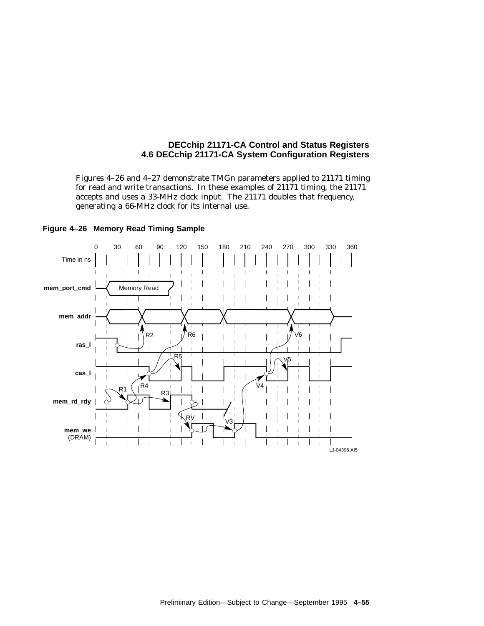Figures 4–26 and 4–27 demonstrate TMG*n* parameters applied to 21171 timing for read and write transactions. In these examples of 21171 timing, the 21171 accepts and uses a 33-MHz clock input. The 21171 doubles that frequency, generating a 66-MHz clock for its internal use.



#### **Figure 4–26 Memory Read Timing Sample**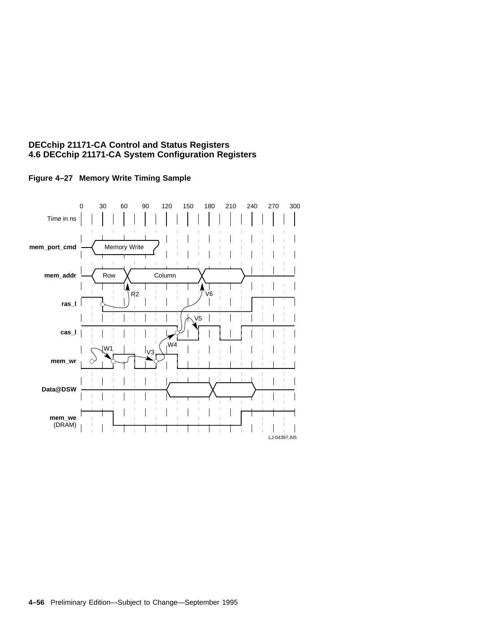

### **Figure 4–27 Memory Write Timing Sample**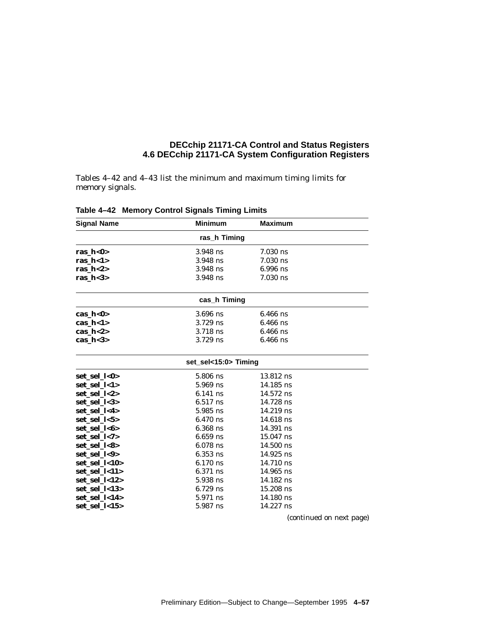Tables 4–42 and 4–43 list the minimum and maximum timing limits for memory signals.

| <b>Signal Name</b> | <b>Minimum</b>      | <b>Maximum</b> |  |  |  |  |
|--------------------|---------------------|----------------|--|--|--|--|
|                    | ras h Timing        |                |  |  |  |  |
| ras $h<0>$         | 3.948 ns            | $7.030$ ns     |  |  |  |  |
| ras $h < 1$        | $3.948$ ns          | $7.030$ ns     |  |  |  |  |
| ras $h<2>$         | 3.948 ns            | $6.996$ ns     |  |  |  |  |
| ras $h<3>$         | $3.948$ ns          | $7.030$ ns     |  |  |  |  |
|                    | cas_h Timing        |                |  |  |  |  |
| cas_ $h$ <0>       | $3.696$ ns          | $6.466$ ns     |  |  |  |  |
| cas $h<1>$         | $3.729$ ns          | $6.466$ ns     |  |  |  |  |
| cas $h<2>$         | 3.718 ns            | $6.466$ ns     |  |  |  |  |
| cas $h<3>$         | $3.729$ ns          | $6.466$ ns     |  |  |  |  |
|                    | set_sel<15:0>Timing |                |  |  |  |  |
| set_sel_l<0>       | 5.806 ns            | $13.812$ ns    |  |  |  |  |
| set_sel_l<1>       | $5.969$ ns          | $14.185$ ns    |  |  |  |  |
| set sel 1<2>       | $6.141$ ns          | $14.572$ ns    |  |  |  |  |
| set sel 1<3>       | $6.517$ ns          | 14.728 ns      |  |  |  |  |
| set_sel_l<4>       | 5.985 ns            | $14.219$ ns    |  |  |  |  |
| set_sel_l<5>       | $6.470$ ns          | $14.618$ ns    |  |  |  |  |
| set_sel_l<6>       | $6.368$ ns          | 14.391 ns      |  |  |  |  |
| set_sel_l<7>       | $6.659$ ns          | $15.047$ ns    |  |  |  |  |
| set sel l<8>       | $6.078$ ns          | $14.500$ ns    |  |  |  |  |
| set_sel_l<9>       | $6.353$ ns          | $14.925$ ns    |  |  |  |  |
| set_sel_l<10>      | $6.170$ ns          | 14.710 ns      |  |  |  |  |
| set_sel_l<11>      | 6.371 ns            | $14.965$ ns    |  |  |  |  |
| set_sel_l<12>      | 5.938 ns            | 14.182 ns      |  |  |  |  |
| set_sel_l<13>      | $6.729$ ns          | $15.208$ ns    |  |  |  |  |
| set sel 1<14>      | 5.971 ns            | $14.180$ ns    |  |  |  |  |
| set sel 1<15>      | 5.987 ns            | 14.227 ns      |  |  |  |  |

**Table 4–42 Memory Control Signals Timing Limits**

(continued on next page)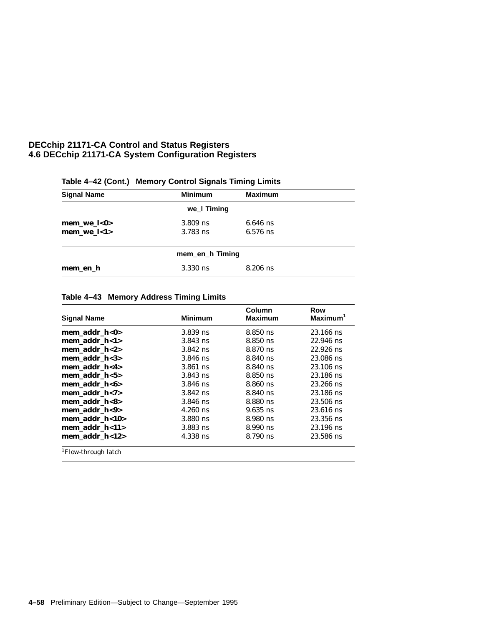| <b>Signal Name</b> | <b>Minimum</b>  | <b>Maximum</b> |  |
|--------------------|-----------------|----------------|--|
|                    | we_I Timing     |                |  |
| mem we $l<0>$      | $3.809$ ns      | $6.646$ ns     |  |
| $mem_wel<1>$       | $3.783$ ns      | $6.576$ ns     |  |
|                    | mem_en_h Timing |                |  |
| mem en h           | $3.330$ ns      | $8.206$ ns     |  |

# **Table 4–42 (Cont.) Memory Control Signals Timing Limits**

### **Table 4–43 Memory Address Timing Limits**

| <b>Signal Name</b>              | <b>Minimum</b> | Column<br><b>Maximum</b> | Row<br>$Maximum1$ |
|---------------------------------|----------------|--------------------------|-------------------|
| mem addr $h<0>$                 | 3.839 ns       | 8.850 ns                 | 23.166 ns         |
| mem addr $h < 1$                | $3.843$ ns     | 8.850 ns                 | 22.946 ns         |
| mem addr $h < 2>$               | $3.842$ ns     | 8.870 ns                 | $22.926$ ns       |
| mem addr $h<3>$                 | $3.846$ ns     | 8.840 ns                 | 23.086 ns         |
| mem addr h<4>                   | $3.861$ ns     | 8.840 ns                 | $23.106$ ns       |
| mem addr $h < 5$                | $3.843$ ns     | 8.850 ns                 | 23.186 ns         |
| mem addr $h < 6$                | $3.846$ ns     | 8.860 ns                 | 23.266 ns         |
| mem addr $h < 7$                | $3.842$ ns     | 8.840 ns                 | 23.186 ns         |
| mem addr $h < 8$                | $3.846$ ns     | 8.880 ns                 | 23.506 ns         |
| mem addr h<9>                   | $4.260$ ns     | $9.635$ ns               | $23.616$ ns       |
| mem addr $h<10$                 | $3.880$ ns     | 8.980 ns                 | 23.356 ns         |
| mem addr h<11>                  | $3.883$ ns     | 8.990 ns                 | $23.196$ ns       |
| mem addr $h<12$                 | 4.338 ns       | 8.790 ns                 | 23.586 ns         |
| <sup>1</sup> Flow-through latch |                |                          |                   |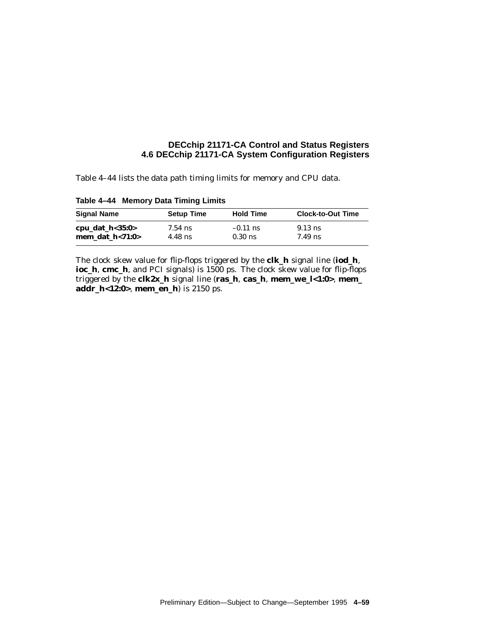Table 4–44 lists the data path timing limits for memory and CPU data.

| <b>Setup Time</b>                | <b>Hold Time</b> | <b>Clock-to-Out Time</b> |
|----------------------------------|------------------|--------------------------|
| $7.54$ ns                        | $-0.11$ ns       | $9.13$ ns                |
| mem dat $h < 71:0>$<br>$4.48$ ns | $0.30$ ns        | $7.49$ ns                |
|                                  |                  |                          |

**Table 4–44 Memory Data Timing Limits**

The clock skew value for flip-flops triggered by the **clk\_h** signal line (**iod\_h**, **ioc\_h**, **cmc\_h**, and PCI signals) is 1500 ps. The clock skew value for flip-flops triggered by the **clk2x\_h** signal line (**ras\_h**, **cas\_h**, **mem\_we\_l<1:0>**, **mem\_ addr\_h<12:0>**, **mem\_en\_h**) is 2150 ps.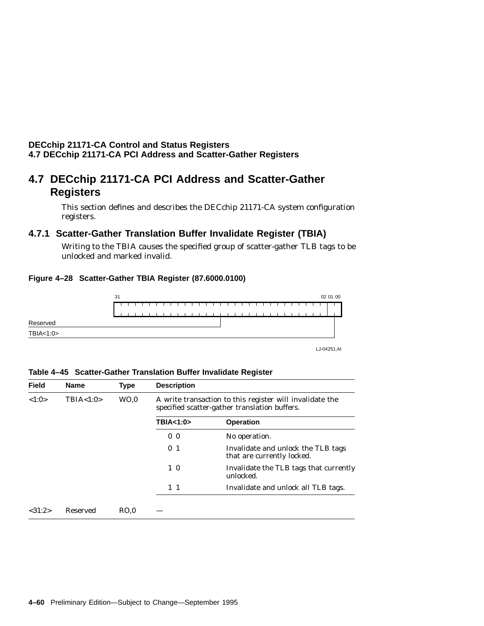## **DECchip 21171-CA Control and Status Registers 4.7 DECchip 21171-CA PCI Address and Scatter-Gather Registers**

# **4.7 DECchip 21171-CA PCI Address and Scatter-Gather Registers**

This section defines and describes the DECchip 21171-CA system configuration registers.

# **4.7.1 Scatter-Gather Translation Buffer Invalidate Register (TBIA)**

Writing to the TBIA causes the specified group of scatter-gather TLB tags to be unlocked and marked invalid.

### **Figure 4–28 Scatter-Gather TBIA Register (87.6000.0100)**



#### **Table 4–45 Scatter-Gather Translation Buffer Invalidate Register**

| <b>Field</b> | <b>Name</b>     | <b>Type</b>     | <b>Description</b>                                                                                        |                                                                  |
|--------------|-----------------|-----------------|-----------------------------------------------------------------------------------------------------------|------------------------------------------------------------------|
| <1:0>        | TBIA < 1:0>     | WO <sub>0</sub> | A write transaction to this register will invalidate the<br>specified scatter-gather translation buffers. |                                                                  |
|              |                 |                 | TBIA<1:0>                                                                                                 | <b>Operation</b>                                                 |
|              |                 |                 | 0 <sub>0</sub>                                                                                            | No operation.                                                    |
|              |                 |                 | 0 <sub>1</sub>                                                                                            | Invalidate and unlock the TLB tags<br>that are currently locked. |
|              |                 |                 | $1\quad0$                                                                                                 | Invalidate the TLB tags that currently<br>unlocked.              |
|              |                 |                 | $1\quad1$                                                                                                 | Invalidate and unlock all TLB tags.                              |
| <31:2>       | <b>Reserved</b> | RO.0            |                                                                                                           |                                                                  |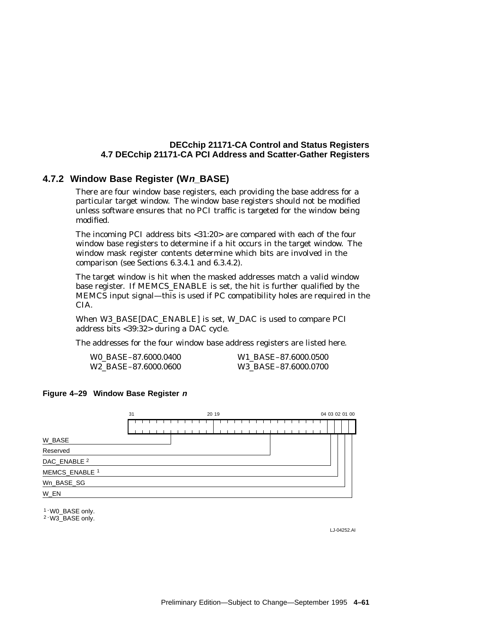## **DECchip 21171-CA Control and Status Registers 4.7 DECchip 21171-CA PCI Address and Scatter-Gather Registers**

## **4.7.2 Window Base Register (Wn\_BASE)**

There are four window base registers, each providing the base address for a particular target window. The window base registers should not be modified unless software ensures that no PCI traffic is targeted for the window being modified.

The incoming PCI address bits <31:20> are compared with each of the four window base registers to determine if a hit occurs in the target window. The window mask register contents determine which bits are involved in the comparison (see Sections 6.3.4.1 and 6.3.4.2).

The target window is hit when the masked addresses match a valid window base register. If MEMCS\_ENABLE is set, the hit is further qualified by the MEMCS input signal—this is used if PC compatibility holes are required in the CIA.

When W3\_BASE[DAC\_ENABLE] is set, W\_DAC is used to compare PCI address bits <39:32> during a DAC cycle.

The addresses for the four window base address registers are listed here.

| WO BASE-87.6000.0400             | W1 BASE-87.6000.0500 |
|----------------------------------|----------------------|
| W <sub>2</sub> BASE-87.6000.0600 | W3 BASE-87.6000.0700 |

### **Figure 4–29 Window Base Register <sup>n</sup>**



1 - W0 BASE only.

2 - W3\_BASE only.

LJ-04252.AI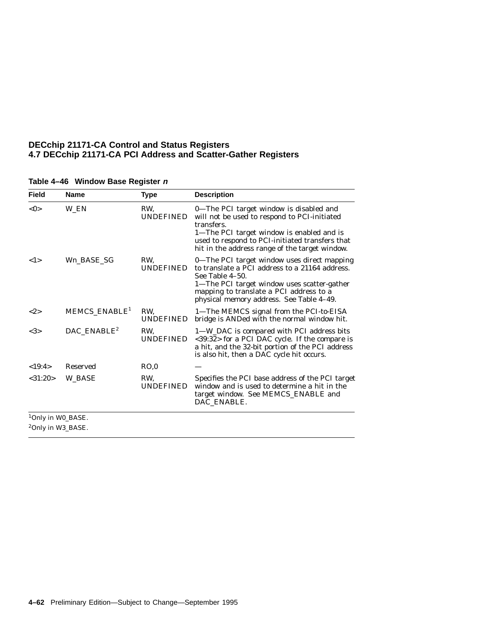### **DECchip 21171-CA Control and Status Registers 4.7 DECchip 21171-CA PCI Address and Scatter-Gather Registers**

| <b>Field</b>                                                   | <b>Name</b>               | <b>Type</b>             | <b>Description</b>                                                                                                                                                                                                                                      |
|----------------------------------------------------------------|---------------------------|-------------------------|---------------------------------------------------------------------------------------------------------------------------------------------------------------------------------------------------------------------------------------------------------|
| $<$ 0 $>$                                                      | W EN                      | RW.<br><b>UNDEFINED</b> | 0—The PCI target window is disabled and<br>will not be used to respond to PCI-initiated<br>transfers.<br>1-The PCI target window is enabled and is<br>used to respond to PCI-initiated transfers that<br>hit in the address range of the target window. |
| 1>                                                             | Wn BASE SG                | RW.<br><b>UNDEFINED</b> | 0-The PCI target window uses direct mapping<br>to translate a PCI address to a 21164 address.<br>See Table 4-50.<br>1-The PCI target window uses scatter-gather<br>mapping to translate a PCI address to a<br>physical memory address. See Table 4-49.  |
| <2>                                                            | MEMCS_ENABLE <sup>1</sup> | RW.<br><b>UNDEFINED</b> | 1-The MEMCS signal from the PCI-to-EISA<br>bridge is ANDed with the normal window hit.                                                                                                                                                                  |
| <3>                                                            | DAC_ENABLE <sup>2</sup>   | RW.<br><b>UNDEFINED</b> | 1-W_DAC is compared with PCI address bits<br><39:32> for a PCI DAC cycle. If the compare is<br>a hit, and the 32-bit portion of the PCI address<br>is also hit, then a DAC cycle hit occurs.                                                            |
| <19:4>                                                         | <b>Reserved</b>           | RO.0                    |                                                                                                                                                                                                                                                         |
| $<$ 31:20 $>$                                                  | <b>W BASE</b>             | RW.<br><b>UNDEFINED</b> | Specifies the PCI base address of the PCI target<br>window and is used to determine a hit in the<br>target window. See MEMCS_ENABLE and<br>DAC_ENABLE.                                                                                                  |
| <sup>1</sup> Only in W0_BASE.<br><sup>2</sup> Only in W3_BASE. |                           |                         |                                                                                                                                                                                                                                                         |

### **Table 4–46 Window Base Register <sup>n</sup>**

**4–62** Preliminary Edition—Subject to Change—September 1995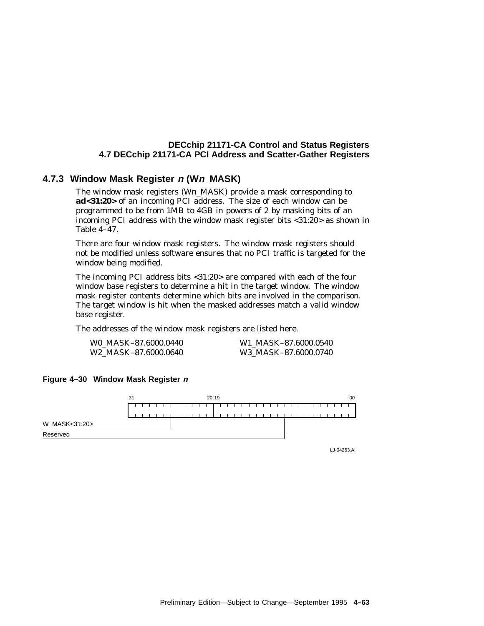#### **4.7.3 Window Mask Register <sup>n</sup> (Wn\_MASK)**

The window mask registers (W*n*\_MASK) provide a mask corresponding to **ad<31:20>** of an incoming PCI address. The size of each window can be programmed to be from 1MB to 4GB in powers of 2 by masking bits of an incoming PCI address with the window mask register bits <31:20> as shown in Table 4–47.

There are four window mask registers. The window mask registers should not be modified unless software ensures that no PCI traffic is targeted for the window being modified.

The incoming PCI address bits <31:20> are compared with each of the four window base registers to determine a hit in the target window. The window mask register contents determine which bits are involved in the comparison. The target window is hit when the masked addresses match a valid window base register.

The addresses of the window mask registers are listed here.

| W0 MASK-87.6000.0440             | W1 MASK-87.6000.0540 |
|----------------------------------|----------------------|
| W <sub>2</sub> MASK-87.6000.0640 | W3 MASK-87.6000.0740 |

#### **Figure 4–30 Window Mask Register <sup>n</sup>**



LJ-04253.AI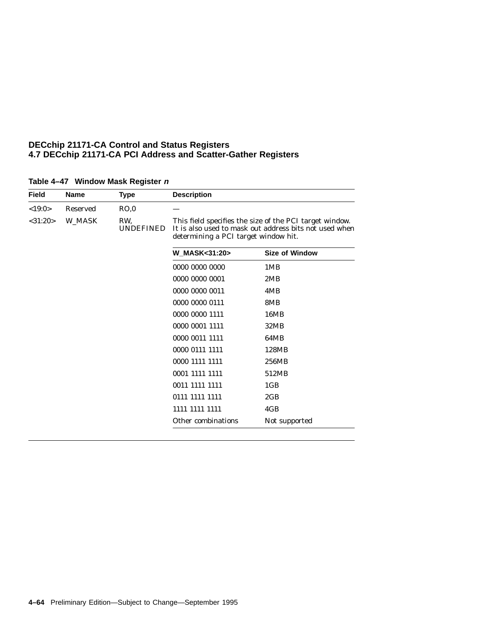| <b>Field</b>  | <b>Name</b>     | Type                    | <b>Description</b> |                                                                                                                                                           |  |
|---------------|-----------------|-------------------------|--------------------|-----------------------------------------------------------------------------------------------------------------------------------------------------------|--|
| <19:0>        | <b>Reserved</b> | RO,0                    |                    |                                                                                                                                                           |  |
| $<$ 31:20 $>$ | W MASK          | RW.<br><b>UNDEFINED</b> |                    | This field specifies the size of the PCI target window.<br>It is also used to mask out address bits not used when<br>determining a PCI target window hit. |  |
|               |                 |                         | W MASK<31:20>      | <b>Size of Window</b>                                                                                                                                     |  |
|               |                 |                         | 0000 0000 0000     | 1MB                                                                                                                                                       |  |
|               |                 |                         | 0000 0000 0001     | 2MB                                                                                                                                                       |  |
|               |                 |                         | 0000 0000 0011     | 4MB                                                                                                                                                       |  |
|               |                 |                         | 0000 0000 0111     | 8MB                                                                                                                                                       |  |
|               |                 |                         | 0000 0000 1111     | 16MB                                                                                                                                                      |  |
|               |                 |                         | 0000 0001 1111     | 32MB                                                                                                                                                      |  |
|               |                 |                         | 0000 0011 1111     | 64MB                                                                                                                                                      |  |
|               |                 |                         | 0000 0111 1111     | 128MB                                                                                                                                                     |  |
|               |                 |                         | 0000 1111 1111     | 256MB                                                                                                                                                     |  |
|               |                 |                         | 0001 1111 1111     | 512MB                                                                                                                                                     |  |
|               |                 |                         | 0011 1111 1111     | 1 <sub>GB</sub>                                                                                                                                           |  |
|               |                 |                         | 0111 1111 1111     | 2GB                                                                                                                                                       |  |
|               |                 |                         | 1111 1111 1111     | 4GB                                                                                                                                                       |  |
|               |                 |                         | Other combinations | Not supported                                                                                                                                             |  |

#### **Table 4–47 Window Mask Register <sup>n</sup>**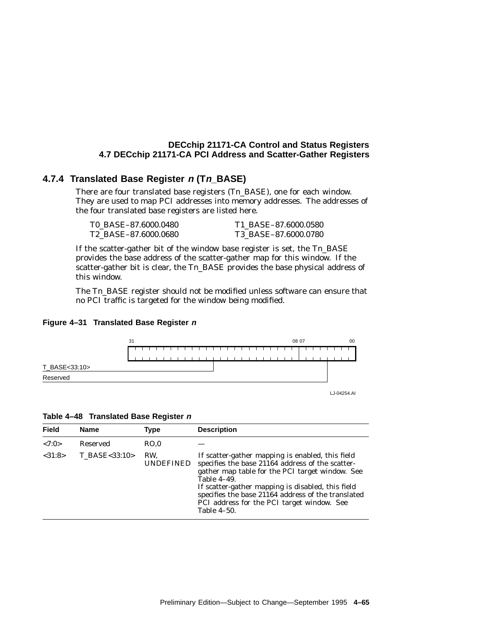#### **4.7.4 Translated Base Register <sup>n</sup> (Tn\_BASE)**

There are four translated base registers (T*n*\_BASE), one for each window. They are used to map PCI addresses into memory addresses. The addresses of the four translated base registers are listed here.

| T0 BASE-87.6000.0480             | T1 BASE-87.6000.0580 |
|----------------------------------|----------------------|
| T <sub>2</sub> BASE-87.6000.0680 | T3 BASE-87.6000.0780 |

If the scatter-gather bit of the window base register is set, the T*n*\_BASE provides the base address of the scatter-gather map for this window. If the scatter-gather bit is clear, the T*n*\_BASE provides the base physical address of this window.

The T*n*\_BASE register should not be modified unless software can ensure that no PCI traffic is targeted for the window being modified.





| Table 4–48 Translated Base Register n |  |  |
|---------------------------------------|--|--|

| <b>Field</b> | <b>Name</b>   | Type                    | <b>Description</b>                                                                                                                                                                                                                                                                                                                             |
|--------------|---------------|-------------------------|------------------------------------------------------------------------------------------------------------------------------------------------------------------------------------------------------------------------------------------------------------------------------------------------------------------------------------------------|
| <7:0>        | Reserved      | RO.0                    |                                                                                                                                                                                                                                                                                                                                                |
| <31:8>       | T BASE<33:10> | RW.<br><b>UNDEFINED</b> | If scatter-gather mapping is enabled, this field<br>specifies the base 21164 address of the scatter-<br>gather map table for the PCI target window. See<br>Table 4-49.<br>If scatter-gather mapping is disabled, this field<br>specifies the base 21164 address of the translated<br>PCI address for the PCI target window. See<br>Table 4-50. |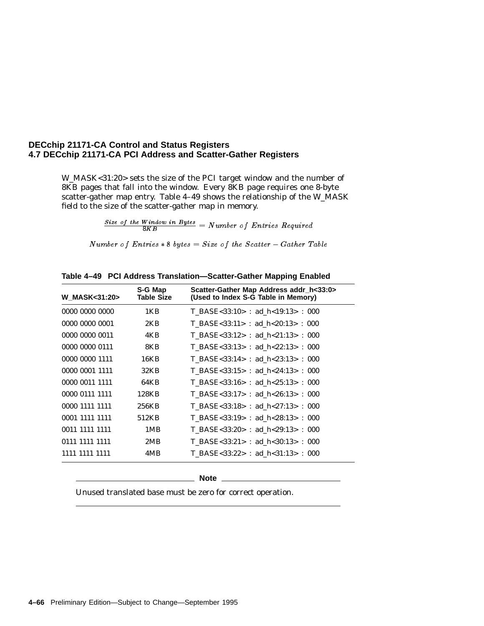W\_MASK<31:20> sets the size of the PCI target window and the number of 8KB pages that fall into the window. Every 8KB page requires one 8-byte scatter-gather map entry. Table 4–49 shows the relationship of the W\_MASK field to the size of the scatter-gather map in memory.

 $\frac{Size\ of\ the\ Window\ in\ Bytes}{8KB} = Number\ of\ Entries\ Required$ 

Number of Entries  $* 8$  bytes = Size of the Scatter – Gather Table

| <b>W MASK&lt;31:20&gt;</b> | S-G Map<br><b>Table Size</b> | Scatter-Gather Map Address addr_h<33:0><br>(Used to Index S-G Table in Memory) |
|----------------------------|------------------------------|--------------------------------------------------------------------------------|
| 0000 0000 0000             | 1KB                          | T BASE<33:10> : ad h<19:13> : 000                                              |
| 0000 0000 0001             | 2KB                          | T BASE<33:11> : ad h<20:13> : 000                                              |
| 0000 0000 0011             | 4KB                          | T BASE<33:12> : ad h<21:13> : 000                                              |
| 0000 0000 0111             | 8KB                          | T BASE<33:13> : ad h<22:13> : 000                                              |
| 0000 0000 1111             | 16KB                         | T BASE<33:14> : ad h<23:13> : 000                                              |
| 0000 0001 1111             | 32KB                         | T BASE<33:15> : ad h<24:13> : 000                                              |
| 0000 0011 1111             | 64KB                         | T BASE<33:16> : ad h<25:13> : 000                                              |
| 0000 0111 1111             | 128KB                        | T BASE<33:17> : ad h<26:13> : 000                                              |
| 0000 1111 1111             | 256KB                        | T BASE<33:18> : ad h<27:13> : 000                                              |
| 0001 1111 1111             | 512KB                        | $T_BASE<33:19>$ : ad_h<28:13>: 000                                             |
| 0011 1111 1111             | 1MB                          | T BASE<33:20> : ad h<29:13> : 000                                              |
| 0111 1111 1111             | 2MB                          | T BASE<33:21> : ad h<30:13> : 000                                              |
| 1111 1111 1111             | 4MB                          | T BASE<33:22> : ad h<31:13> : 000                                              |

**Table 4–49 PCI Address Translation—Scatter-Gather Mapping Enabled**

**Note**

Unused translated base must be zero for correct operation.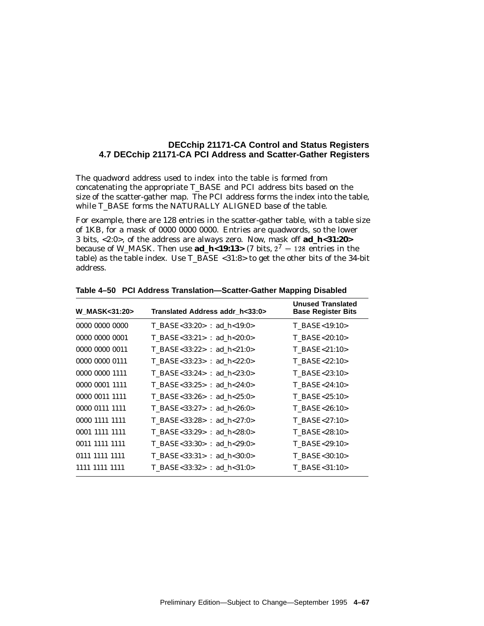The quadword address used to index into the table is formed from concatenating the appropriate T\_BASE and PCI address bits based on the size of the scatter-gather map. The PCI address forms the index into the table, while T\_BASE forms the NATURALLY ALIGNED base of the table.

For example, there are 128 entries in the scatter-gather table, with a table size of 1KB, for a mask of 0000 0000 0000. Entries are quadwords, so the lower 3 bits, <2:0>, of the address are always zero. Now, mask off **ad\_h<31:20>** because of W\_MASK. Then use  $ad_h$ <19:13> (7 bits,  $2^7 = 128$  entries in the table) as the table index. Use T\_BASE <31:8> to get the other bits of the 34-bit address.

| <b>W MASK&lt;31:20&gt;</b> | Translated Address addr h<33:0> | <b>Unused Translated</b><br><b>Base Register Bits</b> |
|----------------------------|---------------------------------|-------------------------------------------------------|
| 0000 0000 0000             | T BASE<33:20> : ad $h<19:0>$    | $T$ BASE < 19:10 >                                    |
| 0000 0000 0001             | T BASE<33:21> : ad $h<20:0>$    | T BASE<20:10>                                         |
| 0000 0000 0011             | T BASE<33:22> : ad $h<21:0>$    | $T$ BASE < 21:10 >                                    |
| 0000 0000 0111             | T BASE<33:23> : ad $h < 22:0>$  | T BASE<22:10>                                         |
| 0000 0000 1111             | T BASE<33:24> : ad $h < 23:0>$  | T BASE<23:10>                                         |
| 0000 0001 1111             | T BASE<33:25> : ad $h < 24:0>$  | $T$ BASE<24:10>                                       |
| 0000 0011 1111             | T BASE<33:26> : ad $h < 25:0>$  | $T$ BASE<25:10>                                       |
| 0000 0111 1111             | T BASE<33:27> : ad $h < 26:0>$  | T BASE<26:10>                                         |
| 0000 1111 1111             | T BASE<33:28> : ad $h < 27:0>$  | $T$ BASE < 27:10 >                                    |
| 0001 1111 1111             | T BASE<33:29> : ad $h < 28:0>$  | T BASE<28:10>                                         |
| 0011 1111 1111             | T BASE<33:30> : ad $h < 29:0>$  | T BASE<29:10>                                         |
| 0111 1111 1111             | T BASE<33:31> : ad $h<30:0>$    | T BASE<30:10>                                         |
| 1111 1111 1111             | T BASE<33:32> : ad $h<31:0>$    | T BASE<31:10>                                         |

**Table 4–50 PCI Address Translation—Scatter-Gather Mapping Disabled**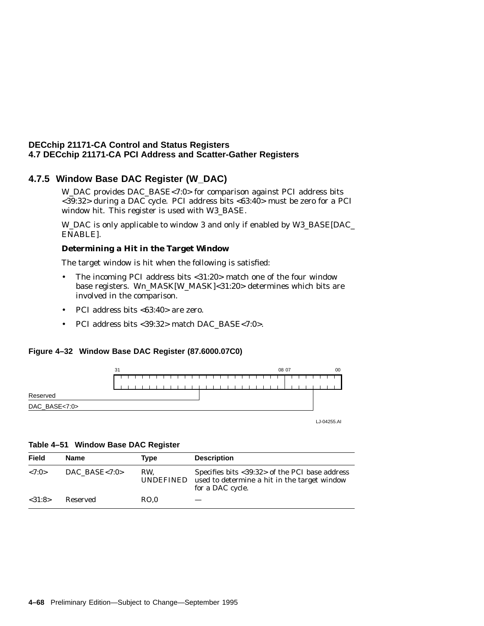### **4.7.5 Window Base DAC Register (W\_DAC)**

W\_DAC provides DAC\_BASE<7:0> for comparison against PCI address bits <39:32> during a DAC cycle. PCI address bits <63:40> must be zero for a PCI window hit. This register is used with W3\_BASE.

W\_DAC is only applicable to window 3 and only if enabled by W3\_BASE[DAC\_ ENABLE].

#### **Determining a Hit in the Target Window**

The target window is hit when the following is satisfied:

- The incoming PCI address bits <31:20> match one of the four window base registers. W*n*\_MASK[W\_MASK]<31:20> determines which bits are involved in the comparison.
- PCI address bits <63:40> are zero.
- PCI address bits <39:32> match DAC\_BASE<7:0>.

#### **Figure 4–32 Window Base DAC Register (87.6000.07C0)**



LJ-04255.AI

#### **Table 4–51 Window Base DAC Register**

| Field   | Name             | Type             | <b>Description</b>                                                                                                 |
|---------|------------------|------------------|--------------------------------------------------------------------------------------------------------------------|
| < 7:0>  | DAC BASE $< 7:0$ | RW.<br>UNDEFINED | Specifies bits <39:32> of the PCI base address<br>used to determine a hit in the target window<br>for a DAC cycle. |
| < 31:8> | Reserved         | RO.0             |                                                                                                                    |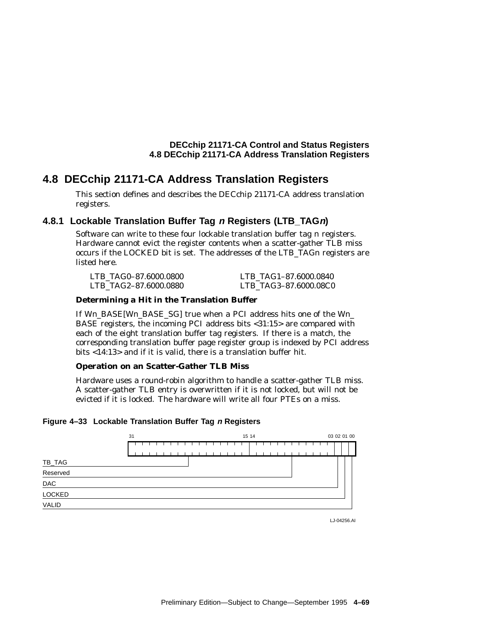# **4.8 DECchip 21171-CA Address Translation Registers**

This section defines and describes the DECchip 21171-CA address translation registers.

#### **4.8.1 Lockable Translation Buffer Tag <sup>n</sup> Registers (LTB\_TAGn)**

Software can write to these four lockable translation buffer tag *n* registers. Hardware cannot evict the register contents when a scatter-gather TLB miss occurs if the LOCKED bit is set. The addresses of the LTB\_TAG*n* registers are listed here.

| LTB TAG0-87.6000.0800 | LTB TAG1-87.6000.0840 |
|-----------------------|-----------------------|
| LTB TAG2-87.6000.0880 | LTB TAG3-87.6000.08C0 |

#### **Determining a Hit in the Translation Buffer**

If W*n*\_BASE[W*n*\_BASE\_SG] true when a PCI address hits one of the W*n*\_ BASE registers, the incoming PCI address bits <31:15> are compared with each of the eight translation buffer tag registers. If there is a match, the corresponding translation buffer page register group is indexed by PCI address bits <14:13> and if it is valid, there is a translation buffer hit.

#### **Operation on an Scatter-Gather TLB Miss**

Hardware uses a round-robin algorithm to handle a scatter-gather TLB miss. A scatter-gather TLB entry is overwritten if it is not locked, but will not be evicted if it is locked. The hardware will write all four PTEs on a miss.

#### **Figure 4–33 Lockable Translation Buffer Tag <sup>n</sup> Registers**



LJ-04256.AI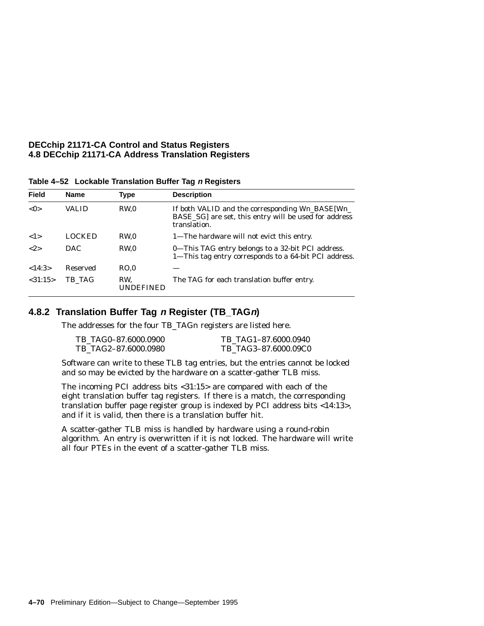| <b>Field</b> | <b>Name</b>   | Type                    | <b>Description</b>                                                                                                          |
|--------------|---------------|-------------------------|-----------------------------------------------------------------------------------------------------------------------------|
| < 0>         | <b>VALID</b>  | RW.0                    | If both VALID and the corresponding $Wn$ BASE $Wn$<br>BASE_SG] are set, this entry will be used for address<br>translation. |
| 1>           | <b>LOCKED</b> | RW.0                    | 1—The hardware will not evict this entry.                                                                                   |
| ${2}$        | DAC.          | RW.0                    | 0-This TAG entry belongs to a 32-bit PCI address.<br>1-This tag entry corresponds to a 64-bit PCI address.                  |
| <14:3>       | Reserved      | RO.0                    |                                                                                                                             |
| < 31:15>     | TB TAG        | RW.<br><b>UNDEFINED</b> | The TAG for each translation buffer entry.                                                                                  |

**Table 4–52 Lockable Translation Buffer Tag <sup>n</sup> Registers**

#### **4.8.2 Translation Buffer Tag <sup>n</sup> Register (TB\_TAGn)**

The addresses for the four TB\_TAGn registers are listed here.

| TB TAG0-87.6000.0900 | TB TAG1-87.6000.0940 |
|----------------------|----------------------|
| TB TAG2-87.6000.0980 | TB TAG3-87.6000.09C0 |

Software can write to these TLB tag entries, but the entries cannot be locked and so may be evicted by the hardware on a scatter-gather TLB miss.

The incoming PCI address bits <31:15> are compared with each of the eight translation buffer tag registers. If there is a match, the corresponding translation buffer page register group is indexed by PCI address bits <14:13>, and if it is valid, then there is a translation buffer hit.

A scatter-gather TLB miss is handled by hardware using a round-robin algorithm. An entry is overwritten if it is not locked. The hardware will write all four PTEs in the event of a scatter-gather TLB miss.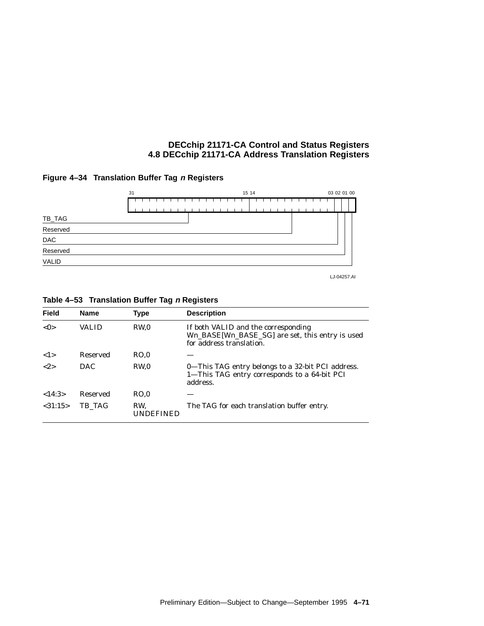



LJ-04257.AI

| <b>Field</b> | <b>Name</b> | Type             | <b>Description</b>                                                                                                 |
|--------------|-------------|------------------|--------------------------------------------------------------------------------------------------------------------|
| < 0>         | VALID       | RW <sub>0</sub>  | If both VALID and the corresponding<br>Wn_BASE[Wn_BASE_SG] are set, this entry is used<br>for address translation. |
| 1>           | Reserved    | RO.0             |                                                                                                                    |
| <2>          | <b>DAC</b>  | RW <sub>0</sub>  | 0—This TAG entry belongs to a 32-bit PCI address.<br>1-This TAG entry corresponds to a 64-bit PCI<br>address.      |
| <14:3>       | Reserved    | RO.0             |                                                                                                                    |
| < 31:15>     | TB TAG      | RW.<br>UNDEFINED | The TAG for each translation buffer entry.                                                                         |

#### **Table 4–53 Translation Buffer Tag <sup>n</sup> Registers**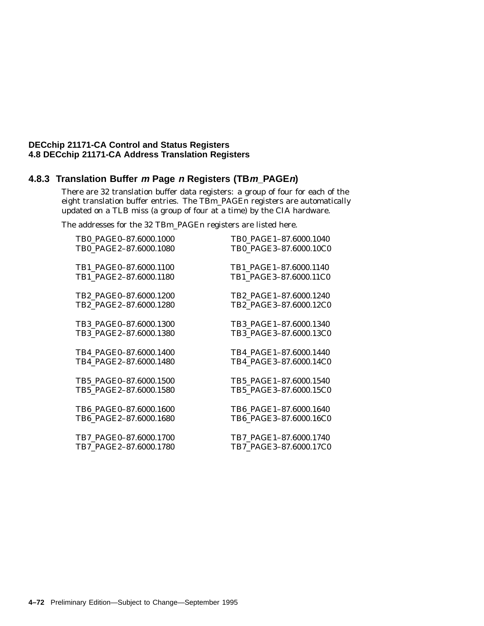#### **4.8.3 Translation Buffer <sup>m</sup> Page <sup>n</sup> Registers (TBm\_PAGEn)**

There are 32 translation buffer data registers: a group of four for each of the eight translation buffer entries. The TB*m*\_PAGE*n* registers are automatically updated on a TLB miss (a group of four at a time) by the CIA hardware.

The addresses for the 32 TB*m*\_PAGE*n* registers are listed here.

| TB0 PAGE0-87.6000.1000 | TB0 PAGE1-87.6000.1040 |
|------------------------|------------------------|
| TB0 PAGE2-87.6000.1080 | TB0 PAGE3-87.6000.10C0 |
| TB1_PAGE0-87.6000.1100 | TB1_PAGE1-87.6000.1140 |
| TB1_PAGE2-87.6000.1180 | TB1_PAGE3-87.6000.11C0 |
| TB2 PAGE0-87.6000.1200 | TB2 PAGE1-87.6000.1240 |
| TB2 PAGE2-87.6000.1280 | TB2_PAGE3-87.6000.12C0 |
| TB3 PAGE0-87.6000.1300 | TB3 PAGE1-87.6000.1340 |
| TB3 PAGE2-87.6000.1380 | TB3 PAGE3-87.6000.13C0 |
| TB4 PAGE0-87.6000.1400 | TB4 PAGE1-87.6000.1440 |
| TB4 PAGE2-87.6000.1480 | TB4_PAGE3-87.6000.14C0 |
| TB5_PAGE0-87.6000.1500 | TB5_PAGE1-87.6000.1540 |
| TB5_PAGE2-87.6000.1580 | TB5_PAGE3-87.6000.15C0 |
| TB6 PAGE0-87.6000.1600 | TB6 PAGE1-87.6000.1640 |
| TB6 PAGE2-87.6000.1680 | TB6 PAGE3-87.6000.16C0 |
| TB7_PAGE0-87.6000.1700 | TB7_PAGE1-87.6000.1740 |
| TB7_PAGE2-87.6000.1780 | TB7_PAGE3-87.6000.17C0 |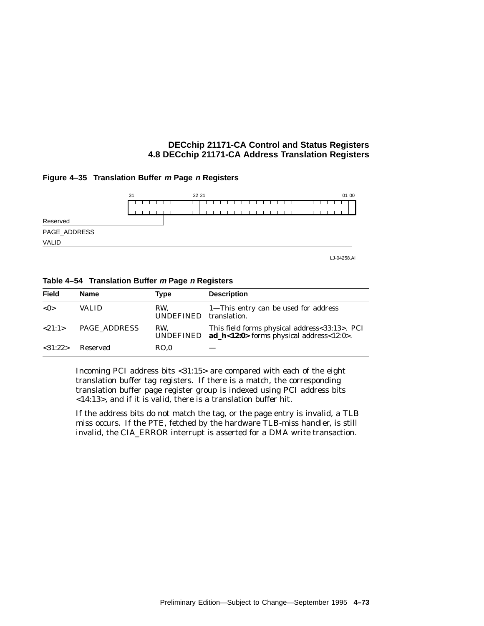#### **Figure 4–35 Translation Buffer <sup>m</sup> Page <sup>n</sup> Registers**



LJ-04258.AI

|  | Table 4-54 Translation Buffer m Page n Registers |  |  |  |
|--|--------------------------------------------------|--|--|--|
|--|--------------------------------------------------|--|--|--|

| <b>Field</b> | <b>Name</b>  | Type                          | <b>Description</b>                                                                                    |
|--------------|--------------|-------------------------------|-------------------------------------------------------------------------------------------------------|
| < 0>         | <b>VALID</b> | RW.<br>UNDEFINED translation. | 1—This entry can be used for address                                                                  |
| <21:1>       | PAGE ADDRESS | RW.                           | This field forms physical address<33:13>. PCI<br>UNDEFINED $ad_h<12:0>$ forms physical address<12:0>. |
| <31:22>      | Reserved     | RO.0                          |                                                                                                       |

Incoming PCI address bits <31:15> are compared with each of the eight translation buffer tag registers. If there is a match, the corresponding translation buffer page register group is indexed using PCI address bits <14:13>, and if it is valid, there is a translation buffer hit.

If the address bits do not match the tag, or the page entry is invalid, a TLB miss occurs. If the PTE, fetched by the hardware TLB-miss handler, is still invalid, the CIA\_ERROR interrupt is asserted for a DMA write transaction.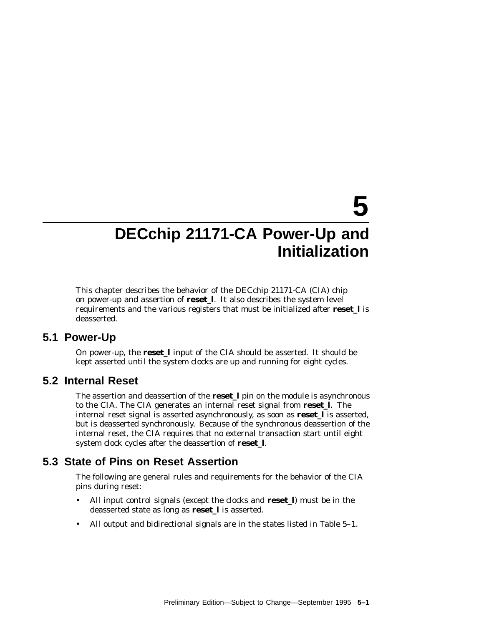# **5**

# **DECchip 21171-CA Power-Up and Initialization**

This chapter describes the behavior of the DECchip 21171-CA (CIA) chip on power-up and assertion of **reset\_l**. It also describes the system level requirements and the various registers that must be initialized after **reset\_l** is deasserted.

### **5.1 Power-Up**

On power-up, the **reset\_l** input of the CIA should be asserted. It should be kept asserted until the system clocks are up and running for eight cycles.

## **5.2 Internal Reset**

The assertion and deassertion of the **reset\_l** pin on the module is asynchronous to the CIA. The CIA generates an internal reset signal from **reset\_l**. The internal reset signal is asserted asynchronously, as soon as **reset\_l** is asserted, but is deasserted synchronously. Because of the synchronous deassertion of the internal reset, the CIA requires that no external transaction start until eight system clock cycles after the deassertion of **reset\_l**.

# **5.3 State of Pins on Reset Assertion**

The following are general rules and requirements for the behavior of the CIA pins during reset:

- All input control signals (except the clocks and **reset\_l**) must be in the deasserted state as long as **reset\_l** is asserted.
- All output and bidirectional signals are in the states listed in Table 5–1.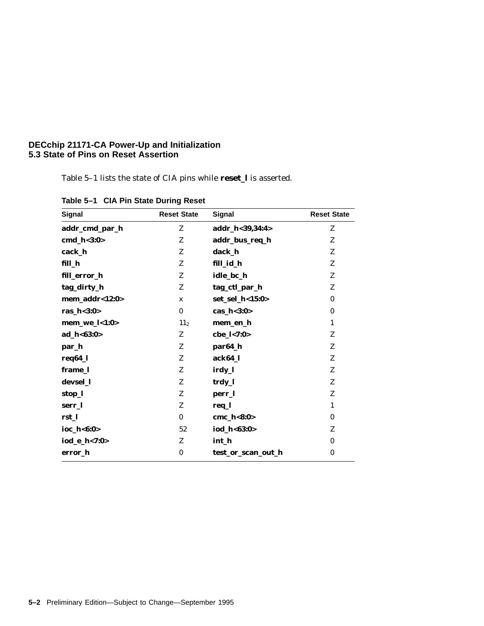#### **DECchip 21171-CA Power-Up and Initialization 5.3 State of Pins on Reset Assertion**

Table 5–1 lists the state of CIA pins while **reset\_l** is asserted.

| <b>Signal</b>  | <b>Reset State</b> | <b>Signal</b>      | <b>Reset State</b> |
|----------------|--------------------|--------------------|--------------------|
| addr_cmd_par_h | Z                  | addr_h<39,34:4>    | Z                  |
| $cmd_h<3:0>$   | Z                  | addr_bus_req_h     | Z                  |
| cack_h         | Z                  | dack_h             | Z                  |
| fill_h         | Z                  | fill_id_h          | Z                  |
| fill_error_h   | Z                  | idle_bc_h          | Z                  |
| tag_dirty_h    | Z                  | tag_ctl_par_h      | Z                  |
| mem_addr<12:0> | $\mathbf x$        | set_sel_h<15:0>    | $\bf{0}$           |
| ras_h<3:0>     | $\bf{0}$           | cas_ $h<3:0>$      | $\bf{0}$           |
| $mem_wel<1:0>$ | 11 <sub>2</sub>    | mem_en_h           | $\mathbf{1}$       |
| ad_h<63:0>     | Z                  | cbe_l<7:0>         | Z                  |
| par_h          | Z                  | par64_h            | Z                  |
| req64_l        | Z                  | ack64_l            | Z                  |
| frame_l        | Z                  | irdy_l             | Z                  |
| devsel_l       | Z                  | trdy_l             | Z                  |
| stop_l         | Z                  | perr_l             | Z                  |
| serr_l         | Z                  | req_l              | $\mathbf{1}$       |
| rst 1          | $\bf{0}$           | cmc_h<8:0>         | $\bf{0}$           |
| ioc_h<6:0>     | 52                 | iod_h<63:0>        | Z                  |
| iod_e_h<7:0>   | Z                  | int_h              | $\bf{0}$           |
| error_h        | $\bf{0}$           | test_or_scan_out_h | $\bf{0}$           |
|                |                    |                    |                    |

**Table 5–1 CIA Pin State During Reset**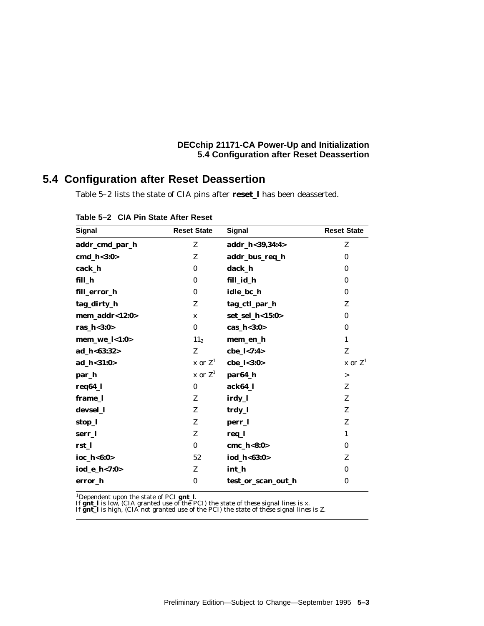#### **DECchip 21171-CA Power-Up and Initialization 5.4 Configuration after Reset Deassertion**

# **5.4 Configuration after Reset Deassertion**

Table 5–2 lists the state of CIA pins after **reset\_l** has been deasserted.

| Signal         | <b>Reset State</b> | Signal             | <b>Reset State</b> |
|----------------|--------------------|--------------------|--------------------|
| addr_cmd_par_h | Z                  | addr_h<39,34:4>    | Z                  |
| cmd_h<3:0>     | Z                  | addr_bus_req_h     | $\bf{0}$           |
| cack_h         | $\mathbf{0}$       | dack_h             | $\mathbf{0}$       |
| fill_h         | $\bf{0}$           | fill_id_h          | $\bf{0}$           |
| fill_error_h   | $\bf{0}$           | idle_bc_h          | $\bf{0}$           |
| tag_dirty_h    | Z                  | tag_ctl_par_h      | Z                  |
| mem_addr<12:0> | $\mathbf x$        | set_sel_h<15:0>    | $\bf{0}$           |
| ras_h<3:0>     | $\bf{0}$           | cas_ $h<3:0>$      | $\bf{0}$           |
| mem_we_l<1:0>  | 11 <sub>2</sub>    | mem_en_h           | 1                  |
| ad_h<63:32>    | Z                  | cbe_l<7:4>         | Z                  |
| ad_h<31:0>     | x or $Z^1$         | cbe_l<3:0>         | x or $Z^1$         |
| par_h          | x or $Z^1$         | par64_h            | $\geq$             |
| req64_l        | $\bf{0}$           | ack64_l            | Z                  |
| frame_l        | Z                  | irdy_l             | Z                  |
| devsel_1       | Z                  | trdy_l             | Z                  |
| stop_l         | Z                  | perr_l             | Z                  |
| serr 1         | Z                  | req_l              | $\mathbf{1}$       |
| rst 1          | $\bf{0}$           | cmc_h<8:0>         | $\bf{0}$           |
| ioc_h<6:0>     | 52                 | iod_h<63:0>        | Z                  |
| iod_e_h<7:0>   | Z                  | int_h              | $\mathbf{0}$       |
| error_h        | $\bf{0}$           | test_or_scan_out_h | $\bf{0}$           |

|  |  | Table 5-2 CIA Pin State After Reset |  |
|--|--|-------------------------------------|--|
|--|--|-------------------------------------|--|

<sup>1</sup>Dependent upon the state of PCI **gnt\_l**.<br>If **gnt\_l** is low, (CIA granted use of the PCI) the state of these signal lines is x.<br>If **gnt\_l** is high, (CIA not granted use of the PCI) the state of these signal lines is Z.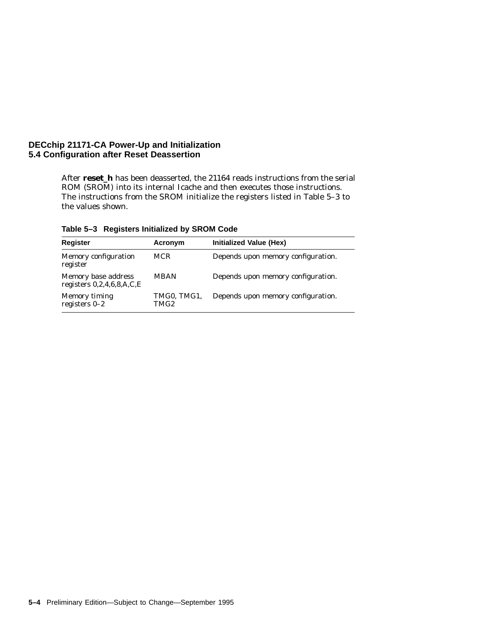#### **DECchip 21171-CA Power-Up and Initialization 5.4 Configuration after Reset Deassertion**

After **reset\_h** has been deasserted, the 21164 reads instructions from the serial ROM (SROM) into its internal Icache and then executes those instructions. The instructions from the SROM initialize the registers listed in Table 5–3 to the values shown.

| <b>Register</b>                                    | Acronym             | Initialized Value (Hex)            |
|----------------------------------------------------|---------------------|------------------------------------|
| Memory configuration<br>register                   | <b>MCR</b>          | Depends upon memory configuration. |
| Memory base address<br>registers $0,2,4,6,8,A,C,E$ | <b>MBAN</b>         | Depends upon memory configuration. |
| Memory timing<br>registers $0-2$                   | TMG0, TMG1,<br>TMG2 | Depends upon memory configuration. |

**Table 5–3 Registers Initialized by SROM Code**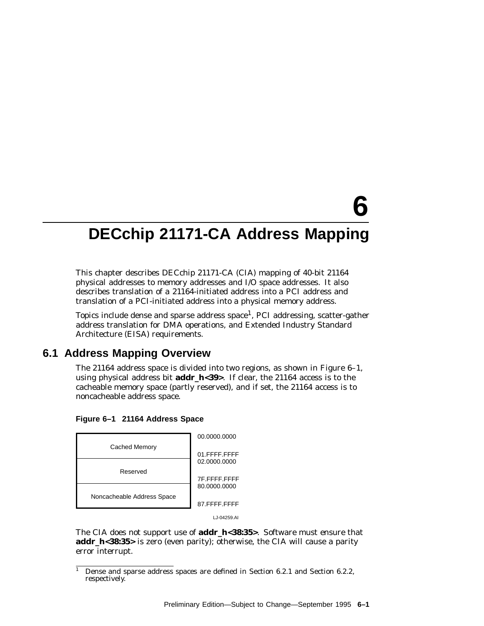# **6**

# **DECchip 21171-CA Address Mapping**

This chapter describes DECchip 21171-CA (CIA) mapping of 40-bit 21164 physical addresses to memory addresses and I/O space addresses. It also describes translation of a 21164-initiated address into a PCI address and translation of a PCI-initiated address into a physical memory address.

Topics include dense and sparse address space<sup>1</sup>, PCI addressing, scatter-gather address translation for DMA operations, and Extended Industry Standard Architecture (EISA) requirements.

## **6.1 Address Mapping Overview**

The 21164 address space is divided into two regions, as shown in Figure 6–1, using physical address bit **addr\_h<39>**. If clear, the 21164 access is to the cacheable memory space (partly reserved), and if set, the 21164 access is to noncacheable address space.





The CIA does not support use of **addr\_h<38:35>**. Software must ensure that **addr\_h<38:35>** is zero (even parity); otherwise, the CIA will cause a parity error interrupt.

Dense and sparse address spaces are defined in Section 6.2.1 and Section 6.2.2, respectively.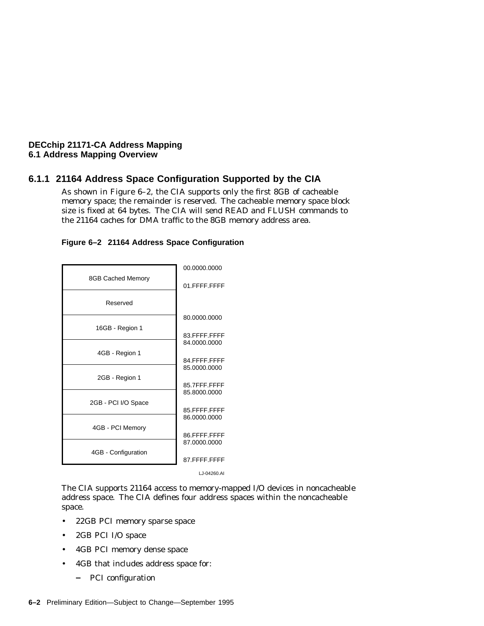#### **6.1.1 21164 Address Space Configuration Supported by the CIA**

As shown in Figure 6–2, the CIA supports only the first 8GB of cacheable memory space; the remainder is reserved. The cacheable memory space block size is fixed at 64 bytes. The CIA will send READ and FLUSH commands to the 21164 caches for DMA traffic to the 8GB memory address area.



#### **Figure 6–2 21164 Address Space Configuration**

The CIA supports 21164 access to memory-mapped I/O devices in noncacheable address space. The CIA defines four address spaces within the noncacheable space.

- 22GB PCI memory sparse space
- 2GB PCI I/O space
- 4GB PCI memory dense space
- 4GB that includes address space for:
	- $\qquad \qquad -$ PCI configuration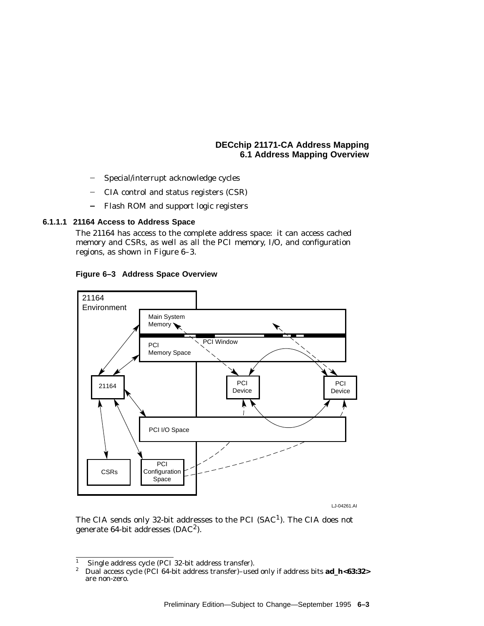- Special/interrupt acknowledge cycles
- CIA control and status registers (CSR)
- $\overline{\phantom{0}}$ Flash ROM and support logic registers

#### **6.1.1.1 21164 Access to Address Space**

The 21164 has access to the complete address space: it can access cached memory and CSRs, as well as all the PCI memory, I/O, and configuration regions, as shown in Figure 6–3.

**Figure 6–3 Address Space Overview**



LJ-04261.AI

The CIA sends only 32-bit addresses to the PCI  $(SAC<sup>1</sup>)$ . The CIA does not generate 64-bit addresses (DAC2).

<sup>&</sup>lt;sup>1</sup> Single address cycle (PCI 32-bit address transfer).<br><sup>2</sup> Dual access cycle (PCI 64 bit address transfer). uses

<sup>2</sup> Dual access cycle (PCI 64-bit address transfer)–used only if address bits **ad\_h<63:32>** are non-zero.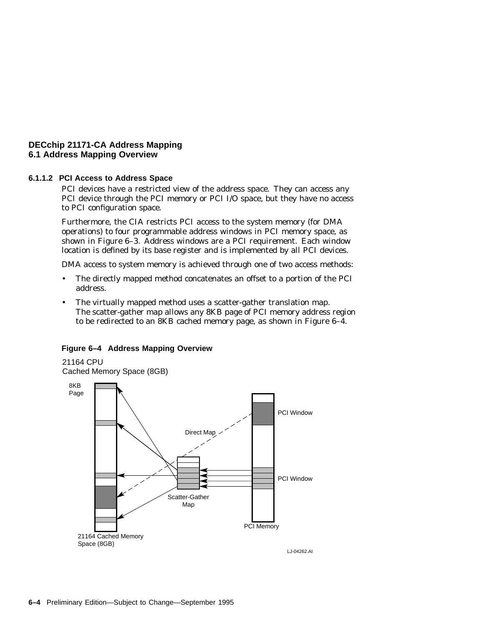#### **6.1.1.2 PCI Access to Address Space**

PCI devices have a restricted view of the address space. They can access any PCI device through the PCI memory or PCI I/O space, but they have no access to PCI configuration space.

Furthermore, the CIA restricts PCI access to the system memory (for DMA operations) to four programmable address windows in PCI memory space, as shown in Figure 6–3. Address windows are a PCI requirement. Each window location is defined by its base register and is implemented by all PCI devices.

DMA access to system memory is achieved through one of two access methods:

- The directly mapped method concatenates an offset to a portion of the PCI address.
- The virtually mapped method uses a scatter-gather translation map. The scatter-gather map allows any 8KB page of PCI memory address region to be redirected to an 8KB cached memory page, as shown in Figure 6–4.

#### **Figure 6–4 Address Mapping Overview**

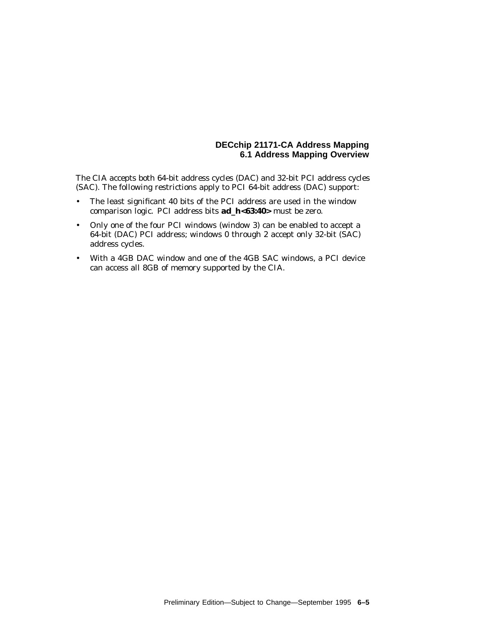The CIA accepts both 64-bit address cycles (DAC) and 32-bit PCI address cycles (SAC). The following restrictions apply to PCI 64-bit address (DAC) support:

- The least significant 40 bits of the PCI address are used in the window comparison logic. PCI address bits **ad\_h<63:40>** must be zero.
- Only one of the four PCI windows (window 3) can be enabled to accept a 64-bit (DAC) PCI address; windows 0 through 2 accept only 32-bit (SAC) address cycles.
- With a 4GB DAC window and one of the 4GB SAC windows, a PCI device can access all 8GB of memory supported by the CIA.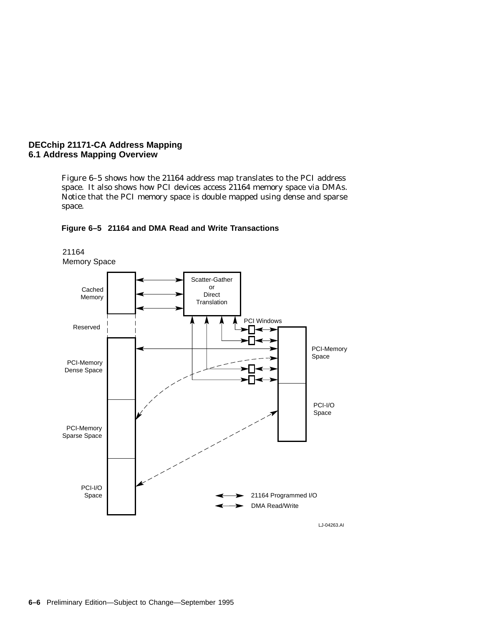21164

Figure 6–5 shows how the 21164 address map translates to the PCI address space. It also shows how PCI devices access 21164 memory space via DMAs. Notice that the PCI memory space is double mapped using dense and sparse space.



#### **Figure 6–5 21164 and DMA Read and Write Transactions**

LJ-04263.AI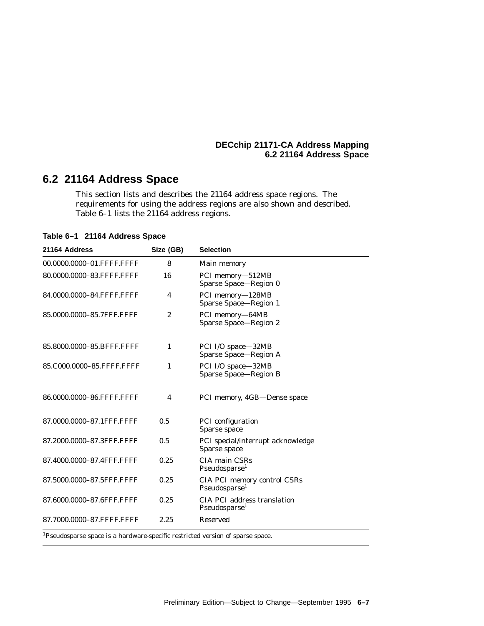# **6.2 21164 Address Space**

This section lists and describes the 21164 address space regions. The requirements for using the address regions are also shown and described. Table 6–1 lists the 21164 address regions.

**Table 6–1 21164 Address Space**

| 21164 Address             | Size (GB)               | <b>Selection</b>                                                |
|---------------------------|-------------------------|-----------------------------------------------------------------|
| 00.0000.0000-01.FFFF.FFFF | 8                       | Main memory                                                     |
| 80.0000.0000-83.FFFF.FFFF | 16                      | PCI memory-512MB<br>Sparse Space-Region 0                       |
| 84.0000.0000-84.FFFF.FFFF | 4                       | PCI memory-128MB<br>Sparse Space-Region 1                       |
| 85.0000.0000-85.7FFF.FFFF | $\boldsymbol{2}$        | PCI memory-64MB<br>Sparse Space-Region 2                        |
| 85.8000.0000-85.BFFF.FFFF | 1                       | PCI I/O space-32MB<br>Sparse Space-Region A                     |
| 85.C000.0000-85.FFFF.FFFF | 1                       | PCI I/O space-32MB<br>Sparse Space-Region B                     |
| 86.0000.0000-86.FFFF.FFFF | $\overline{\mathbf{4}}$ | PCI memory, 4GB-Dense space                                     |
| 87.0000.0000-87.1FFF.FFFF | 0.5                     | PCI configuration<br>Sparse space                               |
| 87.2000.0000-87.3FFF.FFFF | 0.5                     | PCI special/interrupt acknowledge<br>Sparse space               |
| 87.4000.0000-87.4FFF.FFFF | 0.25                    | CIA main CSRs<br>Pseudosparse <sup>1</sup>                      |
| 87.5000.0000-87.5FFF.FFFF | 0.25                    | CIA PCI memory control CSRs<br>Pseudosparse <sup>1</sup>        |
| 87.6000.0000-87.6FFF.FFFF | 0.25                    | <b>CIA PCI address translation</b><br>Pseudosparse <sup>1</sup> |
| 87.7000.0000-87.FFFF.FFFF | 2.25                    | <b>Reserved</b>                                                 |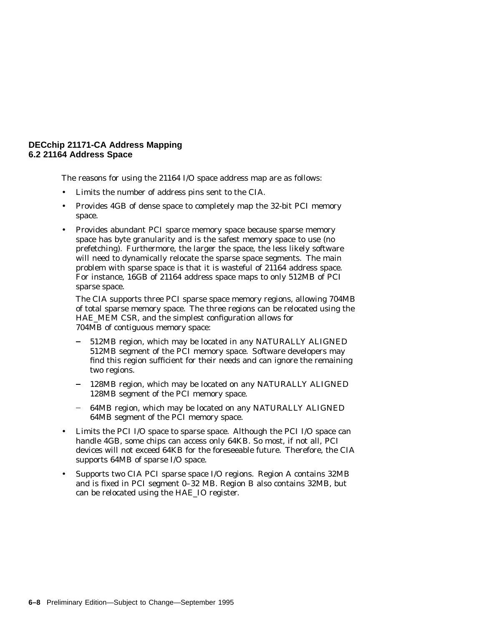The reasons for using the 21164 I/O space address map are as follows:

- Limits the number of address pins sent to the CIA.
- Provides 4GB of dense space to completely map the 32-bit PCI memory space.
- Provides abundant PCI sparce memory space because sparse memory space has byte granularity and is the safest memory space to use (no prefetching). Furthermore, the larger the space, the less likely software will need to dynamically relocate the sparse space segments. The main problem with sparse space is that it is wasteful of 21164 address space. For instance, 16GB of 21164 address space maps to only 512MB of PCI sparse space.

The CIA supports three PCI sparse space memory regions, allowing 704MB of total sparse memory space. The three regions can be relocated using the HAE\_MEM CSR, and the simplest configuration allows for 704MB of contiguous memory space:

- 512MB region, which may be located in any NATURALLY ALIGNED 512MB segment of the PCI memory space. Software developers may find this region sufficient for their needs and can ignore the remaining two regions.
- 128MB region, which may be located on any NATURALLY ALIGNED 128MB segment of the PCI memory space.
- 64MB region, which may be located on any NATURALLY ALIGNED 64MB segment of the PCI memory space.
- Limits the PCI I/O space to sparse space. Although the PCI I/O space can handle 4GB, some chips can access only 64KB. So most, if not all, PCI devices will not exceed 64KB for the foreseeable future. Therefore, the CIA supports 64MB of sparse I/O space.
- Supports two CIA PCI sparse space I/O regions. Region A contains 32MB and is fixed in PCI segment 0–32 MB. Region B also contains 32MB, but can be relocated using the HAE\_IO register.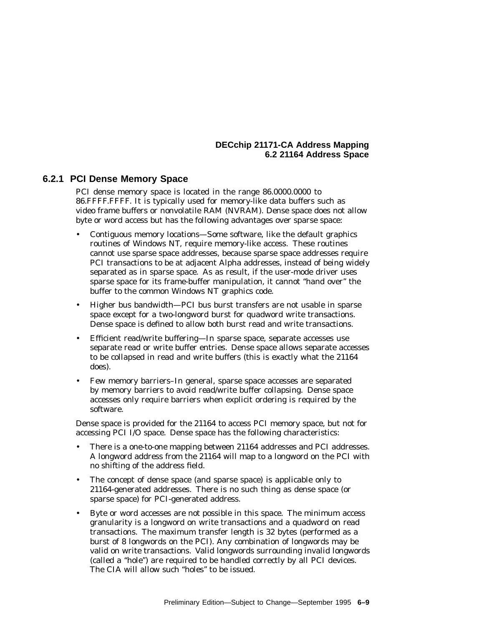#### **6.2.1 PCI Dense Memory Space**

PCI dense memory space is located in the range 86.0000.0000 to 86.FFFF.FFFF. It is typically used for memory-like data buffers such as video frame buffers or nonvolatile RAM (NVRAM). Dense space does not allow byte or word access but has the following advantages over sparse space:

- Contiguous memory locations—Some software, like the default graphics routines of Windows NT, require memory-like access. These routines cannot use sparse space addresses, because sparse space addresses require PCI transactions to be at adjacent Alpha addresses, instead of being widely separated as in sparse space. As as result, if the user-mode driver uses sparse space for its frame-buffer manipulation, it cannot ''hand over'' the buffer to the common Windows NT graphics code.
- Higher bus bandwidth—PCI bus burst transfers are not usable in sparse space except for a two-longword burst for quadword write transactions. Dense space is defined to allow both burst read and write transactions.
- Efficient read/write buffering—In sparse space, separate accesses use separate read or write buffer entries. Dense space allows separate accesses to be collapsed in read and write buffers (this is exactly what the 21164 does).
- Few memory barriers–In general, sparse space accesses are separated by memory barriers to avoid read/write buffer collapsing. Dense space accesses only require barriers when explicit ordering is required by the software.

Dense space is provided for the 21164 to access PCI memory space, but not for accessing PCI I/O space. Dense space has the following characteristics:

- There is a one-to-one mapping between 21164 addresses and PCI addresses. A longword address from the 21164 will map to a longword on the PCI with no shifting of the address field.
- The concept of dense space (and sparse space) is applicable only to 21164-generated addresses. There is no such thing as dense space (or sparse space) for PCI-generated address.
- Byte or word accesses are *not* possible in this space. The minimum access granularity is a longword on write transactions and a quadword on read transactions. The maximum transfer length is 32 bytes (performed as a burst of 8 longwords on the PCI). Any combination of longwords may be valid on write transactions. Valid longwords surrounding invalid longwords (called a ''hole'') are required to be handled correctly by all PCI devices. The CIA will allow such ''holes'' to be issued.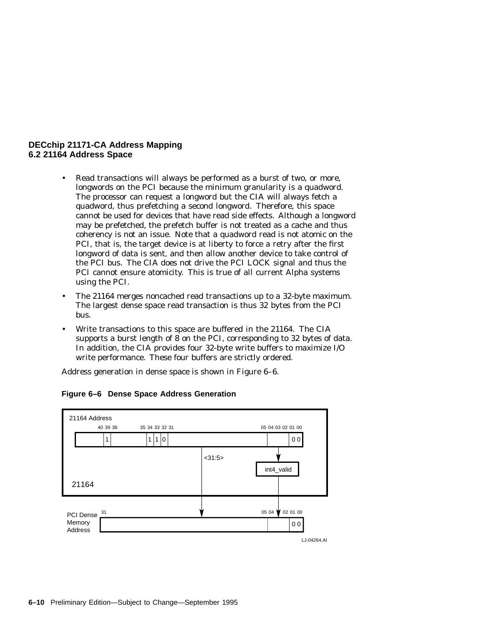- Read transactions will always be performed as a burst of two, or more, longwords on the PCI because the minimum granularity is a quadword. The processor can request a longword but the CIA will always fetch a quadword, thus prefetching a second longword. Therefore, this space cannot be used for devices that have read side effects. Although a longword may be prefetched, the prefetch buffer is not treated as a cache and thus coherency is not an issue. Note that a quadword read is not atomic on the PCI, that is, the target device is at liberty to force a retry after the first longword of data is sent, and then allow another device to take control of the PCI bus. The CIA does not drive the PCI LOCK signal and thus the PCI cannot ensure atomicity. This is true of all current Alpha systems using the PCI.
- The 21164 merges noncached read transactions up to a 32-byte maximum. The largest dense space read transaction is thus 32 bytes from the PCI bus.
- Write transactions to this space are buffered in the 21164. The CIA supports a burst length of 8 on the PCI, corresponding to 32 bytes of data. In addition, the CIA provides four 32-byte write buffers to maximize I/O write performance. These four buffers are strictly ordered.

Address generation in dense space is shown in Figure 6–6.

| 00<br>1 1 0<br><31:5><br>int4_valid<br>21164                                       |  |
|------------------------------------------------------------------------------------|--|
|                                                                                    |  |
|                                                                                    |  |
|                                                                                    |  |
| 02 01 00<br>05 04<br>31<br>PCI Dense<br>Memory<br>0 <sub>0</sub><br><b>Address</b> |  |

#### **Figure 6–6 Dense Space Address Generation**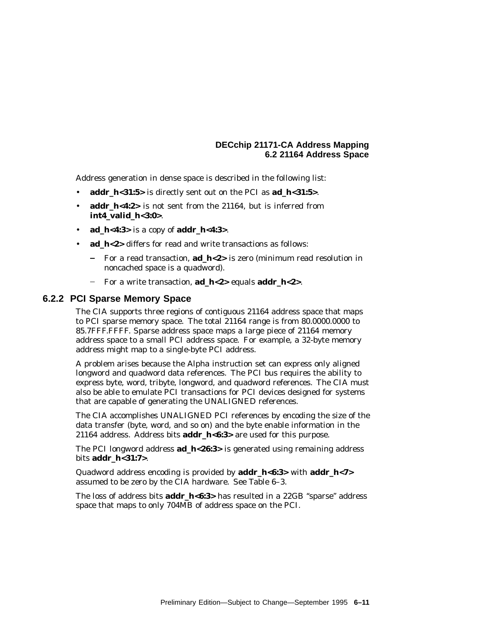Address generation in dense space is described in the following list:

- **addr\_h<31:5>** is directly sent out on the PCI as **ad\_h<31:5>**.
- **addr\_h<4:2>** is not sent from the 21164, but is inferred from **int4\_valid\_h<3:0>**.
- **ad\_h<4:3>** is a copy of **addr\_h<4:3>**.
- ad h<2> differs for read and write transactions as follows:
	- For a read transaction, **ad\_h<2>** is zero (minimum read resolution in noncached space is a quadword).
	- For a write transaction, **ad\_h<2>** equals **addr\_h<2>**.

#### **6.2.2 PCI Sparse Memory Space**

The CIA supports three regions of contiguous 21164 address space that maps to PCI sparse memory space. The total 21164 range is from 80.0000.0000 to 85.7FFF.FFFF. Sparse address space maps a large piece of 21164 memory address space to a small PCI address space. For example, a 32-byte memory address might map to a single-byte PCI address.

A problem arises because the Alpha instruction set can express only aligned longword and quadword data references. The PCI bus requires the ability to express byte, word, tribyte, longword, and quadword references. The CIA must also be able to emulate PCI transactions for PCI devices designed for systems that are capable of generating the UNALIGNED references.

The CIA accomplishes UNALIGNED PCI references by encoding the size of the data transfer (byte, word, and so on) and the byte enable information in the 21164 address. Address bits **addr\_h<6:3>** are used for this purpose.

The PCI longword address **ad\_h<26:3>** is generated using remaining address bits **addr\_h<31:7>**.

Quadword address encoding is provided by **addr\_h<6:3>** with **addr\_h<7>** assumed to be zero by the CIA hardware. See Table 6–3.

The loss of address bits **addr\_h<6:3>** has resulted in a 22GB ''sparse'' address space that maps to only 704MB of address space on the PCI.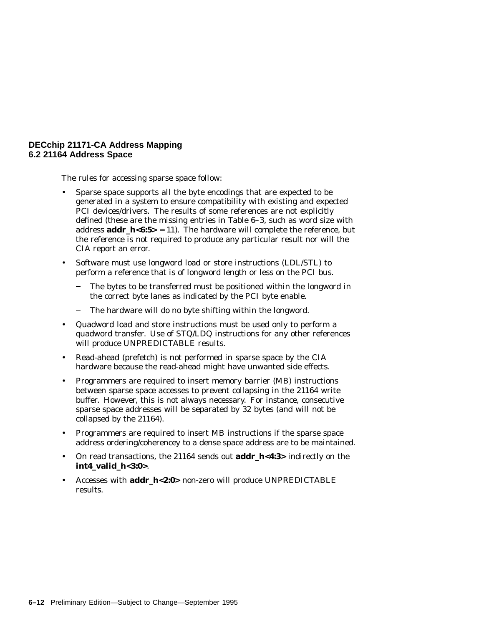The rules for accessing sparse space follow:

- Sparse space supports all the byte encodings that are expected to be generated in a system to ensure compatibility with existing and expected PCI devices/drivers. The results of some references are not explicitly defined (these are the missing entries in Table 6–3, such as word size with address **addr\_h<6:5>** = 11). The hardware will complete the reference, but the reference is not required to produce any particular result nor will the CIA report an error.
- Software must use longword load or store instructions (LDL/STL) to perform a reference that is of longword length or less on the PCI bus.
	- The bytes to be transferred must be positioned within the longword in the correct byte lanes as indicated by the PCI byte enable.
	- The hardware will do no byte shifting within the longword.
- Quadword load and store instructions must be used only to perform a quadword transfer. Use of STQ/LDQ instructions for any other references will produce UNPREDICTABLE results.
- Read-ahead (prefetch) is not performed in sparse space by the CIA hardware because the read-ahead might have unwanted side effects.
- Programmers are required to insert memory barrier (MB) instructions between sparse space accesses to prevent collapsing in the 21164 write buffer. However, this is not always necessary. For instance, consecutive sparse space addresses will be separated by 32 bytes (and will not be collapsed by the 21164).
- Programmers are required to insert MB instructions if the sparse space address ordering/coherencey to a dense space address are to be maintained.
- On read transactions, the 21164 sends out **addr\_h<4:3>** indirectly on the **int4\_valid\_h<3:0>**.
- Accesses with **addr\_h<2:0>** non-zero will produce UNPREDICTABLE results.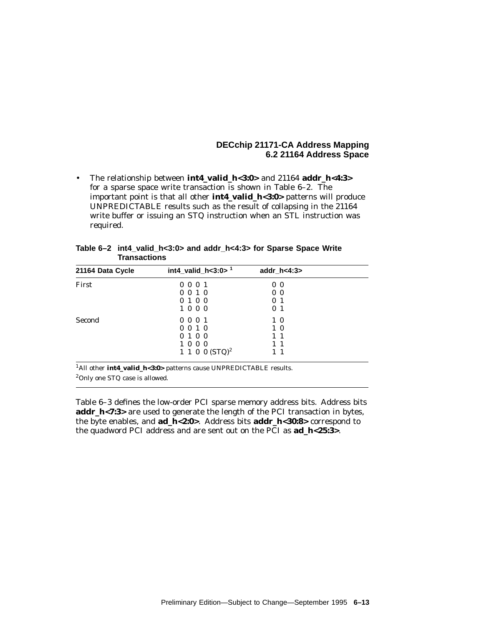• The relationship between **int4\_valid\_h<3:0>** and 21164 **addr\_h<4:3>** for a sparse space write transaction is shown in Table 6–2. The important point is that all other **int4\_valid\_h<3:0>** patterns will produce UNPREDICTABLE results such as the result of collapsing in the 21164 write buffer or issuing an STQ instruction when an STL instruction was required.

| 21164 Data Cycle | int4_valid_h<3:0> $1$ | addr_h<4:3>    |  |
|------------------|-----------------------|----------------|--|
| First            | 0001                  | 0 <sub>0</sub> |  |
|                  | 0010                  | 0 <sub>0</sub> |  |
|                  | 0100                  | 0 <sub>1</sub> |  |
|                  | 1000                  | 0 <sub>1</sub> |  |
| Second           | 0001                  | $1\,0$         |  |
|                  | $0 \t0 \t1 \t0$       | $1\,0$         |  |
|                  | 0100                  | $1\quad1$      |  |
|                  | 1000                  | $1\quad1$      |  |
|                  | 1 1 0 0 $(STQ)^2$     | $1\quad1$      |  |

| Table 6–2 int4 valid h<3:0> and addr h<4:3> for Sparse Space Write |
|--------------------------------------------------------------------|
| <b>Transactions</b>                                                |

1All other **int4\_valid\_h<3:0>** patterns cause UNPREDICTABLE results. 2Only one STQ case is allowed.

Table 6–3 defines the low-order PCI sparse memory address bits. Address bits **addr\_h<7:3>** are used to generate the length of the PCI transaction in bytes, the byte enables, and **ad\_h<2:0>**. Address bits **addr\_h<30:8>** correspond to the quadword PCI address and are sent out on the PCI as **ad\_h<25:3>**.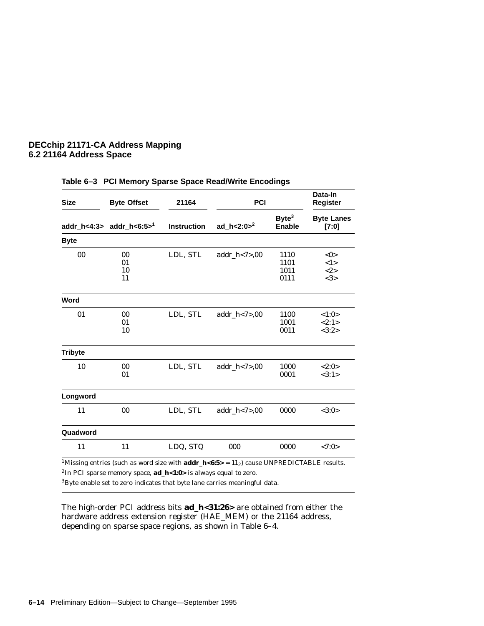| <b>Size</b>    | <b>Byte Offset</b>                              | 21164              | PCI               |                                    | Data-In<br><b>Register</b>     |
|----------------|-------------------------------------------------|--------------------|-------------------|------------------------------------|--------------------------------|
|                | addr_h<4:3> $\text{addr}\_h$ <6:5> <sup>1</sup> | <b>Instruction</b> | ad_h<2:0 $>^2$    | Byte <sup>3</sup><br><b>Enable</b> | <b>Byte Lanes</b><br>[7:0]     |
| <b>Byte</b>    |                                                 |                    |                   |                                    |                                |
| 00             | 00<br>01<br>10<br>11                            | LDL, STL           | $addr_h < 7 > 00$ | 1110<br>1101<br>1011<br>0111       | $<$ 0 $>$<br><1><br><2><br><3> |
| Word           |                                                 |                    |                   |                                    |                                |
| 01             | 00<br>01<br>10                                  | LDL, STL           | $addr_h < 7 > 00$ | 1100<br>1001<br>0011               | <1:0><br><2:1><br><3:2>        |
| <b>Tribyte</b> |                                                 |                    |                   |                                    |                                |
| 10             | 00<br>01                                        | LDL, STL           | $addr_h < 7 > 00$ | 1000<br>0001                       | <2:0><br><3:1>                 |
| Longword       |                                                 |                    |                   |                                    |                                |
| 11             | 00                                              | LDL, STL           | $addr_h < 7 > 00$ | 0000                               | <3:0>                          |
| Quadword       |                                                 |                    |                   |                                    |                                |
| 11             | 11                                              | LDQ, STQ           | 000               | 0000                               | <7:0>                          |
|                |                                                 |                    |                   |                                    |                                |

#### **Table 6–3 PCI Memory Sparse Space Read/Write Encodings**

<sup>1</sup>Missing entries (such as word size with **addr\_h<6:5>** = 11<sub>2</sub>) cause UNPREDICTABLE results. 2In PCI sparse memory space, **ad\_h<1:0>** is always equal to zero.

 $3B$ yte enable set to zero indicates that byte lane carries meaningful data.

The high-order PCI address bits **ad\_h<31:26>** are obtained from either the hardware address extension register (HAE\_MEM) or the 21164 address, depending on sparse space regions, as shown in Table 6–4.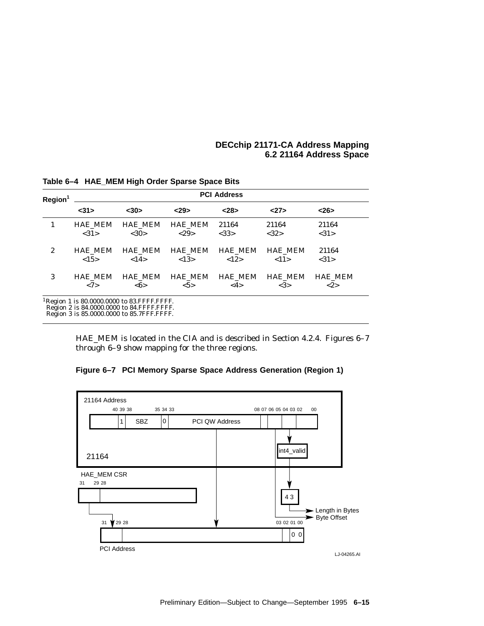| Region <sup>1</sup> | <b>PCI Address</b> |                                                                                                                                                    |                |                |                |                |  |  |
|---------------------|--------------------|----------------------------------------------------------------------------------------------------------------------------------------------------|----------------|----------------|----------------|----------------|--|--|
|                     | <31>               | $30$                                                                                                                                               | 29             | < 28           | 27             | <26            |  |  |
| 1                   | <b>HAE MEM</b>     | <b>HAE MEM</b>                                                                                                                                     | <b>HAE MEM</b> | 21164          | 21164          | 21164          |  |  |
|                     | <31>               | <30>                                                                                                                                               | <29>           | <33>           | <32>           | <31>           |  |  |
| $\boldsymbol{2}$    | <b>HAE_MEM</b>     | <b>HAE MEM</b>                                                                                                                                     | <b>HAE MEM</b> | <b>HAE MEM</b> | <b>HAE MEM</b> | 21164          |  |  |
|                     | <15>               | <14>                                                                                                                                               | < 13>          | <12>           | <11>           | <31>           |  |  |
| 3                   | <b>HAE MEM</b>     | <b>HAE MEM</b>                                                                                                                                     | <b>HAE MEM</b> | <b>HAE MEM</b> | <b>HAE_MEM</b> | <b>HAE MEM</b> |  |  |
|                     | <7>                | $<\!\!6\!\!>$                                                                                                                                      | $5>$           | <4>            | <3>            | <2>            |  |  |
|                     |                    | <sup>1</sup> Region 1 is 80.0000.0000 to 83. FFFF. FFFF.<br>Region 2 is 84.0000.0000 to 84.FFFF.FFFF.<br>Region 3 is 85.0000.0000 to 85.7FFF.FFFF. |                |                |                |                |  |  |

**Table 6–4 HAE\_MEM High Order Sparse Space Bits**

HAE\_MEM is located in the CIA and is described in Section 4.2.4. Figures 6–7 through 6–9 show mapping for the three regions.

**Figure 6–7 PCI Memory Sparse Space Address Generation (Region 1)**



Preliminary Edition—Subject to Change—September 1995 **6–15**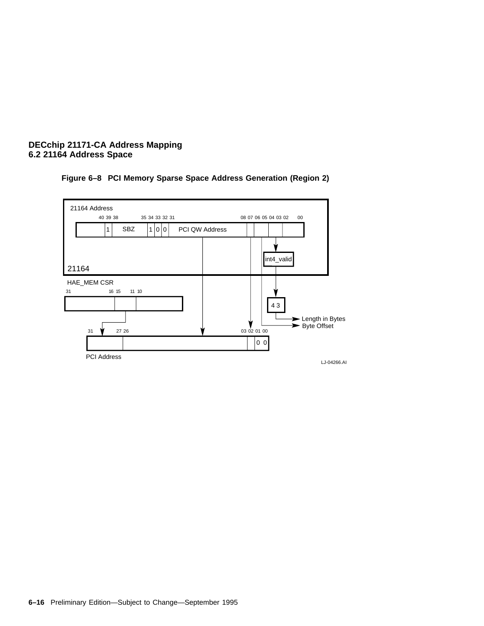



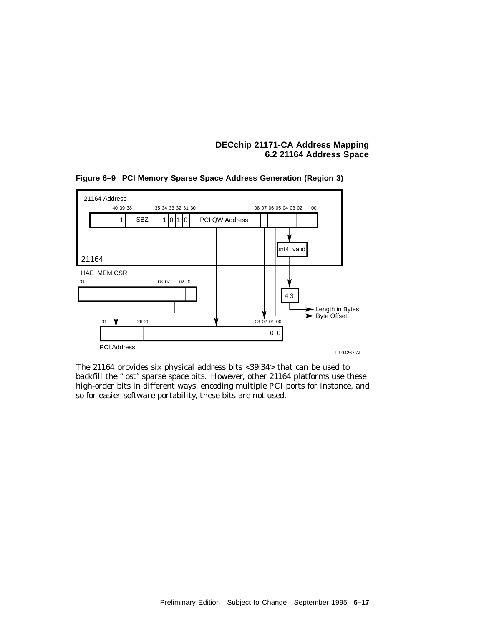

**Figure 6–9 PCI Memory Sparse Space Address Generation (Region 3)**

The 21164 provides six physical address bits <39:34> that can be used to backfill the ''lost'' sparse space bits. However, other 21164 platforms use these high-order bits in different ways, encoding multiple PCI ports for instance, and so for easier software portability, these bits are not used.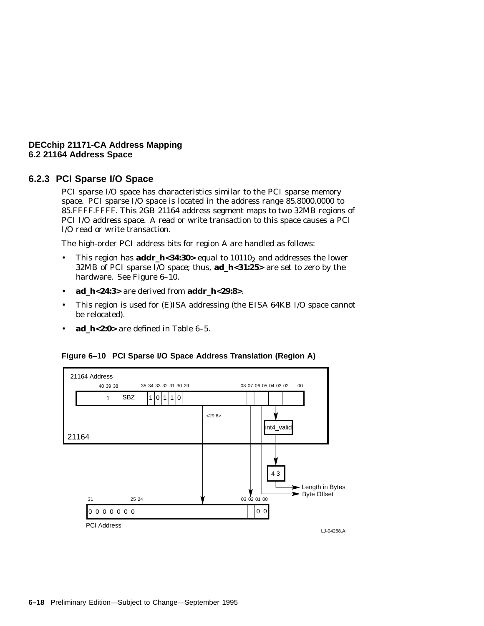#### **6.2.3 PCI Sparse I/O Space**

PCI sparse I/O space has characteristics similar to the PCI sparse memory space. PCI sparse I/O space is located in the address range 85.8000.0000 to 85.FFFF.FFFF. This 2GB 21164 address segment maps to two 32MB regions of PCI I/O address space. A read or write transaction to this space causes a PCI I/O read or write transaction.

The high-order PCI address bits for region A are handled as follows:

- This region has **addr\_h<34:30**> equal to 10110<sub>2</sub> and addresses the lower 32MB of PCI sparse I/O space; thus, **ad\_h<31:25>** are set to zero by the hardware. See Figure 6–10.
- **ad\_h<24:3>** are derived from **addr\_h<29:8>**.
- This region is used for (E)ISA addressing (the EISA 64KB I/O space cannot be relocated).
- **ad\_h<2:0>** are defined in Table 6–5.

#### **Figure 6–10 PCI Sparse I/O Space Address Translation (Region A)**

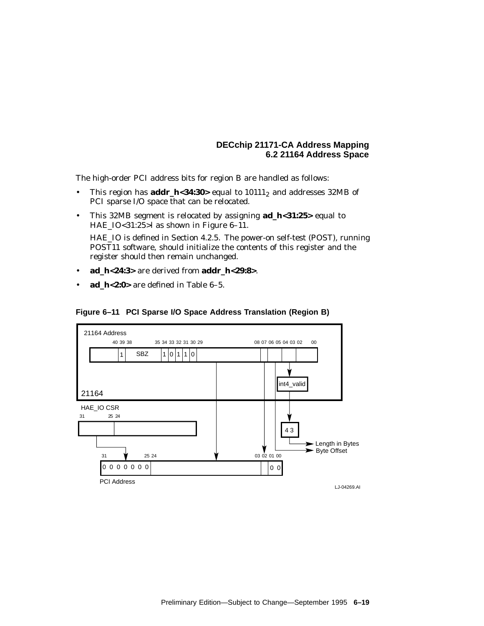The high-order PCI address bits for region B are handled as follows:

- This region has **addr\_h<34:30**> equal to  $10111_2$  and addresses 32MB of PCI sparse I/O space that can be relocated.
- This 32MB segment is relocated by assigning **ad\_h<31:25>** equal to HAE\_IO<31:25>l as shown in Figure 6–11.

HAE\_IO is defined in Section 4.2.5. The power-on self-test (POST), running POST11 software, should initialize the contents of this register and the register should then remain unchanged.

- **ad\_h<24:3>** are derived from **addr\_h<29:8>**.
- **ad\_h<2:0>** are defined in Table 6–5.



#### **Figure 6–11 PCI Sparse I/O Space Address Translation (Region B)**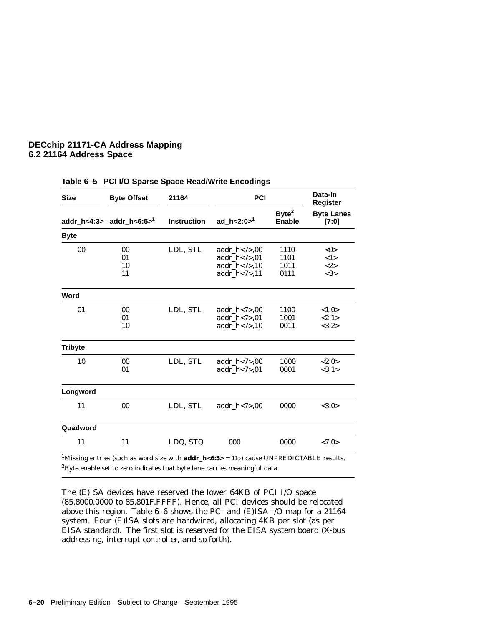| <b>Size</b>    | <b>Byte Offset</b>                   | 21164              | PCI                                                                         |                                    | Data-In<br>Register        |
|----------------|--------------------------------------|--------------------|-----------------------------------------------------------------------------|------------------------------------|----------------------------|
|                | addr_h<4:3> addr_h<6:5> <sup>1</sup> | <b>Instruction</b> | ad $h < 2:0 > 1$                                                            | Byte <sup>2</sup><br><b>Enable</b> | <b>Byte Lanes</b><br>[7:0] |
| <b>Byte</b>    |                                      |                    |                                                                             |                                    |                            |
| 00             | 00<br>01<br>10<br>11                 | LDL, STL           | $addr_h < 7 > 00$<br>$addr_h < 7 > 01$<br>$addr_h < 7 > 10$<br>addr_h<7>,11 | 1110<br>1101<br>1011<br>0111       | <0><br><1><br><2><br><3>   |
| Word           |                                      |                    |                                                                             |                                    |                            |
| 01             | 00<br>01<br>10                       | LDL, STL           | $addr_h < 7 > 00$<br>addr_ $h$ <7>,01<br>$addr_h < 7 > 10$                  | 1100<br>1001<br>0011               | <1:0><br><2:1><br><3:2>    |
| <b>Tribyte</b> |                                      |                    |                                                                             |                                    |                            |
| 10             | 00<br>01                             | LDL, STL           | $addr_h < 7 > 00$<br>addr $h < 7 > 01$                                      | 1000<br>0001                       | <2:0><br><3:1>             |
| Longword       |                                      |                    |                                                                             |                                    |                            |
| 11             | 00                                   | LDL, STL           | $addr_h < 7 > 00$                                                           | 0000                               | <3:0>                      |
| Quadword       |                                      |                    |                                                                             |                                    |                            |
| 11             | 11                                   | LDQ, STQ           | 000                                                                         | 0000                               | <7:0>                      |

#### **Table 6–5 PCI I/O Sparse Space Read/Write Encodings**

<sup>1</sup>Missing entries (such as word size with **addr\_h<6:5>** =  $11<sub>2</sub>$ ) cause UNPREDICTABLE results.  ${}^{2}$ Byte enable set to zero indicates that byte lane carries meaningful data.

The (E)ISA devices have reserved the lower 64KB of PCI I/O space (85.8000.0000 to 85.801F.FFFF). Hence, all PCI devices should be relocated above this region. Table 6–6 shows the PCI and (E)ISA I/O map for a 21164 system. Four (E)ISA slots are hardwired, allocating 4KB per slot (as per EISA standard). The first slot is reserved for the EISA system board (X-bus addressing, interrupt controller, and so forth).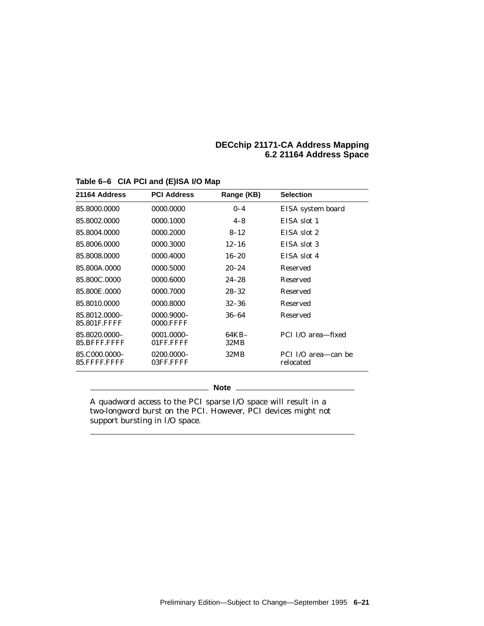| 21164 Address                     | <b>PCI Address</b>             | Range (KB)    | <b>Selection</b>                 |
|-----------------------------------|--------------------------------|---------------|----------------------------------|
| 85.8000.0000                      | 0000.0000                      | $0 - 4$       | EISA system board                |
| 85.8002.0000                      | 0000.1000                      | $4 - 8$       | EISA slot 1                      |
| 85.8004.0000                      | 0000.2000                      | $8 - 12$      | EISA slot 2                      |
| 85.8006.0000                      | 0000.3000                      | $12 - 16$     | EISA slot 3                      |
| 85.8008.0000                      | 0000.4000                      | $16 - 20$     | EISA slot 4                      |
| 85.800A.0000                      | 0000.5000                      | $20 - 24$     | Reserved                         |
| 85.800C.0000                      | 0000.6000                      | $24 - 28$     | Reserved                         |
| 85.800E.0000                      | 0000.7000                      | $28 - 32$     | Reserved                         |
| 85.8010.0000                      | 0000.8000                      | $32 - 36$     | Reserved                         |
| 85.8012.0000-<br>85.801 E.F. F.F. | 0000.9000-<br><b>0000.FFFF</b> | 36–64         | Reserved                         |
| 85.8020.0000-<br>85.BFFF.FFFF     | $0001.0000 -$<br>01FF.FFFF     | 64KB-<br>32MB | PCI I/O area-fixed               |
| 85.C000.0000-<br>85.FFFF.FFFF     | 0200.0000-<br>03FF.FFFF        | 32MB          | PCI I/O area—can be<br>relocated |

# **Table 6–6 CIA PCI and (E)ISA I/O Map**

**Note**

A quadword access to the PCI sparse I/O space will result in a two-longword burst on the PCI. However, PCI devices might not support bursting in I/O space.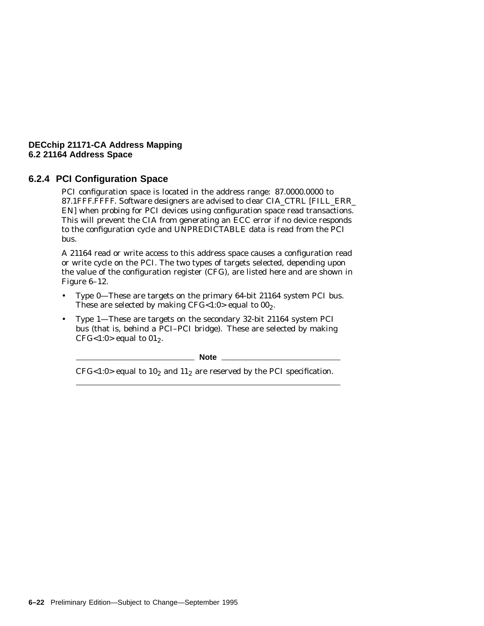# **6.2.4 PCI Configuration Space**

PCI configuration space is located in the address range: 87.0000.0000 to 87.1FFF.FFFF. Software designers are advised to clear CIA\_CTRL [FILL\_ERR\_ EN] when probing for PCI devices using configuration space read transactions. This will prevent the CIA from generating an ECC error if no device responds to the configuration cycle and UNPREDICTABLE data is read from the PCI bus.

A 21164 read or write access to this address space causes a configuration read or write cycle on the PCI. The two types of targets selected, depending upon the value of the configuration register (CFG), are listed here and are shown in Figure 6–12.

- Type 0—These are targets on the primary 64-bit 21164 system PCI bus. These are selected by making CFG<1:0> equal to  $00<sub>2</sub>$ .
- Type 1—These are targets on the secondary 32-bit 21164 system PCI bus (that is, behind a PCI–PCI bridge). These are selected by making CFG<1:0> equal to  $01<sub>2</sub>$ .

**Note** \_\_\_\_

CFG<1:0> equal to  $10<sub>2</sub>$  and  $11<sub>2</sub>$  are reserved by the PCI specification.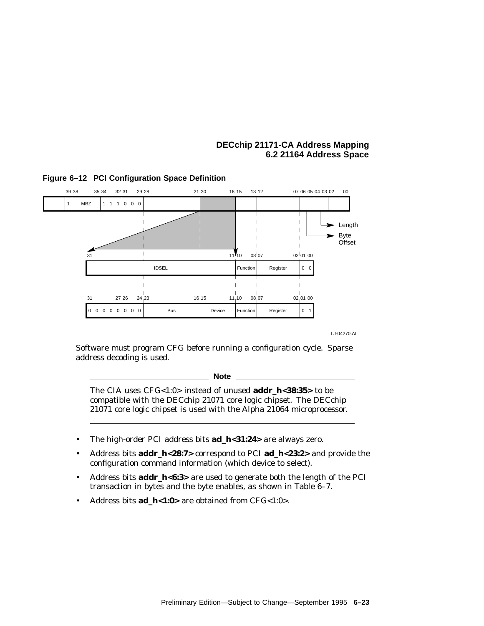

## **Figure 6–12 PCI Configuration Space Definition**

LJ-04270.AI

Software must program CFG before running a configuration cycle. Sparse address decoding is used.

**Note**

The CIA uses CFG<1:0> instead of unused **addr\_h<38:35>** to be compatible with the DECchip 21071 core logic chipset. The DECchip 21071 core logic chipset is used with the Alpha 21064 microprocessor.

- The high-order PCI address bits **ad\_h<31:24>** are always zero.
- Address bits **addr\_h<28:7>** correspond to PCI **ad\_h<23:2>** and provide the configuration command information (which device to select).
- Address bits **addr\_h<6:3>** are used to generate both the length of the PCI transaction in bytes and the byte enables, as shown in Table 6–7.
- Address bits **ad\_h<1:0>** are obtained from CFG<1:0>.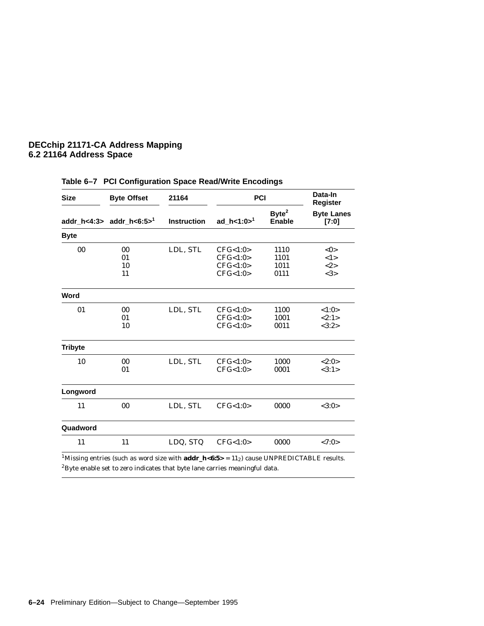| <b>Size</b>    | <b>Byte Offset</b>                  | 21164              |                                              | PCI                                |                                               |
|----------------|-------------------------------------|--------------------|----------------------------------------------|------------------------------------|-----------------------------------------------|
|                | addr_h<4:3> $\text{addr\_h<6:5>}^1$ | <b>Instruction</b> | ad $h < 1:0 > 1$                             | Byte <sup>2</sup><br><b>Enable</b> | <b>Register</b><br><b>Byte Lanes</b><br>[7:0] |
| <b>Byte</b>    |                                     |                    |                                              |                                    |                                               |
| 00             | 00<br>01<br>10<br>11                | LDL, STL           | CFG<1:0><br>CFG<1:0><br>CFG<1:0><br>CFG<1:0> | 1110<br>1101<br>1011<br>0111       | <0><br><1><br><2><br><3>                      |
| Word           |                                     |                    |                                              |                                    |                                               |
| 01             | 00<br>01<br>10                      | LDL, STL           | CFG<1:0><br>CFG<1:0><br>CFG<1:0>             | 1100<br>1001<br>0011               | <1:0><br><2:1><br><3:2>                       |
| <b>Tribyte</b> |                                     |                    |                                              |                                    |                                               |
| 10             | 00<br>01                            | LDL, STL           | CFG<1:0><br>CFG<1:0>                         | 1000<br>0001                       | <2:0><br><3:1>                                |
| Longword       |                                     |                    |                                              |                                    |                                               |
| 11             | 00                                  | LDL, STL           | CFG<1:0>                                     | 0000                               | <3:0>                                         |
| Quadword       |                                     |                    |                                              |                                    |                                               |
| 11             | 11                                  | LDQ, STQ           | CFG<1:0>                                     | 0000                               | <7:0>                                         |

# **Table 6–7 PCI Configuration Space Read/Write Encodings**

<sup>1</sup>Missing entries (such as word size with **addr\_h<6:5>** =  $11<sub>2</sub>$ ) cause UNPREDICTABLE results.  ${}^{2}$ Byte enable set to zero indicates that byte lane carries meaningful data.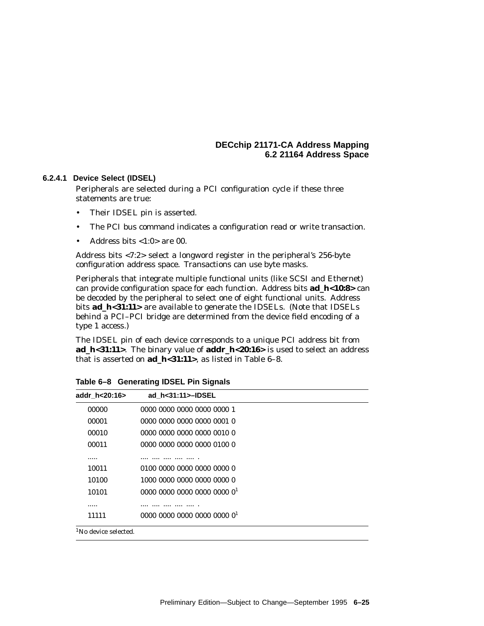## **6.2.4.1 Device Select (IDSEL)**

Peripherals are selected during a PCI configuration cycle if these three statements are true:

- Their IDSEL pin is asserted.
- The PCI bus command indicates a configuration read or write transaction.
- Address bits  $<1:0>$  are 00.

Address bits <7:2> select a longword register in the peripheral's 256-byte configuration address space. Transactions can use byte masks.

Peripherals that integrate multiple functional units (like SCSI and Ethernet) can provide configuration space for each function. Address bits **ad\_h<10:8>** can be decoded by the peripheral to select one of eight functional units. Address bits **ad\_h<31:11>** are available to generate the IDSELs. (Note that IDSELs behind a PCI–PCI bridge are determined from the device field encoding of a type 1 access.)

The IDSEL pin of each device corresponds to a unique PCI address bit from **ad\_h<31:11>**. The binary value of **addr\_h<20:16>** is used to select an address that is asserted on **ad\_h<31:11>**, as listed in Table 6–8.

| addr_h<20:16>                    | ad h<31:11>-IDSEL          |  |
|----------------------------------|----------------------------|--|
| 00000                            | 0000 0000 0000 0000 0000 1 |  |
| 00001                            | 0000 0000 0000 0000 0001 0 |  |
| 00010                            | 0000 0000 0000 0000 0010 0 |  |
| 00011                            | 0000 0000 0000 0000 0100 0 |  |
|                                  |                            |  |
| 10011                            | 0100 0000 0000 0000 0000 0 |  |
| 10100                            | 1000 0000 0000 0000 0000 0 |  |
| 10101                            | 000000000000000000000001   |  |
|                                  |                            |  |
| 11111                            | 000000000000000000000001   |  |
| <sup>1</sup> No device selected. |                            |  |

**Table 6–8 Generating IDSEL Pin Signals**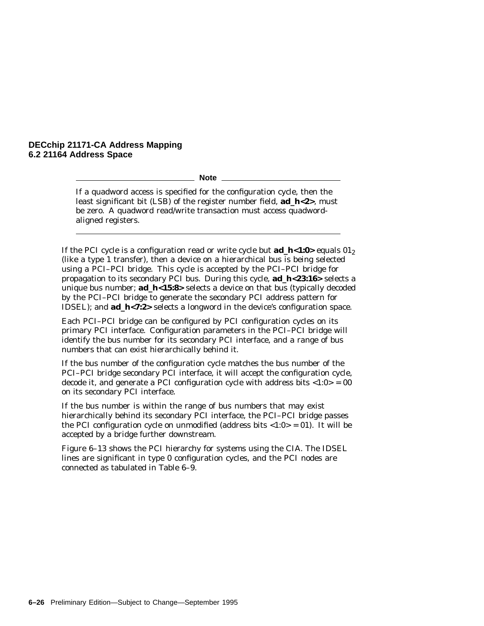**Note**

If a quadword access is specified for the configuration cycle, then the least significant bit (LSB) of the register number field, **ad\_h<2>**, must be zero. A quadword read/write transaction must access quadwordaligned registers.

If the PCI cycle is a configuration read or write cycle but **ad\_h<1:0>** equals  $01<sub>2</sub>$ (like a type 1 transfer), then a device on a hierarchical bus is being selected using a PCI–PCI bridge. This cycle is accepted by the PCI–PCI bridge for propagation to its secondary PCI bus. During this cycle, **ad\_h<23:16>** selects a unique bus number; **ad\_h<15:8>** selects a device on that bus (typically decoded by the PCI–PCI bridge to generate the secondary PCI address pattern for IDSEL); and **ad\_h<7:2>** selects a longword in the device's configuration space.

Each PCI–PCI bridge can be configured by PCI configuration cycles on its primary PCI interface. Configuration parameters in the PCI–PCI bridge will identify the bus number for its secondary PCI interface, and a range of bus numbers that can exist hierarchically behind it.

If the bus number of the configuration cycle matches the bus number of the PCI–PCI bridge secondary PCI interface, it will accept the configuration cycle, decode it, and generate a PCI configuration cycle with address bits  $\langle 1:0 \rangle = 00$ on its secondary PCI interface.

If the bus number is within the range of bus numbers that may exist hierarchically behind its secondary PCI interface, the PCI–PCI bridge passes the PCI configuration cycle on unmodified (address bits  $\langle 1:0 \rangle = 0$ ). It will be accepted by a bridge further downstream.

Figure 6–13 shows the PCI hierarchy for systems using the CIA. The IDSEL lines are significant in type 0 configuration cycles, and the PCI nodes are connected as tabulated in Table 6–9.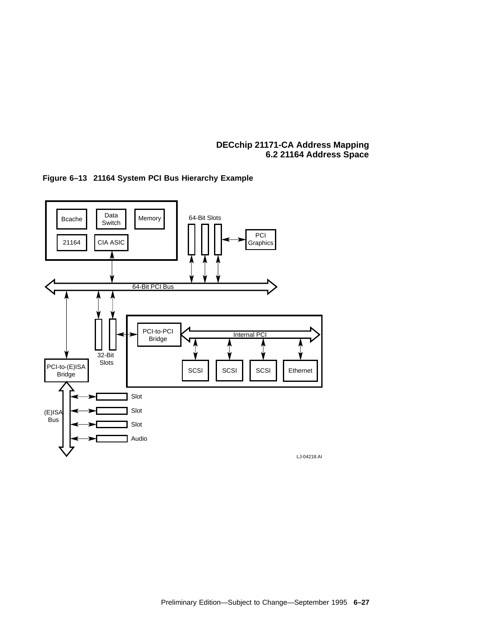

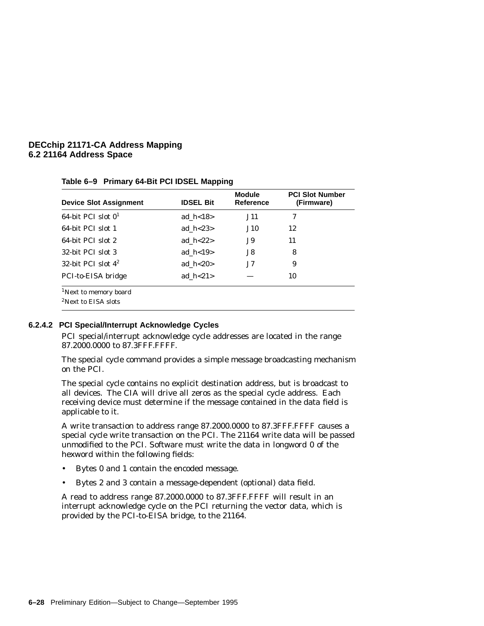| <b>Device Slot Assignment</b>     | <b>IDSEL Bit</b> | <b>Module</b><br><b>Reference</b> | <b>PCI Slot Number</b><br>(Firmware) |
|-----------------------------------|------------------|-----------------------------------|--------------------------------------|
| 64-bit PCI slot $01$              | ad $h < 18$      | <b>J11</b>                        | 7                                    |
| 64-bit PCI slot 1                 | ad $h < 23$      | <b>J10</b>                        | 12                                   |
| 64-bit PCI slot 2                 | ad $h < 22$      | J9.                               | 11                                   |
| 32-bit PCI slot 3                 | ad $h < 19$      | J8.                               | 8                                    |
| 32-bit PCI slot $4^2$             | ad $h < 20$      | J7.                               | 9                                    |
| PCI-to-EISA bridge                | ad $h < 21$      |                                   | 10                                   |
| <sup>1</sup> Next to memory board |                  |                                   |                                      |
| <sup>2</sup> Next to EISA slots   |                  |                                   |                                      |

**Table 6–9 Primary 64-Bit PCI IDSEL Mapping**

## **6.2.4.2 PCI Special/Interrupt Acknowledge Cycles**

PCI special/interrupt acknowledge cycle addresses are located in the range 87.2000.0000 to 87.3FFF.FFFF.

The special cycle command provides a simple message broadcasting mechanism on the PCI.

The special cycle contains no explicit destination address, but is broadcast to all devices. The CIA will drive all zeros as the special cycle address. Each receiving device must determine if the message contained in the data field is applicable to it.

A write transaction to address range 87.2000.0000 to 87.3FFF.FFFF causes a special cycle write transaction on the PCI. The 21164 write data will be passed unmodified to the PCI. Software must write the data in longword 0 of the hexword within the following fields:

- Bytes 0 and 1 contain the encoded message.
- Bytes 2 and 3 contain a message-dependent (optional) data field.

A read to address range 87.2000.0000 to 87.3FFF.FFFF will result in an interrupt acknowledge cycle on the PCI returning the vector data, which is provided by the PCI-to-EISA bridge, to the 21164.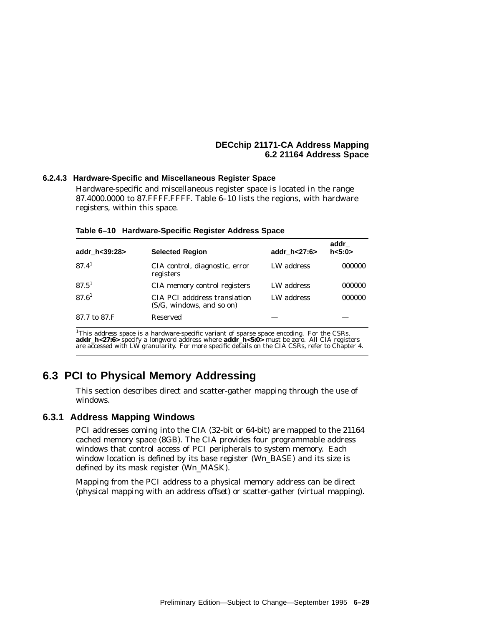## **6.2.4.3 Hardware-Specific and Miscellaneous Register Space**

Hardware-specific and miscellaneous register space is located in the range 87.4000.0000 to 87.FFFF.FFFF. Table 6–10 lists the regions, with hardware registers, within this space.

| addr h<39:28>     | <b>Selected Region</b>                                    | addr h<27:6> | addr<br>h < 5:0 |
|-------------------|-----------------------------------------------------------|--------------|-----------------|
| 87.4 <sup>1</sup> | CIA control, diagnostic, error<br>registers               | LW address   | 000000          |
| $87.5^1$          | CIA memory control registers                              | LW address   | 000000          |
| 87.6 <sup>1</sup> | CIA PCI adddress translation<br>(S/G, windows, and so on) | LW address   | 000000          |
| 87.7 to 87.F      | Reserved                                                  |              |                 |

|  | Table 6-10 Hardware-Specific Register Address Space |  |
|--|-----------------------------------------------------|--|
|  |                                                     |  |

<sup>1</sup>This address space is a hardware-specific variant of sparse space encoding. For the CSRs, **addr\_h<27:6>** specify a longword address where **addr\_h<5:0>** must be zero. All CIA registers are accessed with LW granularity. For more specific details on the CIA CSRs, refer to Chapter 4.

# **6.3 PCI to Physical Memory Addressing**

This section describes direct and scatter-gather mapping through the use of windows.

# **6.3.1 Address Mapping Windows**

PCI addresses coming into the CIA (32-bit or 64-bit) are mapped to the 21164 cached memory space (8GB). The CIA provides four programmable address windows that control access of PCI peripherals to system memory. Each window location is defined by its base register (W*n*\_BASE) and its size is defined by its mask register (W*n*\_MASK).

Mapping from the PCI address to a physical memory address can be direct (physical mapping with an address offset) or scatter-gather (virtual mapping).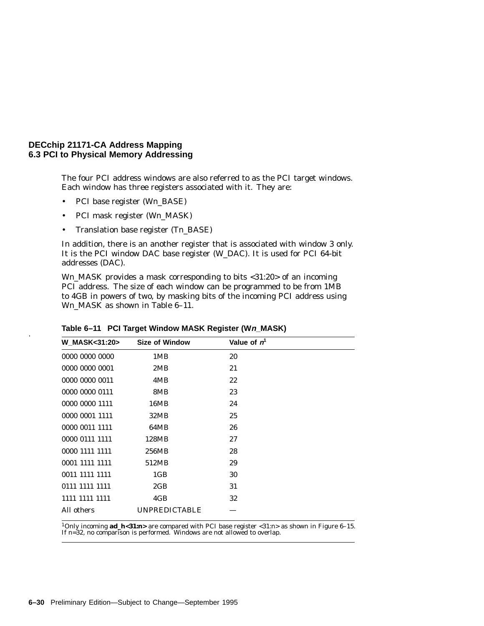The four PCI address windows are also referred to as the PCI target windows. Each window has three registers associated with it. They are:

- PCI base register (W*n*\_BASE)
- PCI mask register (W*n*\_MASK)
- Translation base register (T*n*\_BASE)

In addition, there is an another register that is associated with window 3 only. It is the PCI window DAC base register (W\_DAC). It is used for PCI 64-bit addresses (DAC).

W*n*\_MASK provides a mask corresponding to bits <31:20> of an incoming PCI address. The size of each window can be programmed to be from 1MB to 4GB in powers of two, by masking bits of the incoming PCI address using Wn MASK as shown in Table 6–11.

| <b>W_MASK&lt;31:20&gt;</b> | <b>Size of Window</b> | Value of $n1$ |  |
|----------------------------|-----------------------|---------------|--|
| 0000 0000 0000             | 1MB                   | 20            |  |
| 0000 0000 0001             | 2MB                   | 21            |  |
| 0000 0000 0011             | 4MB                   | 22            |  |
| 0000 0000 0111             | 8MB                   | 23            |  |
| 0000 0000 1111             | 16MB                  | 24            |  |
| 0000 0001 1111             | 32MB                  | 25            |  |
| 0000 0011 1111             | 64MB                  | 26            |  |
| 0000 0111 1111             | 128MB                 | 27            |  |
| 0000 1111 1111             | 256MB                 | 28            |  |
| 0001 1111 1111             | 512MB                 | 29            |  |
| 0011 1111 1111             | 1 <sub>GB</sub>       | 30            |  |
| 0111 1111 1111             | 2GB                   | 31            |  |
| 1111 1111 1111             | 4GB                   | 32            |  |
| All others                 | <b>UNPREDICTABLE</b>  |               |  |

**Table 6–11 PCI Target Window MASK Register (Wn\_MASK)** .

1Only incoming **ad\_h<31:***n***>** are compared with PCI base register <31:*n*> as shown in Figure 6–15. If *n*=32, no comparison is performed. Windows are not allowed to overlap.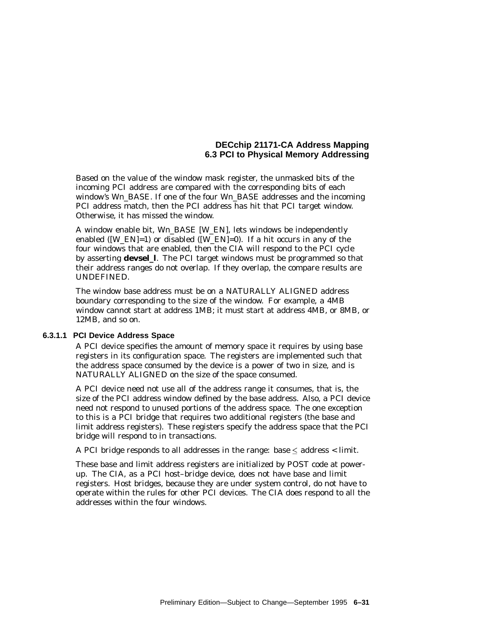Based on the value of the window mask register, the unmasked bits of the incoming PCI address are compared with the corresponding bits of each window's W*n*\_BASE. If one of the four W*n*\_BASE addresses and the incoming PCI address match, then the PCI address has hit that PCI target window. Otherwise, it has missed the window.

A window enable bit, W*n*\_BASE [W\_EN], lets windows be independently enabled ( $[W_{\text{EN}}]=1$ ) or disabled ( $[W_{\text{EN}}]=0$ ). If a hit occurs in any of the four windows that are enabled, then the CIA will respond to the PCI cycle by asserting **devsel\_l**. The PCI target windows must be programmed so that their address ranges do not overlap. If they overlap, the compare results are UNDEFINED.

The window base address must be on a NATURALLY ALIGNED address boundary corresponding to the size of the window. For example, a 4MB window cannot start at address 1MB; it must start at address 4MB, or 8MB, or 12MB, and so on.

### **6.3.1.1 PCI Device Address Space**

A PCI device specifies the amount of memory space it requires by using base registers in its configuration space. The registers are implemented such that the address space consumed by the device is a power of two in size, and is NATURALLY ALIGNED on the size of the space consumed.

A PCI device need not use all of the address range it consumes, that is, the size of the PCI address window defined by the base address. Also, a PCI device need not respond to unused portions of the address space. The one exception to this is a PCI bridge that requires two additional registers (the base and limit address registers). These registers specify the address space that the PCI bridge will respond to in transactions.

A PCI bridge responds to all addresses in the range: base  $\leq$  address  $\leq$  limit.

These base and limit address registers are initialized by POST code at powerup. The CIA, as a PCI host–bridge device, does not have base and limit registers. Host bridges, because they are under system control, do not have to operate within the rules for other PCI devices. The CIA does respond to all the addresses within the four windows.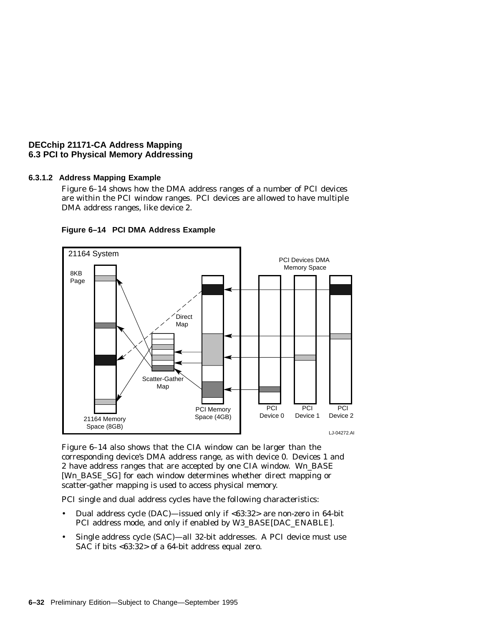# **6.3.1.2 Address Mapping Example**

Figure 6–14 shows how the DMA address ranges of a number of PCI devices are within the PCI window ranges. PCI devices are allowed to have multiple DMA address ranges, like device 2.



**Figure 6–14 PCI DMA Address Example**

Figure 6–14 also shows that the CIA window can be larger than the corresponding device's DMA address range, as with device 0. Devices 1 and 2 have address ranges that are accepted by one CIA window. W*n*\_BASE [Wn BASE\_SG] for each window determines whether direct mapping or scatter-gather mapping is used to access physical memory.

PCI single and dual address cycles have the following characteristics:

- Dual address cycle (DAC)—issued only if <63:32> are non-zero in 64-bit PCI address mode, and only if enabled by W3\_BASE[DAC\_ENABLE].
- Single address cycle (SAC)—all 32-bit addresses. A PCI device must use SAC if bits <63:32> of a 64-bit address equal zero.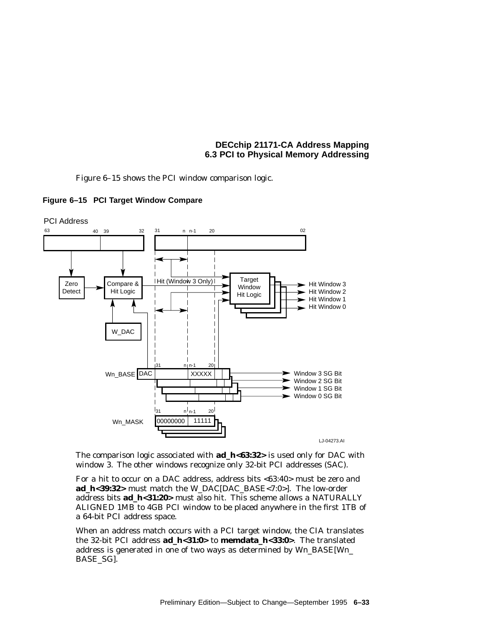Figure 6–15 shows the PCI window comparison logic.





The comparison logic associated with **ad\_h<63:32>** is used only for DAC with window 3. The other windows recognize only 32-bit PCI addresses (SAC).

For a hit to occur on a DAC address, address bits <63:40> must be zero and **ad\_h<39:32>** must match the W\_DAC[DAC\_BASE<7:0>]. The low-order address bits **ad\_h<31:20>** must also hit. This scheme allows a NATURALLY ALIGNED 1MB to 4GB PCI window to be placed anywhere in the first 1TB of a 64-bit PCI address space.

When an address match occurs with a PCI target window, the CIA translates the 32-bit PCI address **ad\_h<31:0>** to **memdata\_h<33:0>**. The translated address is generated in one of two ways as determined by W*n*\_BASE[W*n*\_ BASE\_SG].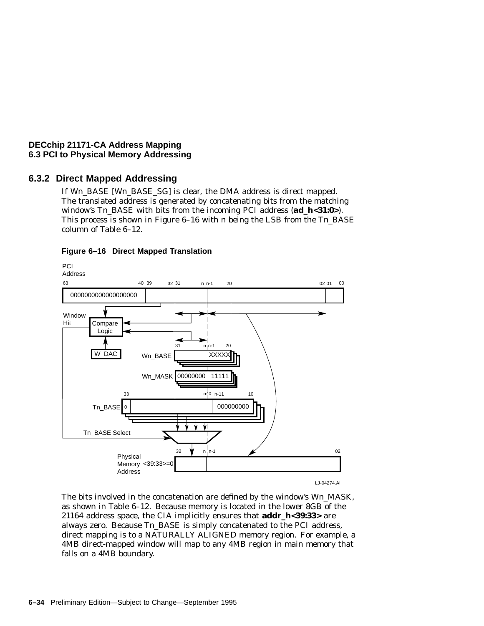# **6.3.2 Direct Mapped Addressing**

If W*n*\_BASE [W*n*\_BASE\_SG] is clear, the DMA address is direct mapped. The translated address is generated by concatenating bits from the matching window's T*n*\_BASE with bits from the incoming PCI address (**ad\_h<31:0>**). This process is shown in Figure 6–16 with *n* being the LSB from the T*n*\_BASE column of Table 6–12.



## **Figure 6–16 Direct Mapped Translation**

The bits involved in the concatenation are defined by the window's W*n*\_MASK, as shown in Table 6–12. Because memory is located in the lower 8GB of the 21164 address space, the CIA implicitly ensures that **addr\_h<39:33>** are always zero. Because T*n*\_BASE is simply concatenated to the PCI address, direct mapping is to a NATURALLY ALIGNED memory region. For example, a 4MB direct-mapped window will map to any 4MB region in main memory that falls on a 4MB boundary.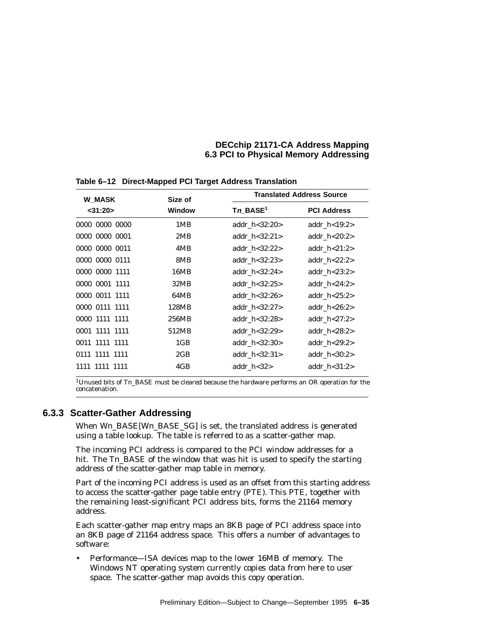| <b>W_MASK</b>           | Size of                 |                    | <b>Translated Address Source</b> |  |  |
|-------------------------|-------------------------|--------------------|----------------------------------|--|--|
| Window<br>$<$ 31:20 $>$ | $Tn$ _BASE <sup>1</sup> | <b>PCI Address</b> |                                  |  |  |
| 0000 0000 0000          | 1MB                     | addr $h < 32:20>$  | addr $h<19:2>$                   |  |  |
| 0000 0000 0001          | 2MB                     | addr $h < 32:21>$  | addr $h < 20:2>$                 |  |  |
| 0000 0000 0011          | 4MB                     | addr $h < 32:22>$  | addr $h < 21:2>$                 |  |  |
| 0000 0000 0111          | 8MB                     | addr $h < 32:23>$  | addr $h < 22:2>$                 |  |  |
| 0000 0000 1111          | 16MB                    | addr $h < 32:24>$  | addr $h<23:2>$                   |  |  |
| 0000 0001 1111          | 32MB                    | addr $h < 32:25$   | addr $h < 24:2>$                 |  |  |
| 0000 0011 1111          | 64MB                    | addr $h < 32:26$   | addr $h < 25:2>$                 |  |  |
| 0000 0111 1111          | 128MB                   | addr $h < 32:27$   | addr $h < 26:2>$                 |  |  |
| 0000 1111 1111          | 256MB                   | addr $h < 32:28$   | addr $h < 27:2>$                 |  |  |
| 0001 1111 1111          | 512MB                   | addr $h < 32:29$   | addr $h < 28:2>$                 |  |  |
| 0011 1111 1111          | 1GB                     | addr $h < 32:30>$  | addr $h<29:2>$                   |  |  |
| 0111 1111 1111          | 2GB                     | addr $h < 32:31>$  | addr $h < 30:2>$                 |  |  |
| 1111 1111 1111          | 4GB                     | addr $h < 32$      | addr $h < 31:2>$                 |  |  |
|                         |                         |                    |                                  |  |  |

**Table 6–12 Direct-Mapped PCI Target Address Translation**

<sup>1</sup>Unused bits of Tn\_BASE must be cleared because the hardware performs an OR operation for the concatenation.

# **6.3.3 Scatter-Gather Addressing**

When W*n*\_BASE[W*n*\_BASE\_SG] is set, the translated address is generated using a table lookup. The table is referred to as a scatter-gather map.

The incoming PCI address is compared to the PCI window addresses for a hit. The Tn BASE of the window that was hit is used to specify the starting address of the scatter-gather map table in memory.

Part of the incoming PCI address is used as an offset from this starting address to access the scatter-gather page table entry (PTE). This PTE, together with the remaining least-significant PCI address bits, forms the 21164 memory address.

Each scatter-gather map entry maps an 8KB page of PCI address space into an 8KB page of 21164 address space. This offers a number of advantages to software:

• Performance—ISA devices map to the lower 16MB of memory. The Windows NT operating system currently copies data from here to user space. The scatter-gather map avoids this copy operation.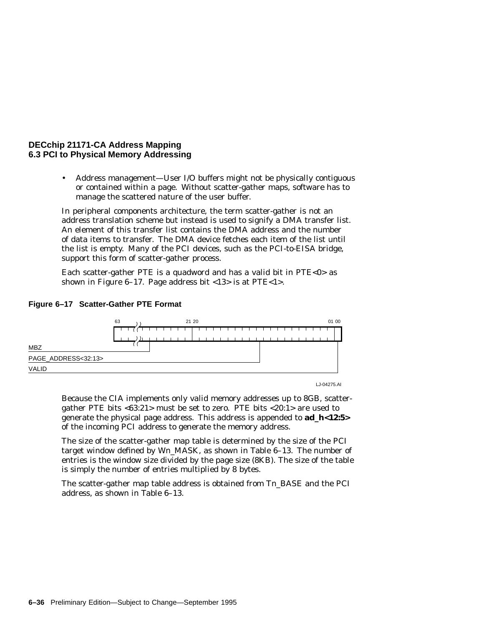• Address management—User I/O buffers might not be physically contiguous or contained within a page. Without scatter-gather maps, software has to manage the scattered nature of the user buffer.

In peripheral components architecture, the term scatter-gather is not an address translation scheme but instead is used to signify a DMA transfer list. An element of this transfer list contains the DMA address and the number of data items to transfer. The DMA device fetches each item of the list until the list is empty. Many of the PCI devices, such as the PCI-to-EISA bridge, support this form of scatter-gather process.

Each scatter-gather PTE is a quadword and has a valid bit in PTE<0> as shown in Figure 6–17. Page address bit <13> is at PTE<1>.



## **Figure 6–17 Scatter-Gather PTE Format**

LJ-04275.AI

Because the CIA implements only valid memory addresses up to 8GB, scattergather PTE bits <63:21> must be set to zero. PTE bits <20:1> are used to generate the physical page address. This address is appended to **ad\_h<12:5>** of the incoming PCI address to generate the memory address.

The size of the scatter-gather map table is determined by the size of the PCI target window defined by W*n*\_MASK, as shown in Table 6–13. The number of entries is the window size divided by the page size (8KB). The size of the table is simply the number of entries multiplied by 8 bytes.

The scatter-gather map table address is obtained from T*n*\_BASE and the PCI address, as shown in Table 6–13.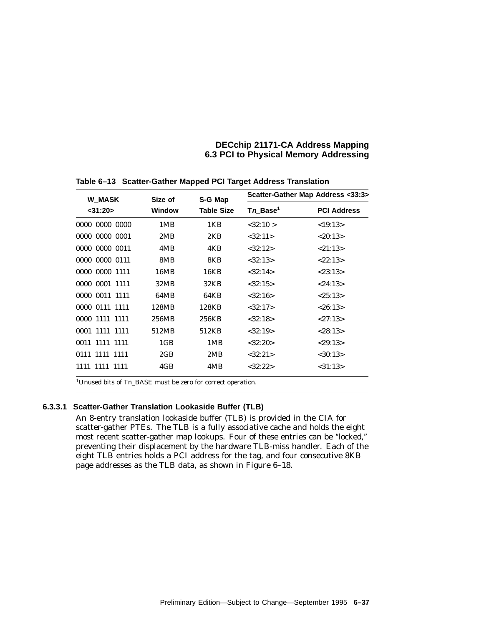| <b>W_MASK</b>  |                 | Size of<br>S-G Map |                      | Scatter-Gather Map Address <33:3> |
|----------------|-----------------|--------------------|----------------------|-----------------------------------|
| $<$ 31:20 $>$  | Window          | <b>Table Size</b>  | Tn Base <sup>1</sup> | <b>PCI Address</b>                |
| 0000 0000 0000 | 1MB             | 1KB                | < 32:10 >            | <19:13>                           |
| 0000 0000 0001 | 2MB             | 2KB                | <32:11>              | < 20:13>                          |
| 0000 0000 0011 | 4MB             | 4KB                | <32:12>              | < 21:13>                          |
| 0000 0000 0111 | 8MB             | 8KB                | < 32:13>             | < 22:13>                          |
| 0000 0000 1111 | 16MB            | 16KB               | < 32:14>             | < 23:13>                          |
| 0000 0001 1111 | 32MB            | 32KB               | <32:15>              | < 24:13>                          |
| 0000 0011 1111 | 64MB            | 64KB               | < 32:16>             | < 25:13>                          |
| 0000 0111 1111 | 128MB           | 128KB              | <32:17>              | < 26:13>                          |
| 0000 1111 1111 | 256MB           | 256KB              | < 32:18>             | <27:13>                           |
| 0001 1111 1111 | 512MB           | 512KB              | < 32:19>             | < 28:13>                          |
| 0011 1111 1111 | 1 <sub>GB</sub> | 1MB                | <32:20>              | < 29:13>                          |
| 0111 1111 1111 | 2GB             | 2MB                | <32:21>              | $<$ 30:13>                        |
| 1111 1111 1111 | 4GB             | 4MB                | <32:22>              | $<$ 31:13>                        |

**Table 6–13 Scatter-Gather Mapped PCI Target Address Translation**

1Unused bits of T*n*\_BASE must be zero for correct operation.

## **6.3.3.1 Scatter-Gather Translation Lookaside Buffer (TLB)**

An 8-entry translation lookaside buffer (TLB) is provided in the CIA for scatter-gather PTEs. The TLB is a fully associative cache and holds the eight most recent scatter-gather map lookups. Four of these entries can be ''locked,'' preventing their displacement by the hardware TLB-miss handler. Each of the eight TLB entries holds a PCI address for the tag, and four consecutive 8KB page addresses as the TLB data, as shown in Figure 6–18.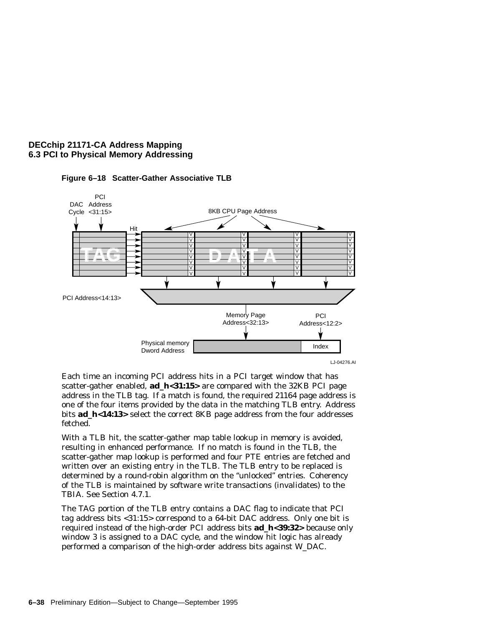



Each time an incoming PCI address hits in a PCI target window that has scatter-gather enabled, **ad\_h<31:15>** are compared with the 32KB PCI page address in the TLB tag. If a match is found, the required 21164 page address is one of the four items provided by the data in the matching TLB entry. Address bits **ad\_h<14:13>** select the correct 8KB page address from the four addresses fetched.

With a TLB hit, the scatter-gather map table lookup in memory is avoided, resulting in enhanced performance. If no match is found in the TLB, the scatter-gather map lookup is performed and four PTE entries are fetched and written over an existing entry in the TLB. The TLB entry to be replaced is determined by a round-robin algorithm on the ''unlocked'' entries. Coherency of the TLB is maintained by software write transactions (invalidates) to the TBIA. See Section 4.7.1.

The TAG portion of the TLB entry contains a DAC flag to indicate that PCI tag address bits <31:15> correspond to a 64-bit DAC address. Only one bit is required instead of the high-order PCI address bits **ad\_h<39:32>** because only window 3 is assigned to a DAC cycle, and the window hit logic has already performed a comparison of the high-order address bits against W\_DAC.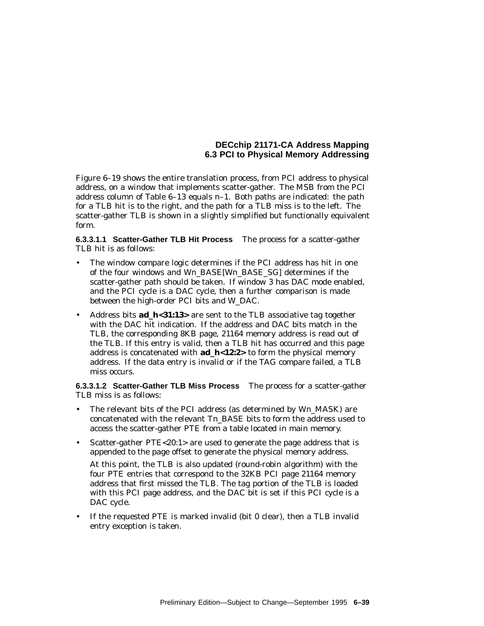Figure 6–19 shows the entire translation process, from PCI address to physical address, on a window that implements scatter-gather. The MSB from the PCI address column of Table 6–13 equals *n*–1. Both paths are indicated: the path for a TLB hit is to the right, and the path for a TLB miss is to the left. The scatter-gather TLB is shown in a slightly simplified but functionally equivalent form.

**6.3.3.1.1 Scatter-Gather TLB Hit Process** The process for a scatter-gather TLB hit is as follows:

- The window compare logic determines if the PCI address has hit in one of the four windows and W*n*\_BASE[W*n*\_BASE\_SG] determines if the scatter-gather path should be taken. If window 3 has DAC mode enabled, and the PCI cycle is a DAC cycle, then a further comparison is made between the high-order PCI bits and W\_DAC.
- Address bits **ad\_h**<31:13> are sent to the TLB associative tag together with the DAC hit indication. If the address and DAC bits match in the TLB, the corresponding 8KB page, 21164 memory address is read out of the TLB. If this entry is valid, then a TLB hit has occurred and this page address is concatenated with **ad\_h<12:2>** to form the physical memory address. If the data entry is invalid or if the TAG compare failed, a TLB miss occurs.

**6.3.3.1.2 Scatter-Gather TLB Miss Process** The process for a scatter-gather TLB miss is as follows:

- The relevant bits of the PCI address (as determined by W*n*\_MASK) are concatenated with the relevant T*n*\_BASE bits to form the address used to access the scatter-gather PTE from a table located in main memory.
- Scatter-gather PTE<20:1> are used to generate the page address that is appended to the page offset to generate the physical memory address.

At this point, the TLB is also updated (round-robin algorithm) with the four PTE entries that correspond to the 32KB PCI page 21164 memory address that first missed the TLB. The tag portion of the TLB is loaded with this PCI page address, and the DAC bit is set if this PCI cycle is a DAC cycle.

• If the requested PTE is marked invalid (bit 0 clear), then a TLB invalid entry exception is taken.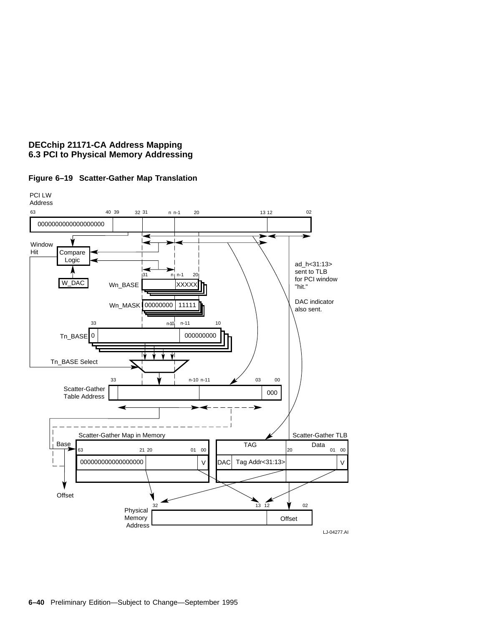

# **Figure 6–19 Scatter-Gather Map Translation**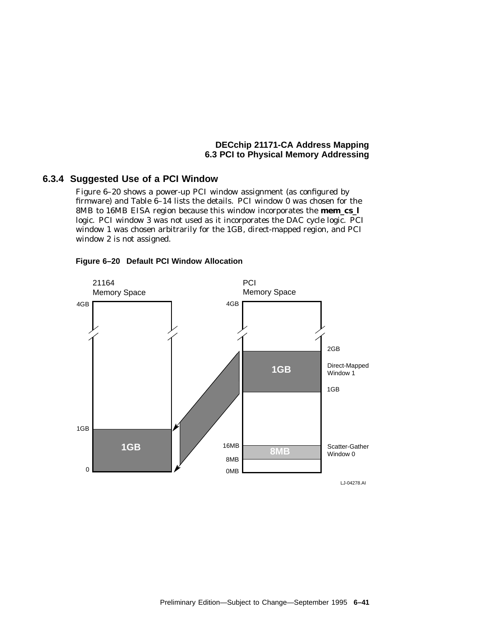# **6.3.4 Suggested Use of a PCI Window**

Figure 6–20 shows a power-up PCI window assignment (as configured by firmware) and Table 6–14 lists the details. PCI window 0 was chosen for the 8MB to 16MB EISA region because this window incorporates the **mem\_cs\_l** logic. PCI window 3 was not used as it incorporates the DAC cycle logic. PCI window 1 was chosen arbitrarily for the 1GB, direct-mapped region, and PCI window 2 is not assigned.



## **Figure 6–20 Default PCI Window Allocation**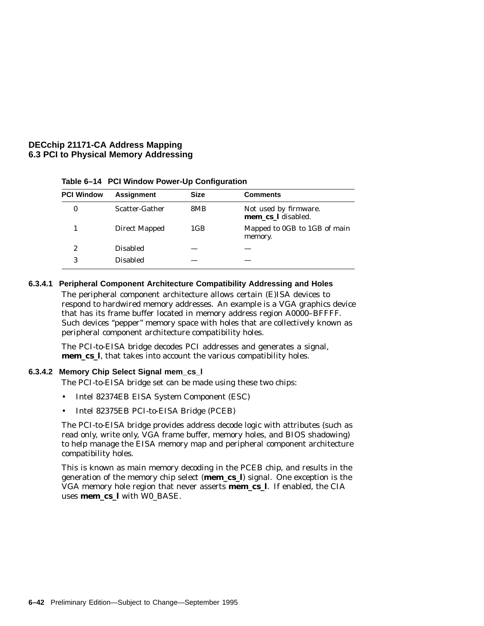| <b>PCI Window</b> | <b>Assignment</b> | <b>Size</b> | <b>Comments</b>                             |
|-------------------|-------------------|-------------|---------------------------------------------|
|                   | Scatter-Gather    | 8MB         | Not used by firmware.<br>mem_cs_1 disabled. |
|                   | Direct Mapped     | 1GB         | Mapped to OGB to 1GB of main<br>memory.     |
| 2                 | <b>Disabled</b>   |             |                                             |
| 3                 | <b>Disabled</b>   |             |                                             |

**Table 6–14 PCI Window Power-Up Configuration**

## **6.3.4.1 Peripheral Component Architecture Compatibility Addressing and Holes**

The peripheral component architecture allows certain (E)ISA devices to respond to hardwired memory addresses. An example is a VGA graphics device that has its frame buffer located in memory address region A0000–BFFFF. Such devices ''pepper'' memory space with holes that are collectively known as peripheral component architecture compatibility holes.

The PCI-to-EISA bridge decodes PCI addresses and generates a signal, **mem\_cs\_l**, that takes into account the various compatibility holes.

## **6.3.4.2 Memory Chip Select Signal mem\_cs\_l**

The PCI-to-EISA bridge set can be made using these two chips:

- Intel 82374EB EISA System Component (ESC)
- Intel 82375EB PCI-to-EISA Bridge (PCEB)

The PCI-to-EISA bridge provides address decode logic with attributes (such as read only, write only, VGA frame buffer, memory holes, and BIOS shadowing) to help manage the EISA memory map and peripheral component architecture compatibility holes.

This is known as main memory decoding in the PCEB chip, and results in the generation of the memory chip select (**mem\_cs\_l**) signal. One exception is the VGA memory hole region that never asserts **mem\_cs\_l**. If enabled, the CIA uses **mem\_cs\_l** with W0\_BASE.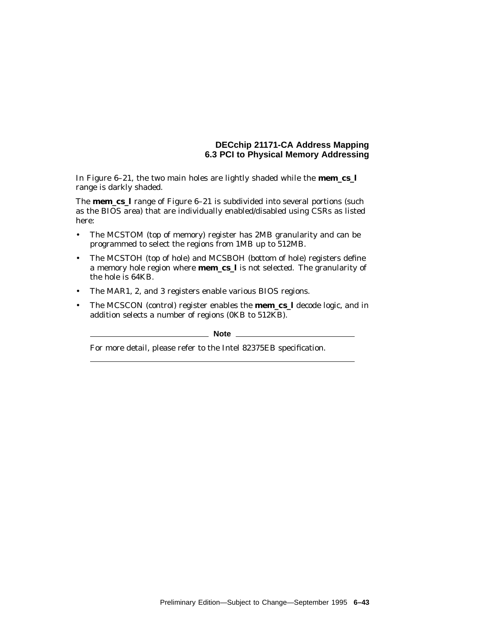In Figure 6–21, the two main holes are lightly shaded while the **mem\_cs\_l** range is darkly shaded.

The **mem\_cs\_l** range of Figure 6–21 is subdivided into several portions (such as the BIOS area) that are individually enabled/disabled using CSRs as listed here:

- The MCSTOM (top of memory) register has 2MB granularity and can be programmed to select the regions from 1MB up to 512MB.
- The MCSTOH (top of hole) and MCSBOH (bottom of hole) registers define a memory hole region where **mem\_cs\_l** is not selected. The granularity of the hole is 64KB.
- The MAR1, 2, and 3 registers enable various BIOS regions.
- The MCSCON (control) register enables the **mem\_cs\_l** decode logic, and in addition selects a number of regions (0KB to 512KB).

**Note** 1

For more detail, please refer to the Intel 82375EB specification.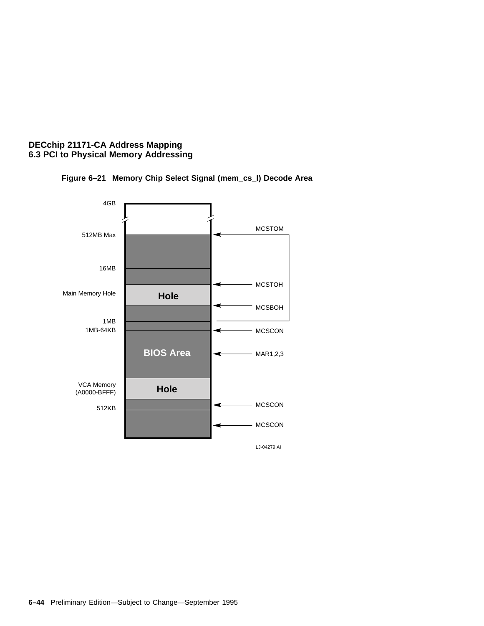

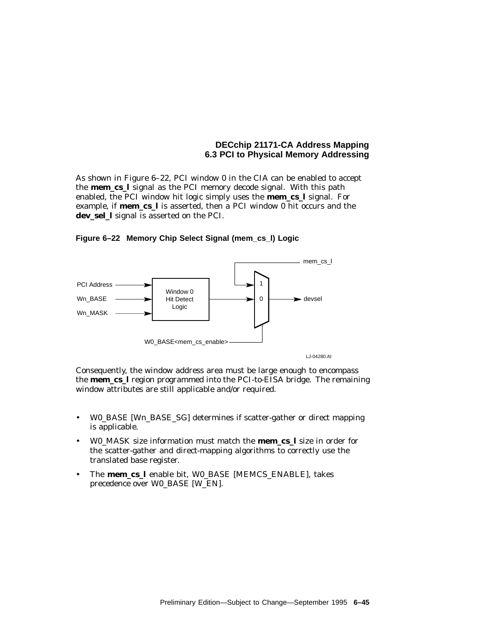As shown in Figure 6–22, PCI window 0 in the CIA can be enabled to accept the **mem\_cs\_l** signal as the PCI memory decode signal. With this path enabled, the PCI window hit logic simply uses the **mem\_cs\_l** signal. For example, if **mem\_cs\_l** is asserted, then a PCI window 0 hit occurs and the **dev\_sel\_l** signal is asserted on the PCI.





Consequently, the window address area must be large enough to encompass the **mem\_cs\_l** region programmed into the PCI-to-EISA bridge. The remaining window attributes are still applicable and/or required.

- W0\_BASE [W*n*\_BASE\_SG] determines if scatter-gather or direct mapping is applicable.
- W0\_MASK size information must match the **mem\_cs\_l** size in order for the scatter-gather and direct-mapping algorithms to correctly use the translated base register.
- The **mem\_cs\_l** enable bit, W0\_BASE [MEMCS\_ENABLE], takes precedence over W0\_BASE [W\_EN].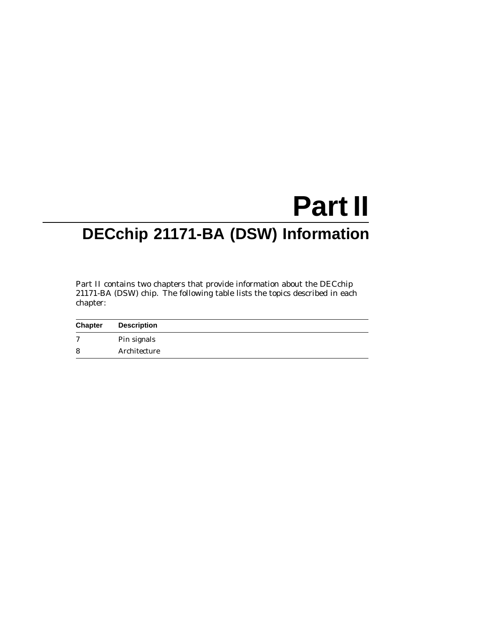# **Part II DECchip 21171-BA (DSW) Information**

Part II contains two chapters that provide information about the DECchip 21171-BA (DSW) chip. The following table lists the topics described in each chapter:

| <b>Chapter</b> | <b>Description</b> |
|----------------|--------------------|
| 7              | Pin signals        |
| 8              | Architecture       |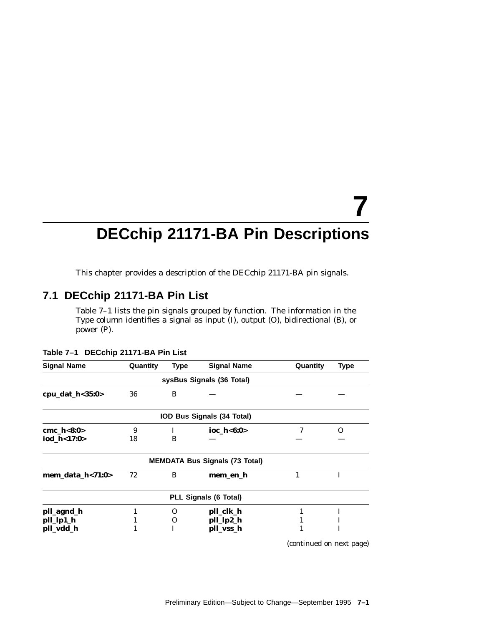# **7 DECchip 21171-BA Pin Descriptions**

This chapter provides a description of the DECchip 21171-BA pin signals.

# **7.1 DECchip 21171-BA Pin List**

Table 7–1 lists the pin signals grouped by function. The information in the Type column identifies a signal as input (I), output (O), bidirectional (B), or power (P).

| <b>Signal Name</b>  | Quantity | <b>Type</b> | <b>Signal Name</b>                    | Quantity | Type     |
|---------------------|----------|-------------|---------------------------------------|----------|----------|
|                     |          |             | sysBus Signals (36 Total)             |          |          |
| cpu_dat_h<35:0>     | 36       | B           |                                       |          |          |
|                     |          |             | IOD Bus Signals (34 Total)            |          |          |
| cmc $h<8:0>$        | 9        | L           | ioc $h < 6:0>$                        | 7        | $\Omega$ |
| iod_h<17:0>         | 18       | B           |                                       |          |          |
|                     |          |             | <b>MEMDATA Bus Signals (73 Total)</b> |          |          |
| mem_data_h< $71:0>$ | 72       | B           | mem_en_h                              |          | I        |
|                     |          |             | PLL Signals (6 Total)                 |          |          |
| pll_agnd_h          | 1        | O           | pll_clk_h                             | 1        | I        |
| pll_lp1_h           | 1        | O           | pll_lp2_h                             |          |          |
| pll_vdd_h           |          |             | pll_vss_h                             |          |          |

**Table 7–1 DECchip 21171-BA Pin List**

(continued on next page)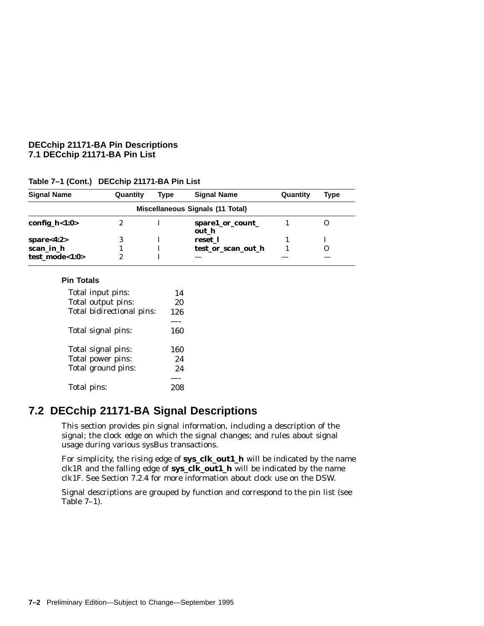# **DECchip 21171-BA Pin Descriptions 7.1 DECchip 21171-BA Pin List**

| <b>Signal Name</b> | Quantity | Type | <b>Signal Name</b>               | Quantity | Type |
|--------------------|----------|------|----------------------------------|----------|------|
|                    |          |      | Miscellaneous Signals (11 Total) |          |      |
| config_ $h$ <1:0>  | 2        |      | spare1_or_count_<br>out h        |          |      |
| spare<4:2>         | 3        |      | reset 1                          |          |      |
| scan_in_h          |          |      | test or scan out h               |          |      |
| test mode<1:0>     | 2        |      |                                  |          |      |

# **Table 7–1 (Cont.) DECchip 21171-BA Pin List**

## **Pin Totals**

| Total input pins:         | 14  |
|---------------------------|-----|
| Total output pins:        | 20  |
| Total bidirectional pins: | 126 |
|                           |     |
| Total signal pins:        | 160 |
|                           |     |
| Total signal pins:        | 160 |
| Total power pins:         | 2.4 |
| Total ground pins:        | 24  |
|                           |     |
| Total pins:               |     |

# **7.2 DECchip 21171-BA Signal Descriptions**

This section provides pin signal information, including a description of the signal; the clock edge on which the signal changes; and rules about signal usage during various sysBus transactions.

For simplicity, the rising edge of **sys\_clk\_out1\_h** will be indicated by the name clk1R and the falling edge of **sys\_clk\_out1\_h** will be indicated by the name clk1F. See Section 7.2.4 for more information about clock use on the DSW.

Signal descriptions are grouped by function and correspond to the pin list (see Table 7–1).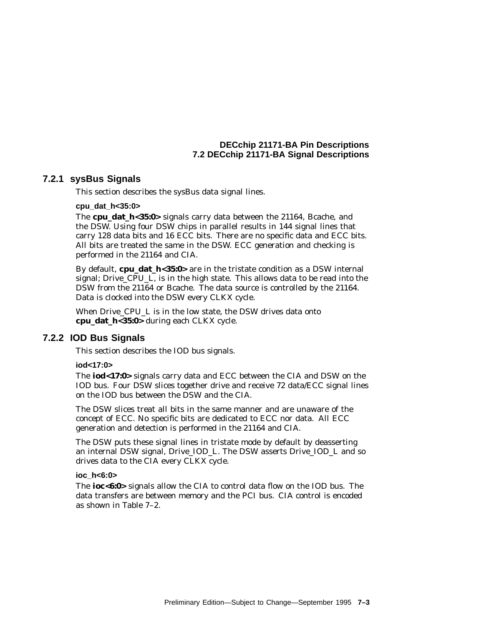# **7.2.1 sysBus Signals**

This section describes the sysBus data signal lines.

### **cpu\_dat\_h<35:0>**

The **cpu\_dat\_h<35:0>** signals carry data between the 21164, Bcache, and the DSW. Using four DSW chips in parallel results in 144 signal lines that carry 128 data bits and 16 ECC bits. There are no specific data and ECC bits. All bits are treated the same in the DSW. ECC generation and checking is performed in the 21164 and CIA.

By default, **cpu\_dat\_h<35:0>** are in the tristate condition as a DSW internal signal; Drive\_CPU\_L, is in the high state. This allows data to be read into the DSW from the 21164 or Bcache. The data source is controlled by the 21164. Data is clocked into the DSW every CLKX cycle.

When Drive\_CPU\_L is in the low state, the DSW drives data onto **cpu\_dat\_h<35:0>** during each CLKX cycle.

## **7.2.2 IOD Bus Signals**

This section describes the IOD bus signals.

## **iod<17:0>**

The **iod<17:0>** signals carry data and ECC between the CIA and DSW on the IOD bus. Four DSW slices together drive and receive 72 data/ECC signal lines on the IOD bus between the DSW and the CIA.

The DSW slices treat all bits in the same manner and are unaware of the concept of ECC. No specific bits are dedicated to ECC nor data. All ECC generation and detection is performed in the 21164 and CIA.

The DSW puts these signal lines in tristate mode by default by deasserting an internal DSW signal, Drive\_IOD\_L. The DSW asserts Drive\_IOD\_L and so drives data to the CIA every CLKX cycle.

#### **ioc\_h<6:0>**

The **ioc<6:0>** signals allow the CIA to control data flow on the IOD bus. The data transfers are between memory and the PCI bus. CIA control is encoded as shown in Table 7–2.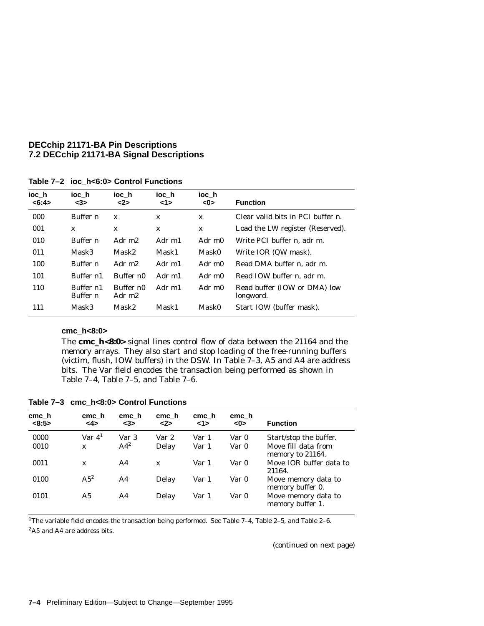| ioc h<br><6:4> | ioc h<br>$3$          | ioc h<br><2>        | ioc h<br>1> | ioc h<br><0> | <b>Function</b>                           |
|----------------|-----------------------|---------------------|-------------|--------------|-------------------------------------------|
| 000            | Buffer n              | $\mathbf x$         | X           | $\mathbf{x}$ | Clear valid bits in PCI buffer $n$ .      |
| 001            | X                     | X                   | X           | $\mathbf x$  | Load the LW register (Reserved).          |
| 010            | Buffer n              | Adr m <sub>2</sub>  | Adr m1      | Adr m0       | Write PCI buffer <i>n</i> . adr m.        |
| 011            | Mask3                 | Mask2               | Mask1       | Mask0        | Write IOR (QW mask).                      |
| 100            | Buffer n              | Adr m <sub>2</sub>  | Adr m1      | Adr m0       | Read DMA buffer <i>n</i> . adr m.         |
| 101            | Buffer $n1$           | Buffer no           | Adr m1      | Adr m0       | Read IOW buffer <i>n</i> , adr m.         |
| 110            | Buffer n1<br>Buffer n | Buffer n0<br>Adr m2 | Adr m1      | Adr m0       | Read buffer (IOW or DMA) low<br>longword. |
| 111            | Mask3                 | Mask2               | Mask1       | Mask0        | Start IOW (buffer mask).                  |

**Table 7–2 ioc\_h<6:0> Control Functions**

# **cmc\_h<8:0>**

The **cmc\_h<8:0>** signal lines control flow of data between the 21164 and the memory arrays. They also start and stop loading of the free-running buffers (victim, flush, IOW buffers) in the DSW. In Table 7–3, A5 and A4 are address bits. The Var field encodes the transaction being performed as shown in Table 7–4, Table 7–5, and Table 7–6.

**Table 7–3 cmc\_h<8:0> Control Functions**

| cmc h<br><8:5> | cmc h<br><4>   | cmc h<br><3>    | cmc h<br><2> | cmc h<br>1> | cmc h<br><0> | <b>Function</b>                         |
|----------------|----------------|-----------------|--------------|-------------|--------------|-----------------------------------------|
| 0000           | Var $4^1$      | Var 3           | Var 2        | Var 1       | Var 0        | Start/stop the buffer.                  |
| 0010           | $\mathbf{x}$   | AA <sup>2</sup> | Delay        | Var 1       | Var 0        | Move fill data from<br>memory to 21164. |
| 0011           | $\mathbf x$    | A <sub>4</sub>  | $\mathbf{x}$ | Var 1       | Var 0        | Move IOR buffer data to<br>21164.       |
| 0100           | $A5^2$         | A4              | Delay        | Var 1       | Var 0        | Move memory data to<br>memory buffer 0. |
| 0101           | A <sub>5</sub> | A4              | Delay        | Var 1       | Var 0        | Move memory data to<br>memory buffer 1. |

1The variable field encodes the transaction being performed. See Table 7–4, Table 2–5, and Table 2–6. 2A5 and A4 are address bits.

(continued on next page)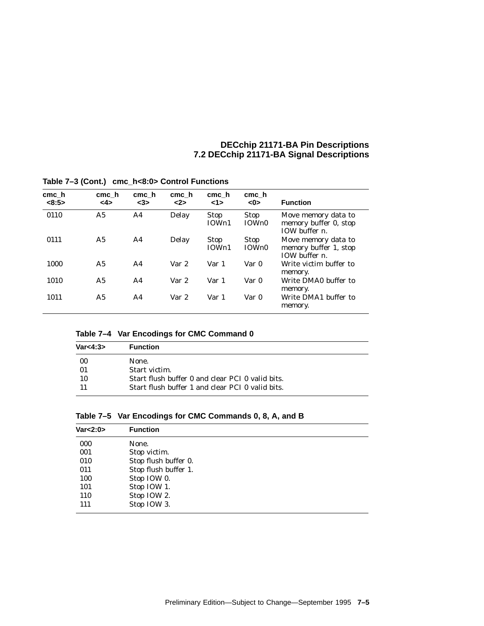| cmch<br><8:5> | cmc_h<br><4>   | cmc h<br><3>   | cmc h<br>2 | cmc h<br><1>         | cmc h<br><0>         | <b>Function</b>                                                  |
|---------------|----------------|----------------|------------|----------------------|----------------------|------------------------------------------------------------------|
| 0110          | A <sub>5</sub> | A <sub>4</sub> | Delay      | Stop<br>IOWn1        | <b>Stop</b><br>IOWn0 | Move memory data to<br>memory buffer 0, stop<br>IOW buffer $n$ . |
| 0111          | A <sub>5</sub> | A <sub>4</sub> | Delay      | <b>Stop</b><br>IOWn1 | <b>Stop</b><br>IOWn0 | Move memory data to<br>memory buffer 1, stop<br>IOW buffer $n$ . |
| 1000          | A <sub>5</sub> | A <sub>4</sub> | Var 2      | Var 1                | Var 0                | Write victim buffer to<br>memory.                                |
| 1010          | A5             | A <sub>4</sub> | Var 2      | Var 1                | Var 0                | Write DMA0 buffer to<br>memory.                                  |
| 1011          | A5             | A <sub>4</sub> | Var 2      | Var 1                | Var 0                | Write DMA1 buffer to<br>memory.                                  |

**Table 7–3 (Cont.) cmc\_h<8:0> Control Functions**

| Var<4:3> | <b>Function</b>                                  |
|----------|--------------------------------------------------|
| 00       | None.                                            |
| 01       | Start victim.                                    |
| 10       | Start flush buffer 0 and clear PCI 0 valid bits. |
|          | Start flush buffer 1 and clear PCI 0 valid bits. |

|  |  | Table 7-5 Var Encodings for CMC Commands 0, 8, A, and B |  |  |  |
|--|--|---------------------------------------------------------|--|--|--|
|--|--|---------------------------------------------------------|--|--|--|

| <b>Function</b>      |
|----------------------|
| None.                |
| Stop victim.         |
| Stop flush buffer 0. |
| Stop flush buffer 1. |
| Stop IOW 0.          |
| Stop IOW 1.          |
| Stop IOW 2.          |
| Stop IOW 3.          |
|                      |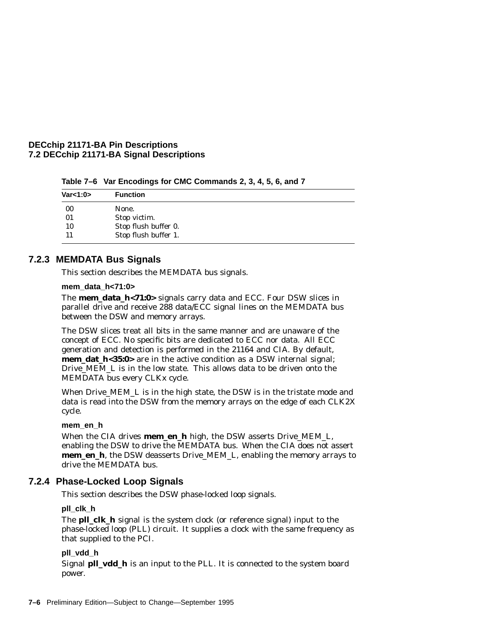|            | $\frac{1}{2}$ and $\frac{1}{2}$ and $\frac{1}{2}$ and $\frac{1}{2}$ and $\frac{1}{2}$ and $\frac{1}{2}$ and $\frac{1}{2}$ |  |
|------------|---------------------------------------------------------------------------------------------------------------------------|--|
| Var<1:0>   | <b>Function</b>                                                                                                           |  |
| 00         | None.                                                                                                                     |  |
| $^{\circ}$ |                                                                                                                           |  |

**Table 7–6 Var Encodings for CMC Commands 2, 3, 4, 5, 6, and 7**

01 Stop victim.<br>10 Stop flush b Stop flush buffer 0. 11 Stop flush buffer 1.

# **7.2.3 MEMDATA Bus Signals**

This section describes the MEMDATA bus signals.

# **mem\_data\_h<71:0>**

The **mem\_data\_h<71:0>** signals carry data and ECC. Four DSW slices in parallel drive and receive 288 data/ECC signal lines on the MEMDATA bus between the DSW and memory arrays.

The DSW slices treat all bits in the same manner and are unaware of the concept of ECC. No specific bits are dedicated to ECC nor data. All ECC generation and detection is performed in the 21164 and CIA. By default, **mem\_dat\_h<35:0>** are in the active condition as a DSW internal signal; Drive\_MEM\_L is in the low state. This allows data to be driven onto the MEMDATA bus every CLKx cycle.

When Drive MEM L is in the high state, the DSW is in the tristate mode and data is read into the DSW from the memory arrays on the edge of each CLK2X cycle.

# **mem\_en\_h**

When the CIA drives **mem\_en\_h** high, the DSW asserts Drive\_MEM\_L, enabling the DSW to drive the MEMDATA bus. When the CIA does not assert **mem\_en\_h**, the DSW deasserts Drive\_MEM\_L, enabling the memory arrays to drive the MEMDATA bus.

# **7.2.4 Phase-Locked Loop Signals**

This section describes the DSW phase-locked loop signals.

# **pll\_clk\_h**

The **pll clk** h signal is the system clock (or reference signal) input to the phase-locked loop (PLL) circuit. It supplies a clock with the same frequency as that supplied to the PCI.

# **pll\_vdd\_h**

Signal **pll\_vdd\_h** is an input to the PLL. It is connected to the system board power.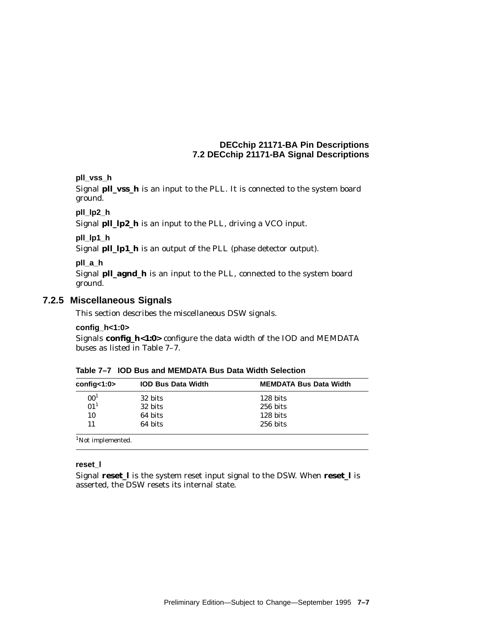# **pll\_vss\_h**

Signal **pll\_vss\_h** is an input to the PLL. It is connected to the system board ground.

# **pll\_lp2\_h**

Signal **pll\_lp2\_h** is an input to the PLL, driving a VCO input.

## **pll\_lp1\_h**

Signal **pll\_lp1\_h** is an output of the PLL (phase detector output).

# **pll\_a\_h**

Signal **pll\_agnd\_h** is an input to the PLL, connected to the system board ground.

# **7.2.5 Miscellaneous Signals**

This section describes the miscellaneous DSW signals.

## **config\_h<1:0>**

Signals **config\_h<1:0>** configure the data width of the IOD and MEMDATA buses as listed in Table 7–7.

| Table 7-7 IOD Bus and MEMDATA Bus Data Width Selection |  |
|--------------------------------------------------------|--|
|                                                        |  |

| confiq < 1:0                  | <b>IOD Bus Data Width</b> | <b>MEMDATA Bus Data Width</b> |
|-------------------------------|---------------------------|-------------------------------|
| 00 <sup>1</sup>               | 32 bits                   | 128 bits                      |
| 01 <sup>1</sup>               | 32 bits                   | $256$ bits                    |
| 10                            | 64 bits                   | 128 bits                      |
| 11                            | 64 bits                   | 256 bits                      |
| <sup>1</sup> Not implemented. |                           |                               |

#### **reset\_l**

Signal **reset\_l** is the system reset input signal to the DSW. When **reset\_l** is asserted, the DSW resets its internal state.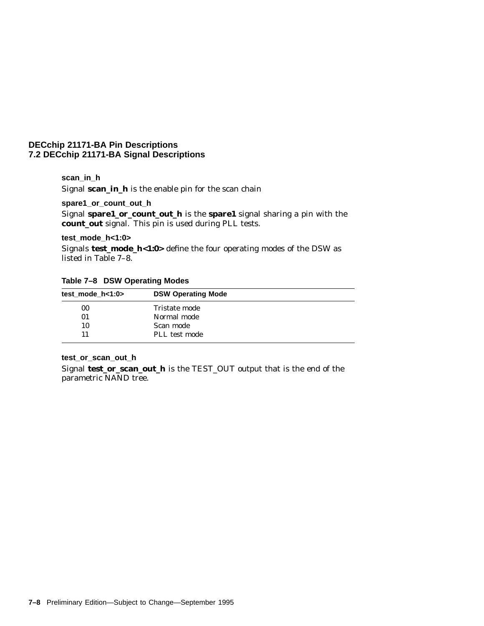## **scan\_in\_h**

Signal **scan\_in\_h** is the enable pin for the scan chain

**spare1\_or\_count\_out\_h**

Signal **spare1\_or\_count\_out\_h** is the **spare1** signal sharing a pin with the **count\_out** signal. This pin is used during PLL tests.

### **test\_mode\_h<1:0>**

Signals **test\_mode\_h<1:0>** define the four operating modes of the DSW as listed in Table 7–8.

|  |  | Table 7-8 DSW Operating Modes |  |
|--|--|-------------------------------|--|
|--|--|-------------------------------|--|

| test mode $h<1:0>$ | <b>DSW Operating Mode</b> |  |
|--------------------|---------------------------|--|
| 00                 | Tristate mode             |  |
| 01                 | Normal mode               |  |
| 10                 | Scan mode                 |  |
| 11                 | PLL test mode             |  |

# **test\_or\_scan\_out\_h**

Signal **test\_or\_scan\_out\_h** is the TEST\_OUT output that is the end of the parametric NAND tree.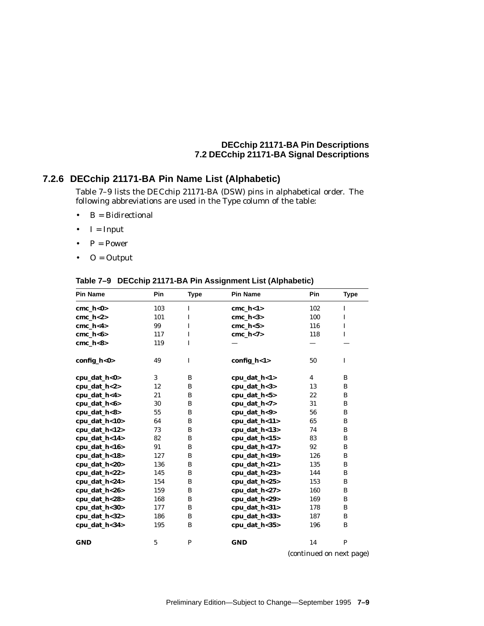#### **7.2.6 DECchip 21171-BA Pin Name List (Alphabetic)**

Table 7–9 lists the DECchip 21171-BA (DSW) pins in alphabetical order. The following abbreviations are used in the Type column of the table:

- $\bullet$  B = Bidirectional
- $\bullet$  I = Input
- $P = Power$
- $\bullet$  O = Output

| <b>Pin Name</b> | Pin | <b>Type</b>  | <b>Pin Name</b> | Pin            | <b>Type</b> |
|-----------------|-----|--------------|-----------------|----------------|-------------|
| $cmc_h<0>$      | 103 | I            | $cmc_h < 1>$    | 102            | I           |
| cmc $h<2>$      | 101 | I            | cmc $h<3>$      | 100            | $\mathbf I$ |
| cmc $h < 4>$    | 99  | I            | cmc $h < 5$     | 116            | $\bf{I}$    |
| $cmc_h<6>$      | 117 | I            | $cmc_h < 7$     | 118            | $\mathbf I$ |
| $cmc_h <8>$     | 119 | I            |                 |                |             |
| config_h<0>     | 49  | I            | config_h<1>     | 50             | $\mathbf I$ |
| cpu_dat_h<0>    | 3   | B            | cpu_dat_h<1>    | $\overline{4}$ | B           |
| cpu_dat_h<2>    | 12  | B            | cpu_dat_h<3>    | 13             | B           |
| cpu_dat_h<4>    | 21  | B            | cpu_dat_h<5>    | 22             | B           |
| cpu_dat_h<6>    | 30  | B            | cpu_dat_h<7>    | 31             | B           |
| cpu_dat_h<8>    | 55  | B            | cpu_dat_h<9>    | 56             | B           |
| cpu_dat_h<10>   | 64  | B            | cpu_dat_h<11>   | 65             | B           |
| cpu_dat_h<12>   | 73  | B            | cpu_dat_h<13>   | 74             | B           |
| cpu_dat_h<14>   | 82  | B            | cpu_dat_h<15>   | 83             | B           |
| cpu_dat_h<16>   | 91  | B            | cpu_dat_h<17>   | 92             | B           |
| cpu_dat_h<18>   | 127 | B            | cpu_dat_h<19>   | 126            | B           |
| cpu_dat_h<20>   | 136 | B            | cpu_dat_h<21>   | 135            | B           |
| cpu_dat_h<22>   | 145 | B            | cpu_dat_h<23>   | 144            | B           |
| cpu_dat_h<24>   | 154 | B            | cpu_dat_h<25>   | 153            | B           |
| cpu_dat_h<26>   | 159 | B            | cpu_dat_h<27>   | 160            | B           |
| cpu_dat_h<28>   | 168 | B            | cpu_dat_h<29>   | 169            | B           |
| cpu_dat_h<30>   | 177 | B            | cpu_dat_h<31>   | 178            | B           |
| cpu_dat_h<32>   | 186 | B            | cpu_dat_h<33>   | 187            | B           |
| cpu_dat_h<34>   | 195 | B            | cpu_dat_h<35>   | 196            | B           |
| <b>GND</b>      | 5   | $\mathbf{P}$ | <b>GND</b>      | 14             | $\mathbf P$ |

**Table 7–9 DECchip 21171-BA Pin Assignment List (Alphabetic)**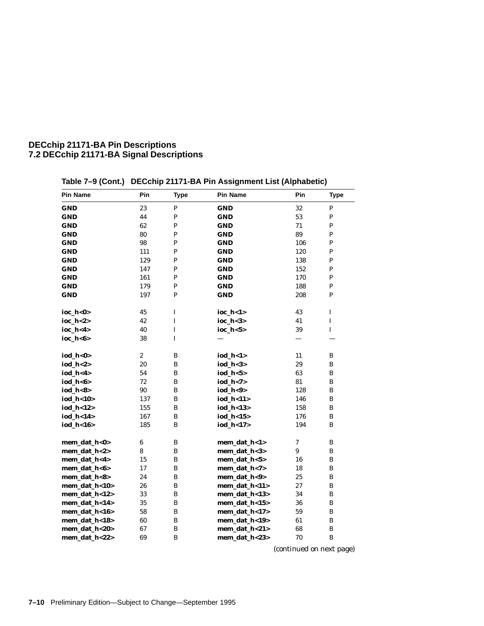| <b>Pin Name</b> | Pin              | <b>Type</b>  | <b>Pin Name</b> | Pin | <b>Type</b> |
|-----------------|------------------|--------------|-----------------|-----|-------------|
| GND             | 23               | ${\bf P}$    | <b>GND</b>      | 32  | ${\bf P}$   |
| GND             | 44               | $\mathbf P$  | <b>GND</b>      | 53  | ${\bf P}$   |
| GND             | 62               | P            | <b>GND</b>      | 71  | P           |
| GND             | 80               | P            | <b>GND</b>      | 89  | P           |
| GND             | 98               | $\mathbf{P}$ | <b>GND</b>      | 106 | P           |
| GND             | 111              | $\mathbf P$  | <b>GND</b>      | 120 | ${\bf P}$   |
| GND             | 129              | ${\bf P}$    | <b>GND</b>      | 138 | P           |
| GND             | 147              | ${\bf P}$    | <b>GND</b>      | 152 | P           |
| GND             | 161              | $\mathbf P$  | <b>GND</b>      | 170 | P           |
| GND             | 179              | $\mathbf{P}$ | <b>GND</b>      | 188 | P           |
| GND             | 197              | $\mathbf{P}$ | <b>GND</b>      | 208 | P           |
| ioc_h<0>        | 45               | $\bf I$      | ioc_h<1>        | 43  | $\bf I$     |
| ioc_h<2>        | 42               | I            | ioc_h<3>        | 41  | $\mathbf I$ |
| ioc_h<4>        | 40               | $\bf I$      | ioc_h<5>        | 39  | $\mathbf I$ |
| ioc_h<6>        | 38               | $\bf I$      |                 |     |             |
| iod_h<0>        | $\boldsymbol{2}$ | B            | iod_h<1>        | 11  | B           |
| iod_h<2>        | 20               | B            | iod_h<3>        | 29  | B           |
| iod_h<4>        | 54               | $\, {\bf B}$ | iod_h<5>        | 63  | B           |
| iod_h<6>        | 72               | $\bf{B}$     | iod_h<7>        | 81  | B           |
| iod_h<8>        | 90               | B            | iod_h<9>        | 128 | B           |
| iod_h<10>       | 137              | B            | iod_h<11>       | 146 | B           |
| iod_h<12>       | 155              | B            | iod_h<13>       | 158 | B           |
| iod_h<14>       | 167              | B            | iod_h<15>       | 176 | B           |
| iod_h<16>       | 185              | $\bf{B}$     | iod_h<17>       | 194 | B           |
| mem_dat_h<0>    | $\boldsymbol{6}$ | B            | mem_dat_h<1>    | 7   | B           |
| mem_dat_h<2>    | 8                | B            | mem_dat_h<3>    | 9   | B           |
| mem_dat_h<4>    | 15               | $\bf{B}$     | mem_dat_h<5>    | 16  | B           |
| mem_dat_h<6>    | 17               | $\, {\bf B}$ | mem_dat_h<7>    | 18  | B           |
| mem_dat_h<8>    | 24               | $\, {\bf B}$ | mem_dat_h<9>    | 25  | B           |
| mem_dat_h<10>   | 26               | B            | mem_dat_h<11>   | 27  | B           |
| mem_dat_h<12>   | 33               | B            | mem_dat_h<13>   | 34  | B           |
| mem_dat_h<14>   | 35               | B            | mem_dat_h<15>   | 36  | B           |
| mem_dat_h<16>   | 58               | B            | mem_dat_h<17>   | 59  | B           |
| mem_dat_h<18>   | 60               | $\, {\bf B}$ | mem_dat_h<19>   | 61  | B           |
| mem_dat_h<20>   | 67               | B            | mem_dat_h<21>   | 68  | B           |
| mem_dat_h<22>   | 69               | B            | mem_dat_h<23>   | 70  | B           |

**Table 7–9 (Cont.) DECchip 21171-BA Pin Assignment List (Alphabetic)**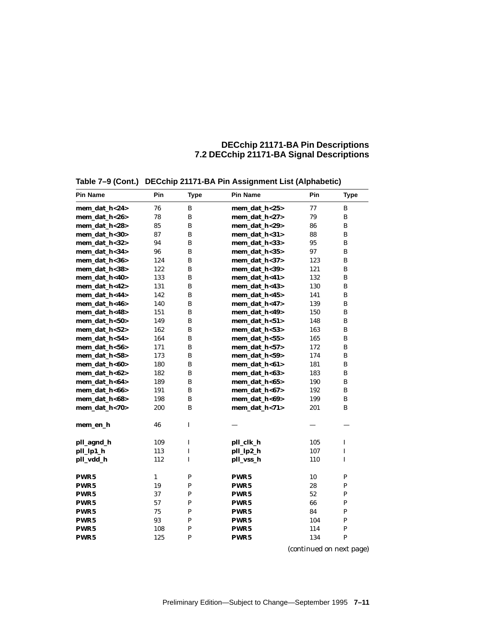| <b>Pin Name</b>  | Pin          | <b>Type</b> | <b>Pin Name</b>  | Pin | <b>Type</b>  |
|------------------|--------------|-------------|------------------|-----|--------------|
| mem_dat_h<24>    | 76           | B           | mem_dat_h<25>    | 77  | B            |
| mem_dat_h<26>    | 78           | B           | mem_dat_h<27>    | 79  | B            |
| mem_dat_h<28>    | 85           | B           | mem_dat_h<29>    | 86  | B            |
| mem dat h<30>    | 87           | B           | mem dat h<31>    | 88  | B            |
| mem dat h<32>    | 94           | B           | mem dat h<33>    | 95  | B            |
| mem dat h<34>    | 96           | B           | mem dat h<35>    | 97  | B            |
| mem_dat_h<36>    | 124          | B           | mem_dat_h<37>    | 123 | B            |
| mem_dat_h<38>    | 122          | B           | mem_dat_h<39>    | 121 | B            |
| mem_dat_h<40>    | 133          | B           | mem_dat_h<41>    | 132 | B            |
| mem_dat_h<42>    | 131          | B           | mem_dat_h<43>    | 130 | B            |
| mem_dat_h<44>    | 142          | B           | mem_dat_h<45>    | 141 | B            |
| mem_dat_h<46>    | 140          | B           | mem_dat_h<47>    | 139 | B            |
| mem_dat_h<48>    | 151          | B           | mem_dat_h<49>    | 150 | B            |
| mem dat h<50>    | 149          | B           | mem dat h<51>    | 148 | $\bf{B}$     |
| mem_dat_h<52>    | 162          | B           | mem_dat_h<53>    | 163 | B            |
| mem_dat_h<54>    | 164          | В           | mem_dat_h<55>    | 165 | B            |
| mem_dat_h<56>    | 171          | В           | mem_dat_h<57>    | 172 | B            |
| mem_dat_h<58>    | 173          | B           | mem_dat_h<59>    | 174 | B            |
| mem_dat_h<60>    | 180          | B           | mem_dat_h<61>    | 181 | B            |
| mem_dat_h<62>    | 182          | B           | mem_dat_h<63>    | 183 | B            |
| mem_dat_h<64>    | 189          | B           | mem_dat_h<65>    | 190 | B            |
| mem dat h<66>    | 191          | B           | mem dat h<67>    | 192 | B            |
| mem_dat_h<68>    | 198          | B           | mem dat h<69>    | 199 | B            |
| mem_dat_h<70>    | 200          | B           | mem_dat_h<71>    | 201 | B            |
| mem_en_h         | 46           | I           |                  |     |              |
| pll_agnd_h       | 109          | I           | pll_clk_h        | 105 | I            |
| pll_lp1_h        | 113          | I           | pll_lp2_h        | 107 | I            |
| pll_vdd_h        | 112          | $\mathbf I$ | pll_vss_h        | 110 | $\mathbf I$  |
| PWR5             | $\mathbf{1}$ | P           | PWR <sub>5</sub> | 10  | ${\bf P}$    |
| PWR5             | 19           | P           | PWR5             | 28  | P            |
| PWR5             | 37           | P           | PWR5             | 52  | P            |
| PWR5             | 57           | P           | PWR <sub>5</sub> | 66  | $\mathbf{P}$ |
| PWR5             | 75           | P           | PWR <sub>5</sub> | 84  | $\mathbf{P}$ |
| PWR5             | 93           | P           | PWR5             | 104 | P            |
| PWR <sub>5</sub> | 108          | P           | PWR <sub>5</sub> | 114 | P            |
| PWR5             | 125          | P           | PWR <sub>5</sub> | 134 | P            |

**Table 7–9 (Cont.) DECchip 21171-BA Pin Assignment List (Alphabetic)**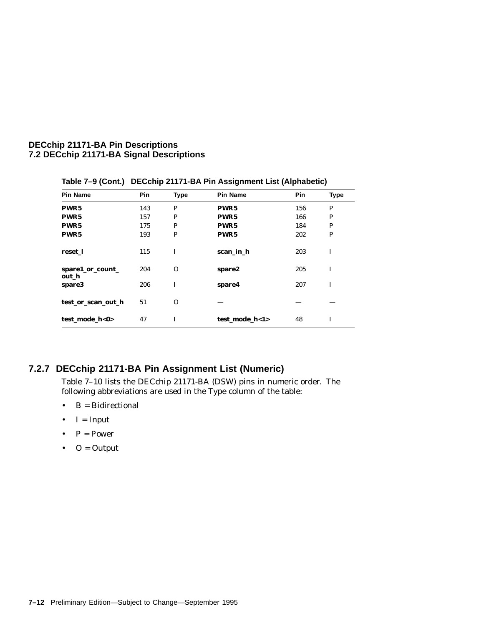| Pin Name                  | <b>Pin</b> | <b>Type</b> | Pin Name         | <b>Pin</b> | <b>Type</b> |
|---------------------------|------------|-------------|------------------|------------|-------------|
| PWR5                      | 143        | P           | PWR <sub>5</sub> | 156        | P           |
| PWR <sub>5</sub>          | 157        | P           | PWR <sub>5</sub> | 166        | P           |
| PWR <sub>5</sub>          | 175        | P           | PWR <sub>5</sub> | 184        | P           |
| PWR <sub>5</sub>          | 193        | P           | PWR <sub>5</sub> | 202        | P           |
| reset 1                   | 115        | I           | scan in h        | 203        | I           |
| spare1_or_count_<br>out h | 204        | $\Omega$    | spare2           | 205        | I           |
| spare3                    | 206        | T           | spare4           | 207        | I           |
| test_or_scan_out_h        | 51         | $\Omega$    |                  |            |             |
| test_mode_h<0>            | 47         | T           | test mode h<1>   | 48         | T           |

**Table 7–9 (Cont.) DECchip 21171-BA Pin Assignment List (Alphabetic)**

## **7.2.7 DECchip 21171-BA Pin Assignment List (Numeric)**

Table 7–10 lists the DECchip 21171-BA (DSW) pins in numeric order. The following abbreviations are used in the Type column of the table:

- $\bullet$  B = Bidirectional
- $\bullet$  I = Input
- $P = Power$
- $\bullet$  O = Output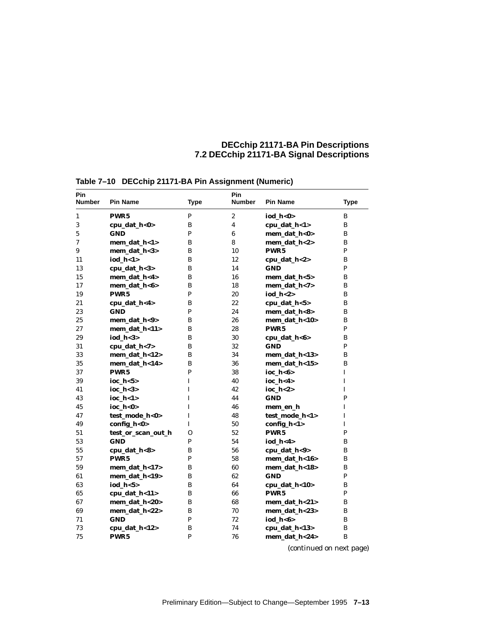| Pin<br>Number | <b>Pin Name</b>    | <b>Type</b>  | Pin<br><b>Number</b> | <b>Pin Name</b>  | <b>Type</b>  |
|---------------|--------------------|--------------|----------------------|------------------|--------------|
| 1             | PWR <sub>5</sub>   | P            | $\boldsymbol{2}$     | iod $h<0>$       | B            |
| 3             | cpu_dat_h<0>       | B            | 4                    | cpu_dat_h<1>     | B            |
| 5             | <b>GND</b>         | $\mathbf{P}$ | 6                    | mem dat h<0>     | B            |
| 7             | mem_dat_h<1>       | B            | 8                    | mem dat $h < 2$  | B            |
| 9             | mem_dat_h<3>       | B            | 10                   | PWR <sub>5</sub> | P            |
| 11            | iod $h < 1$        | B            | 12                   | cpu dat $h<2>$   | B            |
| 13            | cpu_dat_h<3>       | B            | 14                   | <b>GND</b>       | P            |
| 15            | mem_dat_h<4>       | B            | 16                   | mem_dat_h<5>     | B            |
| 17            | mem_dat_h<6>       | B            | 18                   | mem_dat_h<7>     | B            |
| 19            | PWR <sub>5</sub>   | P            | 20                   | iod $h < 2>$     | B            |
| 21            | cpu_dat_h<4>       | B            | 22                   | cpu_dat_h<5>     | B            |
| 23            | <b>GND</b>         | P            | 24                   | mem_dat_h<8>     | B            |
| 25            | mem_dat_h<9>       | B            | 26                   | mem_dat_h<10>    | B            |
| 27            | mem dat $h<11$     | B            | 28                   | PWR <sub>5</sub> | P            |
| 29            | iod $h < 3>$       | B            | 30                   | cpu_dat_h<6>     | B            |
| 31            | cpu_dat_h<7>       | B            | 32                   | <b>GND</b>       | P            |
| 33            | mem_dat_h<12>      | B            | 34                   | mem_dat_h<13>    | B            |
| 35            | mem dat h<14>      | B            | 36                   | mem dat $h < 15$ | B            |
| 37            | PWR <sub>5</sub>   | $\mathbf{P}$ | 38                   | ioc $h < 6$      | $\mathbf{I}$ |
| 39            | ioc $h < 5$        | L            | 40                   | ioc h<4>         | $\mathbf I$  |
| 41            | ioc $h<3>$         | I            | 42                   | $ioc_h < 2>$     | $\mathbf I$  |
| 43            | ioc $h < 1>$       | L            | 44                   | <b>GND</b>       | P            |
| 45            | ioc h<0>           | L            | 46                   | mem en h         | I            |
| 47            | test_mode_h<0>     | L            | 48                   | test mode h<1>   | I            |
| 49            | config_h<0>        | $\mathbf{I}$ | 50                   | config_h<1>      | I            |
| 51            | test_or_scan_out_h | $\mathbf{O}$ | 52                   | PWR <sub>5</sub> | P            |
| 53            | <b>GND</b>         | P            | 54                   | iod $h < 4$      | B            |
| 55            | cpu_dat_h<8>       | B            | 56                   | cpu_dat_h<9>     | B            |
| 57            | PWR <sub>5</sub>   | P            | 58                   | mem_dat_h<16>    | B            |
| 59            | mem_dat_h<17>      | B            | 60                   | mem_dat_h<18>    | B            |
| 61            | mem dat h<19>      | B            | 62                   | <b>GND</b>       | P            |
| 63            | iod $h < 5$        | B            | 64                   | cpu_dat_h<10>    | B            |
| 65            | cpu_dat_h<11>      | B            | 66                   | PWR5             | P            |
| 67            | mem_dat_h<20>      | B            | 68                   | mem_dat_h<21>    | B            |
| 69            | mem_dat_h<22>      | B            | 70                   | mem dat h<23>    | B            |
| 71            | <b>GND</b>         | $\mathbf{P}$ | 72                   | iod $h < 6$      | B            |
| 73            | cpu_dat_h<12>      | B            | 74                   | cpu_dat_h<13>    | B            |
| 75            | PWR <sub>5</sub>   | P            | 76                   | mem_dat_h<24>    | B            |

**Table 7–10 DECchip 21171-BA Pin Assignment (Numeric)**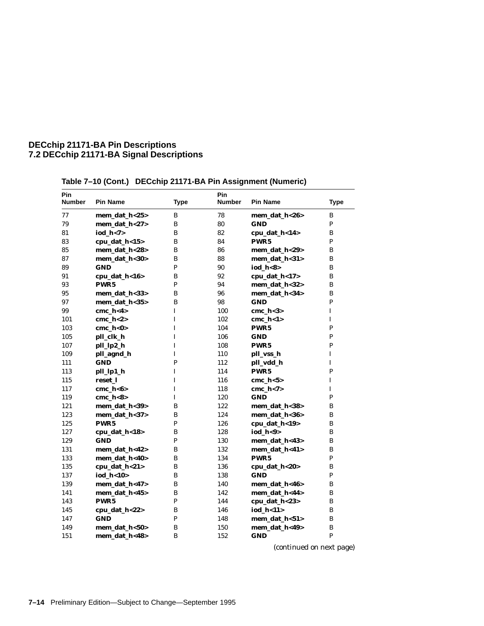| Pin<br>Number | <b>Pin Name</b>  | <b>Type</b>  | Pin<br><b>Number</b> | <b>Pin Name</b>  | <b>Type</b>  |
|---------------|------------------|--------------|----------------------|------------------|--------------|
| 77            | mem_dat_h<25>    | B            | 78                   | mem_dat_h<26>    | B            |
| 79            | mem_dat_h<27>    | B            | 80                   | <b>GND</b>       | P            |
| 81            | iod_h<7>         | B            | 82                   | cpu_dat_h<14>    | в            |
| 83            | cpu_dat_h<15>    | B            | 84                   | PWR <sub>5</sub> | P            |
| 85            | mem dat h<28>    | B            | 86                   | mem dat $h<29$   | B            |
| 87            | mem_dat_h<30>    | B            | 88                   | mem_dat_h<31>    | B            |
| 89            | <b>GND</b>       | P            | 90                   | iod h<8>         | B            |
| 91            | cpu_dat_h<16>    | B            | 92                   | cpu_dat_h<17>    | B            |
| 93            | PWR <sub>5</sub> | P            | 94                   | mem dat h<32>    | B            |
| 95            | mem_dat_h<33>    | B            | 96                   | mem_dat_h<34>    | B            |
| 97            | mem_dat_h<35>    | B            | 98                   | <b>GND</b>       | $\mathbf{P}$ |
| 99            | cmc $h < 4$      | I            | 100                  | cmc $h<3>$       | I            |
| 101           | cmc $h<2>$       | T            | 102                  | $cmc_h < 1>$     | I            |
| 103           | cmc $h<0>$       | T            | 104                  | PWR <sub>5</sub> | P            |
| 105           | pll_clk_h        | I            | 106                  | <b>GND</b>       | P            |
| 107           | pll_lp2_h        | I            | 108                  | PWR <sub>5</sub> | P            |
| 109           | pll_agnd_h       | I            | 110                  | pll_vss_h        | I            |
| 111           | <b>GND</b>       | P            | 112                  | pll_vdd_h        | I            |
| 113           | pll_lp1_h        | I            | 114                  | PWR <sub>5</sub> | P            |
| 115           | reset 1          | T            | 116                  | cmc_h<5>         | I            |
| 117           | cmc $h < 6$      | T            | 118                  | cmc $h<7>$       | I            |
| 119           | $cmc_h <8>$      | I            | 120                  | <b>GND</b>       | P            |
| 121           | mem_dat_h<39>    | B            | 122                  | mem_dat_h<38>    | B            |
| 123           | mem_dat_h<37>    | B            | 124                  | mem_dat_h<36>    | B            |
| 125           | PWR <sub>5</sub> | P            | 126                  | cpu_dat_h<19>    | B            |
| 127           | cpu_dat_h<18>    | B            | 128                  | iod h<9>         | B            |
| 129           | <b>GND</b>       | P            | 130                  | mem_dat_h<43>    | в            |
| 131           | mem_dat_h<42>    | B            | 132                  | mem_dat_h<41>    | B            |
| 133           | mem_dat_h<40>    | B            | 134                  | PWR <sub>5</sub> | P            |
| 135           | cpu_dat_h<21>    | B            | 136                  | cpu_dat_h<20>    | B            |
| 137           | iod_h<10>        | B            | 138                  | <b>GND</b>       | P            |
| 139           | mem_dat_h<47>    | B            | 140                  | mem_dat_h<46>    | B            |
| 141           | mem_dat_h<45>    | B            | 142                  | mem_dat_h<44>    | B            |
| 143           | PWR <sub>5</sub> | $\mathbf{P}$ | 144                  | cpu_dat_h<23>    | в            |
| 145           | cpu_dat_h<22>    | B            | 146                  | iod h<11>        | B            |
| 147           | <b>GND</b>       | $\mathbf{P}$ | 148                  | mem_dat_h<51>    | B            |
| 149           | mem_dat_h<50>    | B            | 150                  | mem dat h<49>    | B            |
| 151           | mem_dat_h<48>    | B            | 152                  | <b>GND</b>       | $\mathbf{P}$ |
|               |                  |              |                      |                  |              |

**Table 7–10 (Cont.) DECchip 21171-BA Pin Assignment (Numeric)**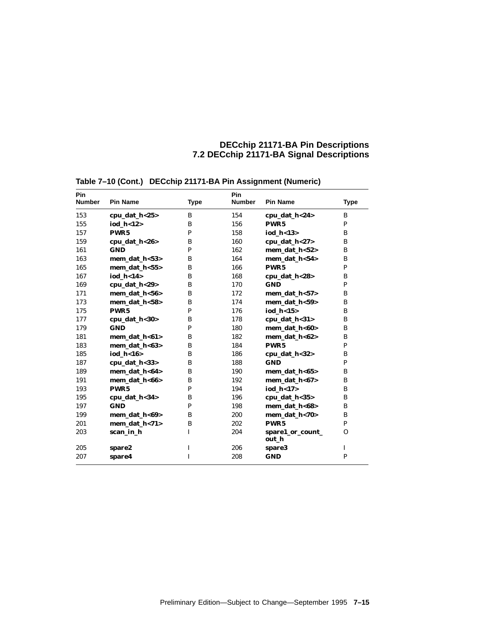| Pin<br><b>Number</b> | <b>Pin Name</b>  | <b>Type</b> | Pin<br><b>Number</b> | <b>Pin Name</b>           | <b>Type</b> |
|----------------------|------------------|-------------|----------------------|---------------------------|-------------|
| 153                  | cpu_dat_h<25>    | B           | 154                  | cpu_dat_h<24>             | B           |
| 155                  | iod $h<12$       | B           | 156                  | PWR <sub>5</sub>          | P           |
| 157                  | PWR <sub>5</sub> | P           | 158                  | iod_h<13>                 | B           |
| 159                  | cpu_dat_h<26>    | B           | 160                  | cpu_dat_h<27>             | B           |
| 161                  | <b>GND</b>       | P           | 162                  | mem_dat_h<52>             | B           |
| 163                  | mem_dat_h<53>    | B           | 164                  | mem_dat_h<54>             | B           |
| 165                  | mem_dat_h<55>    | B           | 166                  | PWR <sub>5</sub>          | P           |
| 167                  | iod h<14>        | B           | 168                  | cpu_dat_h<28>             | B           |
| 169                  | cpu_dat_h<29>    | B           | 170                  | <b>GND</b>                | P           |
| 171                  | mem dat $h < 56$ | B           | 172                  | $mem\_dat\_h < 57$        | B           |
| 173                  | mem_dat_h<58>    | B           | 174                  | mem dat $h < 59$          | B           |
| 175                  | PWR <sub>5</sub> | P           | 176                  | iod $h<15$                | B           |
| 177                  | cpu_dat_h<30>    | B           | 178                  | cpu_dat_h<31>             | B           |
| 179                  | <b>GND</b>       | P           | 180                  | mem_dat_h<60>             | B           |
| 181                  | mem_dat_h<61>    | B           | 182                  | mem_dat_h<62>             | B           |
| 183                  | mem dat h<63>    | B           | 184                  | PWR <sub>5</sub>          | P           |
| 185                  | iod_h<16>        | B           | 186                  | cpu_dat_h<32>             | B           |
| 187                  | cpu_dat_h<33>    | B           | 188                  | <b>GND</b>                | P           |
| 189                  | mem dat h<64>    | B           | 190                  | mem dat $h < 65$          | B           |
| 191                  | mem_dat_h<66>    | B           | 192                  | mem dat h<67>             | B           |
| 193                  | PWR <sub>5</sub> | P           | 194                  | iod_h<17>                 | B           |
| 195                  | cpu_dat_h<34>    | B           | 196                  | cpu_dat_h<35>             | B           |
| 197                  | <b>GND</b>       | P           | 198                  | mem_dat_h<68>             | B           |
| 199                  | mem dat $h < 69$ | B           | 200                  | mem_dat_h<70>             | B           |
| 201                  | mem_dat_h<71>    | B           | 202                  | PWR <sub>5</sub>          | P           |
| 203                  | scan_in_h        | L           | 204                  | spare1_or_count_<br>out h | $\Omega$    |
| 205                  | spare2           | $\mathbf I$ | 206                  | spare3                    | $\mathbf I$ |
| 207                  | spare4           | $\mathbf I$ | 208                  | <b>GND</b>                | P           |

**Table 7–10 (Cont.) DECchip 21171-BA Pin Assignment (Numeric)**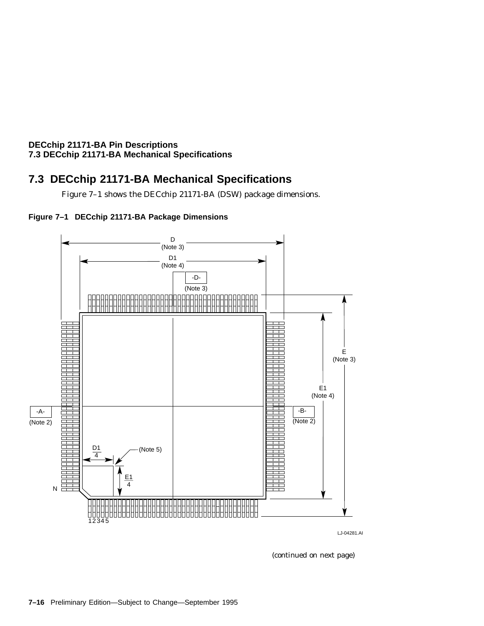#### **DECchip 21171-BA Pin Descriptions 7.3 DECchip 21171-BA Mechanical Specifications**

## **7.3 DECchip 21171-BA Mechanical Specifications**

Figure 7–1 shows the DECchip 21171-BA (DSW) package dimensions.





LJ-04281.AI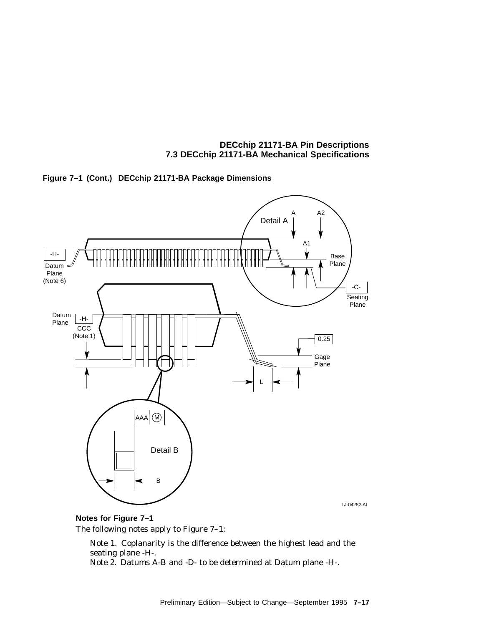**DECchip 21171-BA Pin Descriptions 7.3 DECchip 21171-BA Mechanical Specifications**





## **Notes for Figure 7–1**

The following notes apply to Figure 7–1:

Note 1. Coplanarity is the difference between the highest lead and the seating plane -H-.

Note 2. Datums A-B and -D- to be determined at Datum plane -H-.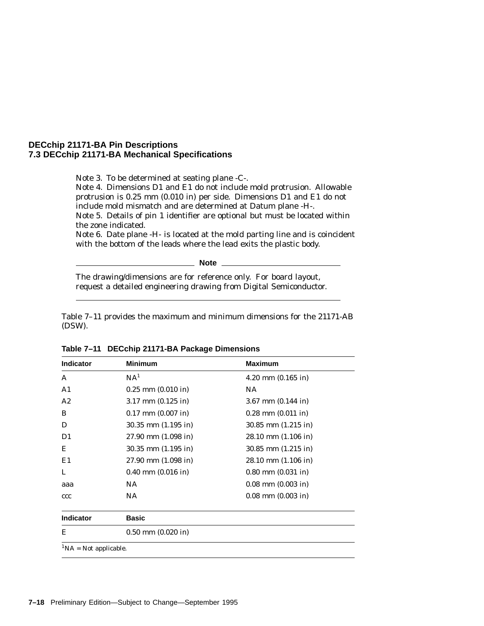#### **DECchip 21171-BA Pin Descriptions 7.3 DECchip 21171-BA Mechanical Specifications**

Note 3. To be determined at seating plane -C-. Note 4. Dimensions D1 and E1 do not include mold protrusion. Allowable protrusion is 0.25 mm (0.010 in) per side. Dimensions D1 and E1 do not

include mold mismatch and are determined at Datum plane -H-. Note 5. Details of pin 1 identifier are optional but must be located within the zone indicated.

Note 6. Date plane -H- is located at the mold parting line and is coincident with the bottom of the leads where the lead exits the plastic body.

**Note**

The drawing/dimensions are for reference only. For board layout, request a detailed engineering drawing from Digital Semiconductor.

Table 7–11 provides the maximum and minimum dimensions for the 21171-AB (DSW).

| Indicator                    | <b>Minimum</b>          | <b>Maximum</b>          |
|------------------------------|-------------------------|-------------------------|
| A                            | NA <sup>1</sup>         | $4.20$ mm $(0.165$ in)  |
| A <sub>1</sub>               | $0.25$ mm $(0.010$ in)  | NA.                     |
| A2                           | $3.17$ mm $(0.125$ in)  | $3.67$ mm $(0.144$ in)  |
| B                            | $0.17$ mm $(0.007$ in)  | $0.28$ mm $(0.011$ in)  |
| D                            | $30.35$ mm $(1.195$ in) | $30.85$ mm $(1.215$ in) |
| D1                           | $27.90$ mm $(1.098$ in) | $28.10$ mm $(1.106$ in) |
| Ε                            | $30.35$ mm $(1.195$ in) | $30.85$ mm $(1.215$ in) |
| E1                           | $27.90$ mm $(1.098$ in) | $28.10$ mm $(1.106$ in) |
| L                            | $0.40$ mm $(0.016$ in)  | $0.80$ mm $(0.031$ in)  |
| aaa                          | NA                      | $0.08$ mm $(0.003$ in)  |
| ccc                          | NA                      | $0.08$ mm $(0.003$ in)  |
| <b>Indicator</b>             | <b>Basic</b>            |                         |
| Е                            | $0.50$ mm $(0.020$ in)  |                         |
| ${}^{1}NA$ = Not applicable. |                         |                         |

**Table 7–11 DECchip 21171-BA Package Dimensions**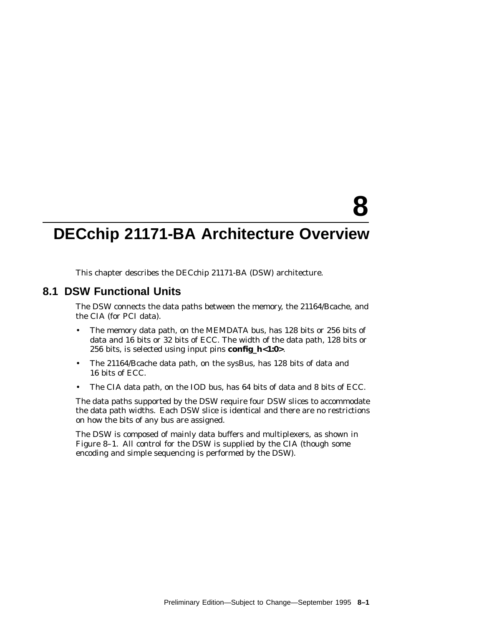# **8**

## **DECchip 21171-BA Architecture Overview**

This chapter describes the DECchip 21171-BA (DSW) architecture.

#### **8.1 DSW Functional Units**

The DSW connects the data paths between the memory, the 21164/Bcache, and the CIA (for PCI data).

- The memory data path, on the MEMDATA bus, has 128 bits or 256 bits of data and 16 bits or 32 bits of ECC. The width of the data path, 128 bits or 256 bits, is selected using input pins **config\_h<1:0>**.
- The 21164/Bcache data path, on the sysBus, has 128 bits of data and 16 bits of ECC.
- The CIA data path, on the IOD bus, has 64 bits of data and 8 bits of ECC.

The data paths supported by the DSW require four DSW slices to accommodate the data path widths. Each DSW slice is identical and there are no restrictions on how the bits of any bus are assigned.

The DSW is composed of mainly data buffers and multiplexers, as shown in Figure 8–1. All control for the DSW is supplied by the CIA (though some encoding and simple sequencing is performed by the DSW).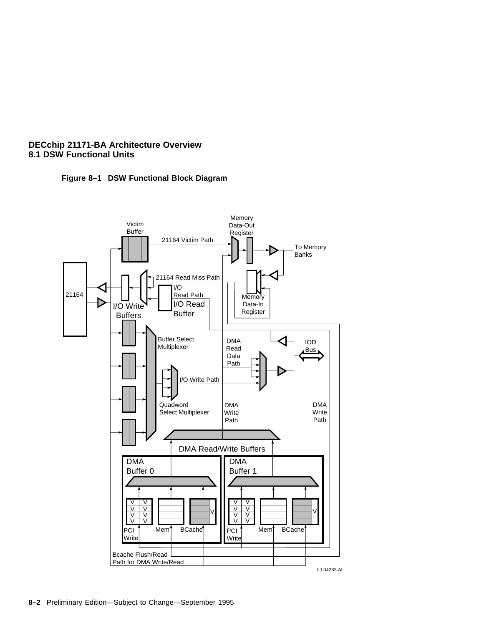

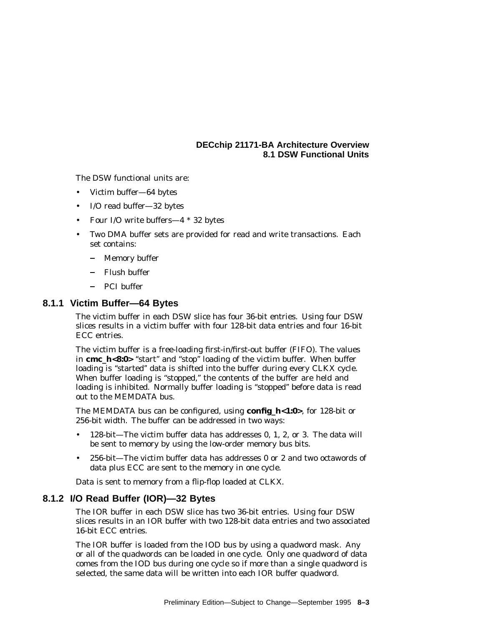The DSW functional units are:

- Victim buffer—64 bytes
- I/O read buffer—32 bytes
- Four I/O write buffers—4 \* 32 bytes
- Two DMA buffer sets are provided for read and write transactions. Each set contains:
	- Memory buffer
	- Flush buffer
	- PCI buffer

#### **8.1.1 Victim Buffer—64 Bytes**

The victim buffer in each DSW slice has four 36-bit entries. Using four DSW slices results in a victim buffer with four 128-bit data entries and four 16-bit ECC entries.

The victim buffer is a free-loading first-in/first-out buffer (FIFO). The values in **cmc\_h<8:0>** "start" and "stop" loading of the victim buffer. When buffer loading is "started" data is shifted into the buffer during every CLKX cycle. When buffer loading is "stopped," the contents of the buffer are held and loading is inhibited. Normally buffer loading is ''stopped'' before data is read out to the MEMDATA bus.

The MEMDATA bus can be configured, using **config\_h<1:0>**, for 128-bit or 256-bit width. The buffer can be addressed in two ways:

- 128-bit—The victim buffer data has addresses 0, 1, 2, or 3. The data will be sent to memory by using the low-order memory bus bits.
- 256-bit—The victim buffer data has addresses 0 or 2 and two octawords of data plus ECC are sent to the memory in one cycle.

Data is sent to memory from a flip-flop loaded at CLKX.

#### **8.1.2 I/O Read Buffer (IOR)—32 Bytes**

The IOR buffer in each DSW slice has two 36-bit entries. Using four DSW slices results in an IOR buffer with two 128-bit data entries and two associated 16-bit ECC entries.

The IOR buffer is loaded from the IOD bus by using a quadword mask. Any or all of the quadwords can be loaded in one cycle. Only one quadword of data comes from the IOD bus during one cycle so if more than a single quadword is selected, the same data will be written into each IOR buffer quadword.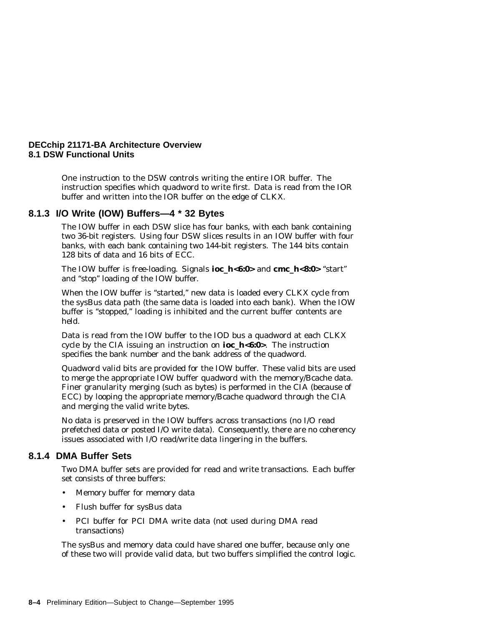One instruction to the DSW controls writing the entire IOR buffer. The instruction specifies which quadword to write first. Data is read from the IOR buffer and written into the IOR buffer on the edge of CLKX.

#### **8.1.3 I/O Write (IOW) Buffers—4 \* 32 Bytes**

The IOW buffer in each DSW slice has four banks, with each bank containing two 36-bit registers. Using four DSW slices results in an IOW buffer with four banks, with each bank containing two 144-bit registers. The 144 bits contain 128 bits of data and 16 bits of ECC.

The IOW buffer is free-loading. Signals **ioc\_h<6:0>** and **cmc\_h<8:0>** "start" and ''stop'' loading of the IOW buffer.

When the IOW buffer is "started," new data is loaded every CLKX cycle from the sysBus data path (the same data is loaded into each bank). When the IOW buffer is "stopped," loading is inhibited and the current buffer contents are held.

Data is read from the IOW buffer to the IOD bus a quadword at each CLKX cycle by the CIA issuing an instruction on **ioc\_h<6:0>**. The instruction specifies the bank number and the bank address of the quadword.

Quadword valid bits are provided for the IOW buffer. These valid bits are used to merge the appropriate IOW buffer quadword with the memory/Bcache data. Finer granularity merging (such as bytes) is performed in the CIA (because of ECC) by looping the appropriate memory/Bcache quadword through the CIA and merging the valid write bytes.

No data is preserved in the IOW buffers across transactions (no I/O read prefetched data or posted I/O write data). Consequently, there are no coherency issues associated with I/O read/write data lingering in the buffers.

#### **8.1.4 DMA Buffer Sets**

Two DMA buffer sets are provided for read and write transactions. Each buffer set consists of three buffers:

- Memory buffer for memory data
- Flush buffer for sysBus data
- PCI buffer for PCI DMA write data (not used during DMA read transactions)

The sysBus and memory data could have shared one buffer, because only one of these two will provide valid data, but two buffers simplified the control logic.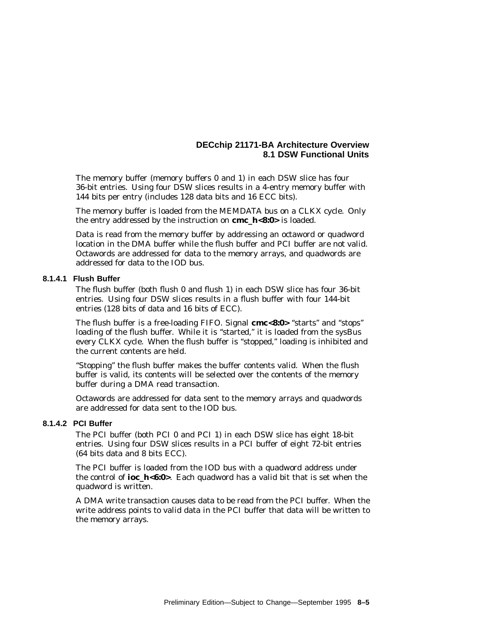The memory buffer (memory buffers 0 and 1) in each DSW slice has four 36-bit entries. Using four DSW slices results in a 4-entry memory buffer with 144 bits per entry (includes 128 data bits and 16 ECC bits).

The memory buffer is loaded from the MEMDATA bus on a CLKX cycle. Only the entry addressed by the instruction on **cmc\_h<8:0>** is loaded.

Data is read from the memory buffer by addressing an octaword or quadword location in the DMA buffer while the flush buffer and PCI buffer are *not* valid. Octawords are addressed for data to the memory arrays, and quadwords are addressed for data to the IOD bus.

#### **8.1.4.1 Flush Buffer**

The flush buffer (both flush 0 and flush 1) in each DSW slice has four 36-bit entries. Using four DSW slices results in a flush buffer with four 144-bit entries (128 bits of data and 16 bits of ECC).

The flush buffer is a free-loading FIFO. Signal **cmc<8:0>** ''starts'' and ''stops'' loading of the flush buffer. While it is "started," it is loaded from the sysBus every CLKX cycle. When the flush buffer is "stopped," loading is inhibited and the current contents are held.

"Stopping" the flush buffer makes the buffer contents valid. When the flush buffer is valid, its contents will be selected over the contents of the memory buffer during a DMA read transaction.

Octawords are addressed for data sent to the memory arrays and quadwords are addressed for data sent to the IOD bus.

#### **8.1.4.2 PCI Buffer**

The PCI buffer (both PCI 0 and PCI 1) in each DSW slice has eight 18-bit entries. Using four DSW slices results in a PCI buffer of eight 72-bit entries (64 bits data and 8 bits ECC).

The PCI buffer is loaded from the IOD bus with a quadword address under the control of **ioc\_h<6:0>**. Each quadword has a valid bit that is set when the quadword is written.

A DMA write transaction causes data to be read from the PCI buffer. When the write address points to valid data in the PCI buffer that data will be written to the memory arrays.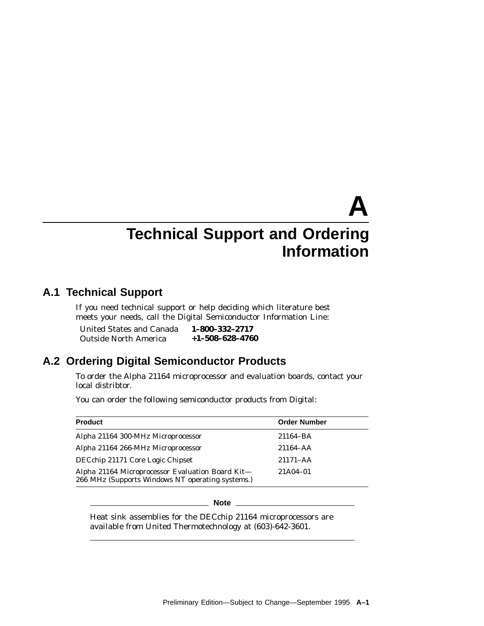## **A Technical Support and Ordering Information**

## **A.1 Technical Support**

If you need technical support or help deciding which literature best meets your needs, call the Digital Semiconductor Information Line:

United States and Canada Outside North America **1–800–332–2717 +1–508–628–4760**

## **A.2 Ordering Digital Semiconductor Products**

To order the Alpha 21164 microprocessor and evaluation boards, contact your local distribtor.

You can order the following semiconductor products from Digital:

| <b>Product</b>                                                                                       | <b>Order Number</b> |
|------------------------------------------------------------------------------------------------------|---------------------|
| Alpha 21164 300-MHz Microprocessor                                                                   | 21164-BA            |
| Alpha 21164 266-MHz Microprocessor                                                                   | $21164 - AA$        |
| DECchip 21171 Core Logic Chipset                                                                     | $21171 - AA$        |
| Alpha 21164 Microprocessor Evaluation Board Kit-<br>266 MHz (Supports Windows NT operating systems.) | 21A04-01            |

**Note**

Heat sink assemblies for the DECchip 21164 microprocessors are available from United Thermotechnology at (603)-642-3601.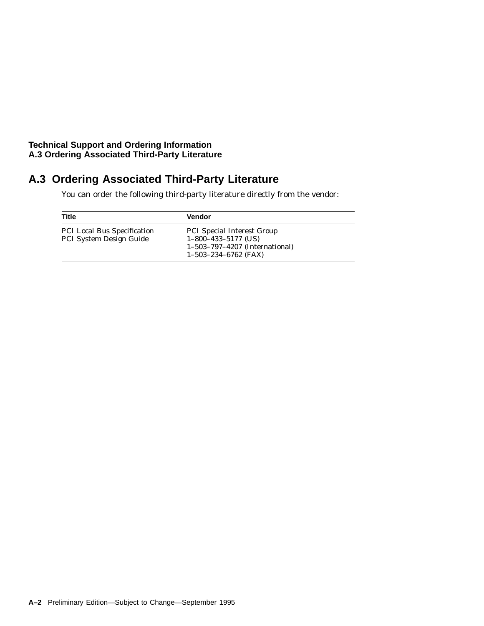#### **Technical Support and Ordering Information A.3 Ordering Associated Third-Party Literature**

## **A.3 Ordering Associated Third-Party Literature**

You can order the following third-party literature directly from the vendor:

| Title                                                                | <b>Vendor</b>                                                                                                          |
|----------------------------------------------------------------------|------------------------------------------------------------------------------------------------------------------------|
| <b>PCI Local Bus Specification</b><br><b>PCI System Design Guide</b> | <b>PCI</b> Special Interest Group<br>$1-800-433-5177$ (US)<br>1-503-797-4207 (International)<br>$1-503-234-6762$ (FAX) |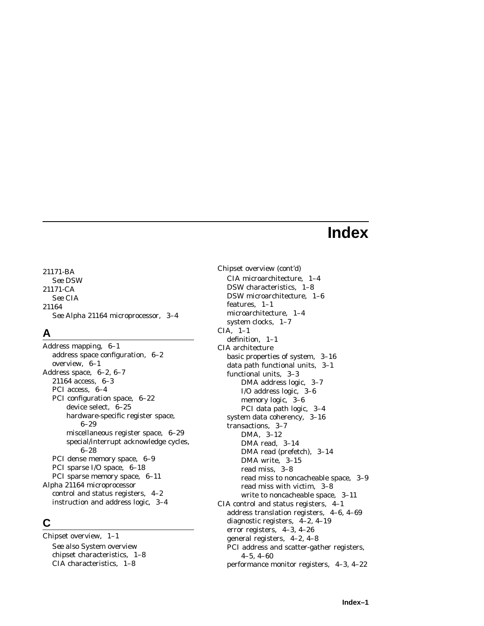## **Index**

21171-BA *See* DSW 21171-CA *See* CIA 21164 *See* Alpha 21164 microprocessor, 3–4

## **A**

Address mapping, 6–1 address space configuration, 6–2 overview, 6–1 Address space, 6–2, 6–7 21164 access, 6–3 PCI access, 6–4 PCI configuration space, 6–22 device select, 6–25 hardware-specific register space, 6–29 miscellaneous register space, 6–29 special/interrupt acknowledge cycles, 6–28 PCI dense memory space, 6–9 PCI sparse I/O space, 6–18 PCI sparse memory space, 6–11 Alpha 21164 microprocessor control and status registers, 4–2 instruction and address logic, 3–4

## **C**

Chipset overview, 1–1 *See also* System overview chipset characteristics, 1–8 CIA characteristics, 1–8

Chipset overview (cont'd) CIA microarchitecture, 1–4 DSW characteristics, 1–8 DSW microarchitecture, 1–6 features, 1–1 microarchitecture, 1–4 system clocks, 1–7 CIA, 1–1 definition, 1–1 CIA architecture basic properties of system, 3–16 data path functional units, 3–1 functional units, 3–3 DMA address logic, 3–7 I/O address logic, 3–6 memory logic, 3–6 PCI data path logic, 3–4 system data coherency, 3–16 transactions, 3–7 DMA, 3–12 DMA read, 3–14 DMA read (prefetch), 3–14 DMA write, 3–15 read miss, 3–8 read miss to noncacheable space, 3–9 read miss with victim, 3–8 write to noncacheable space, 3–11 CIA control and status registers, 4–1 address translation registers, 4–6, 4–69 diagnostic registers, 4–2, 4–19 error registers, 4–3, 4–26 general registers, 4–2, 4–8 PCI address and scatter-gather registers, 4–5, 4–60 performance monitor registers, 4–3, 4–22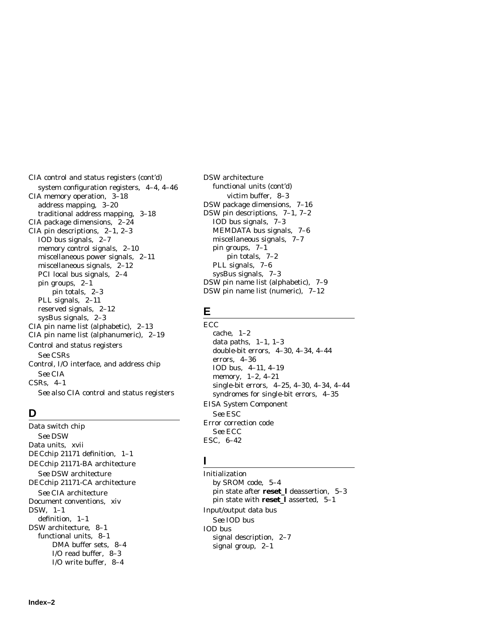CIA control and status registers (cont'd) system configuration registers, 4–4, 4–46 CIA memory operation, 3–18 address mapping, 3–20 traditional address mapping, 3–18 CIA package dimensions, 2–24 CIA pin descriptions, 2–1, 2–3 IOD bus signals, 2–7 memory control signals, 2–10 miscellaneous power signals, 2–11 miscellaneous signals, 2–12 PCI local bus signals, 2–4 pin groups, 2–1 pin totals, 2–3 PLL signals, 2–11 reserved signals, 2–12 sysBus signals, 2–3 CIA pin name list (alphabetic), 2–13 CIA pin name list (alphanumeric), 2–19 Control and status registers *See* CSRs Control, I/O interface, and address chip *See* CIA CSRs, 4–1 *See also* CIA control and status registers

## **D**

Data switch chip *See* DSW Data units, xvii DECchip 21171 definition, 1–1 DECchip 21171-BA architecture *See* DSW architecture DECchip 21171-CA architecture *See* CIA architecture Document conventions, xiv DSW, 1–1 definition, 1–1 DSW architecture, 8–1 functional units, 8–1 DMA buffer sets, 8–4 I/O read buffer, 8–3 I/O write buffer, 8–4

DSW architecture functional units (cont'd) victim buffer, 8–3 DSW package dimensions, 7–16 DSW pin descriptions, 7–1, 7–2 IOD bus signals, 7–3 MEMDATA bus signals, 7–6 miscellaneous signals, 7–7 pin groups, 7–1 pin totals, 7–2 PLL signals, 7–6 sysBus signals, 7–3 DSW pin name list (alphabetic), 7–9 DSW pin name list (numeric), 7–12

## **E**

**ECC** cache, 1–2 data paths,  $1-1$ ,  $1-3$ double-bit errors, 4–30, 4–34, 4–44 errors, 4–36 IOD bus, 4–11, 4–19 memory, 1–2, 4–21 single-bit errors, 4–25, 4–30, 4–34, 4–44 syndromes for single-bit errors, 4–35 EISA System Component *See* ESC Error correction code *See* ECC ESC, 6–42

## **I**

Initialization by SROM code, 5–4 pin state after **reset\_l** deassertion, 5–3 pin state with **reset\_l** asserted, 5–1 Input/output data bus *See* IOD bus IOD bus signal description, 2–7 signal group, 2–1